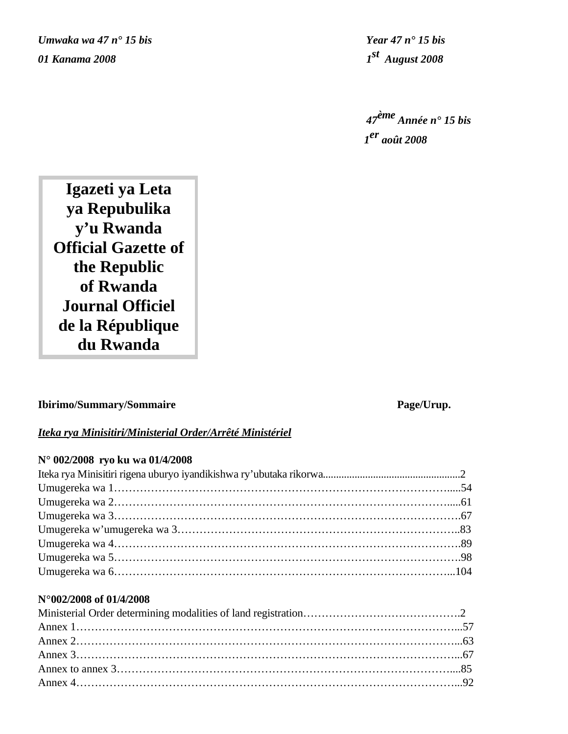*Umwaka wa 47 n° 15 bis Year 47 n° 15 bis 01 Kanama 2008 1st August 2008*

*47ème Année n° 15 bis 1er août 2008*

**Igazeti ya Leta ya Repubulika y'u Rwanda Official Gazette of the Republic of Rwanda Journal Officiel de la République du Rwanda**

# **Ibirimo/Summary/Sommaire Page/Urup.**

# *Iteka rya Minisitiri/Ministerial Order/Arrêté Ministériel*

# **N° 002/2008 ryo ku wa 01/4/2008**

# **N°002/2008 of 01/4/2008**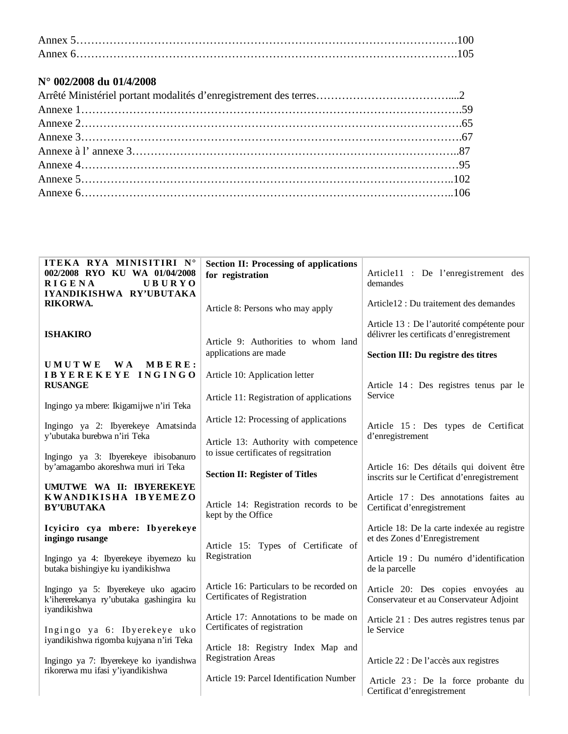# **N° 002/2008 du 01/4/2008**

| ITEKA RYA MINISITIRI N°<br>002/2008 RYO KU WA 01/04/2008<br><b>UBURYO</b><br><b>RIGENA</b><br>IYANDIKISHWA RY'UBUTAKA | <b>Section II: Processing of applications</b><br>for registration              | Article11 : De l'enregistrement des<br>demandes                                                                                |
|-----------------------------------------------------------------------------------------------------------------------|--------------------------------------------------------------------------------|--------------------------------------------------------------------------------------------------------------------------------|
| RIKORWA.                                                                                                              | Article 8: Persons who may apply                                               | Article12 : Du traitement des demandes                                                                                         |
| <b>ISHAKIRO</b>                                                                                                       | Article 9: Authorities to whom land<br>applications are made                   | Article 13 : De l'autorité compétente pour<br>délivrer les certificats d'enregistrement<br>Section III: Du registre des titres |
| <b>WA</b><br><b>UMUTWE</b><br>MBERE:                                                                                  |                                                                                |                                                                                                                                |
| IBYEREKEYE INGINGO<br><b>RUSANGE</b>                                                                                  | Article 10: Application letter                                                 | Article 14 : Des registres tenus par le                                                                                        |
| Ingingo ya mbere: Ikigamijwe n'iri Teka                                                                               | Article 11: Registration of applications                                       | Service                                                                                                                        |
| Ingingo ya 2: Ibyerekeye Amatsinda                                                                                    | Article 12: Processing of applications                                         | Article 15: Des types de Certificat                                                                                            |
| y'ubutaka burebwa n'iri Teka<br>Ingingo ya 3: Ibyerekeye ibisobanuro                                                  | Article 13: Authority with competence<br>to issue certificates of regsitration | d'enregistrement                                                                                                               |
| by'amagambo akoreshwa muri iri Teka                                                                                   | <b>Section II: Register of Titles</b>                                          | Article 16: Des détails qui doivent être<br>inscrits sur le Certificat d'enregistrement                                        |
| UMUTWE WA II: IBYEREKEYE<br>KWANDIKISHA IBYEMEZO<br><b>BY'UBUTAKA</b>                                                 | Article 14: Registration records to be<br>kept by the Office                   | Article 17: Des annotations faites au<br>Certificat d'enregistrement                                                           |
| Icyiciro cya mbere: Ibyerekeye<br>ingingo rusange                                                                     | Article 15: Types of Certificate of                                            | Article 18: De la carte indexée au registre<br>et des Zones d'Enregistrement                                                   |
| Ingingo ya 4: Ibyerekeye ibyemezo ku<br>butaka bishingiye ku iyandikishwa                                             | Registration                                                                   | Article 19 : Du numéro d'identification<br>de la parcelle                                                                      |
| Ingingo ya 5: Ibyerekeye uko agaciro<br>k'ihererekanya ry'ubutaka gashingira ku<br>iyandikishwa                       | Article 16: Particulars to be recorded on<br>Certificates of Registration      | Article 20: Des copies envoyées au<br>Conservateur et au Conservateur Adjoint                                                  |
| Ingingo ya 6: Ibyerekeye uko                                                                                          | Article 17: Annotations to be made on<br>Certificates of registration          | Article 21 : Des autres registres tenus par<br>le Service                                                                      |
| iyandikishwa rigomba kujyana n'iri Teka<br>Ingingo ya 7: Ibyerekeye ko iyandishwa                                     | Article 18: Registry Index Map and<br><b>Registration Areas</b>                | Article 22 : De l'accès aux registres                                                                                          |
| rikorerwa mu ifasi y'iyandikishwa                                                                                     | Article 19: Parcel Identification Number                                       | Article 23 : De la force probante du<br>Certificat d'enregistrement                                                            |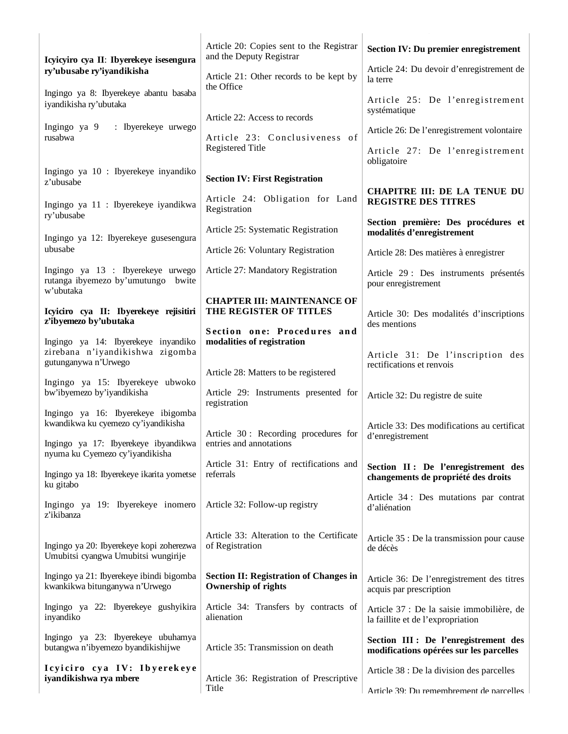| Icyicyiro cya II: Ibyerekeye isesengura                                              | Article 20: Copies sent to the Registrar<br>and the Deputy Registrar        | <b>Section IV: Du premier enregistrement</b>                                     |
|--------------------------------------------------------------------------------------|-----------------------------------------------------------------------------|----------------------------------------------------------------------------------|
| ry'ubusabe ry'iyandikisha                                                            | Article 21: Other records to be kept by<br>the Office                       | Article 24: Du devoir d'enregistrement de<br>la terre                            |
| Ingingo ya 8: Ibyerekeye abantu basaba<br>iyandikisha ry'ubutaka                     |                                                                             | Article 25: De l'enregistrement<br>systématique                                  |
| Ingingo ya 9<br>: Ibyerekeye urwego<br>rusabwa                                       | Article 22: Access to records<br>Article 23: Conclusiveness of              | Article 26: De l'enregistrement volontaire                                       |
|                                                                                      | <b>Registered Title</b>                                                     | Article 27: De l'enregistrement<br>obligatoire                                   |
| Ingingo ya 10 : Ibyerekeye inyandiko<br>z'ubusabe                                    | <b>Section IV: First Registration</b>                                       |                                                                                  |
| Ingingo ya 11 : Ibyerekeye iyandikwa<br>ry'ubusabe                                   | Article 24: Obligation for Land<br>Registration                             | <b>CHAPITRE III: DE LA TENUE DU</b><br><b>REGISTRE DES TITRES</b>                |
| Ingingo ya 12: Ibyerekeye gusesengura                                                | Article 25: Systematic Registration                                         | Section première: Des procédures et<br>modalités d'enregistrement                |
| ubusabe                                                                              | Article 26: Voluntary Registration                                          | Article 28: Des matières à enregistrer                                           |
| Ingingo ya 13 : Ibyerekeye urwego<br>rutanga ibyemezo by'umutungo bwite<br>w'ubutaka | Article 27: Mandatory Registration                                          | Article 29 : Des instruments présentés<br>pour enregistrement                    |
| Icyiciro cya II: Ibyerekeye rejisitiri<br>z'ibyemezo by'ubutaka                      | <b>CHAPTER III: MAINTENANCE OF</b><br>THE REGISTER OF TITLES                | Article 30: Des modalités d'inscriptions                                         |
| Ingingo ya 14: Ibyerekeye inyandiko                                                  | Section one: Procedures and<br>modalities of registration                   | des mentions                                                                     |
| zirebana n'iyandikishwa zigomba<br>gutunganywa n'Urwego                              |                                                                             | Article 31: De l'inscription des<br>rectifications et renvois                    |
| Ingingo ya 15: Ibyerekeye ubwoko                                                     | Article 28: Matters to be registered                                        |                                                                                  |
| bw'ibyemezo by'iyandikisha                                                           | Article 29: Instruments presented for<br>registration                       | Article 32: Du registre de suite                                                 |
| Ingingo ya 16: Ibyerekeye ibigomba<br>kwandikwa ku cyemezo cy'iyandikisha            |                                                                             | Article 33: Des modifications au certificat                                      |
| Ingingo ya 17: Ibyerekeye ibyandikwa<br>nyuma ku Cyemezo cy'iyandikisha              | Article 30: Recording procedures for<br>entries and annotations             | d'enregistrement                                                                 |
| Ingingo ya 18: Ibyerekeye ikarita yometse<br>ku gitabo                               | Article 31: Entry of rectifications and<br>referrals                        | Section II: De l'enregistrement des<br>changements de propriété des droits       |
| Ingingo ya 19: Ibyerekeye inomero<br>z'ikibanza                                      | Article 32: Follow-up registry                                              | Article 34 : Des mutations par contrat<br>d'aliénation                           |
| Ingingo ya 20: Ibyerekeye kopi zoherezwa<br>Umubitsi cyangwa Umubitsi wungirije      | Article 33: Alteration to the Certificate<br>of Registration                | Article 35 : De la transmission pour cause<br>de décès                           |
| Ingingo ya 21: Ibyerekeye ibindi bigomba<br>kwankikwa bitunganywa n'Urwego           | <b>Section II: Registration of Changes in</b><br><b>Ownership of rights</b> | Article 36: De l'enregistrement des titres<br>acquis par prescription            |
| Ingingo ya 22: Ibyerekeye gushyikira<br>inyandiko                                    | Article 34: Transfers by contracts of<br>alienation                         | Article 37 : De la saisie immobilière, de<br>la faillite et de l'expropriation   |
| Ingingo ya 23: Ibyerekeye ubuhamya<br>butangwa n'ibyemezo byandikishijwe             | Article 35: Transmission on death                                           | Section III : De l'enregistrement des<br>modifications opérées sur les parcelles |
| Icyiciro cya IV: Ibyerekeye<br>iyandikishwa rya mbere                                | Article 36: Registration of Prescriptive                                    | Article 38 : De la division des parcelles                                        |
|                                                                                      | Title                                                                       | Article 39: Du remembrement de narcelles                                         |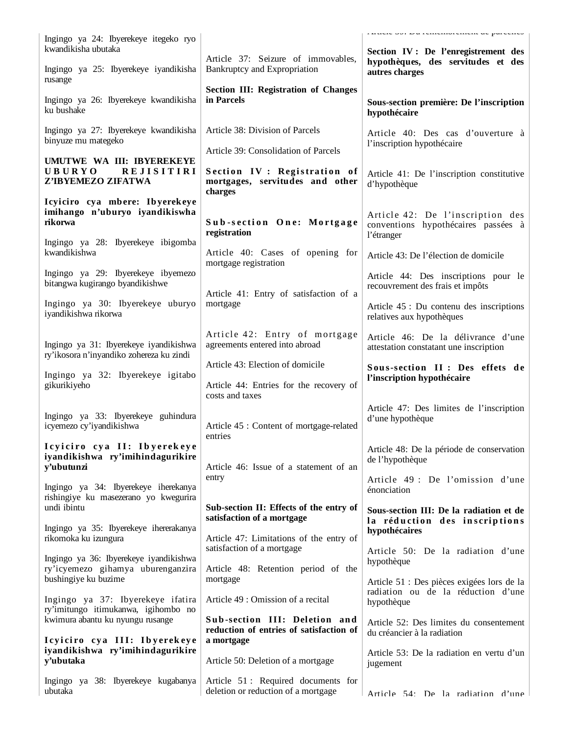| Ingingo ya 24: Ibyerekeye itegeko ryo<br>kwandikisha ubutaka                                        |                                                                           | ranon con esta rememoremente es pareciros<br>Section IV : De l'enregistrement des     |
|-----------------------------------------------------------------------------------------------------|---------------------------------------------------------------------------|---------------------------------------------------------------------------------------|
| Ingingo ya 25: Ibyerekeye iyandikisha<br>rusange                                                    | Article 37: Seizure of immovables,<br>Bankruptcy and Expropriation        | hypothèques, des servitudes et des<br>autres charges                                  |
| Ingingo ya 26: Ibyerekeye kwandikisha<br>ku bushake                                                 | <b>Section III: Registration of Changes</b><br>in Parcels                 | Sous-section première: De l'inscription<br>hypothécaire                               |
| Ingingo ya 27: Ibyerekeye kwandikisha<br>binyuze mu mategeko                                        | Article 38: Division of Parcels<br>Article 39: Consolidation of Parcels   | Article 40: Des cas d'ouverture à<br>l'inscription hypothécaire                       |
| UMUTWE WA III: IBYEREKEYE<br><b>UBURYO</b><br><b>REJISITIRI</b><br>Z'IBYEMEZO ZIFATWA               | Section IV: Registration of<br>mortgages, servitudes and other<br>charges | Article 41: De l'inscription constitutive<br>d'hypothèque                             |
| Icyiciro cya mbere: Ibyerekeye<br>imihango n'uburyo iyandikiswha<br>rikorwa                         | Sub-section One: Mortgage<br>registration                                 | Article 42: De l'inscription des<br>conventions hypothécaires passées à<br>l'étranger |
| Ingingo ya 28: Ibyerekeye ibigomba<br>kwandikishwa                                                  | Article 40: Cases of opening for<br>mortgage registration                 | Article 43: De l'élection de domicile                                                 |
| Ingingo ya 29: Ibyerekeye ibyemezo<br>bitangwa kugirango byandikishwe                               | Article 41: Entry of satisfaction of a                                    | Article 44: Des inscriptions pour le<br>recouvrement des frais et impôts              |
| Ingingo ya 30: Ibyerekeye uburyo<br>iyandikishwa rikorwa                                            | mortgage                                                                  | Article 45 : Du contenu des inscriptions<br>relatives aux hypothèques                 |
| Ingingo ya 31: Ibyerekeye iyandikishwa                                                              | Article 42: Entry of mortgage<br>agreements entered into abroad           | Article 46: De la délivrance d'une<br>attestation constatant une inscription          |
| ry'ikosora n'inyandiko zohereza ku zindi<br>Ingingo ya 32: Ibyerekeye igitabo                       | Article 43: Election of domicile                                          | Sous-section II : Des effets de<br>l'inscription hypothécaire                         |
| gikurikiyeho                                                                                        | Article 44: Entries for the recovery of<br>costs and taxes                |                                                                                       |
| Ingingo ya 33: Ibyerekeye guhindura<br>icyemezo cy'iyandikishwa                                     | Article 45 : Content of mortgage-related<br>entries                       | Article 47: Des limites de l'inscription<br>d'une hypothèque                          |
| Icyiciro cya II: Ibyerekeye<br>iyandikishwa ry'imihindagurikire<br>y'ubutunzi                       | Article 46: Issue of a statement of an                                    | Article 48: De la période de conservation<br>de l'hypothèque                          |
| Ingingo ya 34: Ibyerekeye iherekanya<br>rishingiye ku masezerano yo kwegurira                       | entry                                                                     | Article 49 : De l'omission d'une<br>énonciation                                       |
| undi ibintu                                                                                         | Sub-section II: Effects of the entry of<br>satisfaction of a mortgage     | Sous-section III: De la radiation et de<br>la réduction des inscriptions              |
| Ingingo ya 35: Ibyerekeye ihererakanya<br>rikomoka ku izungura                                      | Article 47: Limitations of the entry of<br>satisfaction of a mortgage     | hypothécaires<br>Article 50: De la radiation d'une                                    |
| Ingingo ya 36: Ibyerekeye iyandikishwa<br>ry'icyemezo gihamya uburenganzira<br>bushingiye ku buzime | Article 48: Retention period of the<br>mortgage                           | hypothèque<br>Article 51 : Des pièces exigées lors de la                              |
| Ingingo ya 37: Ibyerekeye ifatira<br>ry'imitungo itimukanwa, igihombo no                            | Article 49 : Omission of a recital                                        | radiation ou de la réduction d'une<br>hypothèque                                      |
| kwimura abantu ku nyungu rusange                                                                    | Sub-section III: Deletion and<br>reduction of entries of satisfaction of  | Article 52: Des limites du consentement<br>du créancier à la radiation                |
| Icyiciro cya III: Ibyerekeye<br>iyandikishwa ry'imihindagurikire<br>y'ubutaka                       | a mortgage<br>Article 50: Deletion of a mortgage                          | Article 53: De la radiation en vertu d'un<br>jugement                                 |
| Ingingo ya 38: Ibyerekeye kugabanya<br>ubutaka                                                      | Article 51: Required documents for<br>deletion or reduction of a mortgage | Article 54: De la radiation d'une                                                     |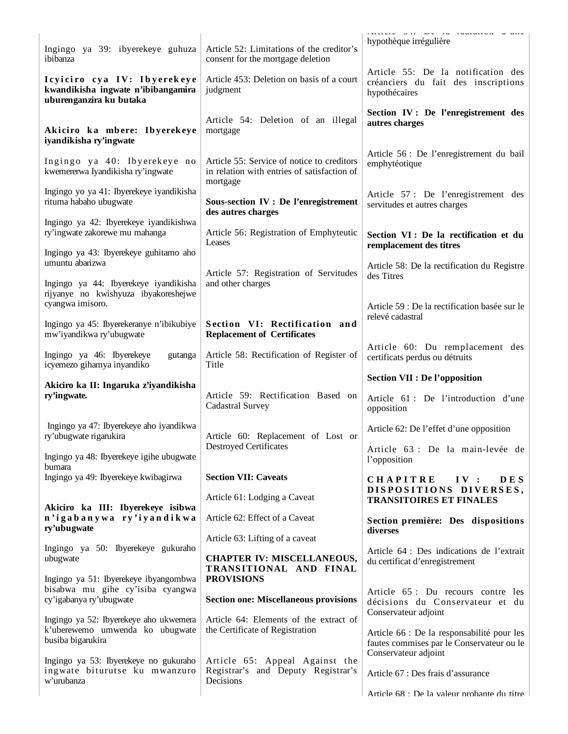|                                                                                                |                                                                                                       | anivie on be in indimital wane                                                                |
|------------------------------------------------------------------------------------------------|-------------------------------------------------------------------------------------------------------|-----------------------------------------------------------------------------------------------|
| Ingingo ya 39: ibyerekeye guhuza<br>ibibanza                                                   | Article 52: Limitations of the creditor's<br>consent for the mortgage deletion                        | hypothèque irrégulière                                                                        |
| Icyiciro cya IV: Ibyerekeye<br>kwandikisha ingwate n'ibibangamira<br>uburenganzira ku butaka   | Article 453: Deletion on basis of a court<br>judgment                                                 | Article 55: De la notification des<br>créanciers du fait des inscriptions<br>hypothécaires    |
| Akiciro ka mbere: Ibyerekeye<br>iyandikisha ry'ingwate                                         | Article 54: Deletion of an illegal<br>mortgage                                                        | Section IV : De l'enregistrement des<br>autres charges                                        |
| Ingingo ya 40: Ibyerekeye no<br>kwemererwa Iyandikisha ry'ingwate                              | Article 55: Service of notice to creditors<br>in relation with entries of satisfaction of<br>mortgage | Article 56 : De l'enregistrement du bail<br>emphytéotique                                     |
| Ingingo yo ya 41: Ibyerekeye iyandikisha<br>rituma habaho ubugwate                             | <b>Sous-section IV : De l'enregistrement</b><br>des autres charges                                    | Article 57 : De l'enregistrement des<br>servitudes et autres charges                          |
| Ingingo ya 42: Ibyerekeye iyandikishwa<br>ry'ingwate zakorewe mu mahanga                       | Article 56: Registration of Emphyteutic<br>Leases                                                     | Section VI : De la rectification et du<br>remplacement des titres                             |
| Ingingo ya 43: Ibyerekeye guhitamo aho<br>umuntu abarizwa                                      | Article 57: Registration of Servitudes                                                                | Article 58: De la rectification du Registre                                                   |
| Ingingo ya 44: Ibyerekeye iyandikisha<br>rijyanye no kwishyuza ibyakoreshejwe                  | and other charges                                                                                     | des Titres                                                                                    |
| cyangwa imisoro.<br>Ingingo ya 45: Ibyerekeranye n'ibikubiye<br>mw'iyandikwa ry'ubugwate       | Section VI: Rectification and<br><b>Replacement of Certificates</b>                                   | Article 59 : De la rectification basée sur le<br>relevé cadastral                             |
| Ingingo ya 46: Ibyerekeye<br>gutanga<br>icyemezo gihamya inyandiko                             | Article 58: Rectification of Register of<br>Title                                                     | Article 60: Du remplacement des<br>certificats perdus ou détruits                             |
|                                                                                                |                                                                                                       | <b>Section VII : De l'opposition</b>                                                          |
| Akiciro ka II: Ingaruka z'iyandikisha<br>ry'ingwate.                                           | Article 59: Rectification Based on<br><b>Cadastral Survey</b>                                         | Article 61 : De l'introduction d'une<br>opposition                                            |
| Ingingo ya 47: Ibyerekeye aho iyandikwa<br>ry'ubugwate rigarukira                              | Article 60: Replacement of Lost or                                                                    | Article 62: De l'effet d'une opposition                                                       |
| Ingingo ya 48: Ibyerekeye igihe ubugwate<br>bumara                                             | <b>Destroyed Certificates</b>                                                                         | Article 63 : De la main-levée de<br>l'opposition                                              |
| Ingingo ya 49: Ibyerekeye kwibagirwa                                                           | <b>Section VII: Caveats</b><br>Article 61: Lodging a Caveat                                           | <b>CHAPITRE</b><br>IV:<br><b>DES</b><br>DISPOSITIONS DIVERSES,                                |
| Akiciro ka III: Ibyerekeye isibwa<br>n'igabanywa ry'iyandikwa                                  | Article 62: Effect of a Caveat                                                                        | <b>TRANSITOIRES ET FINALES</b><br>Section première: Des dispositions                          |
| ry'ubugwate                                                                                    | Article 63: Lifting of a caveat                                                                       | diverses                                                                                      |
| Ingingo ya 50: Ibyerekeye gukuraho<br>ubugwate<br>Ingingo ya 51: Ibyerekeye ibyangombwa        | <b>CHAPTER IV: MISCELLANEOUS,</b><br>TRANSITIONAL AND FINAL<br><b>PROVISIONS</b>                      | Article 64 : Des indications de l'extrait<br>du certificat d'enregistrement                   |
| bisabwa mu gihe cy'isiba cyangwa<br>cy'igabanya ry'ubugwate                                    | <b>Section one: Miscellaneous provisions</b>                                                          | Article 65 : Du recours contre les<br>décisions du Conservateur et du<br>Conservateur adjoint |
| Ingingo ya 52: Ibyerekeye aho ukwemera<br>k'uberewemo umwenda ko ubugwate<br>busiba bigarukira | Article 64: Elements of the extract of<br>the Certificate of Registration                             | Article 66 : De la responsabilité pour les<br>fautes commises par le Conservateur ou le       |
| Ingingo ya 53: Ibyerekeye no gukuraho<br>ingwate biturutse ku mwanzuro<br>w'urubanza           | Article 65: Appeal Against the<br>Registrar's and Deputy Registrar's<br>Decisions                     | Conservateur adjoint<br>Article 67 : Des frais d'assurance                                    |
|                                                                                                |                                                                                                       | Article 68 : De la valeur probante du titre                                                   |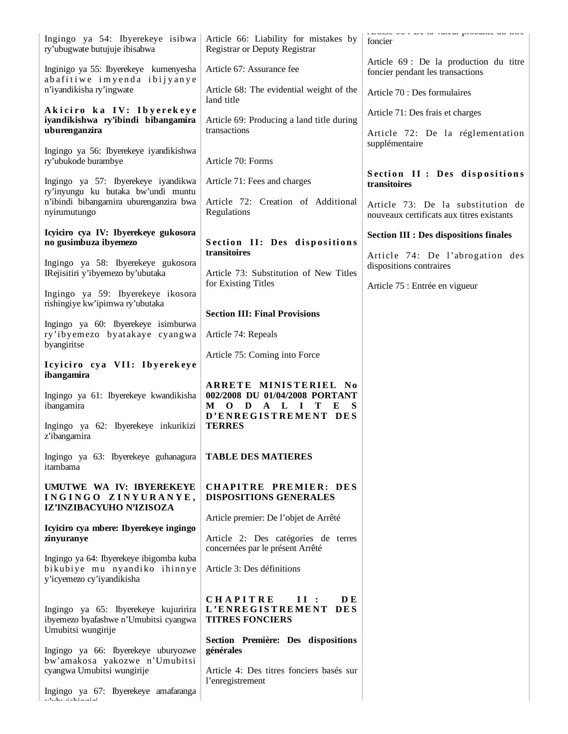| Ingingo ya 54: Ibyerekeye isibwa<br>ry'ubugwate butujuje ibisabwa                                    | Article 66: Liability for mistakes by<br><b>Registrar or Deputy Registrar</b>                   | canviv ou carv in cuivui procuniv uu nirv<br>foncier                           |
|------------------------------------------------------------------------------------------------------|-------------------------------------------------------------------------------------------------|--------------------------------------------------------------------------------|
| Inginigo ya 55: Ibyerekeye kumenyesha<br>abafitiwe imyenda ibijyanye                                 | Article 67: Assurance fee                                                                       | Article 69 : De la production du titre<br>foncier pendant les transactions     |
| n'iyandikisha ry'ingwate                                                                             | Article 68: The evidential weight of the<br>land title                                          | Article 70 : Des formulaires                                                   |
| Akiciro ka IV: Ibyerekeye<br>iyandikishwa ry'ibindi bibangamira<br>uburenganzira                     | Article 69: Producing a land title during<br>transactions                                       | Article 71: Des frais et charges<br>Article 72: De la réglementation           |
| Ingingo ya 56: Ibyerekeye iyandikishwa<br>ry'ubukode burambye                                        | Article 70: Forms                                                                               | supplémentaire                                                                 |
| Ingingo ya 57: Ibyerekeye iyandikwa<br>ry'inyungu ku butaka bw'undi muntu                            | Article 71: Fees and charges                                                                    | Section II: Des dispositions<br>transitoires                                   |
| n'ibindi bibangamira uburenganzira bwa<br>nyirumutungo                                               | Article 72: Creation of Additional<br>Regulations                                               | Article 73: De la substitution de<br>nouveaux certificats aux titres existants |
| Icyiciro cya IV: Ibyerekeye gukosora<br>no gusimbuza ibyemezo                                        | Section II: Des dispositions                                                                    | <b>Section III : Des dispositions finales</b>                                  |
| Ingingo ya 58: Ibyerekeye gukosora                                                                   | transitoires                                                                                    | Article 74: De l'abrogation des<br>dispositions contraires                     |
| IRejisitiri y'ibyemezo by'ubutaka<br>Ingingo ya 59: Ibyerekeye ikosora                               | Article 73: Substitution of New Titles<br>for Existing Titles                                   | Article 75 : Entrée en vigueur                                                 |
| rishingiye kw'ipimwa ry'ubutaka                                                                      | <b>Section III: Final Provisions</b>                                                            |                                                                                |
| Ingingo ya 60: Ibyerekeye isimburwa<br>ry'ibyemezo byatakaye cyangwa                                 | Article 74: Repeals                                                                             |                                                                                |
| byangiritse<br>Icyiciro cya VII: Ibyerekeye                                                          | Article 75: Coming into Force                                                                   |                                                                                |
| ibangamira                                                                                           | ARRETE MINISTERIEL No                                                                           |                                                                                |
| Ingingo ya 61: Ibyerekeye kwandikisha<br>ibangamira                                                  | 002/2008 DU 01/04/2008 PORTANT<br>$\mathbf{D}$<br>A L<br>T<br>$M$ O<br>$\blacksquare$<br>E<br>S |                                                                                |
| Ingingo ya 62: Ibyerekeye inkurikizi<br>z'ibangamira                                                 | D'ENREGISTREMENT DES<br><b>TERRES</b>                                                           |                                                                                |
| Ingingo ya 63: Ibyerekeye guhanagura<br>itambama                                                     | <b>TABLE DES MATIERES</b>                                                                       |                                                                                |
| UMUTWE WA IV: IBYEREKEYE<br>INGINGO ZINYURANYE,<br>IZ'INZIBACYUHO N'IZISOZA                          | <b>CHAPITRE PREMIER: DES</b><br><b>DISPOSITIONS GENERALES</b>                                   |                                                                                |
| Icyiciro cya mbere: Ibyerekeye ingingo                                                               | Article premier: De l'objet de Arrêté                                                           |                                                                                |
| zinyuranye                                                                                           | Article 2: Des catégories de terres<br>concernées par le présent Arrêté                         |                                                                                |
| Ingingo ya 64: Ibyerekeye ibigomba kuba<br>bikubiye mu nyandiko ihinnye<br>y'icyemezo cy'iyandikisha | Article 3: Des définitions                                                                      |                                                                                |
| Ingingo ya 65: Ibyerekeye kujuririra<br>ibyemezo byafashwe n'Umubitsi cyangwa<br>Umubitsi wungirije  | <b>CHAPITRE</b><br>II:<br>D E<br>L'ENREGISTREMENT DES<br><b>TITRES FONCIERS</b>                 |                                                                                |
| Ingingo ya 66: Ibyerekeye uburyozwe<br>bw'amakosa yakozwe n'Umubitsi                                 | Section Première: Des dispositions<br>générales                                                 |                                                                                |
| cyangwa Umubitsi wungirije                                                                           | Article 4: Des titres fonciers basés sur<br>l'enregistrement                                    |                                                                                |
| Ingingo ya 67: Ibyerekeye amafaranga<br>المستقلب سنتقلط والمستسلم والمنادر                           |                                                                                                 |                                                                                |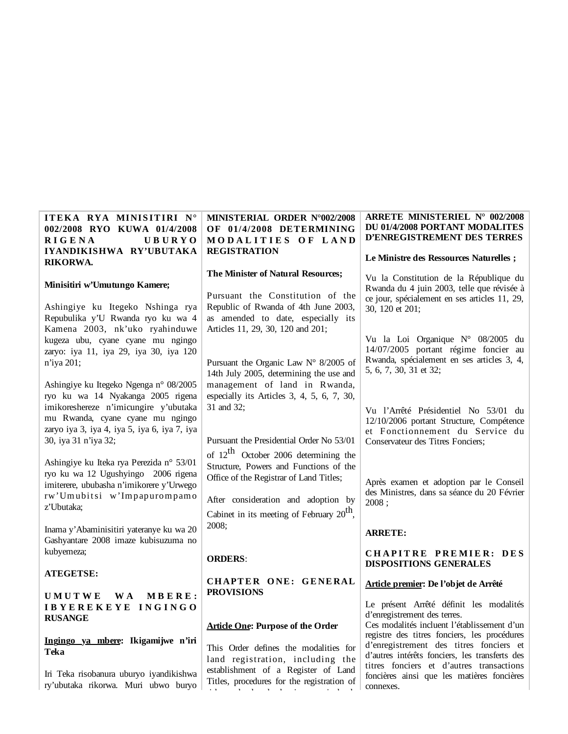| ITEKA RYA MINISITIRI N°<br>002/2008 RYO KUWA 01/4/2008<br><b>RIGENA</b><br><b>UBURYO</b><br>IYANDIKISHWA RY'UBUTAKA                                                                                                              | MINISTERIAL ORDER N°002/2008<br>OF 01/4/2008 DETERMINING<br>MODALITIES OF LAND<br><b>REGISTRATION</b>                                                                                       | <b>ARRETE MINISTERIEL N° 002/2008</b><br>DU 01/4/2008 PORTANT MODALITES<br>D'ENREGISTREMENT DES TERRES                                                                                                                              |
|----------------------------------------------------------------------------------------------------------------------------------------------------------------------------------------------------------------------------------|---------------------------------------------------------------------------------------------------------------------------------------------------------------------------------------------|-------------------------------------------------------------------------------------------------------------------------------------------------------------------------------------------------------------------------------------|
| RIKORWA.                                                                                                                                                                                                                         |                                                                                                                                                                                             | Le Ministre des Ressources Naturelles;                                                                                                                                                                                              |
| Minisitiri w'Umutungo Kamere;<br>Ashingiye ku Itegeko Nshinga rya<br>Repubulika y'U Rwanda ryo ku wa 4<br>Kamena 2003, nk'uko ryahinduwe                                                                                         | The Minister of Natural Resources;<br>Pursuant the Constitution of the<br>Republic of Rwanda of 4th June 2003,<br>as amended to date, especially its<br>Articles 11, 29, 30, 120 and 201;   | Vu la Constitution de la République du<br>Rwanda du 4 juin 2003, telle que révisée à<br>ce jour, spécialement en ses articles 11, 29,<br>30, 120 et 201;                                                                            |
| kugeza ubu, cyane cyane mu ngingo<br>zaryo: iya 11, iya 29, iya 30, iya 120<br>n'iya 201;                                                                                                                                        | Pursuant the Organic Law $N^{\circ}$ 8/2005 of<br>14th July 2005, determining the use and                                                                                                   | Vu la Loi Organique N° 08/2005 du<br>14/07/2005 portant régime foncier au<br>Rwanda, spécialement en ses articles 3, 4,<br>5, 6, 7, 30, 31 et 32;                                                                                   |
| Ashingiye ku Itegeko Ngenga n° 08/2005<br>ryo ku wa 14 Nyakanga 2005 rigena<br>imikoreshereze n'imicungire y'ubutaka<br>mu Rwanda, cyane cyane mu ngingo<br>zaryo iya 3, iya 4, iya 5, iya 6, iya 7, iya<br>30, iya 31 n'iya 32; | management of land in Rwanda,<br>especially its Articles $3, 4, 5, 6, 7, 30,$<br>31 and 32;<br>Pursuant the Presidential Order No 53/01<br>of 12 <sup>th</sup> October 2006 determining the | Vu l'Arrêté Présidentiel No 53/01 du<br>12/10/2006 portant Structure, Compétence<br>et Fonctionnement du Service du<br>Conservateur des Titres Fonciers;                                                                            |
| Ashingiye ku Iteka rya Perezida n° 53/01<br>ryo ku wa 12 Ugushyingo 2006 rigena<br>imiterere, ububasha n'imikorere y'Urwego<br>rw'Umubitsi w'Impapurompamo<br>z'Ubutaka;                                                         | Structure, Powers and Functions of the<br>Office of the Registrar of Land Titles;<br>After consideration and adoption by<br>Cabinet in its meeting of February 20 <sup>th</sup> ,           | Après examen et adoption par le Conseil<br>des Ministres, dans sa séance du 20 Février<br>2008;                                                                                                                                     |
| Inama y'Abaminisitiri yateranye ku wa 20<br>Gashyantare 2008 imaze kubisuzuma no                                                                                                                                                 | 2008;                                                                                                                                                                                       | <b>ARRETE:</b>                                                                                                                                                                                                                      |
| kubyemeza;                                                                                                                                                                                                                       | <b>ORDERS:</b>                                                                                                                                                                              | CHAPITRE PREMIER: DES<br><b>DISPOSITIONS GENERALES</b>                                                                                                                                                                              |
| <b>ATEGETSE:</b>                                                                                                                                                                                                                 | CHAPTER ONE: GENERAL                                                                                                                                                                        | Article premier: De l'objet de Arrêté                                                                                                                                                                                               |
| <b>UMUTWE</b><br>MBERE:<br>W A<br>IBYEREKEYE INGINGO<br><b>RUSANGE</b>                                                                                                                                                           | <b>PROVISIONS</b><br><b>Article One: Purpose of the Order</b>                                                                                                                               | Le présent Arrêté définit les modalités<br>d'enregistrement des terres.<br>Ces modalités incluent l'établissement d'un                                                                                                              |
| Ingingo ya mbere: Ikigamijwe n'iri<br>Teka<br>Iri Teka risobanura uburyo iyandikishwa                                                                                                                                            | This Order defines the modalities for<br>land registration, including the<br>establishment of a Register of Land<br>Titles, procedures for the registration of                              | registre des titres fonciers, les procédures<br>d'enregistrement des titres fonciers et<br>d'autres intérêts fonciers, les transferts des<br>titres fonciers et d'autres transactions<br>foncières ainsi que les matières foncières |
| ry'ubutaka rikorwa. Muri ubwo buryo                                                                                                                                                                                              |                                                                                                                                                                                             | connexes.                                                                                                                                                                                                                           |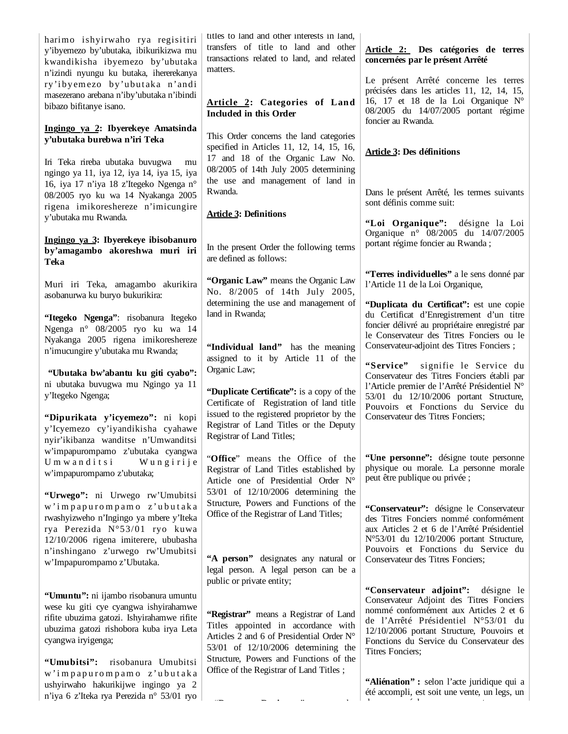harimo ishyirwaho rya regisitiri y'ibyemezo by'ubutaka, ibikurikizwa mu kwandikisha ibyemezo by'ubutaka n'izindi nyungu ku butaka, ihererekanya ry'i byem ezo by'ubut aka n'andi masezerano arebana n'iby'ubutaka n'ibindi bibazo bifitanye isano.

### **Ingingo ya 2: Ibyerekeye Amatsinda y'ubutaka burebwa n'iri Teka**

Iri Teka rireba ubutaka buvugwa mu ngingo ya 11, iya 12, iya 14, iya 15, iya 16, iya 17 n'iya 18 z'Itegeko Ngenga n° 08/2005 ryo ku wa 14 Nyakanga 2005 rigena imikoreshereze n'imicungire y'ubutaka mu Rwanda.

### **Ingingo ya 3: Ibyerekeye ibisobanuro by'amagambo akoreshwa muri iri Teka**

Muri iri Teka, amagambo akurikira asobanurwa ku buryo bukurikira:

**"Itegeko Ngenga"**: risobanura Itegeko Ngenga n° 08/2005 ryo ku wa 14 Nyakanga 2005 rigena imikoreshereze n'imucungire y'ubutaka mu Rwanda;

 **"Ubutaka bw'abantu ku giti cyabo":** ni ubutaka buvugwa mu Ngingo ya 11 y'Itegeko Ngenga;

**"Dipurikata y'icyemezo":** ni kopi y'Icyemezo cy'iyandikisha cyahawe nyir'ikibanza wanditse n'Umwanditsi w'impapurompamo z'ubutaka cyangwa Umwanditsi Wungirije w'impapurompamo z'ubutaka;

**"Urwego":** ni Urwego rw'Umubitsi w' i m p a p u r o m p a m o z' u b u t a k a rwashyizweho n'Ingingo ya mbere y'Iteka rya Perezida N°53/01 ryo kuwa 12/10/2006 rigena imiterere, ububasha n'inshingano z'urwego rw'Umubitsi w'Impapurompamo z'Ubutaka.

**"Umuntu":** ni ijambo risobanura umuntu wese ku giti cye cyangwa ishyirahamwe rifite ubuzima gatozi. Ishyirahamwe rifite ubuzima gatozi rishobora kuba irya Leta cyangwa iryigenga;

**"Umubitsi":** risobanura Umubitsi w ' i m p a p u r o m p a m o z ' u b u t a k a ushyirwaho hakurikijwe ingingo ya 2 n'iya 6 z'Iteka rya Perezida n° 53/01 ryo titles to land and other interests in land, transfers of title to land and other transactions related to land, and related matters.

# **Article 2: Categories of Land Included in this Order**

This Order concerns the land categories specified in Articles 11, 12, 14, 15, 16, 17 and 18 of the Organic Law No. 08/2005 of 14th July 2005 determining the use and management of land in Rwanda.

# **Article 3: Definitions**

In the present Order the following terms are defined as follows:

**"Organic Law"** means the Organic Law No. 8/2005 of 14th July 2005, determining the use and management of land in Rwanda;

**"Individual land"** has the meaning assigned to it by Article 11 of the Organic Law;

**"Duplicate Certificate":** is a copy of the Certificate of Registration of land title issued to the registered proprietor by the Registrar of Land Titles or the Deputy Registrar of Land Titles;

"**Office**" means the Office of the Registrar of Land Titles established by Article one of Presidential Order N° 53/01 of 12/10/2006 determining the Structure, Powers and Functions of the Office of the Registrar of Land Titles;

**"A person"** designates any natural or legal person. A legal person can be a public or private entity;

**"Registrar"** means a Registrar of Land Titles appointed in accordance with Articles 2 and 6 of Presidential Order N° 53/01 of 12/10/2006 determining the Structure, Powers and Functions of the Office of the Registrar of Land Titles ;

"**D t R it** " h

# **Article 2: Des catégories de terres concernées par le présent Arrêté**

Le présent Arrêté concerne les terres précisées dans les articles 11, 12, 14, 15, 16, 17 et 18 de la Loi Organique N° 08/2005 du 14/07/2005 portant régime foncier au Rwanda.

# **Article 3: Des définitions**

Dans le présent Arrêté, les termes suivants sont définis comme suit:

**"Loi Organique":** désigne la Loi Organique n° 08/2005 du 14/07/2005 portant régime foncier au Rwanda ;

**"Terres individuelles"** a le sens donné par l'Article 11 de la Loi Organique,

**"Duplicata du Certificat":** est une copie du Certificat d'Enregistrement d'un titre foncier délivré au propriétaire enregistré par le Conservateur des Titres Fonciers ou le Conservateur-adjoint des Titres Fonciers ;

**"Service"** signifie le Service du Conservateur des Titres Fonciers établi par l'Article premier de l'Arrêté Présidentiel N° 53/01 du 12/10/2006 portant Structure, Pouvoirs et Fonctions du Service du Conservateur des Titres Fonciers;

**"Une personne":** désigne toute personne physique ou morale. La personne morale peut être publique ou privée ;

**"Conservateur":** désigne le Conservateur des Titres Fonciers nommé conformément aux Articles 2 et 6 de l'Arrêté Présidentiel N°53/01 du 12/10/2006 portant Structure, Pouvoirs et Fonctions du Service du Conservateur des Titres Fonciers;

**"Conservateur adjoint":** désigne le Conservateur Adjoint des Titres Fonciers nommé conformément aux Articles 2 et 6 de l'Arrêté Présidentiel N°53/01 du 12/10/2006 portant Structure, Pouvoirs et Fonctions du Service du Conservateur des Titres Fonciers;

**"Aliénation" :** selon l'acte juridique qui a été accompli, est soit une vente, un legs, un d éh terminek a személy a felszítette a személy a személy a személy a személy a személy a személy a személy a személy a személy a személy a személy a személy a személy a személy a személy a személy a személy a személy a s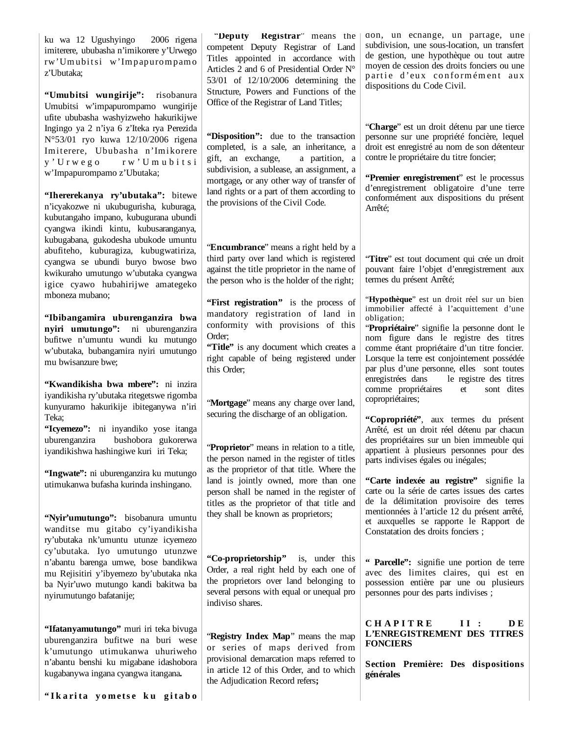ku wa 12 Ugushyingo 2006 rigena imiterere, ububasha n'imikorere y'Urwego rw'Umubitsi w'Impapurompamo z'Ubutaka;

**"Umubitsi wungirije":** risobanura Umubitsi w'impapurompamo wungirije ufite ububasha washyizweho hakurikijwe Ingingo ya 2 n'iya 6 z'Iteka rya Perezida N°53/01 ryo kuwa 12/10/2006 rigena Imiterere, Ububasha n'Imikorere y ' U r w e g o r w ' U m u b i t s i w'Impapurompamo z'Ubutaka;

**"Ihererekanya ry'ubutaka":** bitewe n'icyakozwe ni ukubugurisha, kuburaga, kubutangaho impano, kubugurana ubundi cyangwa ikindi kintu, kubusaranganya, kubugabana, gukodesha ubukode umuntu abufiteho, kuburagiza, kubugwatiriza, cyangwa se ubundi buryo bwose bwo kwikuraho umutungo w'ubutaka cyangwa igice cyawo hubahirijwe amategeko mboneza mubano;

**"Ibibangamira uburenganzira bwa nyiri umutungo":** ni uburenganzira bufitwe n'umuntu wundi ku mutungo w'ubutaka, bubangamira nyiri umutungo mu bwisanzure bwe;

**"Kwandikisha bwa mbere":** ni inzira iyandikisha ry'ubutaka ritegetswe rigomba kunyuramo hakurikije ibiteganywa n'iri Teka;

**"Icyemezo":** ni inyandiko yose itanga uburenganzira bushobora gukorerwa iyandikishwa hashingiwe kuri iri Teka;

**"Ingwate":** ni uburenganzira ku mutungo utimukanwa bufasha kurinda inshingano.

**"Nyir'umutungo":** bisobanura umuntu wanditse mu gitabo cy'iyandikisha ry'ubutaka nk'umuntu utunze icyemezo cy'ubutaka. Iyo umutungo utunzwe n'abantu barenga umwe, bose bandikwa mu Rejisitiri y'ibyemezo by'ubutaka nka ba Nyir'uwo mutungo kandi bakitwa ba nyirumutungo bafatanije;

**"Ifatanyamutungo"** muri iri teka bivuga uburenganzira bufitwe na buri wese k'umutungo utimukanwa uhuriweho n'abantu benshi ku migabane idashobora kugabanywa ingana cyangwa itangana**.**

 "**Deputy Registrar**" means the competent Deputy Registrar of Land Titles appointed in accordance with Articles 2 and 6 of Presidential Order N° 53/01 of 12/10/2006 determining the Structure, Powers and Functions of the Office of the Registrar of Land Titles;

**"Disposition":** due to the transaction completed, is a sale, an inheritance, a gift, an exchange, a partition, a subdivision, a sublease, an assignment, a mortgage**,** or any other way of transfer of land rights or a part of them according to the provisions of the Civil Code.

"**Encumbrance**" means a right held by a third party over land which is registered against the title proprietor in the name of the person who is the holder of the right;

**"First registration"** is the process of mandatory registration of land in conformity with provisions of this Order;

"Title" is any document which creates a right capable of being registered under this Order;

"**Mortgage**" means any charge over land, securing the discharge of an obligation.

"**Proprietor**" means in relation to a title, the person named in the register of titles as the proprietor of that title. Where the land is jointly owned, more than one person shall be named in the register of titles as the proprietor of that title and they shall be known as proprietors;

**"Co-proprietorship"** is, under this Order, a real right held by each one of the proprietors over land belonging to several persons with equal or unequal pro indiviso shares.

"**Registry Index Map**" means the map or series of maps derived from provisional demarcation maps referred to in article 12 of this Order, and to which the Adjudication Record refers**;**

don, un échange, un partage, une subdivision, une sous-location, un transfert de gestion, une hypothèque ou tout autre moyen de cession des droits fonciers ou une partie d'eux conformément aux dispositions du Code Civil.

"**Charge**" est un droit détenu par une tierce personne sur une propriété foncière, lequel droit est enregistré au nom de son détenteur contre le propriétaire du titre foncier;

**"Premier enregistrement**" est le processus d'enregistrement obligatoire d'une terre conformément aux dispositions du présent Arrêté;

"**Titre**" est tout document qui crée un droit pouvant faire l'objet d'enregistrement aux termes du présent Arrêté;

"**Hypothèque**" est un droit réel sur un bien immobilier affecté à l'acquittement d'une obligation;

"**Propriétaire**" signifie la personne dont le nom figure dans le registre des titres comme étant propriétaire d'un titre foncier. Lorsque la terre est conjointement possédée par plus d'une personne, elles sont toutes enregistrées dans le registre des titres comme propriétaires et sont dites copropriétaires;

**"Copropriété"**, aux termes du présent Arrêté, est un droit réel détenu par chacun des propriétaires sur un bien immeuble qui appartient à plusieurs personnes pour des parts indivises égales ou inégales;

**"Carte indexée au registre"** signifie la carte ou la série de cartes issues des cartes de la délimitation provisoire des terres mentionnées à l'article 12 du présent arrêté, et auxquelles se rapporte le Rapport de Constatation des droits fonciers ;

**" Parcelle":** signifie une portion de terre avec des limites claires, qui est en possession entière par une ou plusieurs personnes pour des parts indivises ;

CHAPITRE II: DE **L'ENREGISTREMENT DES TITRES FONCIERS**

**Section Première: Des dispositions générales**

**" I k a ri t a y o m et s e k u g i t a b o**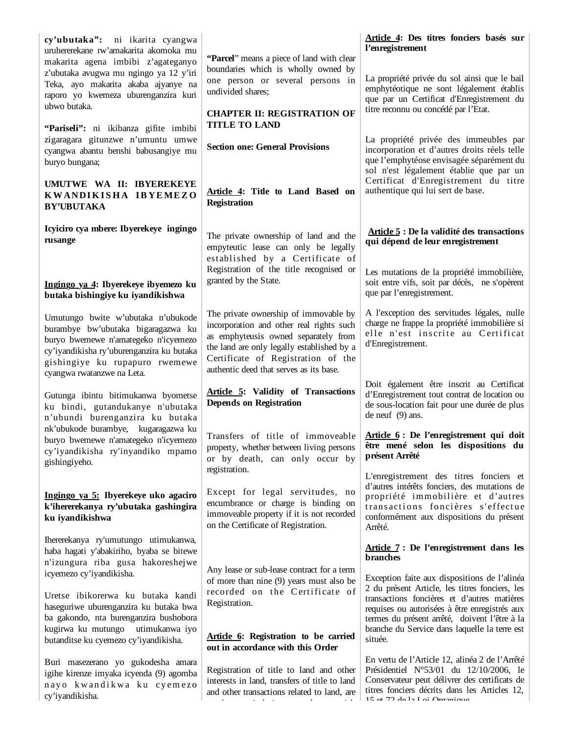| cy'ubutaka": ni ikarita cyangwa<br>uruhererekane rw'amakarita akomoka mu<br>makarita agena imbibi z'agateganyo                                                                                                                     | "Parcel" means a piece of land with clear                                                                                                                                                                                                                | Article 4: Des titres fonciers basés sur<br>l'enregistrement                                                                                                                                                                                                                                                |
|------------------------------------------------------------------------------------------------------------------------------------------------------------------------------------------------------------------------------------|----------------------------------------------------------------------------------------------------------------------------------------------------------------------------------------------------------------------------------------------------------|-------------------------------------------------------------------------------------------------------------------------------------------------------------------------------------------------------------------------------------------------------------------------------------------------------------|
| z'ubutaka avugwa mu ngingo ya 12 y'iri<br>Teka, ayo makarita akaba ajyanye na<br>raporo yo kwemeza uburenganzira kuri<br>ubwo butaka.                                                                                              | boundaries which is wholly owned by<br>one person or several persons in<br>undivided shares;                                                                                                                                                             | La propriété privée du sol ainsi que le bail<br>emphytéotique ne sont légalement établis<br>que par un Certificat d'Enregistrement du                                                                                                                                                                       |
|                                                                                                                                                                                                                                    | <b>CHAPTER II: REGISTRATION OF</b><br><b>TITLE TO LAND</b>                                                                                                                                                                                               | titre reconnu ou concédé par l'Etat.                                                                                                                                                                                                                                                                        |
| "Pariseli": ni ikibanza gifite imbibi<br>zigaragara gitunzwe n'umuntu umwe<br>cyangwa abantu benshi babusangiye mu<br>buryo bungana;                                                                                               | <b>Section one: General Provisions</b>                                                                                                                                                                                                                   | La propriété privée des immeubles par<br>incorporation et d'autres droits réels telle<br>que l'emphytéose envisagée séparément du<br>sol n'est légalement établie que par un                                                                                                                                |
| UMUTWE WA II: IBYEREKEYE<br>KWANDIKISHA IBYEMEZO<br><b>BY'UBUTAKA</b>                                                                                                                                                              | Article 4: Title to Land Based on<br><b>Registration</b>                                                                                                                                                                                                 | Certificat d'Enregistrement du titre<br>authentique qui lui sert de base.                                                                                                                                                                                                                                   |
| Icyiciro cya mbere: Ibyerekeye ingingo<br>rusange                                                                                                                                                                                  | The private ownership of land and the<br>empyteutic lease can only be legally<br>established by a Certificate of                                                                                                                                         | Article 5 : De la validité des transactions<br>qui dépend de leur enregistrement                                                                                                                                                                                                                            |
| Ingingo ya 4: Ibyerekeye ibyemezo ku<br>butaka bishingiye ku iyandikishwa                                                                                                                                                          | Registration of the title recognised or<br>granted by the State.                                                                                                                                                                                         | Les mutations de la propriété immobilière,<br>soit entre vifs, soit par décès, ne s'opèrent<br>que par l'enregistrement.                                                                                                                                                                                    |
| Umutungo bwite w'ubutaka n'ubukode<br>burambye bw'ubutaka bigaragazwa ku<br>buryo bwemewe n'amategeko n'icyemezo<br>cy'iyandikisha ry'uburenganzira ku butaka<br>gishingiye ku rupapuro rwemewe<br>cyangwa rwatanzwe na Leta.      | The private ownership of immovable by<br>incorporation and other real rights such<br>as emphyteusis owned separately from<br>the land are only legally established by a<br>Certificate of Registration of the<br>authentic deed that serves as its base. | A l'exception des servitudes légales, nulle<br>charge ne frappe la propriété immobilière si<br>elle n'est inscrite au Certificat<br>d'Enregistrement.                                                                                                                                                       |
| Gutunga ibintu bitimukanwa byometse<br>ku bindi, gutandukanye n'ubutaka<br>n'ubundi burenganzira ku butaka                                                                                                                         | <b>Article 5: Validity of Transactions</b><br><b>Depends on Registration</b>                                                                                                                                                                             | Doit également être inscrit au Certificat<br>d'Enregistrement tout contrat de location ou<br>de sous-location fait pour une durée de plus<br>de neuf $(9)$ ans.                                                                                                                                             |
| nk'ubukode burambye, kugaragazwa ku<br>buryo bwemewe n'amategeko n'icyemezo<br>cy'iyandikisha ry'inyandiko mpamo<br>gishingiyeho.                                                                                                  | Transfers of title of immoveable<br>property, whether between living persons<br>or by death, can only occur by                                                                                                                                           | Article 6 : De l'enregistrement qui doit<br>être mené selon les dispositions du<br>présent Arrêté                                                                                                                                                                                                           |
| Ingingo ya 5: Ibyerekeye uko agaciro<br>k'ihererekanya ry'ubutaka gashingira<br>ku iyandikishwa                                                                                                                                    | registration.<br>Except for legal servitudes, no<br>encumbrance or charge is binding on<br>immoveable property if it is not recorded<br>on the Certificate of Registration.                                                                              | L'enregistrement des titres fonciers et<br>d'autres intérêts fonciers, des mutations de<br>propriété immobilière et d'autres<br>transactions foncières s'effectue<br>conformément aux dispositions du présent<br>Arrêté.                                                                                    |
| Ihererekanya ry'umutungo utimukanwa,<br>haba hagati y'abakiriho, byaba se bitewe<br>n'izungura riba gusa hakoreshejwe                                                                                                              | Any lease or sub-lease contract for a term                                                                                                                                                                                                               | Article 7: De l'enregistrement dans les<br>branches                                                                                                                                                                                                                                                         |
| icyemezo cy'iyandikisha.<br>Uretse ibikorerwa ku butaka kandi<br>haseguriwe uburenganzira ku butaka bwa<br>ba gakondo, nta burenganzira bushobora<br>kugirwa ku mutungo<br>utimukanwa iyo<br>butanditse ku cyemezo cy'iyandikisha. | of more than nine (9) years must also be<br>recorded on the Certificate of<br>Registration.<br>Article 6: Registration to be carried                                                                                                                     | Exception faite aux dispositions de l'alinéa<br>2 du présent Article, les titres fonciers, les<br>transactions foncières et d'autres matières<br>requises ou autorisées à être enregistrés aux<br>termes du présent arrêté, doivent l'être à la<br>branche du Service dans laquelle la terre est<br>située. |
| Buri masezerano yo gukodesha amara<br>igihe kirenze imyaka icyenda (9) agomba<br>nayo kwandikwa ku cyemezo<br>cy'iyandikisha.                                                                                                      | out in accordance with this Order<br>Registration of title to land and other<br>interests in land, transfers of title to land<br>and other transactions related to land, are                                                                             | En vertu de l'Article 12, alinéa 2 de l'Arrêté<br>Présidentiel $N^{\circ}53/01$ du 12/10/2006, le<br>Conservateur peut délivrer des certificats de<br>titres fonciers décrits dans les Articles 12,<br>$15$ at $72$ do la $1$ at Organizum                                                                  |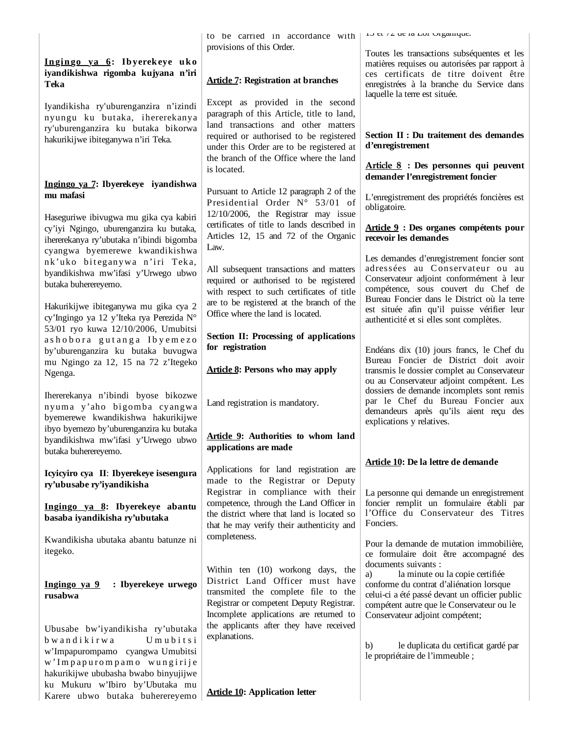|                                                                                                                                                                 | to be carried in accordance with                                                                                                                                                                   | 10 Et 12 UE 1a LOI Organique.                                                                                                                                                                                                               |
|-----------------------------------------------------------------------------------------------------------------------------------------------------------------|----------------------------------------------------------------------------------------------------------------------------------------------------------------------------------------------------|---------------------------------------------------------------------------------------------------------------------------------------------------------------------------------------------------------------------------------------------|
|                                                                                                                                                                 | provisions of this Order.                                                                                                                                                                          | Toutes les transactions subséquentes et les                                                                                                                                                                                                 |
| Ingingo ya 6: Ibyerekeye uko<br>iyandikishwa rigomba kujyana n'iri<br>Teka                                                                                      | <b>Article 7: Registration at branches</b>                                                                                                                                                         | matières requises ou autorisées par rapport à<br>ces certificats de titre doivent être<br>enregistrées à la branche du Service dans                                                                                                         |
| Iyandikisha ry'uburenganzira n'izindi<br>nyungu ku butaka, ihererekanya<br>ry'uburenganzira ku butaka bikorwa                                                   | Except as provided in the second<br>paragraph of this Article, title to land,<br>land transactions and other matters                                                                               | laquelle la terre est située.                                                                                                                                                                                                               |
| hakurikijwe ibiteganywa n'iri Teka.                                                                                                                             | required or authorised to be registered<br>under this Order are to be registered at<br>the branch of the Office where the land                                                                     | Section II : Du traitement des demandes<br>d'enregistrement                                                                                                                                                                                 |
|                                                                                                                                                                 | is located.                                                                                                                                                                                        | Article 8 : Des personnes qui peuvent<br>demander l'enregistrement foncier                                                                                                                                                                  |
| Ingingo ya 7: Ibyerekeye iyandishwa<br>mu mafasi                                                                                                                | Pursuant to Article 12 paragraph 2 of the<br>Presidential Order N° 53/01 of<br>12/10/2006, the Registrar may issue                                                                                 | L'enregistrement des propriétés foncières est<br>obligatoire.                                                                                                                                                                               |
| Haseguriwe ibivugwa mu gika cya kabiri<br>cy'iyi Ngingo, uburenganzira ku butaka,<br>ihererekanya ry'ubutaka n'ibindi bigomba<br>cyangwa byemerewe kwandikishwa | certificates of title to lands described in<br>Articles 12, 15 and 72 of the Organic<br>Law.                                                                                                       | Article 9 : Des organes compétents pour<br>recevoir les demandes                                                                                                                                                                            |
| nk'uko biteganywa n'iri Teka,<br>byandikishwa mw'ifasi y'Urwego ubwo<br>butaka buherereyemo.                                                                    | All subsequent transactions and matters<br>required or authorised to be registered                                                                                                                 | Les demandes d'enregistrement foncier sont<br>adressées au Conservateur ou au<br>Conservateur adjoint conformément à leur<br>compétence, sous couvert du Chef de                                                                            |
| Hakurikijwe ibiteganywa mu gika cya 2<br>cy'Ingingo ya 12 y'Iteka rya Perezida N°                                                                               | with respect to such certificates of title<br>are to be registered at the branch of the<br>Office where the land is located.                                                                       | Bureau Foncier dans le District où la terre<br>est située afin qu'il puisse vérifier leur<br>authenticité et si elles sont complètes.                                                                                                       |
| 53/01 ryo kuwa 12/10/2006, Umubitsi<br>ashobora gutanga Ibyemezo<br>by'uburenganzira ku butaka buvugwa                                                          | Section II: Processing of applications<br>for registration                                                                                                                                         | Endéans dix (10) jours francs, le Chef du<br>Bureau Foncier de District doit avoir                                                                                                                                                          |
| mu Ngingo za 12, 15 na 72 z'Itegeko<br>Ngenga.                                                                                                                  | <b>Article 8: Persons who may apply</b>                                                                                                                                                            | transmis le dossier complet au Conservateur<br>ou au Conservateur adjoint compétent. Les<br>dossiers de demande incomplets sont remis                                                                                                       |
| Ihererekanya n'ibindi byose bikozwe<br>nyuma y'aho bigomba cyangwa<br>byemerewe kwandikishwa hakurikijwe<br>ibyo byemezo by'uburenganzira ku butaka             | Land registration is mandatory.                                                                                                                                                                    | par le Chef du Bureau Foncier aux<br>demandeurs après qu'ils aient reçu des<br>explications y relatives.                                                                                                                                    |
| byandikishwa mw'ifasi y'Urwego ubwo<br>butaka buherereyemo.                                                                                                     | Article 9: Authorities to whom land<br>applications are made                                                                                                                                       |                                                                                                                                                                                                                                             |
| Icyicyiro cya II: Ibyerekeye isesengura<br>ry'ubusabe ry'iyandikisha                                                                                            | Applications for land registration are<br>made to the Registrar or Deputy<br>Registrar in compliance with their                                                                                    | Article 10: De la lettre de demande                                                                                                                                                                                                         |
| Ingingo ya 8: Ibyerekeye abantu<br>basaba iyandikisha ry'ubutaka                                                                                                | competence, through the Land Officer in<br>the district where that land is located so<br>that he may verify their authenticity and                                                                 | La personne qui demande un enregistrement<br>foncier remplit un formulaire établi par<br>l'Office du Conservateur des Titres<br>Fonciers.                                                                                                   |
| Kwandikisha ubutaka abantu batunze ni<br>itegeko.                                                                                                               | completeness.                                                                                                                                                                                      | Pour la demande de mutation immobilière,<br>ce formulaire doit être accompagné des                                                                                                                                                          |
| : Ibyerekeye urwego<br>Ingingo ya 9<br>rusabwa                                                                                                                  | Within ten (10) workong days, the<br>District Land Officer must have<br>transmited the complete file to the<br>Registrar or competent Deputy Registrar.<br>Incomplete applications are returned to | documents suivants :<br>la minute ou la copie certifiée<br>a)<br>conforme du contrat d'aliénation lorsque<br>celui-ci a été passé devant un officier public<br>compétent autre que le Conservateur ou le<br>Conservateur adjoint compétent; |
| Ubusabe bw'iyandikisha ry'ubutaka<br>Umubitsi<br>bwandikirwa<br>w'Impapurompamo cyangwa Umubitsi<br>w'Impapurompamo wungirije                                   | the applicants after they have received<br>explanations.                                                                                                                                           | le duplicata du certificat gardé par<br>b)<br>le propriétaire de l'immeuble;                                                                                                                                                                |
| hakurikijwe ububasha bwabo binyujijwe<br>ku Mukuru w'Ibiro by'Ubutaka mu<br>Karara uhwa hutaka huhararayama                                                     | <b>Article 10: Application letter</b>                                                                                                                                                              |                                                                                                                                                                                                                                             |

Karere ubwo butaka buherereyemo **Article 10: Application letter**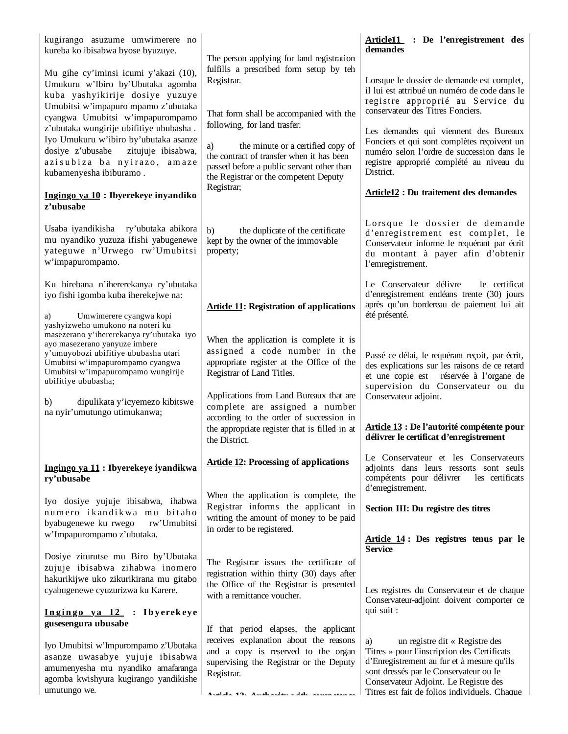| kugirango asuzume umwimerere no<br>kureba ko ibisabwa byose byuzuye.<br>Mu gihe cy'iminsi icumi y'akazi (10),<br>Umukuru w'Ibiro by'Ubutaka agomba<br>kuba yashyikirije dosiye yuzuye<br>Umubitsi w'impapuro mpamo z'ubutaka<br>cyangwa Umubitsi w'impapurompamo<br>z'ubutaka wungirije ubifitiye ububasha.<br>Iyo Umukuru w'ibiro by'ubutaka asanze<br>zitujuje ibisabwa,<br>dosiye z'ubusabe<br>azisubiza ba nyirazo, amaze<br>kubamenyesha ibiburamo.<br>Ingingo ya 10 : Ibyerekeye inyandiko<br>z'ubusabe | The person applying for land registration<br>fulfills a prescribed form setup by teh<br>Registrar.<br>That form shall be accompanied with the<br>following, for land trasfer:<br>a)<br>the minute or a certified copy of<br>the contract of transfer when it has been<br>passed before a public servant other than<br>the Registrar or the competent Deputy<br>Registrar; | Article11 : De l'enregistrement des<br>demandes<br>Lorsque le dossier de demande est complet,<br>il lui est attribué un numéro de code dans le<br>registre approprié au Service du<br>conservateur des Titres Fonciers.<br>Les demandes qui viennent des Bureaux<br>Fonciers et qui sont complètes reçoivent un<br>numéro selon l'ordre de succession dans le<br>registre approprié complété au niveau du<br>District.<br><b>Article12 : Du traitement des demandes</b> |
|---------------------------------------------------------------------------------------------------------------------------------------------------------------------------------------------------------------------------------------------------------------------------------------------------------------------------------------------------------------------------------------------------------------------------------------------------------------------------------------------------------------|---------------------------------------------------------------------------------------------------------------------------------------------------------------------------------------------------------------------------------------------------------------------------------------------------------------------------------------------------------------------------|-------------------------------------------------------------------------------------------------------------------------------------------------------------------------------------------------------------------------------------------------------------------------------------------------------------------------------------------------------------------------------------------------------------------------------------------------------------------------|
| Usaba iyandikisha ry'ubutaka abikora<br>mu nyandiko yuzuza ifishi yabugenewe<br>yateguwe n'Urwego rw'Umubitsi<br>w'impapurompamo.                                                                                                                                                                                                                                                                                                                                                                             | b)<br>the duplicate of the certificate<br>kept by the owner of the immovable<br>property;                                                                                                                                                                                                                                                                                 | Lorsque le dossier de demande<br>d'enregistrement est complet, le<br>Conservateur informe le requérant par écrit<br>du montant à payer afin d'obtenir<br>l'emregistrement.                                                                                                                                                                                                                                                                                              |
| Ku birebana n'ihererekanya ry'ubutaka<br>iyo fishi igomba kuba iherekejwe na:<br>Umwimerere cyangwa kopi<br>a)<br>yashyizweho umukono na noteri ku                                                                                                                                                                                                                                                                                                                                                            | <b>Article 11: Registration of applications</b>                                                                                                                                                                                                                                                                                                                           | Le Conservateur délivre<br>le certificat<br>d'enregistrement endéans trente (30) jours<br>après qu'un bordereau de paiement lui ait<br>été présenté.                                                                                                                                                                                                                                                                                                                    |
| masezerano y'ihererekanya ry'ubutaka iyo<br>ayo masezerano yanyuze imbere<br>y'umuyobozi ubifitiye ububasha utari<br>Umubitsi w'impapurompamo cyangwa<br>Umubitsi w'impapurompamo wungirije<br>ubifitiye ububasha;<br>dipulikata y'icyemezo kibitswe<br>b)<br>na nyir'umutungo utimukanwa;                                                                                                                                                                                                                    | When the application is complete it is<br>assigned a code number in the<br>appropriate register at the Office of the<br>Registrar of Land Titles.<br>Applications from Land Bureaux that are<br>complete are assigned a number<br>according to the order of succession in<br>the appropriate register that is filled in at                                                | Passé ce délai, le requérant reçoit, par écrit,<br>des explications sur les raisons de ce retard<br>et une copie est réservée à l'organe de<br>supervision du Conservateur ou du<br>Conservateur adjoint.<br>Article 13 : De l'autorité compétente pour                                                                                                                                                                                                                 |
|                                                                                                                                                                                                                                                                                                                                                                                                                                                                                                               | the District.                                                                                                                                                                                                                                                                                                                                                             | délivrer le certificat d'enregistrement                                                                                                                                                                                                                                                                                                                                                                                                                                 |
| Ingingo ya 11 : Ibyerekeye iyandikwa<br>ry'ubusabe                                                                                                                                                                                                                                                                                                                                                                                                                                                            | <b>Article 12: Processing of applications</b>                                                                                                                                                                                                                                                                                                                             | Le Conservateur et les Conservateurs<br>adjoints dans leurs ressorts sont seuls<br>compétents pour délivrer<br>les certificats<br>d'enregistrement.                                                                                                                                                                                                                                                                                                                     |
| Iyo dosiye yujuje ibisabwa, ihabwa<br>numero ikandikwa mu bitabo<br>byabugenewe ku rwego<br>rw'Umubitsi<br>w'Impapurompamo z'ubutaka.                                                                                                                                                                                                                                                                                                                                                                         | When the application is complete, the<br>Registrar informs the applicant in<br>writing the amount of money to be paid<br>in order to be registered.                                                                                                                                                                                                                       | Section III: Du registre des titres<br>Article 14: Des registres tenus par le                                                                                                                                                                                                                                                                                                                                                                                           |
| Dosiye ziturutse mu Biro by'Ubutaka<br>zujuje ibisabwa zihabwa inomero<br>hakurikijwe uko zikurikirana mu gitabo<br>cyabugenewe cyuzurizwa ku Karere.                                                                                                                                                                                                                                                                                                                                                         | The Registrar issues the certificate of<br>registration within thirty (30) days after<br>the Office of the Registrar is presented<br>with a remittance voucher.                                                                                                                                                                                                           | <b>Service</b><br>Les registres du Conservateur et de chaque<br>Conservateur-adjoint doivent comporter ce                                                                                                                                                                                                                                                                                                                                                               |
| Ingingo ya 12 : Ibyerekeye<br>gusesengura ubusabe                                                                                                                                                                                                                                                                                                                                                                                                                                                             | If that period elapses, the applicant                                                                                                                                                                                                                                                                                                                                     | qui suit :                                                                                                                                                                                                                                                                                                                                                                                                                                                              |
| Iyo Umubitsi w'Impurompamo z'Ubutaka<br>asanze uwasabye yujuje ibisabwa<br>amumenyesha mu nyandiko amafaranga<br>agomba kwishyura kugirango yandikishe<br>umutungo we.                                                                                                                                                                                                                                                                                                                                        | receives explanation about the reasons<br>and a copy is reserved to the organ<br>supervising the Registrar or the Deputy<br>Registrar.<br>ومستملح والمتحدث والفقول والفقوم والفرود فالأرقاء والمرقف فالمراكب                                                                                                                                                              | un registre dit « Registre des<br>a)<br>Titres » pour l'inscription des Certificats<br>d'Enregistrement au fur et à mesure qu'ils<br>sont dressés par le Conservateur ou le<br>Conservateur Adjoint. Le Registre des<br>Titres est fait de folios individuels. Chaque                                                                                                                                                                                                   |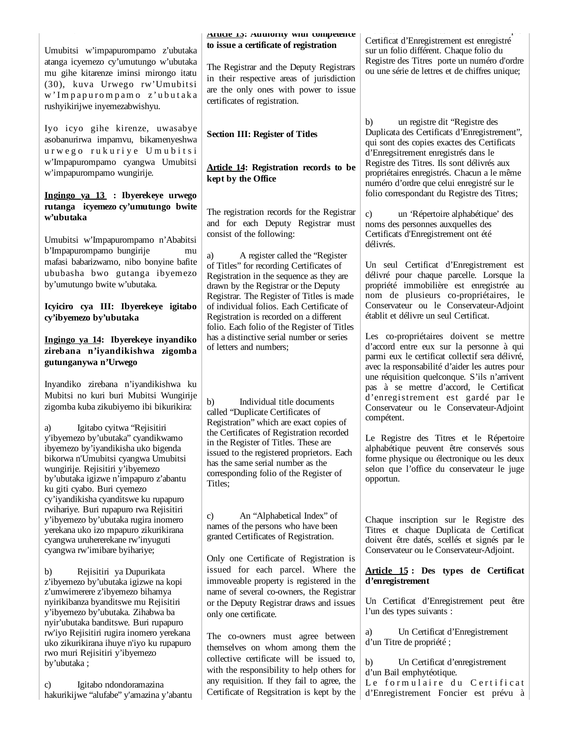|                                                                                                                                                                                                                       | Arucle 15: Authority with competence<br>to issue a certificate of registration                                                                                 | Certificat d'Enregistrement est enregistré                                                                                                                                      |
|-----------------------------------------------------------------------------------------------------------------------------------------------------------------------------------------------------------------------|----------------------------------------------------------------------------------------------------------------------------------------------------------------|---------------------------------------------------------------------------------------------------------------------------------------------------------------------------------|
| Umubitsi w'impapurompamo z'ubutaka<br>atanga icyemezo cy'umutungo w'ubutaka<br>mu gihe kitarenze iminsi mirongo itatu<br>(30), kuva Urwego rw'Umubitsi<br>w'Impapurompamo z'ubutaka<br>rushyikirijwe inyemezabwishyu. | The Registrar and the Deputy Registrars<br>in their respective areas of jurisdiction<br>are the only ones with power to issue<br>certificates of registration. | sur un folio différent. Chaque folio du<br>Registre des Titres porte un numéro d'ordre<br>ou une série de lettres et de chiffres unique;                                        |
| Iyo icyo gihe kirenze, uwasabye<br>asobanurirwa impamvu, bikamenyeshwa<br>urwego rukuriye Umubitsi                                                                                                                    | <b>Section III: Register of Titles</b>                                                                                                                         | un registre dit 'Registre des<br>b)<br>Duplicata des Certificats d'Enregistrement",<br>qui sont des copies exactes des Certificats                                              |
| w'Impapurompamo cyangwa Umubitsi<br>w'impapurompamo wungirije.                                                                                                                                                        | <b>Article 14: Registration records to be</b><br>kept by the Office                                                                                            | d'Enregsitrement enregistrés dans le<br>Registre des Titres. Ils sont délivrés aux<br>propriétaires enregistrés. Chacun a le même<br>numéro d'ordre que celui enregistré sur le |
| Ingingo ya 13 : Ibyerekeye urwego                                                                                                                                                                                     |                                                                                                                                                                | folio correspondant du Registre des Titres;                                                                                                                                     |
| rutanga icyemezo cy'umutungo bwite<br>w'ubutaka                                                                                                                                                                       | The registration records for the Registrar<br>and for each Deputy Registrar must                                                                               | un 'Répertoire alphabétique' des<br>$\mathbf{c}$<br>noms des personnes auxquelles des                                                                                           |
| Umubitsi w'Impapurompamo n'Ababitsi<br>b'Impapurompamo bungirije<br>mu                                                                                                                                                | consist of the following:<br>A register called the 'Register<br>a)                                                                                             | Certificats d'Enregistrement ont été<br>délivrés.                                                                                                                               |
| mafasi babarizwamo, nibo bonyine bafite                                                                                                                                                                               | of Titles" for recording Certificates of                                                                                                                       | Un seul Certificat d'Enregistrement est                                                                                                                                         |
| ububasha bwo gutanga ibyemezo                                                                                                                                                                                         | Registration in the sequence as they are                                                                                                                       | délivré pour chaque parcelle. Lorsque la                                                                                                                                        |
| by'umutungo bwite w'ubutaka.                                                                                                                                                                                          | drawn by the Registrar or the Deputy<br>Registrar. The Register of Titles is made                                                                              | propriété immobilière est enregistrée au<br>nom de plusieurs co-propriétaires, le                                                                                               |
| Icyiciro cya III: Ibyerekeye igitabo                                                                                                                                                                                  | of individual folios. Each Certificate of                                                                                                                      | Conservateur ou le Conservateur-Adjoint                                                                                                                                         |
| cy'ibyemezo by'ubutaka                                                                                                                                                                                                | Registration is recorded on a different<br>folio. Each folio of the Register of Titles                                                                         | établit et délivre un seul Certificat.                                                                                                                                          |
| Ingingo ya 14: Ibyerekeye inyandiko                                                                                                                                                                                   | has a distinctive serial number or series                                                                                                                      | Les co-propriétaires doivent se mettre                                                                                                                                          |
| zirebana n'iyandikishwa zigomba                                                                                                                                                                                       | of letters and numbers;                                                                                                                                        | d'accord entre eux sur la personne à qui<br>parmi eux le certificat collectif sera délivré,                                                                                     |
| gutunganywa n'Urwego                                                                                                                                                                                                  |                                                                                                                                                                | avec la responsabilité d'aider les autres pour                                                                                                                                  |
| Inyandiko zirebana n'iyandikishwa ku                                                                                                                                                                                  |                                                                                                                                                                | une réquisition quelconque. S'ils n'arrivent<br>pas à se mettre d'accord, le Certificat                                                                                         |
| Mubitsi no kuri buri Mubitsi Wungirije                                                                                                                                                                                |                                                                                                                                                                | d'enregistrement est gardé par le                                                                                                                                               |
| zigomba kuba zikubiyemo ibi bikurikira:                                                                                                                                                                               | Individual title documents<br>b)<br>called "Duplicate Certificates of<br>Registration" which are exact copies of                                               | Conservateur ou le Conservateur-Adjoint<br>compétent.                                                                                                                           |
| Igitabo cyitwa 'Rejisitiri<br>a)<br>y'ibyemezo by'ubutaka" cyandikwamo                                                                                                                                                | the Certificates of Registration recorded                                                                                                                      |                                                                                                                                                                                 |
| ibyemezo by'iyandikisha uko bigenda                                                                                                                                                                                   | in the Register of Titles. These are                                                                                                                           | Le Registre des Titres et le Répertoire<br>alphabétique peuvent être conservés sous                                                                                             |
| bikorwa n'Umubitsi cyangwa Umubitsi                                                                                                                                                                                   | issued to the registered proprietors. Each<br>has the same serial number as the                                                                                | forme physique ou électronique ou les deux                                                                                                                                      |
| wungirije. Rejisitiri y'ibyemezo<br>by'ubutaka igizwe n'impapuro z'abantu                                                                                                                                             | corresponding folio of the Register of<br>Titles;                                                                                                              | selon que l'office du conservateur le juge<br>opportun.                                                                                                                         |
| ku giti cyabo. Buri cyemezo<br>cy'iyandikisha cyanditswe ku rupapuro                                                                                                                                                  |                                                                                                                                                                |                                                                                                                                                                                 |
| rwihariye. Buri rupapuro rwa Rejisitiri                                                                                                                                                                               | An "Alphabetical Index" of<br>C)                                                                                                                               |                                                                                                                                                                                 |
| y'ibyemezo by'ubutaka rugira inomero<br>yerekana uko izo mpapuro zikurikirana                                                                                                                                         | names of the persons who have been                                                                                                                             | Chaque inscription sur le Registre des<br>Titres et chaque Duplicata de Certificat                                                                                              |
| cyangwa uruhererekane rw'inyuguti                                                                                                                                                                                     | granted Certificates of Registration.                                                                                                                          | doivent être datés, scellés et signés par le                                                                                                                                    |
| cyangwa rw'imibare byihariye;                                                                                                                                                                                         | Only one Certificate of Registration is                                                                                                                        | Conservateur ou le Conservateur-Adjoint.                                                                                                                                        |
| Rejisitiri ya Dupurikata<br>b)                                                                                                                                                                                        | issued for each parcel. Where the                                                                                                                              | Article 15: Des types de Certificat                                                                                                                                             |
| z'ibyemezo by'ubutaka igizwe na kopi                                                                                                                                                                                  | immoveable property is registered in the                                                                                                                       | d'enregistrement                                                                                                                                                                |
| z'umwimerere z'ibyemezo bihamya<br>nyirikibanza byanditswe mu Rejisitiri                                                                                                                                              | name of several co-owners, the Registrar<br>or the Deputy Registrar draws and issues                                                                           | Un Certificat d'Enregistrement peut être                                                                                                                                        |
| y'ibyemezo by'ubutaka. Zihabwa ba                                                                                                                                                                                     | only one certificate.                                                                                                                                          | l'un des types suivants :                                                                                                                                                       |
| nyir'ubutaka banditswe. Buri rupapuro<br>rw'iyo Rejisitiri rugira inomero yerekana                                                                                                                                    |                                                                                                                                                                | Un Certificat d'Enregistrement<br>a)                                                                                                                                            |
| uko zikurikirana ihuye n'iyo ku rupapuro                                                                                                                                                                              | The co-owners must agree between                                                                                                                               | d'un Titre de propriété;                                                                                                                                                        |
| rwo muri Rejisitiri y'ibyemezo                                                                                                                                                                                        | themselves on whom among them the<br>collective certificate will be issued to,                                                                                 |                                                                                                                                                                                 |
| by'ubutaka;                                                                                                                                                                                                           | with the responsibility to help others for                                                                                                                     | $\mathbf{b}$<br>Un Certificat d'enregistrement<br>d'un Bail emphytéotique.                                                                                                      |
| Igitabo ndondoramazina<br>C)                                                                                                                                                                                          | any requisition. If they fail to agree, the                                                                                                                    | Le formulaire du Certificat                                                                                                                                                     |
| hakurikijwe "alufabe" y'amazina y'abantu                                                                                                                                                                              | Certificate of Regsitration is kept by the                                                                                                                     | d'Enregistrement Foncier est prévu à                                                                                                                                            |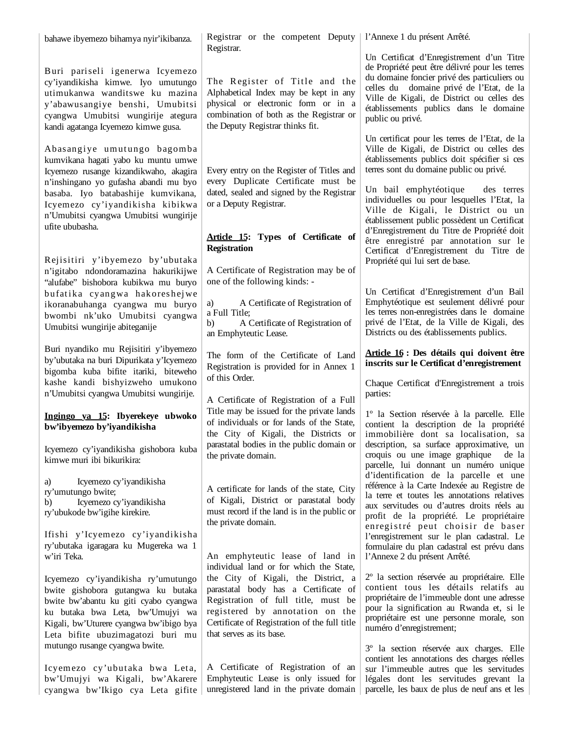| bahawe ibyemezo bihamya nyir'ikibanza.                                                                                                                                                                                                                                                     | Registrar or the competent Deputy   l'Annexe 1 du présent Arrêté.                                                                                                                                                                                                             |                                                                                                                                                                                                                                                                                                                                                                                                                                                             |
|--------------------------------------------------------------------------------------------------------------------------------------------------------------------------------------------------------------------------------------------------------------------------------------------|-------------------------------------------------------------------------------------------------------------------------------------------------------------------------------------------------------------------------------------------------------------------------------|-------------------------------------------------------------------------------------------------------------------------------------------------------------------------------------------------------------------------------------------------------------------------------------------------------------------------------------------------------------------------------------------------------------------------------------------------------------|
| Buri pariseli igenerwa Icyemezo<br>cy'iyandikisha kimwe. Iyo umutungo<br>utimukanwa wanditswe ku mazina<br>y'abawusangiye benshi, Umubitsi<br>cyangwa Umubitsi wungirije ategura<br>kandi agatanga Icyemezo kimwe gusa.                                                                    | Registrar.<br>The Register of Title and the<br>Alphabetical Index may be kept in any<br>physical or electronic form or in a<br>combination of both as the Registrar or<br>the Deputy Registrar thinks fit.                                                                    | Un Certificat d'Enregistrement d'un Titre<br>de Propriété peut être délivré pour les terres<br>du domaine foncier privé des particuliers ou<br>celles du domaine privé de l'Etat, de la<br>Ville de Kigali, de District ou celles des<br>établissements publics dans le domaine<br>public ou privé.                                                                                                                                                         |
| Abasangiye umutungo bagomba<br>kumvikana hagati yabo ku muntu umwe<br>Icyemezo rusange kizandikwaho, akagira<br>n'inshingano yo gufasha abandi mu byo<br>basaba. Iyo batabashije kumvikana,<br>Icyemezo cy'iyandikisha kibikwa<br>n'Umubitsi cyangwa Umubitsi wungirije<br>ufite ububasha. | Every entry on the Register of Titles and<br>every Duplicate Certificate must be<br>dated, sealed and signed by the Registrar<br>or a Deputy Registrar.<br>Article 15: Types of Certificate of<br><b>Registration</b>                                                         | Un certificat pour les terres de l'Etat, de la<br>Ville de Kigali, de District ou celles des<br>établissements publics doit spécifier si ces<br>terres sont du domaine public ou privé.<br>Un bail emphytéotique<br>des terres<br>individuelles ou pour lesquelles l'Etat, la<br>Ville de Kigali, le District ou un<br>établissement public possèdent un Certificat<br>d'Enregistrement du Titre de Propriété doit<br>être enregistré par annotation sur le |
| Rejisitiri y'ibyemezo by'ubutaka<br>n'igitabo ndondoramazina hakurikijwe<br>"alufabe" bishobora kubikwa mu buryo<br>bufatika cyangwa hakoreshejwe<br>ikoranabuhanga cyangwa mu buryo<br>bwombi nk'uko Umubitsi cyangwa<br>Umubitsi wungirije abiteganije                                   | A Certificate of Registration may be of<br>one of the following kinds: -<br>A Certificate of Registration of<br>a)<br>a Full Title;<br>A Certificate of Registration of<br>b)<br>an Emphyteutic Lease.                                                                        | Certificat d'Enregistrement du Titre de<br>Propriété qui lui sert de base.<br>Un Certificat d'Enregistrement d'un Bail<br>Emphytéotique est seulement délivré pour<br>les terres non-enregistrées dans le domaine<br>privé de l'Etat, de la Ville de Kigali, des<br>Districts ou des établissements publics.                                                                                                                                                |
| Buri nyandiko mu Rejisitiri y'ibyemezo<br>by'ubutaka na buri Dipurikata y'Icyemezo<br>bigomba kuba bifite itariki, biteweho<br>kashe kandi bishyizweho umukono<br>n'Umubitsi cyangwa Umubitsi wungirije.                                                                                   | The form of the Certificate of Land<br>Registration is provided for in Annex 1<br>of this Order.                                                                                                                                                                              | Article 16 : Des détails qui doivent être<br>inscrits sur le Certificat d'enregistrement<br>Chaque Certificat d'Enregistrement a trois<br>parties:                                                                                                                                                                                                                                                                                                          |
| Ingingo ya 15: Ibyerekeye ubwoko<br>bw'ibyemezo by'iyandikisha<br>Icyemezo cy'iyandikisha gishobora kuba<br>kimwe muri ibi bikurikira:                                                                                                                                                     | A Certificate of Registration of a Full<br>Title may be issued for the private lands<br>of individuals or for lands of the State,<br>the City of Kigali, the Districts or<br>parastatal bodies in the public domain or<br>the private domain.                                 | 1º la Section réservée à la parcelle. Elle<br>contient la description de la propriété<br>immobilière dont sa localisation, sa<br>description, sa surface approximative, un<br>croquis ou une image graphique<br>de la<br>parcelle, lui donnant un numéro unique                                                                                                                                                                                             |
| Icyemezo cy'iyandikisha<br>a)<br>ry'umutungo bwite;<br>Icyemezo cy'iyandikisha<br>b)<br>ry'ubukode bw'igihe kirekire.<br>Ifishi y'Icyemezo cy'iyandikisha<br>ry'ubutaka igaragara ku Mugereka wa 1<br>w'iri Teka.                                                                          | A certificate for lands of the state, City<br>of Kigali, District or parastatal body<br>must record if the land is in the public or<br>the private domain.<br>An emphyteutic lease of land in                                                                                 | d'identification de la parcelle et une<br>référence à la Carte Indexée au Registre de<br>la terre et toutes les annotations relatives<br>aux servitudes ou d'autres droits réels au<br>profit de la propriété. Le propriétaire<br>enregistré peut choisir de baser<br>l'enregistrement sur le plan cadastral. Le<br>formulaire du plan cadastral est prévu dans<br>l'Annexe 2 du présent Arrêté.                                                            |
| Icyemezo cy'iyandikisha ry'umutungo<br>bwite gishobora gutangwa ku butaka<br>bwite bw'abantu ku giti cyabo cyangwa<br>ku butaka bwa Leta, bw'Umujyi wa<br>Kigali, bw'Uturere cyangwa bw'ibigo bya<br>Leta bifite ubuzimagatozi buri mu                                                     | individual land or for which the State,<br>the City of Kigali, the District, a<br>parastatal body has a Certificate of<br>Registration of full title, must be<br>registered by annotation on the<br>Certificate of Registration of the full title<br>that serves as its base. | 2º la section réservée au propriétaire. Elle<br>contient tous les détails relatifs au<br>propriétaire de l'immeuble dont une adresse<br>pour la signification au Rwanda et, si le<br>propriétaire est une personne morale, son<br>numéro d'enregistrement;                                                                                                                                                                                                  |
| mutungo rusange cyangwa bwite.<br>Icyemezo cy'ubutaka bwa Leta,<br>bw'Umujyi wa Kigali, bw'Akarere<br>cyangwa bw'Ikigo cya Leta gifite                                                                                                                                                     | A Certificate of Registration of an<br>Emphyteutic Lease is only issued for<br>unregistered land in the private domain                                                                                                                                                        | 3° la section réservée aux charges. Elle<br>contient les annotations des charges réelles<br>sur l'immeuble autres que les servitudes<br>légales dont les servitudes grevant la<br>parcelle, les baux de plus de neuf ans et les                                                                                                                                                                                                                             |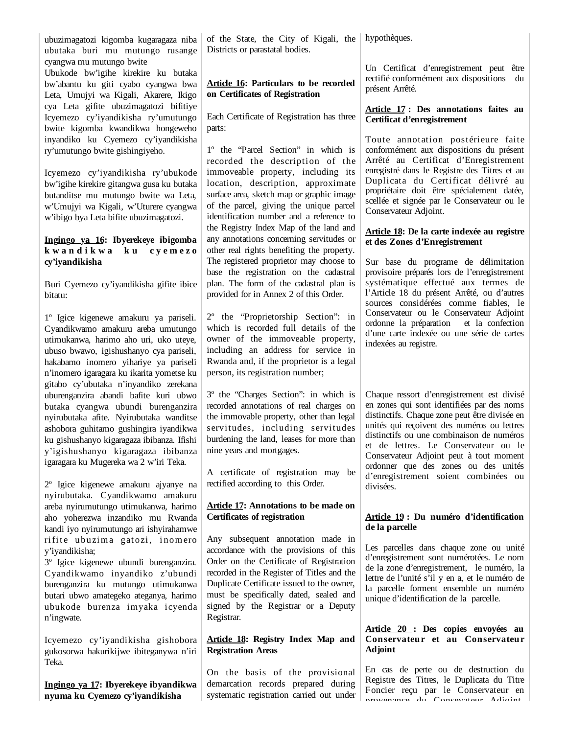ubuzimagatozi kigomba kugaragaza niba ubutaka buri mu mutungo rusange cyangwa mu mutungo bwite

Ubukode bw'igihe kirekire ku butaka bw'abantu ku giti cyabo cyangwa bwa Leta, Umujyi wa Kigali, Akarere, Ikigo cya Leta gifite ubuzimagatozi bifitiye Icyemezo cy'iyandikisha ry'umutungo bwite kigomba kwandikwa hongeweho inyandiko ku Cyemezo cy'iyandikisha ry'umutungo bwite gishingiyeho.

Icyemezo cy'iyandikisha ry'ubukode bw'igihe kirekire gitangwa gusa ku butaka butanditse mu mutungo bwite wa Leta, w'Umujyi wa Kigali, w'Uturere cyangwa w'ibigo bya Leta bifite ubuzimagatozi.

# **Ingingo ya 16: Ibyerekeye ibigomba k w a n d i k w a k u c y e m e z o cy'iyandikisha**

Buri Cyemezo cy'iyandikisha gifite ibice bitatu:

1º Igice kigenewe amakuru ya pariseli. Cyandikwamo amakuru areba umutungo utimukanwa, harimo aho uri, uko uteye, ubuso bwawo, igishushanyo cya pariseli, hakabamo inomero yihariye ya pariseli n'inomero igaragara ku ikarita yometse ku gitabo cy'ubutaka n'inyandiko zerekana uburenganzira abandi bafite kuri ubwo butaka cyangwa ubundi burenganzira nyirubutaka afite. Nyirubutaka wanditse ashobora guhitamo gushingira iyandikwa ku gishushanyo kigaragaza ibibanza. Ifishi y'igishushanyo kigaragaza ibibanza igaragara ku Mugereka wa 2 w'iri Teka.

2º Igice kigenewe amakuru ajyanye na nyirubutaka. Cyandikwamo amakuru areba nyirumutungo utimukanwa, harimo aho yoherezwa inzandiko mu Rwanda kandi iyo nyirumutungo ari ishyirahamwe rifite ubuzima gatozi, inomero y'iyandikisha;

3º Igice kigenewe ubundi burenganzira. Cyandikwamo inyandiko z'ubundi burenganzira ku mutungo utimukanwa butari ubwo amategeko ateganya, harimo ubukode burenza imyaka icyenda n'ingwate.

Icyemezo cy'iyandikisha gishobora gukosorwa hakurikijwe ibiteganywa n'iri Teka.

**Ingingo ya 17: Ibyerekeye ibyandikwa nyuma ku Cyemezo cy'iyandikisha**

of the State, the City of Kigali, the hypothèques. Districts or parastatal bodies.

# **Article 16: Particulars to be recorded on Certificates of Registration**

Each Certificate of Registration has three parts:

1º the "Parcel Section" in which is recorded the description of the immoveable property, including its location, description, approximate surface area, sketch map or graphic image of the parcel, giving the unique parcel identification number and a reference to the Registry Index Map of the land and any annotations concerning servitudes or other real rights benefiting the property. The registered proprietor may choose to base the registration on the cadastral plan. The form of the cadastral plan is provided for in Annex 2 of this Order.

2º the "Proprietorship Section": in which is recorded full details of the owner of the immoveable property, including an address for service in Rwanda and, if the proprietor is a legal person, its registration number;

3º the "Charges Section": in which is recorded annotations of real charges on the immovable property, other than legal servitudes, including servitudes burdening the land, leases for more than nine years and mortgages.

A certificate of registration may be rectified according to this Order.

### **Article 17: Annotations to be made on Certificates of registration**

Any subsequent annotation made in accordance with the provisions of this Order on the Certificate of Registration recorded in the Register of Titles and the Duplicate Certificate issued to the owner, must be specifically dated, sealed and signed by the Registrar or a Deputy Registrar.

## **Article 18: Registry Index Map and Registration Areas**

On the basis of the provisional demarcation records prepared during systematic registration carried out under

Un Certificat d'enregistrement peut être rectifié conformément aux dispositions du présent Arrêté.

### **Article 17 : Des annotations faites au Certificat d'enregistrement**

Toute annotation postérieure faite conformément aux dispositions du présent Arrêté au Certificat d'Enregistrement enregistré dans le Registre des Titres et au Duplicata du Certificat délivré au propriétaire doit être spécialement datée, scellée et signée par le Conservateur ou le Conservateur Adjoint.

#### **Article 18: De la carte indexée au registre et des Zones d'Enregistrement**

Sur base du programe de délimitation provisoire préparés lors de l'enregistrement systématique effectué aux termes de l'Article 18 du présent Arrêté, ou d'autres sources considérées comme fiables, le Conservateur ou le Conservateur Adjoint ordonne la préparation et la confection d'une carte indexée ou une série de cartes indexées au registre.

Chaque ressort d'enregistrement est divisé en zones qui sont identifiées par des noms distinctifs. Chaque zone peut être divisée en unités qui reçoivent des numéros ou lettres distinctifs ou une combinaison de numéros et de lettres. Le Conservateur ou le Conservateur Adjoint peut à tout moment ordonner que des zones ou des unités d'enregistrement soient combinées ou divisées.

## **Article 19 : Du numéro d'identification de la parcelle**

Les parcelles dans chaque zone ou unité d'enregistrement sont numérotées. Le nom de la zone d'enregistrement, le numéro, la lettre de l'unité s'il y en a, et le numéro de la parcelle forment ensemble un numéro unique d'identification de la parcelle.

#### **Article 20 : Des copies envoyées au Conservateur et au Conservateur Adjoint**

En cas de perte ou de destruction du Registre des Titres, le Duplicata du Titre Foncier reçu par le Conservateur en provenance du Consevateur Adjoint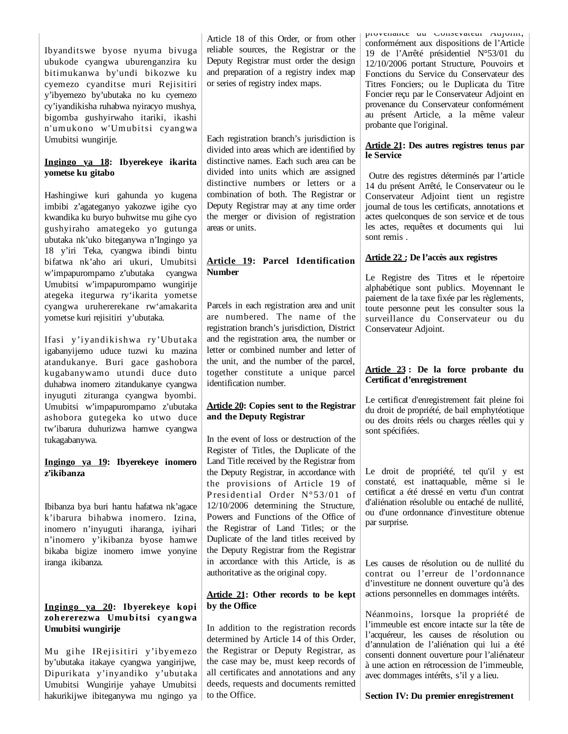Ibyanditswe byose nyuma bivuga ubukode cyangwa uburenganzira ku bitimukanwa by'undi bikozwe ku cyemezo cyanditse muri Rejisitiri y'ibyemezo by'ubutaka no ku cyemezo cy'iyandikisha ruhabwa nyiracyo mushya, bigomba gushyirwaho itariki, ikashi n'umukono w'Umubitsi cyangwa Umubitsi wungirije.

#### **Ingingo ya 18: Ibyerekeye ikarita yometse ku gitabo**

Hashingiwe kuri gahunda yo kugena imbibi z'agateganyo yakozwe igihe cyo kwandika ku buryo buhwitse mu gihe cyo gushyiraho amategeko yo gutunga ubutaka nk'uko biteganywa n'Ingingo ya 18 y'iri Teka, cyangwa ibindi bintu bifatwa nk'aho ari ukuri, Umubitsi w'impapurompamo z'ubutaka cyangwa Umubitsi w'impapurompamo wungirije ategeka itegurwa ry'ikarita yometse cyangwa uruhererekane rw'amakarita yometse kuri rejisitiri y'ubutaka.

Ifasi y'iyandikishwa ry'Ubutaka igabanyijemo uduce tuzwi ku mazina atandukanye. Buri gace gashobora kugabanywamo utundi duce duto duhabwa inomero zitandukanye cyangwa inyuguti zituranga cyangwa byombi. Umubitsi w'impapurompamo z'ubutaka ashobora gutegeka ko utwo duce tw'ibarura duhurizwa hamwe cyangwa tukagabanywa.

#### **Ingingo ya 19: Ibyerekeye inomero z'ikibanza**

Ibibanza bya buri hantu hafatwa nk'agace k'ibarura bihabwa inomero. Izina, inomero n'inyuguti iharanga, iyihari n'inomero y'ikibanza byose hamwe bikaba bigize inomero imwe yonyine iranga ikibanza.

# **Ingingo ya 20: Ibyerekeye kopi zoh ererezwa Umu b itsi cyan gwa Umubitsi wungirije**

Mu gihe IR ejisitiri y'ibyemezo by'ubutaka itakaye cyangwa yangirijwe, Dipurikata y'inyandiko y'ubutaka Umubitsi Wungirije yahaye Umubitsi hakurikijwe ibiteganywa mu ngingo ya Article 18 of this Order, or from other reliable sources, the Registrar or the Deputy Registrar must order the design and preparation of a registry index map or series of registry index maps.

Each registration branch's jurisdiction is divided into areas which are identified by distinctive names. Each such area can be divided into units which are assigned distinctive numbers or letters or a combination of both. The Registrar or Deputy Registrar may at any time order the merger or division of registration areas or units.

## **Article 19: Parcel Identification Number**

Parcels in each registration area and unit are numbered. The name of the registration branch's jurisdiction, District and the registration area, the number or letter or combined number and letter of the unit, and the number of the parcel, together constitute a unique parcel identification number.

## **Article 20: Copies sent to the Registrar and the Deputy Registrar**

In the event of loss or destruction of the Register of Titles, the Duplicate of the Land Title received by the Registrar from the Deputy Registrar, in accordance with the provisions of Article 19 of Presidential Order N°53/01 of 12/10/2006 determining the Structure, Powers and Functions of the Office of the Registrar of Land Titles; or the Duplicate of the land titles received by the Deputy Registrar from the Registrar in accordance with this Article, is as authoritative as the original copy.

### **Article 21: Other records to be kept by the Office**

In addition to the registration records determined by Article 14 of this Order, the Registrar or Deputy Registrar, as the case may be, must keep records of all certificates and annotations and any deeds, requests and documents remitted to the Office.

provenance du Consevateur Adjoint, conformément aux dispositions de l'Article 19 de l'Arrêté présidentiel N°53/01 du 12/10/2006 portant Structure, Pouvoirs et Fonctions du Service du Conservateur des Titres Fonciers; ou le Duplicata du Titre Foncier reçu par le Conservateur Adjoint en provenance du Conservateur conformément au présent Article, a la même valeur probante que l'original.

### **Article 21: Des autres registres tenus par le Service**

 Outre des registres déterminés par l'article 14 du présent Arrêté, le Conservateur ou le Conservateur Adjoint tient un registre journal de tous les certificats, annotations et actes quelconques de son service et de tous les actes, requêtes et documents qui lui sont remis .

# **Article 22 : De l'accès aux registres**

Le Registre des Titres et le répertoire alphabétique sont publics. Moyennant le paiement de la taxe fixée par les règlements, toute personne peut les consulter sous la surveillance du Conservateur ou du Conservateur Adjoint.

### **Article 23 : De la force probante du Certificat d'enregistrement**

Le certificat d'enregistrement fait pleine foi du droit de propriété, de bail emphytéotique ou des droits réels ou charges réelles qui y sont spécifiées.

Le droit de propriété, tel qu'il y est constaté, est inattaquable, même si le certificat a été dressé en vertu d'un contrat d'aliénation résoluble ou entaché de nullité, ou d'une ordonnance d'investiture obtenue par surprise.

Les causes de résolution ou de nullité du contrat ou l'erreur de l'ordonnance d'investiture ne donnent ouverture qu'à des actions personnelles en dommages intérêts.

Néanmoins, lorsque la propriété de l'immeuble est encore intacte sur la tête de l'acquéreur, les causes de résolution ou d'annulation de l'aliénation qui lui a été consenti donnent ouverture pour l'aliénateur à une action en rétrocession de l'immeuble, avec dommages intérêts, s'il y a lieu.

**Section IV: Du premier enregistrement**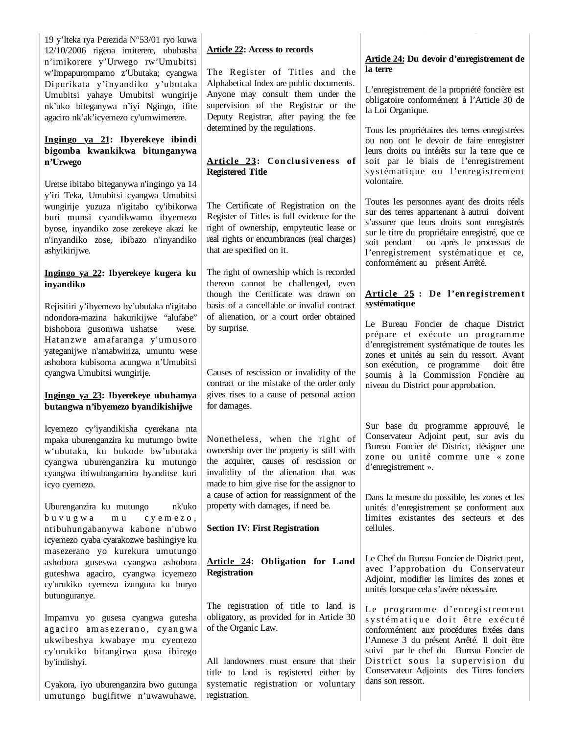19 y'Iteka rya Perezida N°53/01 ryo kuwa 12/10/2006 rigena imiterere, ububasha n'imikorere y'Urwego rw'Umubitsi w'Impapurompamo z'Ubutaka; cyangwa Dipurikata y'inyandiko y'ubutaka Umubitsi yahaye Umubitsi wungirije nk'uko biteganywa n'iyi Ngingo, ifite agaciro nk'ak'icyemezo cy'umwimerere.

## **Ingingo ya 21: Ibyerekeye ibindi bigomba kwankikwa bitunganywa n'Urwego**

Uretse ibitabo biteganywa n'ingingo ya 14 y'iri Teka, Umubitsi cyangwa Umubitsi wungirije yuzuza n'igitabo cy'ibikorwa buri munsi cyandikwamo ibyemezo byose, inyandiko zose zerekeye akazi ke n'inyandiko zose, ibibazo n'inyandiko ashyikirijwe.

### **Ingingo ya 22: Ibyerekeye kugera ku inyandiko**

Rejisitiri y'ibyemezo by'ubutaka n'igitabo ndondora-mazina hakurikijwe "alufabe" bishobora gusomwa ushatse wese. Hatanzwe amafaranga y'umusoro yateganijwe n'amabwiriza, umuntu wese ashobora kubisoma acungwa n'Umubitsi cyangwa Umubitsi wungirije.

### **Ingingo ya 23: Ibyerekeye ubuhamya butangwa n'ibyemezo byandikishijwe**

Icyemezo cy'iyandikisha cyerekana nta mpaka uburenganzira ku mutumgo bwite w'ubutaka, ku bukode bw'ubutaka cyangwa uburenganzira ku mutungo cyangwa ibiwubangamira byanditse kuri icyo cyemezo.

Uburenganzira ku mutungo nk'uko buvugwa mu cyemezo, ntibuhungabanywa kabone n'ubwo icyemezo cyaba cyarakozwe bashingiye ku masezerano yo kurekura umutungo ashobora guseswa cyangwa ashobora guteshwa agaciro, cyangwa icyemezo cy'urukiko cyemeza izungura ku buryo butunguranye.

Impamvu yo gusesa cyangwa gutesha agaciro amasezerano, cyangwa ukwibeshya kwabaye mu cyemezo cy'urukiko bitangirwa gusa ibirego by'indishyi.

Cyakora, iyo uburenganzira bwo gutunga umutungo bugifitwe n'uwawuhawe,

# **Article 22: Access to records**

The Register of Titles and the Alphabetical Index are public documents. Anyone may consult them under the supervision of the Registrar or the Deputy Registrar, after paying the fee determined by the regulations.

# Article 23: Conclusiveness of **Registered Title**

The Certificate of Registration on the Register of Titles is full evidence for the right of ownership, empyteutic lease or real rights or encumbrances (real charges) that are specified on it.

The right of ownership which is recorded thereon cannot be challenged, even though the Certificate was drawn on basis of a cancellable or invalid contract of alienation, or a court order obtained by surprise.

Causes of rescission or invalidity of the contract or the mistake of the order only gives rises to a cause of personal action for damages.

Nonetheless, when the right of ownership over the property is still with the acquirer, causes of rescission or invalidity of the alienation that was made to him give rise for the assignor to a cause of action for reassignment of the property with damages, if need be.

# **Section IV: First Registration**

**Article 24: Obligation for Land Registration** 

The registration of title to land is obligatory, as provided for in Article 30 of the Organic Law.

All landowners must ensure that their title to land is registered either by systematic registration or voluntary registration.

### **Article 24: Du devoir d'enregistrement de la terre**

L'enregistrement de la propriété foncière est obligatoire conformément à l'Article 30 de la Loi Organique.

Tous les propriétaires des terres enregistrées ou non ont le devoir de faire enregistrer leurs droits ou intérêts sur la terre que ce soit par le biais de l'enregistrement systématique ou l'enregistrement volontaire.

Toutes les personnes ayant des droits réels sur des terres appartenant à autrui doivent s'assurer que leurs droits sont enregistrés sur le titre du propriétaire enregistré, que ce soit pendant ou après le processus de l'enregistrement systématique et ce, conformément au présent Arrêté.

## Article 25 : De l'enregistrement **systématique**

Le Bureau Foncier de chaque District prépare et exécute un programme d'enregistrement systématique de toutes les zones et unités au sein du ressort. Avant son exécution, ce programme doit être soumis à la Commission Foncière au niveau du District pour approbation.

Sur base du programme approuvé, le Conservateur Adjoint peut, sur avis du Bureau Foncier de District, désigner une zone ou unité comme une « zone d'enregistrement ».

Dans la mesure du possible, les zones et les unités d'enregistrement se conforment aux limites existantes des secteurs et des cellules.

Le Chef du Bureau Foncier de District peut, avec l'approbation du Conservateur Adjoint, modifier les limites des zones et unités lorsque cela s'avère nécessaire.

Le programme d'enregistrement systématique doit être exécuté conformément aux procédures fixées dans l'Annexe 3 du présent Arrêté. Il doit être suivi par le chef du Bureau Foncier de District sous la supervision du Conservateur Adjoints des Titres fonciers dans son ressort.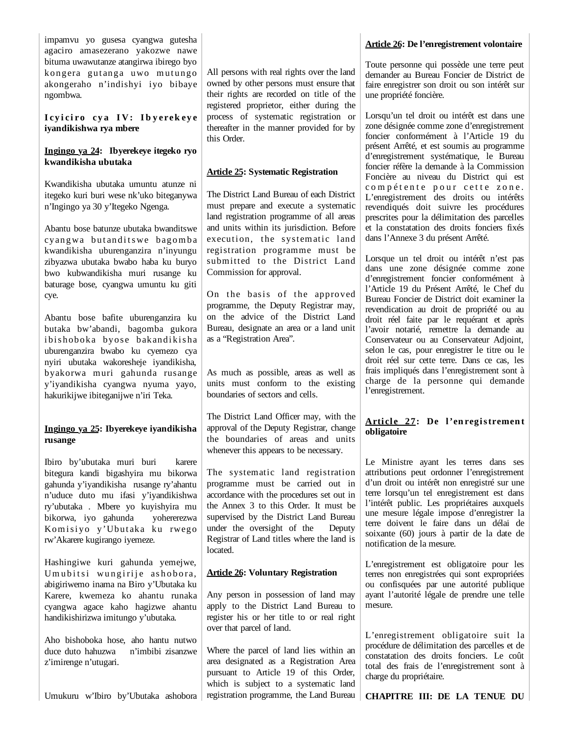impamvu yo gusesa cyangwa gutesha agaciro amasezerano yakozwe nawe bituma uwawutanze atangirwa ibirego byo kongera gutanga uwo mutungo akongeraho n'indishyi iyo bibaye ngombwa.

I cyiciro cya IV: Ibyerek eye **iyandikishwa rya mbere**

### **Ingingo ya 24: Ibyerekeye itegeko ryo kwandikisha ubutaka**

Kwandikisha ubutaka umuntu atunze ni itegeko kuri buri wese nk'uko biteganywa n'Ingingo ya 30 y'Itegeko Ngenga.

Abantu bose batunze ubutaka bwanditswe cy angwa but and its we bagomba kwandikisha uburenganzira n'inyungu zibyazwa ubutaka bwabo haba ku buryo bwo kubwandikisha muri rusange ku baturage bose, cyangwa umuntu ku giti cye.

Abantu bose bafite uburenganzira ku butaka bw'abandi, bagomba gukora ibishoboka byose bakandikisha uburenganzira bwabo ku cyemezo cya nyiri ubutaka wakoresheje iyandikisha, byakorwa muri gahunda rusange y'iyandikisha cyangwa nyuma yayo, hakurikijwe ibiteganijwe n'iri Teka.

### **Ingingo ya 25: Ibyerekeye iyandikisha rusange**

Ibiro by'ubutaka muri buri karere bitegura kandi bigashyira mu bikorwa gahunda y'iyandikisha rusange ry'ahantu n'uduce duto mu ifasi y'iyandikishwa ry'ubutaka . Mbere yo kuyishyira mu bikorwa, iyo gahunda yohererezwa Komisiyo y'Ubutaka ku rwego rw'Akarere kugirango iyemeze.

Hashingiwe kuri gahunda yemejwe, Um u bit si wun girije ashobora, abigiriwemo inama na Biro y'Ubutaka ku Karere, kwemeza ko ahantu runaka cyangwa agace kaho hagizwe ahantu handikishirizwa imitungo y'ubutaka.

Aho bishoboka hose, aho hantu nutwo duce duto hahuzwa n'imbibi zisanzwe z'imirenge n'utugari.

Umukuru w'Ibiro by'Ubutaka ashobora

All persons with real rights over the land owned by other persons must ensure that their rights are recorded on title of the registered proprietor, either during the process of systematic registration or thereafter in the manner provided for by this Order.

#### **Article 25: Systematic Registration**

The District Land Bureau of each District must prepare and execute a systematic land registration programme of all areas and units within its jurisdiction. Before execution, the systematic land registration programme must be submitted to the District Land Commission for approval.

On the basis of the approved programme, the Deputy Registrar may, on the advice of the District Land Bureau, designate an area or a land unit as a "Registration Area".

As much as possible, areas as well as units must conform to the existing boundaries of sectors and cells.

The District Land Officer may, with the approval of the Deputy Registrar, change the boundaries of areas and units whenever this appears to be necessary.

The systematic land registration programme must be carried out in accordance with the procedures set out in the Annex 3 to this Order. It must be supervised by the District Land Bureau under the oversight of the Deputy Registrar of Land titles where the land is located.

### **Article 26: Voluntary Registration**

Any person in possession of land may apply to the District Land Bureau to register his or her title to or real right over that parcel of land.

Where the parcel of land lies within an area designated as a Registration Area pursuant to Article 19 of this Order, which is subject to a systematic land registration programme, the Land Bureau

# **Article 26: De l'enregistrement volontaire**

Toute personne qui possède une terre peut demander au Bureau Foncier de District de faire enregistrer son droit ou son intérêt sur une propriété foncière.

Lorsqu'un tel droit ou intérêt est dans une zone désignée comme zone d'enregistrement foncier conformément à l'Article 19 du présent Arrêté, et est soumis au programme d'enregistrement systématique, le Bureau foncier réfère la demande à la Commission Foncière au niveau du District qui est compétente pour cette zone. L'enregistrement des droits ou intérêts revendiqués doit suivre les procédures prescrites pour la délimitation des parcelles et la constatation des droits fonciers fixés dans l'Annexe 3 du présent Arrêté.

Lorsque un tel droit ou intérêt n'est pas dans une zone désignée comme zone d'enregistrement foncier conformément à l'Article 19 du Présent Arrêté, le Chef du Bureau Foncier de District doit examiner la revendication au droit de propriété ou au droit réel faite par le requérant et après l'avoir notarié, remettre la demande au Conservateur ou au Conservateur Adjoint, selon le cas, pour enregistrer le titre ou le droit réel sur cette terre. Dans ce cas, les frais impliqués dans l'enregistrement sont à charge de la personne qui demande l'enregistrement.

# Article 27: De l'enregistrement **obligatoire**

Le Ministre ayant les terres dans ses attributions peut ordonner l'enregistrement d'un droit ou intérêt non enregistré sur une terre lorsqu'un tel enregistrement est dans l'intérêt public. Les propriétaires auxquels une mesure légale impose d'enregistrer la terre doivent le faire dans un délai de soixante (60) jours à partir de la date de notification de la mesure.

L'enregistrement est obligatoire pour les terres non enregistrées qui sont expropriées ou confisquées par une autorité publique ayant l'autorité légale de prendre une telle mesure.

L'enregistrement obligatoire suit la procédure de délimitation des parcelles et de constatation des droits fonciers. Le coût total des frais de l'enregistrement sont à charge du propriétaire.

**CHAPITRE III: DE LA TENUE DU**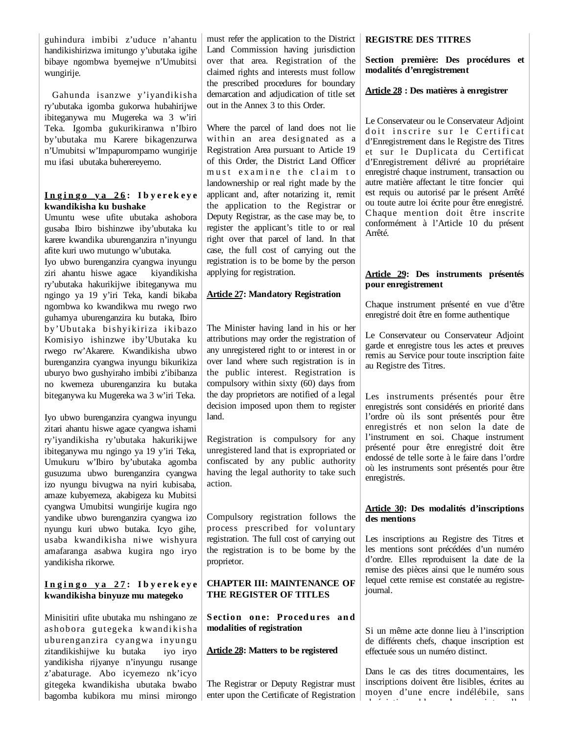guhindura imbibi z'uduce n'ahantu handikishirizwa imitungo y'ubutaka igihe bibaye ngombwa byemejwe n'Umubitsi wungirije.

 Gahunda isanzwe y'iyandikisha ry'ubutaka igomba gukorwa hubahirijwe ibiteganywa mu Mugereka wa 3 w'iri Teka. Igomba gukurikiranwa n'Ibiro by'ubutaka mu Karere bikagenzurwa n'Umubitsi w'Impapurompamo wungirije mu ifasi ubutaka buherereyemo.

#### **I n g i n g o y a 2 6 : I b y e r e k e y e kwandikisha ku bushake**

Umuntu wese ufite ubutaka ashobora gusaba Ibiro bishinzwe iby'ubutaka ku karere kwandika uburenganzira n'inyungu afite kuri uwo mutungo w'ubutaka.

Iyo ubwo burenganzira cyangwa inyungu ziri ahantu hiswe agace kiyandikisha ry'ubutaka hakurikijwe ibiteganywa mu ngingo ya 19 y'iri Teka, kandi bikaba ngombwa ko kwandikwa mu rwego rwo guhamya uburenganzira ku butaka, Ibiro by'Ubutaka bishyikiriza ikibazo Komisiyo ishinzwe iby'Ubutaka ku rwego rw'Akarere. Kwandikisha ubwo burenganzira cyangwa inyungu bikurikiza uburyo bwo gushyiraho imbibi z'ibibanza no kwemeza uburenganzira ku butaka biteganywa ku Mugereka wa 3 w'iri Teka.

Iyo ubwo burenganzira cyangwa inyungu zitari ahantu hiswe agace cyangwa ishami ry'iyandikisha ry'ubutaka hakurikijwe ibiteganywa mu ngingo ya 19 y'iri Teka, Umukuru w'Ibiro by'ubutaka agomba gusuzuma ubwo burenganzira cyangwa izo nyungu bivugwa na nyiri kubisaba, amaze kubyemeza, akabigeza ku Mubitsi cyangwa Umubitsi wungirije kugira ngo yandike ubwo burenganzira cyangwa izo nyungu kuri ubwo butaka. Icyo gihe, usaba kwandikisha niwe wishyura amafaranga asabwa kugira ngo iryo yandikisha rikorwe.

#### **I n g i n g o y a 2 7 : I b y e r e k e y e kwandikisha binyuze mu mategeko**

Minisitiri ufite ubutaka mu nshingano ze ashobora gutegeka kwandikisha uburenganzira cyangwa inyungu zitandikishijwe ku butaka iyo iryo yandikisha rijyanye n'inyungu rusange z'abaturage. Abo icyemezo nk'icyo gitegeka kwandikisha ubutaka bwabo bagomba kubikora mu minsi mirongo must refer the application to the District Land Commission having jurisdiction over that area. Registration of the claimed rights and interests must follow the prescribed procedures for boundary demarcation and adjudication of title set out in the Annex 3 to this Order.

Where the parcel of land does not lie within an area designated as a Registration Area pursuant to Article 19 of this Order, the District Land Officer must examine the claim to landownership or real right made by the applicant and, after notarizing it, remit the application to the Registrar or Deputy Registrar, as the case may be, to register the applicant's title to or real right over that parcel of land. In that case, the full cost of carrying out the registration is to be borne by the person applying for registration.

### **Article 27: Mandatory Registration**

The Minister having land in his or her attributions may order the registration of any unregistered right to or interest in or over land where such registration is in the public interest. Registration is compulsory within sixty (60) days from the day proprietors are notified of a legal decision imposed upon them to register land.

Registration is compulsory for any unregistered land that is expropriated or confiscated by any public authority having the legal authority to take such action.

Compulsory registration follows the process prescribed for voluntary registration. The full cost of carrying out the registration is to be borne by the proprietor.

### **CHAPTER III: MAINTENANCE OF THE REGISTER OF TITLES**

**Section one: Procedures and modalities of registration**

### **Article 28: Matters to be registered**

The Registrar or Deputy Registrar must enter upon the Certificate of Registration

#### **REGISTRE DES TITRES**

**Section première: Des procédures et modalités d'enregistrement**

#### **Article 28 : Des matières à enregistrer**

Le Conservateur ou le Conservateur Adjoint doit inscrire sur le Certificat d'Enregistrement dans le Registre des Titres et sur le Duplicata du Certificat d'Enregistrement délivré au propriétaire enregistré chaque instrument, transaction ou autre matière affectant le titre foncier qui est requis ou autorisé par le présent Arrêté ou toute autre loi écrite pour être enregistré. Chaque mention doit être inscrite conformément à l'Article 10 du présent Arrêté.

#### **Article 29: Des instruments présentés pour enregistrement**

Chaque instrument présenté en vue d'être enregistré doit être en forme authentique

Le Conservateur ou Conservateur Adjoint garde et enregistre tous les actes et preuves remis au Service pour toute inscription faite au Registre des Titres.

Les instruments présentés pour être enregistrés sont considérés en priorité dans l'ordre où ils sont présentés pour être enregistrés et non selon la date de l'instrument en soi. Chaque instrument présenté pour être enregistré doit être endossé de telle sorte à le faire dans l'ordre où les instruments sont présentés pour être enregistrés.

#### **Article 30: Des modalités d'inscriptions des mentions**

Les inscriptions au Registre des Titres et les mentions sont précédées d'un numéro d'ordre. Elles reproduisent la date de la remise des pièces ainsi que le numéro sous lequel cette remise est constatée au registrejournal.

Si un même acte donne lieu à l'inscription de différents chefs, chaque inscription est effectuée sous un numéro distinct.

Dans le cas des titres documentaires, les inscriptions doivent être lisibles, écrites au moyen d'une encre indélébile, sans b é i ti blianc an air an t-air an t-air an t-air an t-air an t-air an t-air an t-air an t-air an t-air an t-a<br>T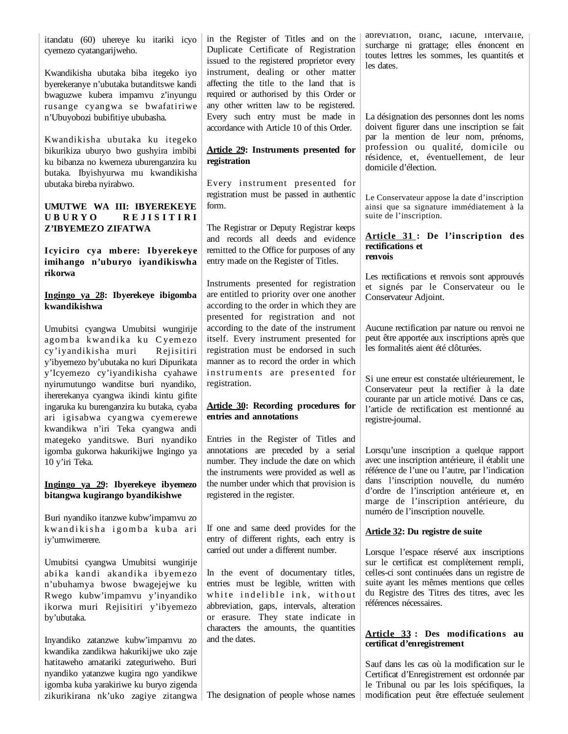itandatu (60) uhereye ku itariki icyo cyemezo cyatangarijweho.

Kwandikisha ubutaka biba itegeko iyo byerekeranye n'ubutaka butanditswe kandi bwaguzwe kubera impamvu z'inyungu rusange cyangwa se bwafatiriwe n'Ubuyobozi bubifitiye ububasha.

Kwandikisha ubutaka ku itegeko bikurikiza uburyo bwo gushyira imbibi ku bibanza no kwemeza uburenganzira ku butaka. Ibyishyurwa mu kwandikisha ubutaka bireba nyirabwo.

#### **UMUTWE WA III: IBYEREKEYE U B U R Y O R E J I S I T I R I Z'IBYEMEZO ZIFATWA**

**Icyiciro cya mbere: Ibyerekeye imihango n'uburyo iyandikiswha rikorwa**

## **Ingingo ya 28: Ibyerekeye ibigomba kwandikishwa**

Umubitsi cyangwa Umubitsi wungirije agomba kwandika ku Cyemezo cy'iyandikisha muri Rejisitiri y'ibyemezo by'ubutaka no kuri Dipurikata y'Icyemezo cy'iyandikisha cyahawe nyirumutungo wanditse buri nyandiko, ihererekanya cyangwa ikindi kintu gifite ingaruka ku burenganzira ku butaka, cyaba ari igisabwa cyangwa cyemerewe kwandikwa n'iri Teka cyangwa andi mategeko yanditswe. Buri nyandiko igomba gukorwa hakurikijwe Ingingo ya 10 y'iri Teka.

### **Ingingo ya 29: Ibyerekeye ibyemezo bitangwa kugirango byandikishwe**

Buri nyandiko itanzwe kubw'impamvu zo kwandikisha igomba kuba ari iy'umwimerere.

Umubitsi cyangwa Umubitsi wungirije abika kandi akandika ibyemezo n'ubuhamya bwose bwagejejwe ku Rwego kubw'impamvu y'inyandiko ikorwa muri Rejisitiri y'ibyemezo by'ubutaka.

Inyandiko zatanzwe kubw'impamvu zo kwandika zandikwa hakurikijwe uko zaje hatitaweho amatariki zateguriweho. Buri nyandiko yatanzwe kugira ngo yandikwe igomba kuba yarakiriwe ku buryo zigenda zikurikirana nk'uko zagiye zitangwa The designation of people whose names

in the Register of Titles and on the Duplicate Certificate of Registration issued to the registered proprietor every instrument, dealing or other matter affecting the title to the land that is required or authorised by this Order or any other written law to be registered. Every such entry must be made in accordance with Article 10 of this Order.

### **Article 29: Instruments presented for registration**

Every instrument presented for registration must be passed in authentic form.

The Registrar or Deputy Registrar keeps and records all deeds and evidence remitted to the Office for purposes of any entry made on the Register of Titles.

Instruments presented for registration are entitled to priority over one another according to the order in which they are presented for registration and not according to the date of the instrument itself. Every instrument presented for registration must be endorsed in such manner as to record the order in which instruments are presented for registration.

# **Article 30: Recording procedures for entries and annotations**

Entries in the Register of Titles and annotations are preceded by a serial number. They include the date on which the instruments were provided as well as the number under which that provision is registered in the register.

If one and same deed provides for the entry of different rights, each entry is carried out under a different number.

In the event of documentary titles, entries must be legible, written with white indelible ink, without abbreviation, gaps, intervals, alteration or erasure. They state indicate in characters the amounts, the quantities and the dates.

abréviation, blanc, lacune, intervalle, surcharge ni grattage; elles énoncent en toutes lettres les sommes, les quantités et les dates.

La désignation des personnes dont les noms doivent figurer dans une inscription se fait par la mention de leur nom, prénoms, profession ou qualité, domicile ou résidence, et, éventuellement, de leur domicile d'élection.

Le Conservateur appose la date d'inscription ainsi que sa signature immédiatement à la suite de l'inscription.

#### **Article 31 : De l'inscription des rectifications et renvois**

Les rectifications et renvois sont approuvés et signés par le Conservateur ou le Conservateur Adjoint.

Aucune rectification par nature ou renvoi ne peut être apportée aux inscriptions après que les formalités aient été clôturées.

Si une erreur est constatée ultérieurement, le Conservateur peut la rectifier à la date courante par un article motivé. Dans ce cas, l'article de rectification est mentionné au registre-journal.

Lorsqu'une inscription a quelque rapport avec une inscription antérieure, il établit une référence de l'une ou l'autre, par l'indication dans l'inscription nouvelle, du numéro d'ordre de l'inscription antérieure et, en marge de l'inscription antérieure, du numéro de l'inscription nouvelle.

# **Article 32: Du registre de suite**

Lorsque l'espace réservé aux inscriptions sur le certificat est complètement rempli, celles-ci sont continuées dans un registre de suite ayant les mêmes mentions que celles du Registre des Titres des titres, avec les références nécessaires.

## **Article 33 : Des modifications au certificat d'enregistrement**

Sauf dans les cas où la modification sur le Certificat d'Enregistrement est ordonnée par le Tribunal ou par les lois spécifiques, la modification peut être effectuée seulement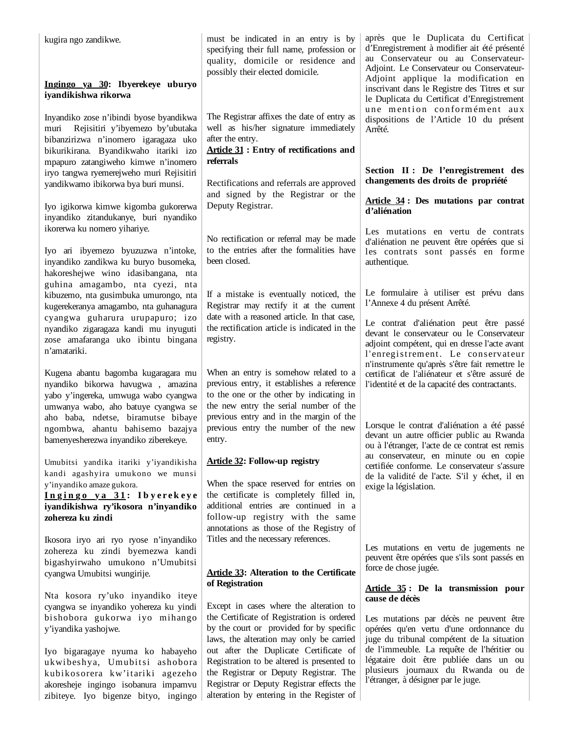| kugira ngo zandikwe.                                                                                                                                                                                        | must be indicated in an entry is by<br>specifying their full name, profession or<br>quality, domicile or residence and                                                                                   | après que le Duplicata du Certificat<br>d'Enregistrement à modifier ait été présenté<br>au Conservateur ou au Conservateur-<br>Adjoint. Le Conservateur ou Conservateur-   |
|-------------------------------------------------------------------------------------------------------------------------------------------------------------------------------------------------------------|----------------------------------------------------------------------------------------------------------------------------------------------------------------------------------------------------------|----------------------------------------------------------------------------------------------------------------------------------------------------------------------------|
| Ingingo ya 30: Ibyerekeye uburyo<br>iyandikishwa rikorwa                                                                                                                                                    | possibly their elected domicile.                                                                                                                                                                         | Adjoint applique la modification en<br>inscrivant dans le Registre des Titres et sur<br>le Duplicata du Certificat d'Enregistrement                                        |
| Inyandiko zose n'ibindi byose byandikwa<br>Rejisitiri y'ibyemezo by'ubutaka<br>muri<br>bibanzirizwa n'inomero igaragaza uko<br>bikurikirana. Byandikwaho itariki izo<br>mpapuro zatangiweho kimwe n'inomero | The Registrar affixes the date of entry as<br>well as his/her signature immediately<br>after the entry.<br><b>Article 31: Entry of rectifications and</b><br>referrals                                   | une mention conformément aux<br>dispositions de l'Article 10 du présent<br>Arrêté.                                                                                         |
| iryo tangwa ryemerejweho muri Rejisitiri<br>yandikwamo ibikorwa bya buri munsi.                                                                                                                             | Rectifications and referrals are approved                                                                                                                                                                | Section II : De l'enregistrement des<br>changements des droits de propriété                                                                                                |
| Iyo igikorwa kimwe kigomba gukorerwa<br>inyandiko zitandukanye, buri nyandiko                                                                                                                               | and signed by the Registrar or the<br>Deputy Registrar.                                                                                                                                                  | Article 34 : Des mutations par contrat<br>d'aliénation                                                                                                                     |
| ikorerwa ku nomero yihariye.<br>Iyo ari ibyemezo byuzuzwa n'intoke,<br>inyandiko zandikwa ku buryo busomeka,<br>hakoreshejwe wino idasibangana, nta                                                         | No rectification or referral may be made<br>to the entries after the formalities have<br>been closed.                                                                                                    | Les mutations en vertu de contrats<br>d'aliénation ne peuvent être opérées que si<br>les contrats sont passés en forme<br>authentique.                                     |
| guhina amagambo, nta cyezi, nta<br>kibuzemo, nta gusimbuka umurongo, nta<br>kugerekeranya amagambo, nta guhanagura                                                                                          | If a mistake is eventually noticed, the<br>Registrar may rectify it at the current                                                                                                                       | Le formulaire à utiliser est prévu dans<br>l'Annexe 4 du présent Arrêté.                                                                                                   |
| cyangwa guharura urupapuro; izo<br>nyandiko zigaragaza kandi mu inyuguti<br>zose amafaranga uko ibintu bingana<br>n'amatariki.                                                                              | date with a reasoned article. In that case,<br>the rectification article is indicated in the<br>registry.                                                                                                | Le contrat d'aliénation peut être passé<br>devant le conservateur ou le Conservateur<br>adjoint compétent, qui en dresse l'acte avant<br>l'enregistrement. Le conservateur |
| Kugena abantu bagomba kugaragara mu<br>nyandiko bikorwa havugwa, amazina<br>yabo y'ingereka, umwuga wabo cyangwa<br>umwanya wabo, aho batuye cyangwa se                                                     | When an entry is somehow related to a<br>previous entry, it establishes a reference<br>to the one or the other by indicating in<br>the new entry the serial number of the                                | n'instrumente qu'après s'être fait remettre le<br>certificat de l'aliénateur et s'être assuré de<br>l'identité et de la capacité des contractants.                         |
| aho baba, ndetse, biramutse bibaye<br>ngombwa, ahantu bahisemo bazajya<br>bamenyesherezwa inyandiko ziberekeye.                                                                                             | previous entry and in the margin of the<br>previous entry the number of the new<br>entry.                                                                                                                | Lorsque le contrat d'aliénation a été passé<br>devant un autre officier public au Rwanda<br>ou à l'étranger, l'acte de ce contrat est remis                                |
| Umubitsi yandika itariki y'iyandikisha<br>kandi agashyira umukono we munsi<br>y'inyandiko amaze gukora.<br>Ingingo ya 31: Ibyerekeye<br>iyandikishwa ry'ikosora n'inyandiko<br>zohereza ku zindi            | <b>Article 32: Follow-up registry</b><br>When the space reserved for entries on<br>the certificate is completely filled in,<br>additional entries are continued in a<br>follow-up registry with the same | au conservateur, en minute ou en copie<br>certifiée conforme. Le conservateur s'assure<br>de la validité de l'acte. S'il y échet, il en<br>exige la législation.           |
| Ikosora iryo ari ryo ryose n'inyandiko<br>zohereza ku zindi byemezwa kandi<br>bigashyirwaho umukono n'Umubitsi<br>cyangwa Umubitsi wungirije.                                                               | annotations as those of the Registry of<br>Titles and the necessary references.<br><b>Article 33: Alteration to the Certificate</b>                                                                      | Les mutations en vertu de jugements ne<br>peuvent être opérées que s'ils sont passés en<br>force de chose jugée.                                                           |
| Nta kosora ry'uko inyandiko iteye                                                                                                                                                                           | of Registration                                                                                                                                                                                          | Article 35: De la transmission pour<br>cause de décès                                                                                                                      |
| cyangwa se inyandiko yohereza ku yindi<br>bishobora gukorwa iyo mihango<br>y'iyandika yashojwe.                                                                                                             | Except in cases where the alteration to<br>the Certificate of Registration is ordered<br>by the court or provided for by specific<br>laws, the alteration may only be carried                            | Les mutations par décès ne peuvent être<br>opérées qu'en vertu d'une ordonnance du<br>juge du tribunal compétent de la situation                                           |
| Iyo bigaragaye nyuma ko habayeho<br>ukwibeshya, Umubitsi ashobora<br>kubikosorera kw'itariki agezeho<br>akoresheje ingingo isobanura impamvu                                                                | out after the Duplicate Certificate of<br>Registration to be altered is presented to<br>the Registrar or Deputy Registrar. The<br>Registrar or Deputy Registrar effects the                              | de l'immeuble. La requête de l'héritier ou<br>légataire doit être publiée dans un ou<br>plusieurs journaux du Rwanda ou de<br>l'étranger, à désigner par le juge.          |

alteration by entering in the Register of

zibiteye. Iyo bigenze bityo, ingingo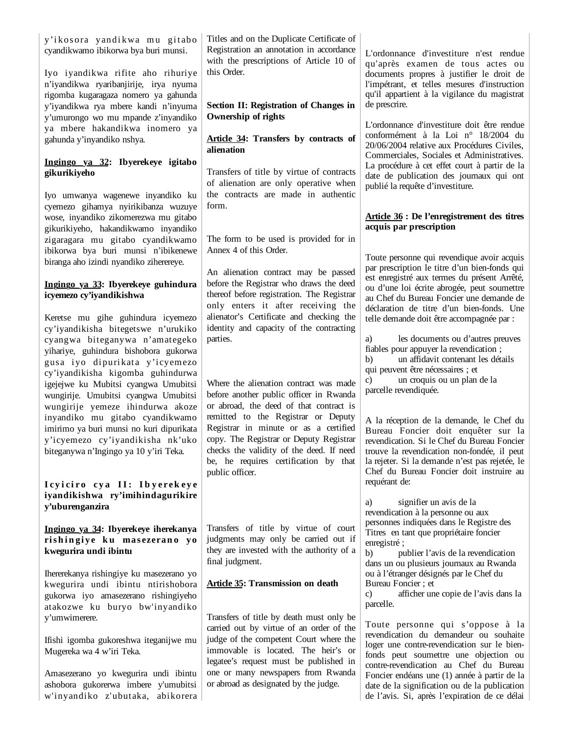| y'ikosora yandikwa mu gitabo<br>cyandikwamo ibikorwa bya buri munsi.<br>Iyo iyandikwa rifite aho rihuriye<br>n'iyandikwa ryaribanjirije, irya nyuma<br>rigomba kugaragaza nomero ya gahunda<br>y'iyandikwa rya mbere kandi n'inyuma<br>y'umurongo wo mu mpande z'inyandiko<br>ya mbere hakandikwa inomero ya<br>gahunda y'inyandiko nshya. | Titles and on the Duplicate Certificate of<br>Registration an annotation in accordance<br>with the prescriptions of Article 10 of<br>this Order.<br><b>Section II: Registration of Changes in</b><br>Ownership of rights<br>Article 34: Transfers by contracts of<br>alienation | L'ordonnance d'investiture n'est rendue<br>qu'après examen de tous actes ou<br>documents propres à justifier le droit de<br>l'impétrant, et telles mesures d'instruction<br>qu'il appartient à la vigilance du magistrat<br>de prescrire.<br>L'ordonnance d'investiture doit être rendue<br>conformément à la Loi n° 18/2004 du<br>20/06/2004 relative aux Procédures Civiles,<br>Commerciales, Sociales et Administratives. |
|--------------------------------------------------------------------------------------------------------------------------------------------------------------------------------------------------------------------------------------------------------------------------------------------------------------------------------------------|---------------------------------------------------------------------------------------------------------------------------------------------------------------------------------------------------------------------------------------------------------------------------------|------------------------------------------------------------------------------------------------------------------------------------------------------------------------------------------------------------------------------------------------------------------------------------------------------------------------------------------------------------------------------------------------------------------------------|
| Ingingo ya 32: Ibyerekeye igitabo<br>gikurikiyeho<br>Iyo umwanya wagenewe inyandiko ku                                                                                                                                                                                                                                                     | Transfers of title by virtue of contracts<br>of alienation are only operative when<br>the contracts are made in authentic                                                                                                                                                       | La procédure à cet effet court à partir de la<br>date de publication des journaux qui ont<br>publié la requête d'investiture.                                                                                                                                                                                                                                                                                                |
| cyemezo gihamya nyirikibanza wuzuye<br>wose, inyandiko zikomerezwa mu gitabo<br>gikurikiyeho, hakandikwamo inyandiko<br>zigaragara mu gitabo cyandikwamo                                                                                                                                                                                   | form.<br>The form to be used is provided for in                                                                                                                                                                                                                                 | <b>Article 36 : De l'enregistrement des titres</b><br>acquis par prescription                                                                                                                                                                                                                                                                                                                                                |
| ibikorwa bya buri munsi n'ibikenewe<br>biranga aho izindi nyandiko ziherereye.<br>Ingingo ya 33: Ibyerekeye guhindura<br>icyemezo cy'iyandikishwa                                                                                                                                                                                          | Annex 4 of this Order.<br>An alienation contract may be passed<br>before the Registrar who draws the deed<br>thereof before registration. The Registrar                                                                                                                         | Toute personne qui revendique avoir acquis<br>par prescription le titre d'un bien-fonds qui<br>est enregistré aux termes du présent Arrêté,<br>ou d'une loi écrite abrogée, peut soumettre<br>au Chef du Bureau Foncier une demande de                                                                                                                                                                                       |
| Keretse mu gihe guhindura icyemezo<br>cy'iyandikisha bitegetswe n'urukiko<br>cyangwa biteganywa n'amategeko                                                                                                                                                                                                                                | only enters it after receiving the<br>alienator's Certificate and checking the<br>identity and capacity of the contracting<br>parties.                                                                                                                                          | déclaration de titre d'un bien-fonds. Une<br>telle demande doit être accompagnée par :<br>les documents ou d'autres preuves<br>a)                                                                                                                                                                                                                                                                                            |
| yihariye, guhindura bishobora gukorwa<br>gusa iyo dipurikata y'icyemezo<br>cy'iyandikisha kigomba guhindurwa<br>igejejwe ku Mubitsi cyangwa Umubitsi<br>wungirije. Umubitsi cyangwa Umubitsi                                                                                                                                               | Where the alienation contract was made<br>before another public officer in Rwanda                                                                                                                                                                                               | fiables pour appuyer la revendication;<br>un affidavit contenant les détails<br>b)<br>qui peuvent être nécessaires ; et<br>un croquis ou un plan de la<br>c)<br>parcelle revendiquée.                                                                                                                                                                                                                                        |
| wungirije yemeze ihindurwa akoze<br>inyandiko mu gitabo cyandikwamo<br>imirimo ya buri munsi no kuri dipurikata<br>y'icyemezo cy'iyandikisha nk'uko<br>biteganywa n'Ingingo ya 10 y'iri Teka.                                                                                                                                              | or abroad, the deed of that contract is<br>remitted to the Registrar or Deputy<br>Registrar in minute or as a certified<br>copy. The Registrar or Deputy Registrar<br>checks the validity of the deed. If need<br>be, he requires certification by that<br>public officer.      | A la réception de la demande, le Chef du<br>Bureau Foncier doit enquêter sur la<br>revendication. Si le Chef du Bureau Foncier<br>trouve la revendication non-fondée, il peut<br>la rejeter. Si la demande n'est pas rejetée, le<br>Chef du Bureau Foncier doit instruire au<br>requérant de:                                                                                                                                |
| Icyiciro cya II: Ibyerekeye<br>iyandikishwa ry'imihindagurikire<br>y'uburenganzira                                                                                                                                                                                                                                                         |                                                                                                                                                                                                                                                                                 | signifier un avis de la<br>a)<br>revendication à la personne ou aux                                                                                                                                                                                                                                                                                                                                                          |
| Ingingo ya 34: Ibyerekeye iherekanya<br>rishingiye ku masezerano yo<br>kwegurira undi ibintu                                                                                                                                                                                                                                               | Transfers of title by virtue of court<br>judgments may only be carried out if<br>they are invested with the authority of a<br>final judgment.                                                                                                                                   | personnes indiquées dans le Registre des<br>Titres en tant que propriétaire foncier<br>enregistré;<br>publier l'avis de la revendication<br>b)<br>dans un ou plusieurs journaux au Rwanda                                                                                                                                                                                                                                    |
| Ihererekanya rishingiye ku masezerano yo<br>kwegurira undi ibintu ntirishobora<br>gukorwa iyo amasezerano rishingiyeho<br>atakozwe ku buryo bw'inyandiko                                                                                                                                                                                   | <b>Article 35: Transmission on death</b>                                                                                                                                                                                                                                        | ou à l'étranger désignés par le Chef du<br>Bureau Foncier; et<br>afficher une copie de l'avis dans la<br>$\mathbf{c}$<br>parcelle.                                                                                                                                                                                                                                                                                           |
| y'umwimerere.<br>Ifishi igomba gukoreshwa iteganijwe mu<br>Mugereka wa 4 w'iri Teka.                                                                                                                                                                                                                                                       | Transfers of title by death must only be<br>carried out by virtue of an order of the<br>judge of the competent Court where the<br>immovable is located. The heir's or<br>legatee's request must be published in                                                                 | Toute personne qui s'oppose à la<br>revendication du demandeur ou souhaite<br>loger une contre-revendication sur le bien-<br>fonds peut soumettre une objection ou<br>contre-revendication au Chef du Bureau                                                                                                                                                                                                                 |
| Amasezerano yo kwegurira undi ibintu<br>ashobora gukorerwa imbere y'umubitsi<br>w'inyandiko z'ubutaka, abikorera                                                                                                                                                                                                                           | one or many newspapers from Rwanda<br>or abroad as designated by the judge.                                                                                                                                                                                                     | Foncier endéans une (1) année à partir de la<br>date de la signification ou de la publication<br>de l'avis. Si, après l'expiration de ce délai                                                                                                                                                                                                                                                                               |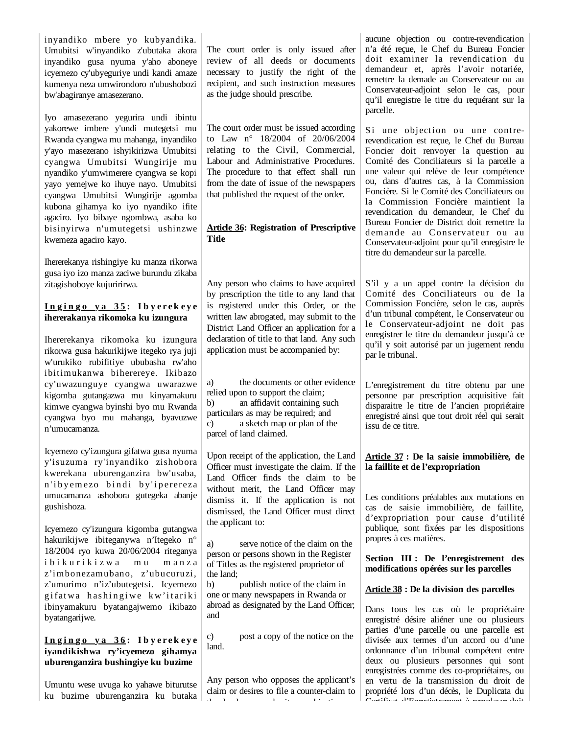inyandiko mbere yo kubyandika. Umubitsi w'inyandiko z'ubutaka akora inyandiko gusa nyuma y'aho aboneye icyemezo cy'ubyeguriye undi kandi amaze kumenya neza umwirondoro n'ubushobozi bw'abagiranye amasezerano.

Iyo amasezerano yegurira undi ibintu yakorewe imbere y'undi mutegetsi mu Rwanda cyangwa mu mahanga, inyandiko y'ayo masezerano ishyikirizwa Umubitsi cyangwa Umubitsi Wungirije mu nyandiko y'umwimerere cyangwa se kopi yayo yemejwe ko ihuye nayo. Umubitsi cyangwa Umubitsi Wungirije agomba kubona gihamya ko iyo nyandiko ifite agaciro. Iyo bibaye ngombwa, asaba ko bisinyirwa n'umutegetsi ushinzwe kwemeza agaciro kayo.

Ihererekanya rishingiye ku manza rikorwa gusa iyo izo manza zaciwe burundu zikaba zitagishoboye kujuririrwa.

### **I n g i n g o y a 3 5 : I b y e r e k e y e ihererakanya rikomoka ku izungura**

Ihererekanya rikomoka ku izungura rikorwa gusa hakurikijwe itegeko rya juji w'urukiko rubifitiye ububasha rw'aho ibitimukanwa biherereye. Ikibazo cy'uwazunguye cyangwa uwarazwe kigomba gutangazwa mu kinyamakuru kimwe cyangwa byinshi byo mu Rwanda cyangwa byo mu mahanga, byavuzwe n'umucamanza.

Icyemezo cy'izungura gifatwa gusa nyuma y'isuzuma ry'inyandiko zishobora kwerekana uburenganzira bw'usaba, n'iby emezo bindi by'iperereza umucamanza ashobora gutegeka abanje gushishoza.

Icyemezo cy'izungura kigomba gutangwa hakurikijwe ibiteganywa n'Itegeko n° 18/2004 ryo kuwa 20/06/2004 riteganya i b i k u r i k i z w a m u m a n z a z'imbonezamubano, z'ubucuruzi, z'umurimo n'iz'ubutegetsi. Icyemezo gifatwa hashingiwe kw'itariki ibinyamakuru byatangajwemo ikibazo byatangarijwe.

# **I n g i n g o y a 3 6 : I b y e r e k e y e iyandikishwa ry'icyemezo gihamya uburenganzira bushingiye ku buzime**

Umuntu wese uvuga ko yahawe biturutse ku buzime uburenganzira ku butaka The court order is only issued after review of all deeds or documents necessary to justify the right of the recipient, and such instruction measures as the judge should prescribe.

The court order must be issued according to Law n° 18/2004 of 20/06/2004 relating to the Civil, Commercial, Labour and Administrative Procedures. The procedure to that effect shall run from the date of issue of the newspapers that published the request of the order.

### **Article 36: Registration of Prescriptive Title**

Any person who claims to have acquired by prescription the title to any land that is registered under this Order, or the written law abrogated, may submit to the District Land Officer an application for a declaration of title to that land. Any such application must be accompanied by:

a) the documents or other evidence relied upon to support the claim; b) an affidavit containing such particulars as may be required; and c) a sketch map or plan of the parcel of land claimed.

Upon receipt of the application, the Land Officer must investigate the claim. If the Land Officer finds the claim to be without merit, the Land Officer may dismiss it. If the application is not dismissed, the Land Officer must direct the applicant to:

a) serve notice of the claim on the person or persons shown in the Register of Titles as the registered proprietor of the land;

b) publish notice of the claim in one or many newspapers in Rwanda or abroad as designated by the Land Officer; and

c) post a copy of the notice on the land.

Any person who opposes the applicant's claim or desires to file a counter-claim to th l die bij bjever de bij tijden op de trochten.<br>Die

aucune objection ou contre-revendication n'a été reçue, le Chef du Bureau Foncier doit examiner la revendication du demandeur et, après l'avoir notariée, remettre la demade au Conservateur ou au Conservateur-adjoint selon le cas, pour qu'il enregistre le titre du requérant sur la parcelle.

Si une objection ou une contrerevendication est reçue, le Chef du Bureau Foncier doit renvoyer la question au Comité des Conciliateurs si la parcelle a une valeur qui relève de leur compétence ou, dans d'autres cas, à la Commission Foncière. Si le Comité des Conciliateurs ou la Commission Foncière maintient la revendication du demandeur, le Chef du Bureau Foncier de District doit remettre la demande au Conservateur ou au Conservateur-adjoint pour qu'il enregistre le titre du demandeur sur la parcelle.

S'il y a un appel contre la décision du Comité des Conciliateurs ou de la Commission Foncière, selon le cas, auprès d'un tribunal compétent, le Conservateur ou le Conservateur-adjoint ne doit pas enregistrer le titre du demandeur jusqu'à ce qu'il y soit autorisé par un jugement rendu par le tribunal.

L'enregistrement du titre obtenu par une personne par prescription acquisitive fait disparaitre le titre de l'ancien propriétaire enregistré ainsi que tout droit réel qui serait issu de ce titre.

# **Article 37 : De la saisie immobilière, de la faillite et de l'expropriation**

Les conditions préalables aux mutations en cas de saisie immobilière, de faillite, d'expropriation pour cause d'utilité publique, sont fixées par les dispositions propres à ces matières.

**Section III : De l'enregistrement des modifications opérées sur les parcelles**

### **Article 38 : De la division des parcelles**

Dans tous les cas où le propriétaire enregistré désire aliéner une ou plusieurs parties d'une parcelle ou une parcelle est divisée aux termes d'un accord ou d'une ordonnance d'un tribunal compétent entre deux ou plusieurs personnes qui sont enregistrées comme des co-propriétaires, ou en vertu de la transmission du droit de propriété lors d'un décès, le Duplicata du Certificat d'Enregistrement à remplacer doit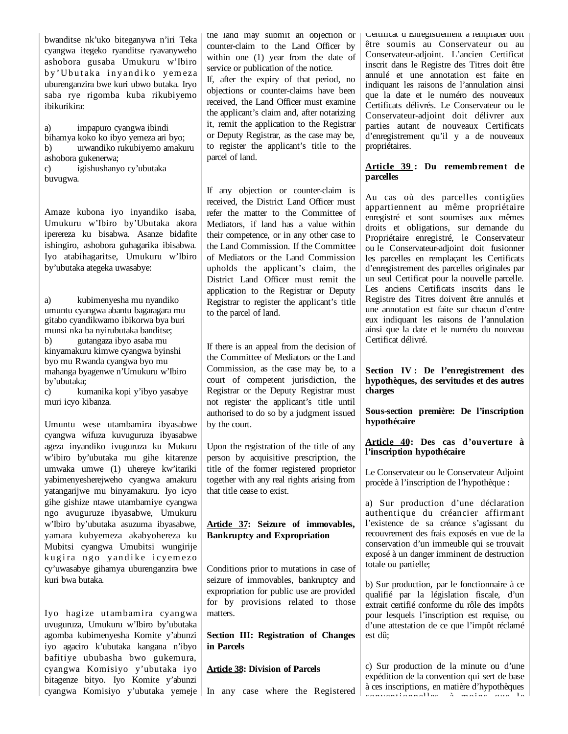bwanditse nk'uko biteganywa n'iri Teka cyangwa itegeko ryanditse ryavanyweho ashobora gusaba Umukuru w'Ibiro by 'Ubutaka invandiko yemeza uburenganzira bwe kuri ubwo butaka. Iryo saba rye rigomba kuba rikubiyemo ibikurikira:

a) impapuro cyangwa ibindi bihamya koko ko ibyo yemeza ari byo; b) urwandiko rukubiyemo amakuru ashobora gukenerwa; c) igishushanyo cy'ubutaka buvugwa.

Amaze kubona iyo inyandiko isaba, Umukuru w'Ibiro by'Ubutaka akora iperereza ku bisabwa. Asanze bidafite ishingiro, ashobora guhagarika ibisabwa. Iyo atabihagaritse, Umukuru w'Ibiro by'ubutaka ategeka uwasabye:

a) kubimenyesha mu nyandiko umuntu cyangwa abantu bagaragara mu gitabo cyandikwamo ibikorwa bya buri munsi nka ba nyirubutaka banditse; b) gutangaza ibyo asaba mu kinyamakuru kimwe cyangwa byinshi byo mu Rwanda cyangwa byo mu mahanga byagenwe n'Umukuru w'Ibiro by'ubutaka;

c) kumanika kopi y'ibyo yasabye muri icyo kibanza.

Umuntu wese utambamira ibyasabwe cyangwa wifuza kuvuguruza ibyasabwe ageza inyandiko ivuguruza ku Mukuru w'ibiro by'ubutaka mu gihe kitarenze umwaka umwe (1) uhereye kw'itariki yabimenyesherejweho cyangwa amakuru yatangarijwe mu binyamakuru. Iyo icyo gihe gishize ntawe utambamiye cyangwa ngo avuguruze ibyasabwe, Umukuru w'Ibiro by'ubutaka asuzuma ibyasabwe, yamara kubyemeza akabyohereza ku Mubitsi cyangwa Umubitsi wungirije kugira ngo yandike icyemezo cy'uwasabye gihamya uburenganzira bwe kuri bwa butaka.

Iyo hagize utambamira cyangwa uvuguruza, Umukuru w'Ibiro by'ubutaka agomba kubimenyesha Komite y'abunzi iyo agaciro k'ubutaka kangana n'ibyo bafitiye ububasha bwo gukemura, cyangwa Komisiyo y'ubutaka iyo bitagenze bityo. Iyo Komite y'abunzi cyangwa Komisiyo y'ubutaka yemeje In any case where the Registered

the land may submit an objection or counter-claim to the Land Officer by within one (1) year from the date of service or publication of the notice.

If, after the expiry of that period, no objections or counter-claims have been received, the Land Officer must examine the applicant's claim and, after notarizing it, remit the application to the Registrar or Deputy Registrar, as the case may be, to register the applicant's title to the parcel of land.

If any objection or counter-claim is received, the District Land Officer must refer the matter to the Committee of Mediators, if land has a value within their competence, or in any other case to the Land Commission. If the Committee of Mediators or the Land Commission upholds the applicant's claim, the District Land Officer must remit the application to the Registrar or Deputy Registrar to register the applicant's title to the parcel of land.

If there is an appeal from the decision of the Committee of Mediators or the Land Commission, as the case may be, to a court of competent jurisdiction, the Registrar or the Deputy Registrar must not register the applicant's title until authorised to do so by a judgment issued by the court.

Upon the registration of the title of any person by acquisitive prescription, the title of the former registered proprietor together with any real rights arising from that title cease to exist.

# **Article 37: Seizure of immovables, Bankruptcy and Expropriation**

Conditions prior to mutations in case of seizure of immovables, bankruptcy and expropriation for public use are provided for by provisions related to those matters.

**Section III: Registration of Changes in Parcels**

### **Article 38: Division of Parcels**

Certificat d Enregistrement à remplacer doit être soumis au Conservateur ou au Conservateur-adjoint. L'ancien Certificat inscrit dans le Registre des Titres doit être annulé et une annotation est faite en indiquant les raisons de l'annulation ainsi que la date et le numéro des nouveaux Certificats délivrés. Le Conservateur ou le Conservateur-adjoint doit délivrer aux parties autant de nouveaux Certificats d'enregistrement qu'il y a de nouveaux propriétaires.

#### **Article 39 : Du remembrement de parcelles**

Au cas où des parcelles contigües appartiennent au même propriétaire enregistré et sont soumises aux mêmes droits et obligations, sur demande du Propriétaire enregistré, le Conservateur ou le Conservateur-adjoint doit fusionner les parcelles en remplaçant les Certificats d'enregistrement des parcelles originales par un seul Certificat pour la nouvelle parcelle. Les anciens Certificats inscrits dans le Registre des Titres doivent être annulés et une annotation est faite sur chacun d'entre eux indiquant les raisons de l'annulation ainsi que la date et le numéro du nouveau Certificat délivré.

### **Section IV : De l'enregistrement des hypothèques, des servitudes et des autres charges**

**Sous-section première: De l'inscription hypothécaire**

**Article 40: Des cas d'ouverture à l'inscription hypothécaire** 

Le Conservateur ou le Conservateur Adjoint procède à l'inscription de l'hypothèque :

a) Sur production d'une déclaration authentique du créancier affirmant l'existence de sa créance s'agissant du recouvrement des frais exposés en vue de la conservation d'un immeuble qui se trouvait exposé à un danger imminent de destruction totale ou partielle;

b) Sur production, par le fonctionnaire à ce qualifié par la législation fiscale, d'un extrait certifié conforme du rôle des impôts pour lesquels l'inscription est requise, ou d'une attestation de ce que l'impôt réclamé est dû;

c) Sur production de la minute ou d'une expédition de la convention qui sert de base à ces inscriptions, en matière d'hypothèques conventionnelles à moins que le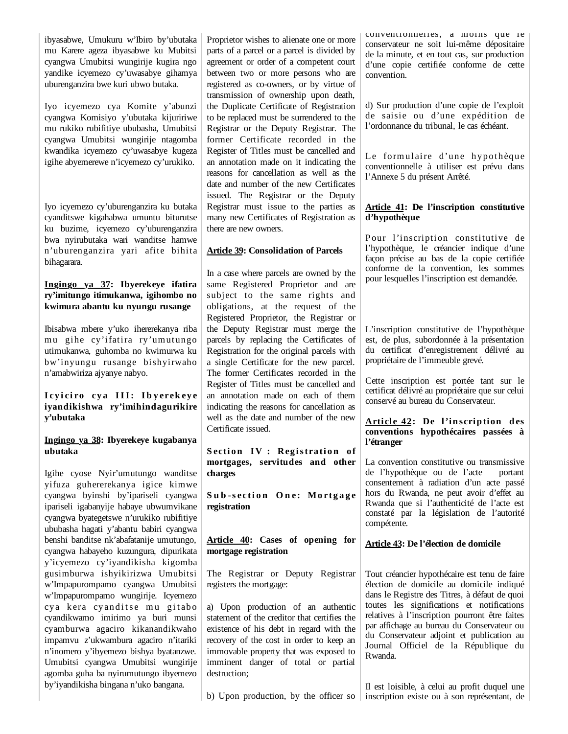ibyasabwe, Umukuru w'Ibiro by'ubutaka mu Karere ageza ibyasabwe ku Mubitsi cyangwa Umubitsi wungirije kugira ngo yandike icyemezo cy'uwasabye gihamya uburenganzira bwe kuri ubwo butaka.

Iyo icyemezo cya Komite y'abunzi cyangwa Komisiyo y'ubutaka kijuririwe mu rukiko rubifitiye ububasha, Umubitsi cyangwa Umubitsi wungirije ntagomba kwandika icyemezo cy'uwasabye kugeza igihe abyemerewe n'icyemezo cy'urukiko.

Iyo icyemezo cy'uburenganzira ku butaka cyanditswe kigahabwa umuntu biturutse ku buzime, icyemezo cy'uburenganzira bwa nyirubutaka wari wanditse hamwe n'uburenganzira yari afite bihita bihagarara.

# **Ingingo ya 37: Ibyerekeye ifatira ry'imitungo itimukanwa, igihombo no kwimura abantu ku nyungu rusange**

Ibisabwa mbere y'uko ihererekanya riba mu gihe cy'ifatira ry'umutungo utimukanwa, guhomba no kwimurwa ku bw'inyungu rusange bishyirwaho n'amabwiriza ajyanye nabyo.

# I cyiciro cya III: Ibyerekeye **iyandikishwa ry'imihindagurikire y'ubutaka**

### **Ingingo ya 38: Ibyerekeye kugabanya ubutaka**

Igihe cyose Nyir'umutungo wanditse yifuza guhererekanya igice kimwe cyangwa byinshi by'ipariseli cyangwa ipariseli igabanyije habaye ubwumvikane cyangwa byategetswe n'urukiko rubifitiye ububasha hagati y'abantu babiri cyangwa benshi banditse nk'abafatanije umutungo, cyangwa habayeho kuzungura, dipurikata y'icyemezo cy'iyandikisha kigomba gusimburwa ishyikirizwa Umubitsi w'Impapurompamo cyangwa Umubitsi w'Impapurompamo wungirije. Icyemezo cya kera cyanditse mu gitabo cyandikwamo imirimo ya buri munsi cyamburwa agaciro kikanandikwaho impamvu z'ukwambura agaciro n'itariki n'inomero y'ibyemezo bishya byatanzwe. Umubitsi cyangwa Umubitsi wungirije agomba guha ba nyirumutungo ibyemezo by'iyandikisha bingana n'uko bangana.

Proprietor wishes to alienate one or more parts of a parcel or a parcel is divided by agreement or order of a competent court between two or more persons who are registered as co-owners, or by virtue of transmission of ownership upon death, the Duplicate Certificate of Registration to be replaced must be surrendered to the Registrar or the Deputy Registrar. The former Certificate recorded in the Register of Titles must be cancelled and an annotation made on it indicating the reasons for cancellation as well as the date and number of the new Certificates issued. The Registrar or the Deputy Registrar must issue to the parties as many new Certificates of Registration as there are new owners.

## **Article 39: Consolidation of Parcels**

In a case where parcels are owned by the same Registered Proprietor and are subject to the same rights and obligations, at the request of the Registered Proprietor, the Registrar or the Deputy Registrar must merge the parcels by replacing the Certificates of Registration for the original parcels with a single Certificate for the new parcel. The former Certificates recorded in the Register of Titles must be cancelled and an annotation made on each of them indicating the reasons for cancellation as well as the date and number of the new Certificate issued.

**Section IV: Registration of mortgages, servitudes and other charges**

Sub-section One: Mortgage **registration**

**Article 40: Cases of opening for mortgage registration**

The Registrar or Deputy Registrar registers the mortgage:

a) Upon production of an authentic statement of the creditor that certifies the existence of his debt in regard with the recovery of the cost in order to keep an immovable property that was exposed to imminent danger of total or partial destruction;

conventionnelles, à moins que le conservateur ne soit lui-même dépositaire de la minute, et en tout cas, sur production d'une copie certifiée conforme de cette convention.

d) Sur production d'une copie de l'exploit de saisie ou d'une expédition de l'ordonnance du tribunal, le cas échéant.

Le formulaire d'une hypothèque conventionnelle à utiliser est prévu dans l'Annexe 5 du présent Arrêté.

### **Article 41: De l'inscription constitutive d'hypothèque**

Pour l'inscription constitutive de l'hypothèque, le créancier indique d'une façon précise au bas de la copie certifiée conforme de la convention, les sommes pour lesquelles l'inscription est demandée.

L'inscription constitutive de l'hypothèque est, de plus, subordonnée à la présentation du certificat d'enregistrement délivré au propriétaire de l'immeuble grevé.

Cette inscription est portée tant sur le certificat délivré au propriétaire que sur celui conservé au bureau du Conservateur.

#### Article 42: De l'inscription des **conventions hypothécaires passées à l'étranger**

La convention constitutive ou transmissive de l'hypothèque ou de l'acte portant consentement à radiation d'un acte passé hors du Rwanda, ne peut avoir d'effet au Rwanda que si l'authenticité de l'acte est constaté par la législation de l'autorité compétente.

### **Article 43: De l'élection de domicile**

Tout créancier hypothécaire est tenu de faire élection de domicile au domicile indiqué dans le Registre des Titres, à défaut de quoi toutes les significations et notifications relatives à l'inscription pourront être faites par affichage au bureau du Conservateur ou du Conservateur adjoint et publication au Journal Officiel de la République du Rwanda.

b) Upon production, by the officer so  $\vert$  inscription existe ou à son représentant, de Il est loisible, à celui au profit duquel une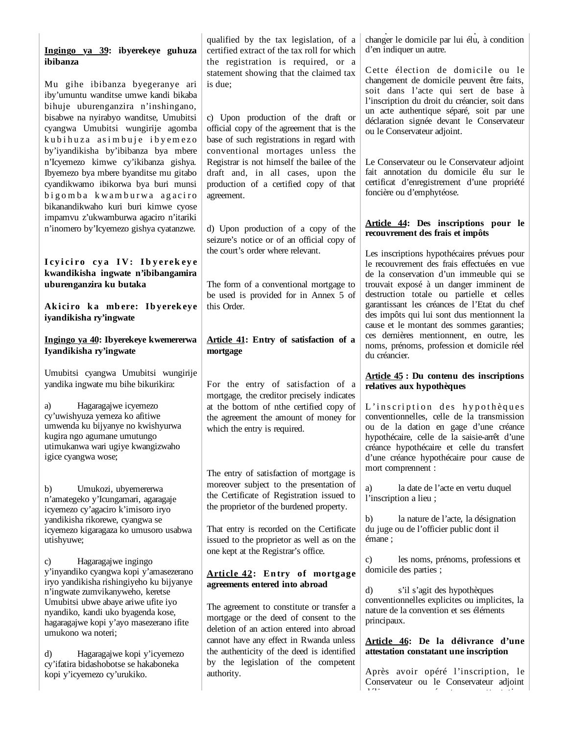| Ingingo ya 39: ibyerekeye guhuza<br>ibibanza<br>Mu gihe ibibanza byegeranye ari<br>iby'umuntu wanditse umwe kandi bikaba<br>bihuje uburenganzira n'inshingano,<br>bisabwe na nyirabyo wanditse, Umubitsi<br>cyangwa Umubitsi wungirije agomba<br>kubihuza asimbuje ibyemezo<br>by'iyandikisha by'ibibanza bya mbere<br>n'Icyemezo kimwe cy'ikibanza gishya.<br>Ibyemezo bya mbere byanditse mu gitabo<br>cyandikwamo ibikorwa bya buri munsi<br>bigomba kwamburwa agaciro<br>bikanandikwaho kuri buri kimwe cyose                                                                    | qualified by the tax legislation, of a<br>certified extract of the tax roll for which<br>the registration is required, or a<br>statement showing that the claimed tax<br>is due;<br>c) Upon production of the draft or<br>official copy of the agreement that is the<br>base of such registrations in regard with<br>conventional mortages unless the<br>Registrar is not himself the bailee of the<br>draft and, in all cases, upon the<br>production of a certified copy of that<br>agreement.                                                                                                                                                      | changer le domicile par lui élu, à condition<br>d'en indiquer un autre.<br>Cette élection de domicile ou le<br>changement de domicile peuvent être faits,<br>soit dans l'acte qui sert de base à<br>l'inscription du droit du créancier, soit dans<br>un acte authentique séparé, soit par une<br>déclaration signée devant le Conservateur<br>ou le Conservateur adjoint.<br>Le Conservateur ou le Conservateur adjoint<br>fait annotation du domicile élu sur le<br>certificat d'enregistrement d'une propriété<br>foncière ou d'emphytéose. |
|--------------------------------------------------------------------------------------------------------------------------------------------------------------------------------------------------------------------------------------------------------------------------------------------------------------------------------------------------------------------------------------------------------------------------------------------------------------------------------------------------------------------------------------------------------------------------------------|-------------------------------------------------------------------------------------------------------------------------------------------------------------------------------------------------------------------------------------------------------------------------------------------------------------------------------------------------------------------------------------------------------------------------------------------------------------------------------------------------------------------------------------------------------------------------------------------------------------------------------------------------------|------------------------------------------------------------------------------------------------------------------------------------------------------------------------------------------------------------------------------------------------------------------------------------------------------------------------------------------------------------------------------------------------------------------------------------------------------------------------------------------------------------------------------------------------|
| impamvu z'ukwamburwa agaciro n'itariki<br>n'inomero by'Icyemezo gishya cyatanzwe.<br>Icyiciro cya IV: Ibyerekeye<br>kwandikisha ingwate n'ibibangamira<br>uburenganzira ku butaka<br>Akiciro ka mbere: Ibyerekeye<br>iyandikisha ry'ingwate                                                                                                                                                                                                                                                                                                                                          | d) Upon production of a copy of the<br>seizure's notice or of an official copy of<br>the court's order where relevant.<br>The form of a conventional mortgage to<br>be used is provided for in Annex 5 of<br>this Order.                                                                                                                                                                                                                                                                                                                                                                                                                              | Article 44: Des inscriptions pour le<br>recouvrement des frais et impôts<br>Les inscriptions hypothécaires prévues pour<br>le recouvrement des frais effectuées en vue<br>de la conservation d'un immeuble qui se<br>trouvait exposé à un danger imminent de<br>destruction totale ou partielle et celles<br>garantissant les créances de l'Etat du chef<br>des impôts qui lui sont dus mentionnent la<br>cause et le montant des sommes garanties;                                                                                            |
| Ingingo ya 40: Ibyerekeye kwemererwa<br>Iyandikisha ry'ingwate                                                                                                                                                                                                                                                                                                                                                                                                                                                                                                                       | Article 41: Entry of satisfaction of a<br>mortgage                                                                                                                                                                                                                                                                                                                                                                                                                                                                                                                                                                                                    | ces dernières mentionnent, en outre, les<br>noms, prénoms, profession et domicile réel<br>du créancier.                                                                                                                                                                                                                                                                                                                                                                                                                                        |
| Umubitsi cyangwa Umubitsi wungirije<br>yandika ingwate mu bihe bikurikira:<br>Hagaragajwe icyemezo<br>a)<br>cy'uwishyuza yemeza ko afitiwe<br>umwenda ku bijyanye no kwishyurwa<br>kugira ngo agumane umutungo<br>utimukanwa wari ugiye kwangizwaho<br>igice cyangwa wose;                                                                                                                                                                                                                                                                                                           | For the entry of satisfaction of a<br>mortgage, the creditor precisely indicates<br>at the bottom of nthe certified copy of<br>the agreement the amount of money for<br>which the entry is required.                                                                                                                                                                                                                                                                                                                                                                                                                                                  | Article 45 : Du contenu des inscriptions<br>relatives aux hypothèques<br>L'inscription des hypothèques<br>conventionnelles, celle de la transmission<br>ou de la dation en gage d'une créance<br>hypothécaire, celle de la saisie-arrêt d'une<br>créance hypothécaire et celle du transfert<br>d'une créance hypothécaire pour cause de                                                                                                                                                                                                        |
| b)<br>Umukozi, ubyemererwa<br>n'amategeko y'Icungamari, agaragaje<br>icyemezo cy'agaciro k'imisoro iryo<br>yandikisha rikorewe, cyangwa se<br>icyemezo kigaragaza ko umusoro usabwa<br>utishyuwe;<br>Hagaragajwe ingingo<br>C)<br>y'inyandiko cyangwa kopi y'amasezerano<br>iryo yandikisha rishingiyeho ku bijyanye<br>n'ingwate zumvikanyweho, keretse<br>Umubitsi ubwe abaye ariwe ufite iyo<br>nyandiko, kandi uko byagenda kose,<br>hagaragajwe kopi y'ayo masezerano ifite<br>umukono wa noteri;<br>Hagaragajwe kopi y'icyemezo<br>d)<br>cy'ifatira bidashobotse se hakaboneka | The entry of satisfaction of mortgage is<br>moreover subject to the presentation of<br>the Certificate of Registration issued to<br>the proprietor of the burdened property.<br>That entry is recorded on the Certificate<br>issued to the proprietor as well as on the<br>one kept at the Registrar's office.<br>Article 42: Entry of mortgage<br>agreements entered into abroad<br>The agreement to constitute or transfer a<br>mortgage or the deed of consent to the<br>deletion of an action entered into abroad<br>cannot have any effect in Rwanda unless<br>the authenticity of the deed is identified<br>by the legislation of the competent | mort comprennent :<br>la date de l'acte en vertu duquel<br>a)<br>l'inscription a lieu;<br>la nature de l'acte, la désignation<br>b)<br>du juge ou de l'officier public dont il<br>émane;<br>les noms, prénoms, professions et<br>$\mathbf{c}$<br>domicile des parties;<br>d)<br>s'il s'agit des hypothèques<br>conventionnelles explicites ou implicites, la<br>nature de la convention et ses éléments<br>principaux.<br>Article 46: De la délivrance d'une<br>attestation constatant une inscription<br>Après avoir opéré l'inscription, le  |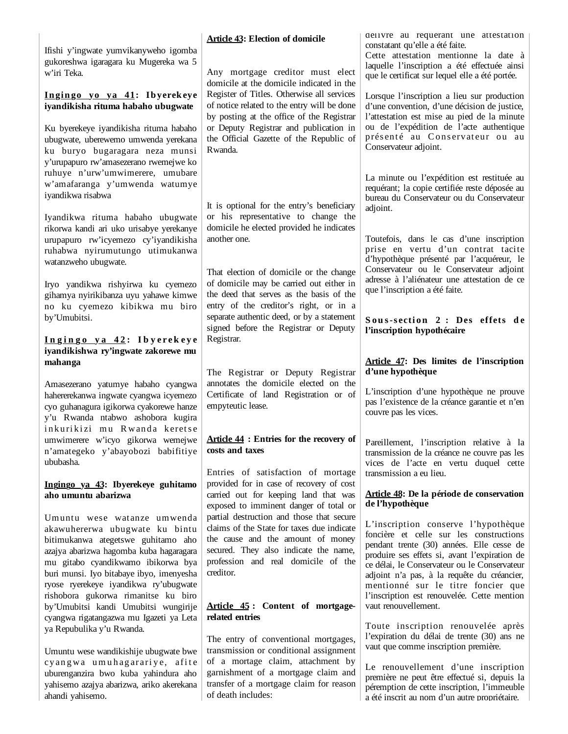Ifishi y'ingwate yumvikanyweho igomba gukoreshwa igaragara ku Mugereka wa 5 w'iri Teka.

#### **In gin go yo ya 41: Ib yerek eye iyandikisha rituma habaho ubugwate**

Ku byerekeye iyandikisha rituma habaho ubugwate, uberewemo umwenda yerekana ku buryo bugaragara neza munsi y'urupapuro rw'amasezerano rwemejwe ko ruhuye n'urw'umwimerere, umubare w'amafaranga y'umwenda watumye iyandikwa risabwa

Iyandikwa rituma habaho ubugwate rikorwa kandi ari uko urisabye yerekanye urupapuro rw'icyemezo cy'iyandikisha ruhabwa nyirumutungo utimukanwa watanzweho ubugwate.

Iryo yandikwa rishyirwa ku cyemezo gihamya nyirikibanza uyu yahawe kimwe no ku cyemezo kibikwa mu biro by'Umubitsi.

#### **I n g i n g o y a 4 2 : I b y e r e k e y e iyandikishwa ry'ingwate zakorewe mu mahanga**

Amasezerano yatumye habaho cyangwa hahererekanwa ingwate cyangwa icyemezo cyo guhanagura igikorwa cyakorewe hanze y'u Rwanda ntabwo ashobora kugira inkurikizi mu Rwanda keretse umwimerere w'icyo gikorwa wemejwe n'amategeko y'abayobozi babifitiye ububasha.

## **Ingingo ya 43: Ibyerekeye guhitamo aho umuntu abarizwa**

Umuntu wese watanze umwenda akawuhererwa ubugwate ku bintu bitimukanwa ategetswe guhitamo aho azajya abarizwa hagomba kuba hagaragara mu gitabo cyandikwamo ibikorwa bya buri munsi. Iyo bitabaye ibyo, imenyesha ryose ryerekeye iyandikwa ry'ubugwate rishobora gukorwa rimanitse ku biro by'Umubitsi kandi Umubitsi wungirije cyangwa rigatangazwa mu Igazeti ya Leta ya Repubulika y'u Rwanda.

Umuntu wese wandikishije ubugwate bwe cy angwa u mu hag arariye, afite uburenganzira bwo kuba yahindura aho yahisemo azajya abarizwa, ariko akerekana ahandi yahisemo.

### **Article 43: Election of domicile**

Any mortgage creditor must elect domicile at the domicile indicated in the Register of Titles. Otherwise all services of notice related to the entry will be done by posting at the office of the Registrar or Deputy Registrar and publication in the Official Gazette of the Republic of Rwanda.

It is optional for the entry's beneficiary or his representative to change the domicile he elected provided he indicates another one.

That election of domicile or the change of domicile may be carried out either in the deed that serves as the basis of the entry of the creditor's right, or in a separate authentic deed, or by a statement signed before the Registrar or Deputy Registrar.

The Registrar or Deputy Registrar annotates the domicile elected on the Certificate of land Registration or of empyteutic lease.

### **Article 44 : Entries for the recovery of costs and taxes**

Entries of satisfaction of mortage provided for in case of recovery of cost carried out for keeping land that was exposed to imminent danger of total or partial destruction and those that secure claims of the State for taxes due indicate the cause and the amount of money secured. They also indicate the name, profession and real domicile of the creditor.

## **Article 45 : Content of mortgagerelated entries**

The entry of conventional mortgages, transmission or conditional assignment of a mortage claim, attachment by garnishment of a mortgage claim and transfer of a mortgage claim for reason of death includes:

délivre au requérant une attestation constatant qu'elle a été faite.

Cette attestation mentionne la date à laquelle l'inscription a été effectuée ainsi que le certificat sur lequel elle a été portée.

Lorsque l'inscription a lieu sur production d'une convention, d'une décision de justice, l'attestation est mise au pied de la minute ou de l'expédition de l'acte authentique présenté au Conservateur ou au Conservateur adjoint.

La minute ou l'expédition est restituée au requérant; la copie certifiée reste déposée au bureau du Conservateur ou du Conservateur adioint.

Toutefois, dans le cas d'une inscription prise en vertu d'un contrat tacite d'hypothèque présenté par l'acquéreur, le Conservateur ou le Conservateur adjoint adresse à l'aliénateur une attestation de ce que l'inscription a été faite.

Sous-section 2 : Des effets de **l'inscription hypothécaire**

### **Article 47: Des limites de l'inscription d'une hypothèque**

L'inscription d'une hypothèque ne prouve pas l'existence de la créance garantie et n'en couvre pas les vices.

Pareillement, l'inscription relative à la transmission de la créance ne couvre pas les vices de l'acte en vertu duquel cette transmission a eu lieu.

### **Article 48: De la période de conservation de l'hypothèque**

L'inscription conserve l'hypothèque foncière et celle sur les constructions pendant trente (30) années. Elle cesse de produire ses effets si, avant l'expiration de ce délai, le Conservateur ou le Conservateur adjoint n'a pas, à la requête du créancier, mentionné sur le titre foncier que l'inscription est renouvelée. Cette mention vaut renouvellement.

Toute inscription renouvelée après l'expiration du délai de trente (30) ans ne vaut que comme inscription première.

Le renouvellement d'une inscription première ne peut être effectué si, depuis la péremption de cette inscription, l'immeuble a été inscrit au nom d'un autre propriétaire.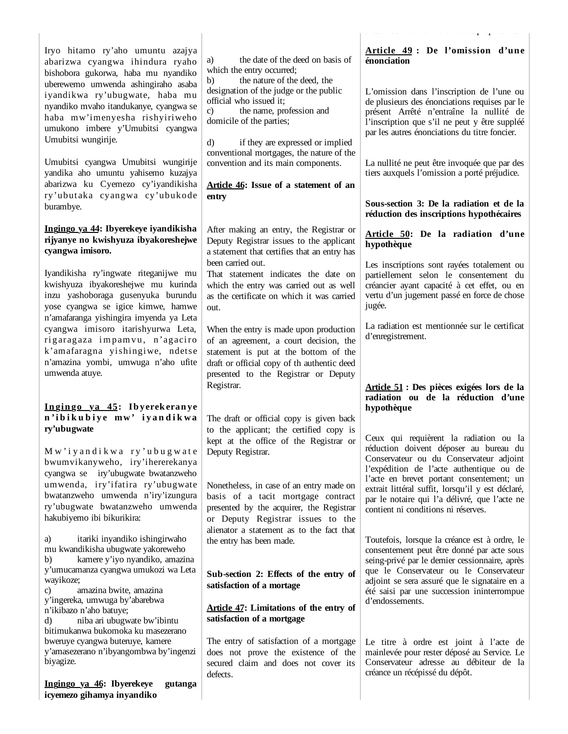|                                                                                                                                                                                                                                                                                                                             |                                                                                                                                                                                                                                                                                                                                                   | and the company of the com-<br>$\mathbf{r} \rightarrow \mathbf{r}$                                                                                                                                                                                                                         |
|-----------------------------------------------------------------------------------------------------------------------------------------------------------------------------------------------------------------------------------------------------------------------------------------------------------------------------|---------------------------------------------------------------------------------------------------------------------------------------------------------------------------------------------------------------------------------------------------------------------------------------------------------------------------------------------------|--------------------------------------------------------------------------------------------------------------------------------------------------------------------------------------------------------------------------------------------------------------------------------------------|
| Iryo hitamo ry'aho umuntu azajya<br>abarizwa cyangwa ihindura ryaho<br>bishobora gukorwa, haba mu nyandiko<br>uberewemo umwenda ashingiraho asaba<br>iyandikwa ry'ubugwate, haba mu<br>nyandiko mvaho itandukanye, cyangwa se<br>haba mw'imenyesha rishyiriweho<br>umukono imbere y'Umubitsi cyangwa<br>Umubitsi wungirije. | the date of the deed on basis of<br>a)<br>which the entry occurred;<br>the nature of the deed, the<br>b)<br>designation of the judge or the public<br>official who issued it;<br>the name, profession and<br>$\mathbf{c}$<br>domicile of the parties;<br>$\rm d$<br>if they are expressed or implied<br>conventional mortgages, the nature of the | Article 49 : De l'omission d'une<br>énonciation<br>L'omission dans l'inscription de l'une ou<br>de plusieurs des énonciations requises par le<br>présent Arrêté n'entraîne la nullité de<br>l'inscription que s'il ne peut y être suppléé<br>par les autres énonciations du titre foncier. |
| Umubitsi cyangwa Umubitsi wungirije<br>yandika aho umuntu yahisemo kuzajya<br>abarizwa ku Cyemezo cy'iyandikisha<br>ry'ubutaka cyangwa cy'ubukode<br>burambye.                                                                                                                                                              | convention and its main components.<br>Article 46: Issue of a statement of an<br>entry                                                                                                                                                                                                                                                            | La nullité ne peut être invoquée que par des<br>tiers auxquels l'omission a porté préjudice.<br>Sous-section 3: De la radiation et de la                                                                                                                                                   |
|                                                                                                                                                                                                                                                                                                                             |                                                                                                                                                                                                                                                                                                                                                   | réduction des inscriptions hypothécaires                                                                                                                                                                                                                                                   |
| Ingingo ya 44: Ibyerekeye iyandikisha<br>rijyanye no kwishyuza ibyakoreshejwe<br>cyangwa imisoro.                                                                                                                                                                                                                           | After making an entry, the Registrar or<br>Deputy Registrar issues to the applicant<br>a statement that certifies that an entry has                                                                                                                                                                                                               | Article 50: De la radiation d'une<br>hypothèque                                                                                                                                                                                                                                            |
| Iyandikisha ry'ingwate riteganijwe mu<br>kwishyuza ibyakoreshejwe mu kurinda<br>inzu yashoboraga gusenyuka burundu<br>yose cyangwa se igice kimwe, hamwe<br>n'amafaranga yishingira imyenda ya Leta                                                                                                                         | been carried out.<br>That statement indicates the date on<br>which the entry was carried out as well<br>as the certificate on which it was carried<br>out.                                                                                                                                                                                        | Les inscriptions sont rayées totalement ou<br>partiellement selon le consentement du<br>créancier ayant capacité à cet effet, ou en<br>vertu d'un jugement passé en force de chose<br>jugée.                                                                                               |
| cyangwa imisoro itarishyurwa Leta,<br>rigaragaza impamvu, n'agaciro<br>k'amafaragna yishingiwe, ndetse<br>n'amazina yombi, umwuga n'aho ufite<br>umwenda atuye.                                                                                                                                                             | When the entry is made upon production<br>of an agreement, a court decision, the<br>statement is put at the bottom of the<br>draft or official copy of th authentic deed<br>presented to the Registrar or Deputy<br>Registrar.                                                                                                                    | La radiation est mentionnée sur le certificat<br>d'enregistrement.<br>Article 51 : Des pièces exigées lors de la                                                                                                                                                                           |
| Ingingo ya 45: Ibyerekeranye                                                                                                                                                                                                                                                                                                |                                                                                                                                                                                                                                                                                                                                                   | radiation ou de la réduction d'une<br>hypothèque                                                                                                                                                                                                                                           |
| n'ibikubiye mw' iyandikwa                                                                                                                                                                                                                                                                                                   | The draft or official copy is given back                                                                                                                                                                                                                                                                                                          |                                                                                                                                                                                                                                                                                            |
| ry'ubugwate<br>Mw'iyandikwa ry'ubugwate<br>bwumvikanyweho, iry'ihererekanya<br>iry'ubugwate bwatanzweho<br>cyangwa se                                                                                                                                                                                                       | to the applicant; the certified copy is<br>kept at the office of the Registrar or<br>Deputy Registrar.                                                                                                                                                                                                                                            | Ceux qui requièrent la radiation ou la<br>réduction doivent déposer au bureau du<br>Conservateur ou du Conservateur adjoint<br>l'expédition de l'acte authentique ou de                                                                                                                    |
| umwenda, iry'ifatira ry'ubugwate<br>bwatanzweho umwenda n'iry'izungura<br>ry'ubugwate bwatanzweho umwenda<br>hakubiyemo ibi bikurikira:                                                                                                                                                                                     | Nonetheless, in case of an entry made on<br>basis of a tacit mortgage contract<br>presented by the acquirer, the Registrar<br>or Deputy Registrar issues to the<br>alienator a statement as to the fact that                                                                                                                                      | l'acte en brevet portant consentement; un<br>extrait littéral suffit, lorsqu'il y est déclaré,<br>par le notaire qui l'a délivré, que l'acte ne<br>contient ni conditions ni réserves.                                                                                                     |
| itariki inyandiko ishingirwaho<br>a)<br>mu kwandikisha ubugwate yakoreweho<br>kamere y'iyo nyandiko, amazina<br>b)                                                                                                                                                                                                          | the entry has been made.                                                                                                                                                                                                                                                                                                                          | Toutefois, lorsque la créance est à ordre, le<br>consentement peut être donné par acte sous<br>seing-privé par le dernier cessionnaire, après                                                                                                                                              |
| y'umucamanza cyangwa umukozi wa Leta<br>wayikoze;<br>amazina bwite, amazina<br>C)<br>y'ingereka, umwuga by'abarebwa                                                                                                                                                                                                         | Sub-section 2: Effects of the entry of<br>satisfaction of a mortage                                                                                                                                                                                                                                                                               | que le Conservateur ou le Conservateur<br>adjoint se sera assuré que le signataire en a<br>été saisi par une succession ininterrompue<br>d'endossements.                                                                                                                                   |
| n'ikibazo n'aho batuye;<br>niba ari ubugwate bw'ibintu<br>d)<br>bitimukanwa bukomoka ku masezerano                                                                                                                                                                                                                          | <b>Article 47:</b> Limitations of the entry of<br>satisfaction of a mortgage                                                                                                                                                                                                                                                                      |                                                                                                                                                                                                                                                                                            |
| bweruye cyangwa buteruye, kamere<br>y'amasezerano n'ibyangombwa by'ingenzi<br>biyagize.                                                                                                                                                                                                                                     | The entry of satisfaction of a mortgage<br>does not prove the existence of the<br>secured claim and does not cover its<br>defects.                                                                                                                                                                                                                | Le titre à ordre est joint à l'acte de<br>mainlevée pour rester déposé au Service. Le<br>Conservateur adresse au débiteur de la<br>créance un récépissé du dépôt.                                                                                                                          |
| Ingingo ya 46: Ibyerekeye<br>gutanga<br>icyemezo gihamya inyandiko                                                                                                                                                                                                                                                          |                                                                                                                                                                                                                                                                                                                                                   |                                                                                                                                                                                                                                                                                            |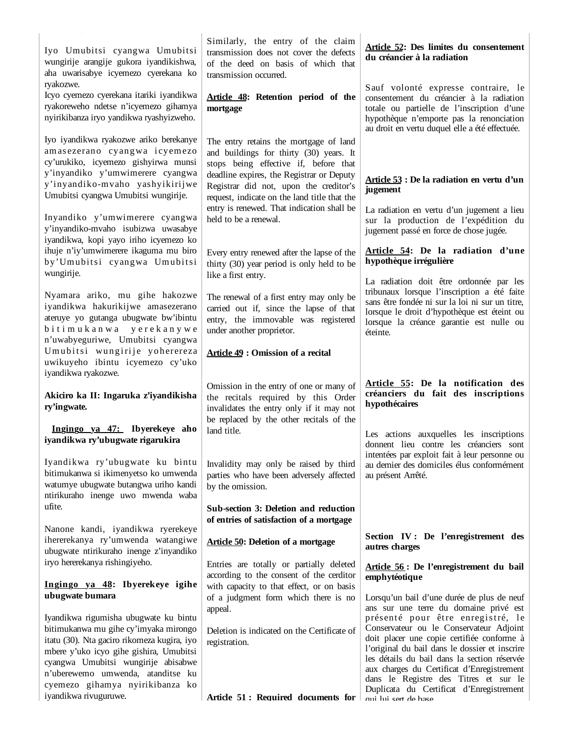| Iyo Umubitsi cyangwa Umubitsi<br>wungirije arangije gukora iyandikishwa,<br>aha uwarisabye icyemezo cyerekana ko                                                                                                                                                                        | Similarly, the entry of the claim<br>transmission does not cover the defects<br>of the deed on basis of which that<br>transmission occurred.                                                                                                                      | Article 52: Des limites du consentement<br>du créancier à la radiation                                                                                                                                                                                                                                              |
|-----------------------------------------------------------------------------------------------------------------------------------------------------------------------------------------------------------------------------------------------------------------------------------------|-------------------------------------------------------------------------------------------------------------------------------------------------------------------------------------------------------------------------------------------------------------------|---------------------------------------------------------------------------------------------------------------------------------------------------------------------------------------------------------------------------------------------------------------------------------------------------------------------|
| ryakozwe.<br>Icyo cyemezo cyerekana itariki iyandikwa<br>ryakoreweho ndetse n'icyemezo gihamya<br>nyirikibanza iryo yandikwa ryashyizweho.                                                                                                                                              | Article 48: Retention period of the<br>mortgage                                                                                                                                                                                                                   | Sauf volonté expresse contraire, le<br>consentement du créancier à la radiation<br>totale ou partielle de l'inscription d'une<br>hypothèque n'emporte pas la renonciation<br>au droit en vertu duquel elle a été effectuée.                                                                                         |
| Iyo iyandikwa ryakozwe ariko berekanye<br>amasezerano cyangwa icyemezo<br>cy'urukiko, icyemezo gishyirwa munsi<br>y'inyandiko y'umwimerere cyangwa<br>y'inyandiko-mvaho yashyikirijwe<br>Umubitsi cyangwa Umubitsi wungirije.                                                           | The entry retains the mortgage of land<br>and buildings for thirty (30) years. It<br>stops being effective if, before that<br>deadline expires, the Registrar or Deputy<br>Registrar did not, upon the creditor's<br>request, indicate on the land title that the | Article 53 : De la radiation en vertu d'un<br>jugement                                                                                                                                                                                                                                                              |
| Inyandiko y'umwimerere cyangwa<br>y'inyandiko-mvaho isubizwa uwasabye<br>iyandikwa, kopi yayo iriho icyemezo ko                                                                                                                                                                         | entry is renewed. That indication shall be<br>held to be a renewal.                                                                                                                                                                                               | La radiation en vertu d'un jugement a lieu<br>sur la production de l'expédition du<br>jugement passé en force de chose jugée.                                                                                                                                                                                       |
| ihuje n'iy'umwimerere ikaguma mu biro<br>by'Umubitsi cyangwa Umubitsi<br>wungirije.                                                                                                                                                                                                     | Every entry renewed after the lapse of the<br>thirty (30) year period is only held to be<br>like a first entry.                                                                                                                                                   | Article 54: De la radiation d'une<br>hypothèque irrégulière<br>La radiation doit être ordonnée par les                                                                                                                                                                                                              |
| Nyamara ariko, mu gihe hakozwe<br>iyandikwa hakurikijwe amasezerano<br>ateruye yo gutanga ubugwate bw'ibintu<br>bitimukanwa yerekanywe<br>n'uwabyeguriwe, Umubitsi cyangwa                                                                                                              | The renewal of a first entry may only be<br>carried out if, since the lapse of that<br>entry, the immovable was registered<br>under another proprietor.                                                                                                           | tribunaux lorsque l'inscription a été faite<br>sans être fondée ni sur la loi ni sur un titre,<br>lorsque le droit d'hypothèque est éteint ou<br>lorsque la créance garantie est nulle ou<br>éteinte.                                                                                                               |
| Umubitsi wungirije yoherereza<br>uwikuyeho ibintu icyemezo cy'uko<br>iyandikwa ryakozwe.                                                                                                                                                                                                | <b>Article 49 : Omission of a recital</b>                                                                                                                                                                                                                         |                                                                                                                                                                                                                                                                                                                     |
| Akiciro ka II: Ingaruka z'iyandikisha<br>ry'ingwate.                                                                                                                                                                                                                                    | Omission in the entry of one or many of<br>the recitals required by this Order<br>invalidates the entry only if it may not<br>be replaced by the other recitals of the                                                                                            | Article 55: De la notification des<br>créanciers du fait des inscriptions<br>hypothécaires                                                                                                                                                                                                                          |
| Ingingo ya 47: Ibyerekeye aho<br>iyandikwa ry'ubugwate rigarukira                                                                                                                                                                                                                       | land title.                                                                                                                                                                                                                                                       | Les actions auxquelles les inscriptions<br>donnent lieu contre les créanciers sont<br>intentées par exploit fait à leur personne ou                                                                                                                                                                                 |
| Iyandikwa ry'ubugwate ku bintu<br>bitimukanwa si ikimenyetso ko umwenda<br>watumye ubugwate butangwa uriho kandi<br>ntirikuraho inenge uwo mwenda waba                                                                                                                                  | Invalidity may only be raised by third<br>parties who have been adversely affected<br>by the omission.                                                                                                                                                            | au dernier des domiciles élus conformément<br>au présent Arrêté.                                                                                                                                                                                                                                                    |
| ufite.                                                                                                                                                                                                                                                                                  | Sub-section 3: Deletion and reduction<br>of entries of satisfaction of a mortgage                                                                                                                                                                                 |                                                                                                                                                                                                                                                                                                                     |
| Nanone kandi, iyandikwa ryerekeye<br>ihererekanya ry'umwenda watangiwe<br>ubugwate ntirikuraho inenge z'inyandiko<br>iryo hererekanya rishingiyeho.                                                                                                                                     | <b>Article 50: Deletion of a mortgage</b>                                                                                                                                                                                                                         | Section IV: De l'enregistrement des<br>autres charges                                                                                                                                                                                                                                                               |
| Ingingo ya 48: Ibyerekeye igihe                                                                                                                                                                                                                                                         | Entries are totally or partially deleted<br>according to the consent of the cerditor<br>with capacity to that effect, or on basis                                                                                                                                 | Article 56: De l'enregistrement du bail<br>emphytéotique                                                                                                                                                                                                                                                            |
| ubugwate bumara                                                                                                                                                                                                                                                                         | of a judgment form which there is no<br>appeal.                                                                                                                                                                                                                   | Lorsqu'un bail d'une durée de plus de neuf<br>ans sur une terre du domaine privé est                                                                                                                                                                                                                                |
| Iyandikwa rigumisha ubugwate ku bintu<br>bitimukanwa mu gihe cy'imyaka mirongo<br>itatu (30). Nta gaciro rikomeza kugira, iyo<br>mbere y'uko icyo gihe gishira, Umubitsi<br>cyangwa Umubitsi wungirije abisabwe<br>n'uberewemo umwenda, atanditse ku<br>cyemezo gihamya nyirikibanza ko | Deletion is indicated on the Certificate of<br>registration.                                                                                                                                                                                                      | présenté pour être enregistré, le<br>Conservateur ou le Conservateur Adjoint<br>doit placer une copie certifiée conforme à<br>l'original du bail dans le dossier et inscrire<br>les détails du bail dans la section réservée<br>aux charges du Certificat d'Enregistrement<br>dans le Registre des Titres et sur le |
| iyandikwa rivuguruwe.                                                                                                                                                                                                                                                                   | Article 51: Required documents for                                                                                                                                                                                                                                | Duplicata du Certificat d'Enregistrement<br>qui lui sert de base                                                                                                                                                                                                                                                    |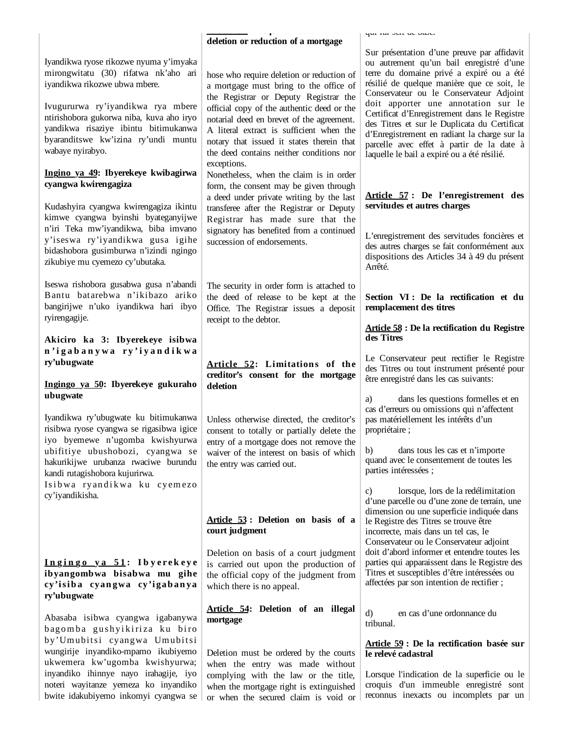|                                                                                                                                                                                                                                                                                                     | deletion or reduction of a mortgage                                                                                                                                                                                                                                                                                                                                         | yar rur over up ouov.                                                                                                                                                                                                                                                                                                                                                                                                                                                                                           |
|-----------------------------------------------------------------------------------------------------------------------------------------------------------------------------------------------------------------------------------------------------------------------------------------------------|-----------------------------------------------------------------------------------------------------------------------------------------------------------------------------------------------------------------------------------------------------------------------------------------------------------------------------------------------------------------------------|-----------------------------------------------------------------------------------------------------------------------------------------------------------------------------------------------------------------------------------------------------------------------------------------------------------------------------------------------------------------------------------------------------------------------------------------------------------------------------------------------------------------|
| Iyandikwa ryose rikozwe nyuma y'imyaka<br>mirongwitatu (30) rifatwa nk'aho ari<br>iyandikwa rikozwe ubwa mbere.<br>Ivugururwa ry'iyandikwa rya mbere<br>ntirishobora gukorwa niba, kuva aho iryo<br>yandikwa risaziye ibintu bitimukanwa<br>byaranditswe kw'izina ry'undi muntu<br>wabaye nyirabyo. | hose who require deletion or reduction of<br>a mortgage must bring to the office of<br>the Registrar or Deputy Registrar the<br>official copy of the authentic deed or the<br>notarial deed en brevet of the agreement.<br>A literal extract is sufficient when the<br>notary that issued it states therein that<br>the deed contains neither conditions nor<br>exceptions. | Sur présentation d'une preuve par affidavit<br>ou autrement qu'un bail enregistré d'une<br>terre du domaine privé a expiré ou a été<br>résilié de quelque manière que ce soit, le<br>Conservateur ou le Conservateur Adjoint<br>doit apporter une annotation sur le<br>Certificat d'Enregistrement dans le Registre<br>des Titres et sur le Duplicata du Certificat<br>d'Enregistrement en radiant la charge sur la<br>parcelle avec effet à partir de la date à<br>laquelle le bail a expiré ou a été résilié. |
| Ingino ya 49: Ibyerekeye kwibagirwa<br>cyangwa kwirengagiza<br>Kudashyira cyangwa kwirengagiza ikintu<br>kimwe cyangwa byinshi byateganyijwe                                                                                                                                                        | Nonetheless, when the claim is in order<br>form, the consent may be given through<br>a deed under private writing by the last<br>transferee after the Registrar or Deputy<br>Registrar has made sure that the                                                                                                                                                               | Article 57: De l'enregistrement des<br>servitudes et autres charges                                                                                                                                                                                                                                                                                                                                                                                                                                             |
| n'iri Teka mw'iyandikwa, biba imvano<br>y'iseswa ry'iyandikwa gusa igihe<br>bidashobora gusimburwa n'izindi ngingo<br>zikubiye mu cyemezo cy'ubutaka.                                                                                                                                               | signatory has benefited from a continued<br>succession of endorsements.                                                                                                                                                                                                                                                                                                     | L'enregistrement des servitudes foncières et<br>des autres charges se fait conformément aux<br>dispositions des Articles 34 à 49 du présent<br>Arrêté.                                                                                                                                                                                                                                                                                                                                                          |
| Iseswa rishobora gusabwa gusa n'abandi<br>Bantu batarebwa n'ikibazo ariko<br>bangirijwe n'uko iyandikwa hari ibyo<br>ryirengagije.                                                                                                                                                                  | The security in order form is attached to<br>the deed of release to be kept at the<br>Office. The Registrar issues a deposit<br>receipt to the debtor.                                                                                                                                                                                                                      | Section VI : De la rectification et du<br>remplacement des titres                                                                                                                                                                                                                                                                                                                                                                                                                                               |
| Akiciro ka 3: Ibyerekeye isibwa                                                                                                                                                                                                                                                                     |                                                                                                                                                                                                                                                                                                                                                                             | <b>Article 58 : De la rectification du Registre</b><br>des Titres                                                                                                                                                                                                                                                                                                                                                                                                                                               |
| n'igabanywa ry'iyandikwa<br>ry'ubugwate<br>Ingingo ya 50: Ibyerekeye gukuraho                                                                                                                                                                                                                       | Article 52: Limitations of the<br>creditor's consent for the mortgage<br>deletion                                                                                                                                                                                                                                                                                           | Le Conservateur peut rectifier le Registre<br>des Titres ou tout instrument présenté pour<br>être enregistré dans les cas suivants:                                                                                                                                                                                                                                                                                                                                                                             |
| ubugwate<br>Iyandikwa ry'ubugwate ku bitimukanwa<br>risibwa ryose cyangwa se rigasibwa igice                                                                                                                                                                                                        | Unless otherwise directed, the creditor's<br>consent to totally or partially delete the                                                                                                                                                                                                                                                                                     | dans les questions formelles et en<br>a)<br>cas d'erreurs ou omissions qui n'affectent<br>pas matériellement les intérêts d'un<br>propriétaire;                                                                                                                                                                                                                                                                                                                                                                 |
| iyo byemewe n'ugomba kwishyurwa<br>ubifitiye ubushobozi, cyangwa se<br>hakurikijwe urubanza rwaciwe burundu<br>kandi rutagishobora kujurirwa.                                                                                                                                                       | entry of a mortgage does not remove the<br>waiver of the interest on basis of which<br>the entry was carried out.                                                                                                                                                                                                                                                           | dans tous les cas et n'importe<br>b)<br>quand avec le consentement de toutes les<br>parties intéressées ;                                                                                                                                                                                                                                                                                                                                                                                                       |
| Isibwa ryandikwa ku cyemezo<br>cy'iyandikisha.                                                                                                                                                                                                                                                      | Article 53: Deletion on basis of a<br>court judgment                                                                                                                                                                                                                                                                                                                        | lorsque, lors de la redélimitation<br>C)<br>d'une parcelle ou d'une zone de terrain, une<br>dimension ou une superficie indiquée dans<br>le Registre des Titres se trouve être<br>incorrecte, mais dans un tel cas, le                                                                                                                                                                                                                                                                                          |
| Ingingo ya 51: Ibyerekeye<br>ibyangombwa bisabwa mu gihe<br>cy'isiba cyangwa cy'igabanya<br>ry'ubugwate                                                                                                                                                                                             | Deletion on basis of a court judgment<br>is carried out upon the production of<br>the official copy of the judgment from<br>which there is no appeal.                                                                                                                                                                                                                       | Conservateur ou le Conservateur adjoint<br>doit d'abord informer et entendre toutes les<br>parties qui apparaissent dans le Registre des<br>Titres et susceptibles d'être intéressées ou<br>affectées par son intention de rectifier;                                                                                                                                                                                                                                                                           |
| Abasaba isibwa cyangwa igabanywa<br>bagomba gushyikiriza ku biro                                                                                                                                                                                                                                    | Article 54: Deletion of an illegal<br>mortgage                                                                                                                                                                                                                                                                                                                              | en cas d'une ordonnance du<br>d)<br>tribunal.                                                                                                                                                                                                                                                                                                                                                                                                                                                                   |
| by'Umubitsi cyangwa Umubitsi<br>wungirije inyandiko-mpamo ikubiyemo<br>ukwemera kw'ugomba kwishyurwa;                                                                                                                                                                                               | Deletion must be ordered by the courts<br>when the entry was made without                                                                                                                                                                                                                                                                                                   | Article 59 : De la rectification basée sur<br>le relevé cadastral                                                                                                                                                                                                                                                                                                                                                                                                                                               |
| inyandiko ihinnye nayo irahagije, iyo<br>noteri wayitanze yemeza ko inyandiko<br>bwite idakubiyemo inkomyi cyangwa se                                                                                                                                                                               | complying with the law or the title,<br>when the mortgage right is extinguished<br>or when the secured claim is void or                                                                                                                                                                                                                                                     | Lorsque l'indication de la superficie ou le<br>croquis d'un immeuble enregistré sont<br>reconnus inexacts ou incomplets par un                                                                                                                                                                                                                                                                                                                                                                                  |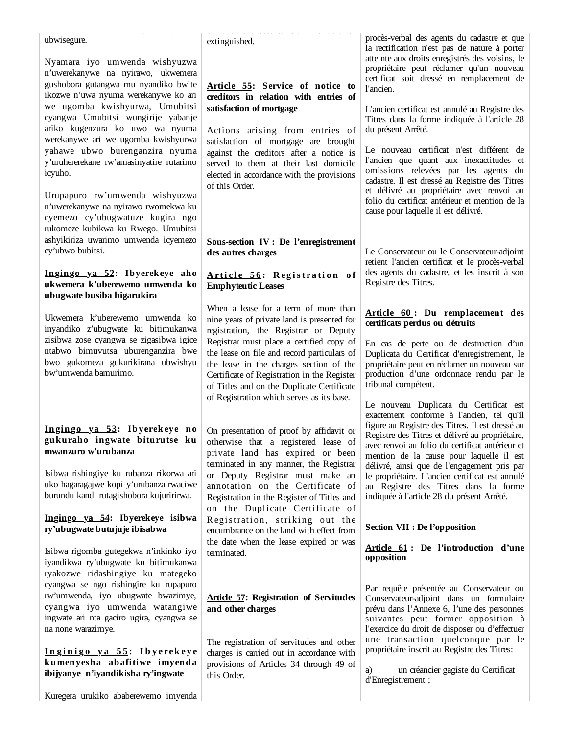| ubwisegure.<br>Nyamara iyo umwenda wishyuzwa<br>n'uwerekanywe na nyirawo, ukwemera                                                                                             | extinguished.                                                                                                                                                                                                                   | procès-verbal des agents du cadastre et que<br>la rectification n'est pas de nature à porter<br>atteinte aux droits enregistrés des voisins, le<br>propriétaire peut réclamer qu'un nouveau<br>certificat soit dressé en remplacement de         |
|--------------------------------------------------------------------------------------------------------------------------------------------------------------------------------|---------------------------------------------------------------------------------------------------------------------------------------------------------------------------------------------------------------------------------|--------------------------------------------------------------------------------------------------------------------------------------------------------------------------------------------------------------------------------------------------|
| gushobora gutangwa mu nyandiko bwite<br>ikozwe n'uwa nyuma werekanywe ko ari<br>we ugomba kwishyurwa, Umubitsi<br>cyangwa Umubitsi wungirije yabanje                           | Article 55: Service of notice to<br>creditors in relation with entries of<br>satisfaction of mortgage                                                                                                                           | l'ancien.<br>L'ancien certificat est annulé au Registre des<br>Titres dans la forme indiquée à l'article 28                                                                                                                                      |
| ariko kugenzura ko uwo wa nyuma<br>werekanywe ari we ugomba kwishyurwa<br>yahawe ubwo burenganzira nyuma<br>y'uruhererekane rw'amasinyatire rutarimo<br>icyuho.                | Actions arising from entries of<br>satisfaction of mortgage are brought<br>against the creditors after a notice is<br>served to them at their last domicile<br>elected in accordance with the provisions<br>of this Order.      | du présent Arrêté.<br>Le nouveau certificat n'est différent de<br>l'ancien que quant aux inexactitudes et<br>omissions relevées par les agents du<br>cadastre. Il est dressé au Registre des Titres                                              |
| Urupapuro rw'umwenda wishyuzwa<br>n'uwerekanywe na nyirawo rwomekwa ku<br>cyemezo cy'ubugwatuze kugira ngo<br>rukomeze kubikwa ku Rwego. Umubitsi                              |                                                                                                                                                                                                                                 | et délivré au propriétaire avec renvoi au<br>folio du certificat antérieur et mention de la<br>cause pour laquelle il est délivré.                                                                                                               |
| ashyikiriza uwarimo umwenda icyemezo<br>cy'ubwo bubitsi.                                                                                                                       | Sous-section IV : De l'enregistrement<br>des autres charges                                                                                                                                                                     | Le Conservateur ou le Conservateur-adjoint                                                                                                                                                                                                       |
| Ingingo ya 52: Ibyerekeye aho<br>ukwemera k'uberewemo umwenda ko<br>ubugwate busiba bigarukira                                                                                 | Article 56: Registration of<br><b>Emphyteutic Leases</b>                                                                                                                                                                        | retient l'ancien certificat et le procès-verbal<br>des agents du cadastre, et les inscrit à son<br>Registre des Titres.                                                                                                                          |
| Ukwemera k'uberewemo umwenda ko<br>inyandiko z'ubugwate ku bitimukanwa                                                                                                         | When a lease for a term of more than<br>nine years of private land is presented for<br>registration, the Registrar or Deputy                                                                                                    | Article 60: Du remplacement des<br>certificats perdus ou détruits                                                                                                                                                                                |
| zisibwa zose cyangwa se zigasibwa igice<br>ntabwo bimuvutsa uburenganzira bwe<br>bwo gukomeza gukurikirana ubwishyu<br>bw'umwenda bamurimo.                                    | Registrar must place a certified copy of<br>the lease on file and record particulars of<br>the lease in the charges section of the<br>Certificate of Registration in the Register<br>of Titles and on the Duplicate Certificate | En cas de perte ou de destruction d'un<br>Duplicata du Certificat d'enregistrement, le<br>propriétaire peut en réclamer un nouveau sur<br>production d'une ordonnace rendu par le<br>tribunal compétent.                                         |
|                                                                                                                                                                                | of Registration which serves as its base.                                                                                                                                                                                       | Le nouveau Duplicata du Certificat est<br>exactement conforme à l'ancien, tel qu'il                                                                                                                                                              |
| Ingingo ya 53: Ibyerekeye no<br>gukuraho ingwate biturutse ku<br>mwanzuro w'urubanza                                                                                           | On presentation of proof by affidavit or<br>otherwise that a registered lease of<br>private land has expired or been<br>terminated in any manner, the Registrar                                                                 | figure au Registre des Titres. Il est dressé au<br>Registre des Titres et délivré au propriétaire,<br>avec renvoi au folio du certificat antérieur et<br>mention de la cause pour laquelle il est<br>délivré, ainsi que de l'engagement pris par |
| Isibwa rishingiye ku rubanza rikorwa ari<br>uko hagaragajwe kopi y'urubanza rwaciwe<br>burundu kandi rutagishobora kujuririrwa.                                                | or Deputy Registrar must make an<br>annotation on the Certificate of<br>Registration in the Register of Titles and<br>on the Duplicate Certificate of                                                                           | le propriétaire. L'ancien certificat est annulé<br>au Registre des Titres dans la forme<br>indiquée à l'article 28 du présent Arrêté.                                                                                                            |
| Ingingo ya 54: Ibyerekeye isibwa<br>ry'ubugwate butujuje ibisabwa                                                                                                              | Registration, striking out the<br>encumbrance on the land with effect from                                                                                                                                                      | Section VII : De l'opposition                                                                                                                                                                                                                    |
| Isibwa rigomba gutegekwa n'inkinko iyo<br>iyandikwa ry'ubugwate ku bitimukanwa<br>ryakozwe ridashingiye ku mategeko                                                            | the date when the lease expired or was<br>terminated.                                                                                                                                                                           | Article 61: De l'introduction d'une<br>opposition                                                                                                                                                                                                |
| cyangwa se ngo rishingire ku rupapuro<br>rw'umwenda, iyo ubugwate bwazimye,<br>cyangwa iyo umwenda watangiwe<br>ingwate ari nta gaciro ugira, cyangwa se<br>na none warazimye. | <b>Article 57: Registration of Servitudes</b><br>and other charges                                                                                                                                                              | Par requête présentée au Conservateur ou<br>Conservateur-adjoint dans un formulaire<br>prévu dans l'Annexe 6, l'une des personnes<br>suivantes peut former opposition à<br>l'exercice du droit de disposer ou d'effectuer                        |
| Inginigo ya 55: Ibyerekeye<br>kumenyesha abafitiwe imyenda<br>ibijyanye n'iyandikisha ry'ingwate                                                                               | The registration of servitudes and other<br>charges is carried out in accordance with<br>provisions of Articles 34 through 49 of<br>this Order.                                                                                 | une transaction quelconque par le<br>propriétaire inscrit au Registre des Titres:<br>un créancier gagiste du Certificat<br>a)<br>d'Enregistrement;                                                                                               |
| Kuregera urukiko ababerewemo imyenda                                                                                                                                           |                                                                                                                                                                                                                                 |                                                                                                                                                                                                                                                  |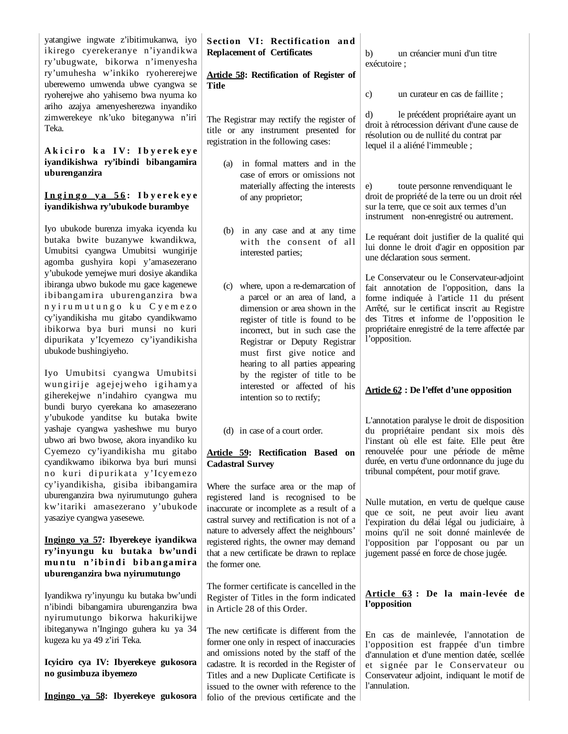yatangiwe ingwate z'ibitimukanwa, iyo Section VI: Rectification and ikirego cyerekeranye n'iyandikwa ry'ubugwate, bikorwa n'imenyesha ry'umuhesha w'inkiko ryohererejwe uberewemo umwenda ubwe cyangwa se ryoherejwe aho yahisemo bwa nyuma ko ariho azajya amenyesherezwa inyandiko zimwerekeye nk'uko biteganywa n'iri Teka.

# Akiciro ka IV: Ibyerekeye **iyandikishwa ry'ibindi bibangamira uburenganzira**

#### **I n g i n g o y a 5 6 : I b y e r e k e y e iyandikishwa ry'ubukode burambye**

Iyo ubukode burenza imyaka icyenda ku butaka bwite buzanywe kwandikwa, Umubitsi cyangwa Umubitsi wungirije agomba gushyira kopi y'amasezerano y'ubukode yemejwe muri dosiye akandika ibiranga ubwo bukode mu gace kagenewe ibibangamira uburenganzira bwa n y i r u m u t u n g o k u C y e m e z o cy'iyandikisha mu gitabo cyandikwamo ibikorwa bya buri munsi no kuri dipurikata y'Icyemezo cy'iyandikisha ubukode bushingiyeho.

Iyo Umubitsi cyangwa Umubitsi wungirije agejejweho igihamya giherekejwe n'indahiro cyangwa mu bundi buryo cyerekana ko amasezerano y'ubukode yanditse ku butaka bwite yashaje cyangwa yasheshwe mu buryo ubwo ari bwo bwose, akora inyandiko ku Cyemezo cy'iyandikisha mu gitabo cyandikwamo ibikorwa bya buri munsi no kuri dipurikata y'Icyemezo cy'iyandikisha, gisiba ibibangamira uburenganzira bwa nyirumutungo guhera kw'itariki amasezerano y'ubukode yasaziye cyangwa yasesewe.

## **Ingingo ya 57: Ibyerekeye iyandikwa ry'inyungu ku butaka bw'undi mu n tu n 'i b i n d i b i b a n g a mi ra uburenganzira bwa nyirumutungo**

Iyandikwa ry'inyungu ku butaka bw'undi n'ibindi bibangamira uburenganzira bwa nyirumutungo bikorwa hakurikijwe ibiteganywa n'Ingingo guhera ku ya 34 kugeza ku ya 49 z'iri Teka.

# **Icyiciro cya IV: Ibyerekeye gukosora no gusimbuza ibyemezo**

**Ingingo ya 58: Ibyerekeye gukosora** 

| а<br>а<br>e                                      | nccumation<br><b>Replacement of Certificates</b><br><b>Article 58: Rectification of Register of</b>                                                                                                                                                                                                                                | un créancier muni d'un titre<br>b)<br>exécutoire ;                                                                                                                                                                                                                                                   |
|--------------------------------------------------|------------------------------------------------------------------------------------------------------------------------------------------------------------------------------------------------------------------------------------------------------------------------------------------------------------------------------------|------------------------------------------------------------------------------------------------------------------------------------------------------------------------------------------------------------------------------------------------------------------------------------------------------|
| e<br>C                                           | <b>Title</b>                                                                                                                                                                                                                                                                                                                       | c)<br>un curateur en cas de faillite;                                                                                                                                                                                                                                                                |
| $\mathbf{C}$<br>i<br>e                           | The Registrar may rectify the register of<br>title or any instrument presented for<br>registration in the following cases:                                                                                                                                                                                                         | d)<br>le précédent propriétaire ayant un<br>droit à rétrocession dérivant d'une cause de<br>résolution ou de nullité du contrat par<br>lequel il a aliéné l'immeuble;                                                                                                                                |
| a<br>e                                           | in formal matters and in the<br>(a)<br>case of errors or omissions not<br>materially affecting the interests<br>of any proprietor;                                                                                                                                                                                                 | toute personne renvendiquant le<br>e)<br>droit de propriété de la terre ou un droit réel<br>sur la terre, que ce soit aux termes d'un<br>instrument non-enregistré ou autrement.                                                                                                                     |
| ı<br>,<br>e<br>C                                 | (b) in any case and at any time<br>with the consent of all<br>interested parties;                                                                                                                                                                                                                                                  | Le requérant doit justifier de la qualité qui<br>lui donne le droit d'agir en opposition par<br>une déclaration sous serment.                                                                                                                                                                        |
| а<br>e<br>а<br>C<br>$\mathbf{C}$<br>1<br>а<br>İ. | (c) where, upon a re-demarcation of<br>a parcel or an area of land, a<br>dimension or area shown in the<br>register of title is found to be<br>incorrect, but in such case the<br>Registrar or Deputy Registrar<br>must first give notice and<br>hearing to all parties appearing<br>by the register of title to be                | Le Conservateur ou le Conservateur-adjoint<br>fait annotation de l'opposition, dans la<br>forme indiquée à l'article 11 du présent<br>Arrêté, sur le certificat inscrit au Registre<br>des Titres et informe de l'opposition le<br>propriétaire enregistré de la terre affectée par<br>l'opposition. |
| а<br>ı<br>C                                      | interested or affected of his<br>intention so to rectify;                                                                                                                                                                                                                                                                          | Article 62 : De l'effet d'une opposition                                                                                                                                                                                                                                                             |
| e<br>C<br>ı<br>C<br>1<br>C                       | (d) in case of a court order.<br>Article 59: Rectification Based on<br><b>Cadastral Survey</b>                                                                                                                                                                                                                                     | L'annotation paralyse le droit de disposition<br>du propriétaire pendant six mois dès<br>l'instant où elle est faite. Elle peut être<br>renouvelée pour une période de même<br>durée, en vertu d'une ordonnance du juge du<br>tribunal compétent, pour motif grave.                                  |
| а<br>a<br>e<br>a<br>i<br>a                       | Where the surface area or the map of<br>registered land is recognised to be<br>inaccurate or incomplete as a result of a<br>castral survey and rectification is not of a<br>nature to adversely affect the neighbours'<br>registered rights, the owner may demand<br>that a new certificate be drawn to replace<br>the former one. | Nulle mutation, en vertu de quelque cause<br>que ce soit, ne peut avoir lieu avant<br>l'expiration du délai légal ou judiciaire, à<br>moins qu'il ne soit donné mainlevée de<br>l'opposition par l'opposant ou par un<br>jugement passé en force de chose jugée.                                     |
| $\mathbf{i}$<br>a<br>e                           | The former certificate is cancelled in the<br>Register of Titles in the form indicated<br>in Article 28 of this Order.                                                                                                                                                                                                             | Article 63 : De la main-levée de<br>l'opposition                                                                                                                                                                                                                                                     |
| 4                                                | The new certificate is different from the<br>former one only in respect of inaccuracies                                                                                                                                                                                                                                            | En cas de mainlevée, l'annotation de<br>l'opposition est frappée d'un timbre                                                                                                                                                                                                                         |

d'annulation et d'une mention datée, scellée et signée par le Conservateur ou Conservateur adjoint, indiquant le motif de

l'annulation.

and omissions noted by the staff of the cadastre. It is recorded in the Register of Titles and a new Duplicate Certificate is issued to the owner with reference to the folio of the previous certificate and the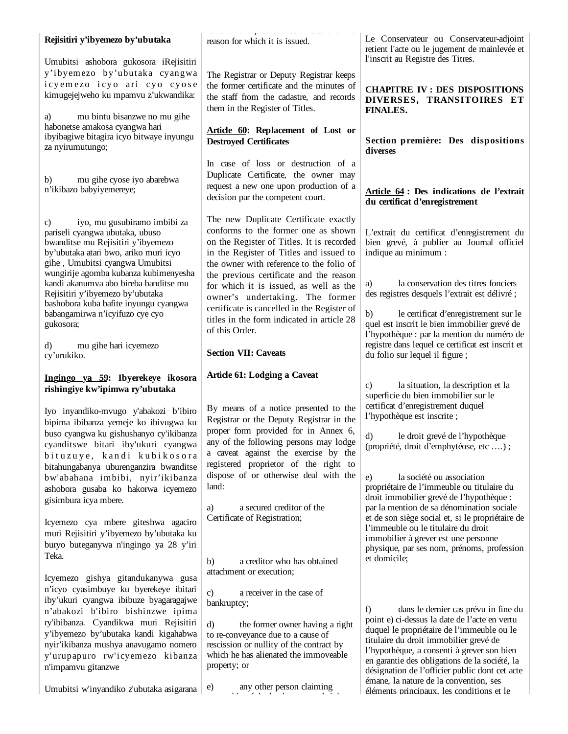| reason for which it is issued.                                                                                                                                                                                   | Le Conservateur ou Conservateur-adjoint<br>retient l'acte ou le jugement de mainlevée et                                                                                                      |
|------------------------------------------------------------------------------------------------------------------------------------------------------------------------------------------------------------------|-----------------------------------------------------------------------------------------------------------------------------------------------------------------------------------------------|
| The Registrar or Deputy Registrar keeps<br>the former certificate and the minutes of<br>the staff from the cadastre, and records<br>them in the Register of Titles.                                              | l'inscrit au Registre des Titres.<br><b>CHAPITRE IV: DES DISPOSITIONS</b><br>DIVERSES, TRANSITOIRES ET<br><b>FINALES.</b>                                                                     |
| Article 60: Replacement of Lost or<br><b>Destroyed Certificates</b>                                                                                                                                              | Section première: Des dispositions<br>diverses                                                                                                                                                |
| In case of loss or destruction of a<br>Duplicate Certificate, the owner may<br>request a new one upon production of a<br>decision par the competent court.                                                       | Article 64 : Des indications de l'extrait<br>du certificat d'enregistrement                                                                                                                   |
| The new Duplicate Certificate exactly<br>conforms to the former one as shown<br>on the Register of Titles. It is recorded<br>in the Register of Titles and issued to<br>the owner with reference to the folio of | L'extrait du certificat d'enregistrement du<br>bien grevé, à publier au Journal officiel<br>indique au minimum :                                                                              |
| the previous certificate and the reason<br>for which it is issued, as well as the<br>owner's undertaking. The former<br>certificate is cancelled in the Register of                                              | la conservation des titres fonciers<br>a)<br>des registres desquels l'extrait est délivré ;<br>le certificat d'enregistrement sur le<br>b)                                                    |
| of this Order.<br><b>Section VII: Caveats</b>                                                                                                                                                                    | quel est inscrit le bien immobilier grevé de<br>l'hypothèque : par la mention du numéro de<br>registre dans lequel ce certificat est inscrit et<br>du folio sur lequel il figure;             |
|                                                                                                                                                                                                                  |                                                                                                                                                                                               |
|                                                                                                                                                                                                                  | la situation, la description et la<br>C)<br>superficie du bien immobilier sur le<br>certificat d'enregistrement duquel                                                                        |
| Registrar or the Deputy Registrar in the<br>proper form provided for in Annex 6,<br>any of the following persons may lodge<br>a caveat against the exercise by the<br>registered proprietor of the right to      | l'hypothèque est inscrite;<br>$\mathbf{d}$<br>le droit grevé de l'hypothèque<br>(propriété, droit d'emphytéose, etc);                                                                         |
|                                                                                                                                                                                                                  |                                                                                                                                                                                               |
| dispose of or otherwise deal with the<br>land:<br>a secured creditor of the<br>a)                                                                                                                                | la société ou association<br>e)<br>propriétaire de l'immeuble ou titulaire du<br>droit immobilier grevé de l'hypothèque :<br>par la mention de sa dénomination sociale                        |
| Certificate of Registration;<br>a creditor who has obtained<br>b)                                                                                                                                                | et de son siège social et, si le propriétaire de<br>l'immeuble ou le titulaire du droit<br>immobilier à grever est une personne<br>physique, par ses nom, prénoms, profession<br>et domicile; |
|                                                                                                                                                                                                                  | titles in the form indicated in article 28<br><b>Article 61: Lodging a Caveat</b><br>By means of a notice presented to the                                                                    |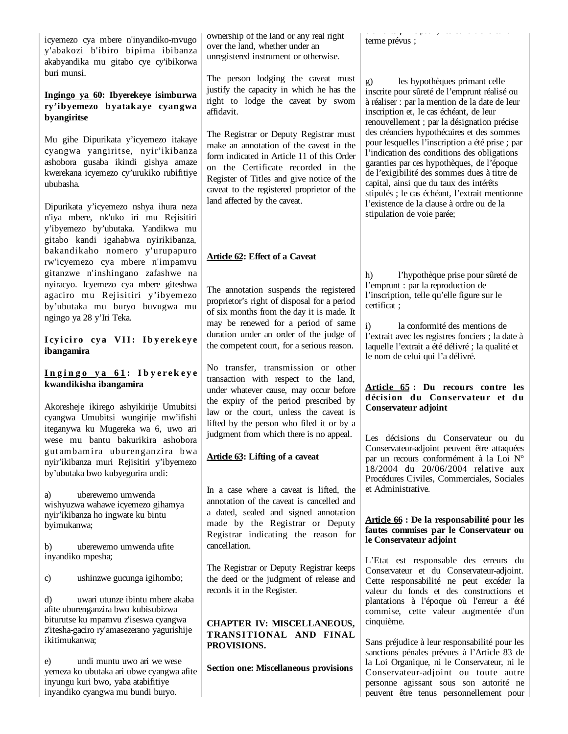icyemezo cya mbere n'inyandiko-mvugo y'abakozi b'ibiro bipima ibibanza akabyandika mu gitabo cye cy'ibikorwa buri munsi.

## **Ingingo ya 60: Ibyerekeye isimburwa ry'ibyemezo byatakaye cyangwa byangiritse**

Mu gihe Dipurikata y'icyemezo itakaye cyangwa yangiritse, nyir'ikibanza ashobora gusaba ikindi gishya amaze kwerekana icyemezo cy'urukiko rubifitiye ububasha.

Dipurikata y'icyemezo nshya ihura neza n'iya mbere, nk'uko iri mu Rejisitiri y'ibyemezo by'ubutaka. Yandikwa mu gitabo kandi igahabwa nyirikibanza, bakandikaho nomero y'urupapuro rw'icyemezo cya mbere n'impamvu gitanzwe n'inshingano zafashwe na nyiracyo. Icyemezo cya mbere giteshwa agaciro mu Rejisitiri y'ibyemezo by'ubutaka mu buryo buvugwa mu ngingo ya 28 y'Iri Teka.

#### I cyiciro cya VII: Ibyerekeye **ibangamira**

### **I n g i n g o y a 6 1 : I b y e r e k e y e kwandikisha ibangamira**

Akoresheje ikirego ashyikirije Umubitsi cyangwa Umubitsi wungirije mw'ifishi iteganywa ku Mugereka wa 6, uwo ari wese mu bantu bakurikira ashobora gutambamira uburenganzira bwa nyir'ikibanza muri Rejisitiri y'ibyemezo by'ubutaka bwo kubyegurira undi:

a) uberewemo umwenda wishyuzwa wahawe icyemezo gihamya nyir'ikibanza ho ingwate ku bintu byimukanwa;

b) uberewemo umwenda ufite inyandiko mpesha;

c) ushinzwe gucunga igihombo;

d) uwari utunze ibintu mbere akaba afite uburenganzira bwo kubisubizwa biturutse ku mpamvu z'iseswa cyangwa z'itesha-gaciro ry'amasezerano yagurishije ikitimukanwa;

e) undi muntu uwo ari we wese yemeza ko ubutaka ari ubwe cyangwa afite inyungu kuri bwo, yaba atabifitiye inyandiko cyangwa mu bundi buryo.

ownership of the land or any real right over the land, whether under an unregistered instrument or otherwise.

The person lodging the caveat must justify the capacity in which he has the right to lodge the caveat by sworn affidavit.

The Registrar or Deputy Registrar must make an annotation of the caveat in the form indicated in Article 11 of this Order on the Certificate recorded in the Register of Titles and give notice of the caveat to the registered proprietor of the land affected by the caveat.

# **Article 62: Effect of a Caveat**

The annotation suspends the registered proprietor's right of disposal for a period of six months from the day it is made. It may be renewed for a period of same duration under an order of the judge of the competent court, for a serious reason.

No transfer, transmission or other transaction with respect to the land, under whatever cause, may occur before the expiry of the period prescribed by law or the court, unless the caveat is lifted by the person who filed it or by a judgment from which there is no appeal.

# **Article 63: Lifting of a caveat**

In a case where a caveat is lifted, the annotation of the caveat is cancelled and a dated, sealed and signed annotation made by the Registrar or Deputy Registrar indicating the reason for cancellation.

The Registrar or Deputy Registrar keeps the deed or the judgment of release and records it in the Register.

# **CHAPTER IV: MISCELLANEOUS, TRANS ITIONAL AND FINAL PROVISIONS.**

**Section one: Miscellaneous provisions**

é é e ts p c pau , es co d t o s et e terme prévus ;

g) les hypothèques primant celle inscrite pour sûreté de l'emprunt réalisé ou à réaliser : par la mention de la date de leur inscription et, le cas échéant, de leur renouvellement ; par la désignation précise des créanciers hypothécaires et des sommes pour lesquelles l'inscription a été prise ; par l'indication des conditions des obligations garanties par ces hypothèques, de l'époque de l'exigibilité des sommes dues à titre de capital, ainsi que du taux des intérêts stipulés ; le cas échéant, l'extrait mentionne l'existence de la clause à ordre ou de la stipulation de voie parée;

h) l'hypothèque prise pour sûreté de l'emprunt : par la reproduction de l'inscription, telle qu'elle figure sur le certificat ;

i) la conformité des mentions de l'extrait avec les registres fonciers ; la date à laquelle l'extrait a été délivré ; la qualité et le nom de celui qui l'a délivré.

# **Article 65 : Du recours contre les décision du Conservateur et du Conservateur adjoint**

Les décisions du Conservateur ou du Conservateur-adjoint peuvent être attaquées par un recours conformément à la Loi N° 18/2004 du 20/06/2004 relative aux Procédures Civiles, Commerciales, Sociales et Administrative.

### **Article 66 : De la responsabilité pour les fautes commises par le Conservateur ou le Conservateur adjoint**

L'Etat est responsable des erreurs du Conservateur et du Conservateur-adjoint. Cette responsabilité ne peut excéder la valeur du fonds et des constructions et plantations à l'époque où l'erreur a été commise, cette valeur augmentée d'un cinquième.

Sans préjudice à leur responsabilité pour les sanctions pénales prévues à l'Article 83 de la Loi Organique, ni le Conservateur, ni le Conservateur-adjoint ou toute autre personne agissant sous son autorité ne peuvent être tenus personnellement pour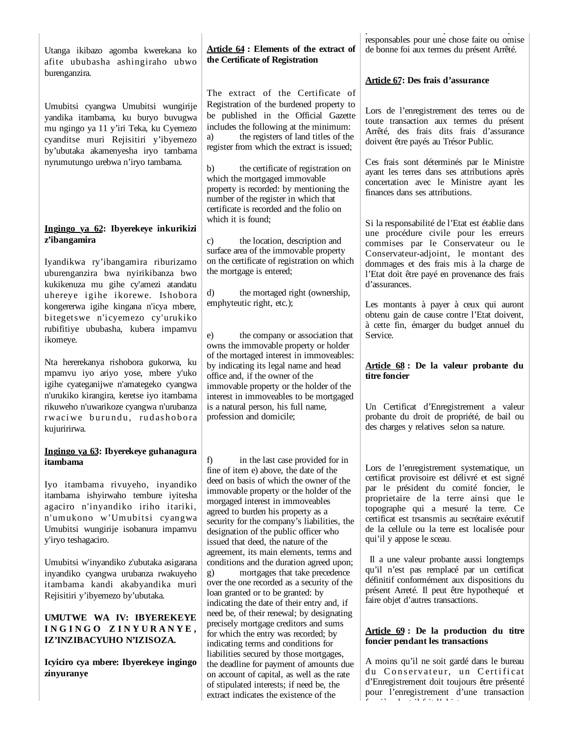Utanga ikibazo agomba kwerekana ko afite ububasha ashingiraho ubwo burenganzira.

Umubitsi cyangwa Umubitsi wungirije yandika itambama, ku buryo buvugwa mu ngingo ya 11 y'iri Teka, ku Cyemezo cyanditse muri Rejisitiri y'ibyemezo by'ubutaka akamenyesha iryo tambama nyrumutungo urebwa n'iryo tambama.

### **Ingingo ya 62: Ibyerekeye inkurikizi z'ibangamira**

Iyandikwa ry'ibangamira riburizamo uburenganzira bwa nyirikibanza bwo kukikenuza mu gihe cy'amezi atandatu uhereye igihe ikorewe. Ishobora kongererwa igihe kingana n'icya mbere, bitegetswe n'icyemezo cy'urukiko rubifitiye ububasha, kubera impamvu ikomeye.

Nta hererekanya rishobora gukorwa, ku mpamvu iyo ariyo yose, mbere y'uko igihe cyateganijwe n'amategeko cyangwa n'urukiko kirangira, keretse iyo itambama rikuweho n'uwarikoze cyangwa n'urubanza rwaci we burundu, rudashobora kujuririrwa.

#### **Ingingo ya 63: Ibyerekeye guhanagura itambama**

Iyo itambama rivuyeho, inyandiko itambama ishyirwaho tembure iyitesha agaciro n'inyandiko iriho itariki, n'umukono w'Umubitsi cyangwa Umubitsi wungirije isobanura impamvu y'iryo teshagaciro.

Umubitsi w'inyandiko z'ubutaka asigarana inyandiko cyangwa urubanza rwakuyeho itambama kandi akabyandika muri Rejisitiri y'ibyemezo by'ubutaka.

# **UMUTWE WA IV: IBYEREKEYE I N G I N G O Z I N Y U R A N Y E , IZ'INZIBACYUHO N'IZISOZA.**

**Icyiciro cya mbere: Ibyerekeye ingingo zinyuranye**

# **Article 64 : Elements of the extract of the Certificate of Registration**

The extract of the Certificate of Registration of the burdened property to be published in the Official Gazette includes the following at the minimum: a) the registers of land titles of the register from which the extract is issued;

b) the certificate of registration on which the mortgaged immovable property is recorded: by mentioning the number of the register in which that certificate is recorded and the folio on which it is found:

c) the location, description and surface area of the immovable property on the certificate of registration on which the mortgage is entered;

d) the mortaged right (ownership, emphyteutic right, etc.);

e) the company or association that owns the immovable property or holder of the mortaged interest in immoveables: by indicating its legal name and head office and, if the owner of the immovable property or the holder of the interest in immoveables to be mortgaged is a natural person, his full name, profession and domicile;

in the last case provided for in fine of item e) above, the date of the deed on basis of which the owner of the immovable property or the holder of the morgaged interest in immoveables agreed to burden his property as a security for the company's liabilities, the designation of the public officer who issued that deed, the nature of the agreement, its main elements, terms and conditions and the duration agreed upon; g) mortgages that take precedence over the one recorded as a security of the loan granted or to be granted: by indicating the date of their entry and, if need be, of their renewal; by designating precisely mortgage creditors and sums for which the entry was recorded; by indicating terms and conditions for liabilities secured by those mortgages, the deadline for payment of amounts due on account of capital, as well as the rate of stipulated interests; if need be, the extract indicates the existence of the

produced a product of the product of the product of the product of the product of the product of the product of the product of the product of the product of the product of the product of the product of the product of the p responsables pour une chose faite ou omise de bonne foi aux termes du présent Arrêté.

# **Article 67: Des frais d'assurance**

Lors de l'enregistrement des terres ou de toute transaction aux termes du présent Arrêté, des frais dits frais d'assurance doivent être payés au Trésor Public.

Ces frais sont déterminés par le Ministre ayant les terres dans ses attributions après concertation avec le Ministre ayant les finances dans ses attributions.

Si la responsabilité de l'Etat est établie dans une procédure civile pour les erreurs commises par le Conservateur ou le Conservateur-adjoint, le montant des dommages et des frais mis à la charge de l'Etat doit être payé en provenance des frais d'assurances.

Les montants à payer à ceux qui auront obtenu gain de cause contre l'Etat doivent, à cette fin, émarger du budget annuel du Service.

### **Article 68 : De la valeur probante du titre foncier**

Un Certificat d'Enregistrement a valeur probante du droit de propriété, de bail ou des charges y relatives selon sa nature.

Lors de l'enregistrement systematique, un certificat provisoire est délivré et est signé par le président du comité foncier, le proprietaire de la terre ainsi que le topographe qui a mesuré la terre. Ce certificat est trsansmis au secrétaire exécutif de la cellule ou la terre est localisée pour qui'il y appose le sceau.

Il a une valeur probante aussi longtemps qu'il n'est pas remplacé par un certificat définitif conformément aux dispositions du présent Arreté. Il peut être hypothequé et faire objet d'autres transactions.

## **Article 69 : De la production du titre foncier pendant les transactions**

A moins qu'il ne soit gardé dans le bureau du Conservateur, un Certificat d'Enregistrement doit toujours être présenté pour l'enregistrement d'une transaction f iè de traite de traite de la procession de traite de la procession de traite de la procession de traite de l<br>De la procession de la procession de la procession de la procession de la procession de la procession de la pr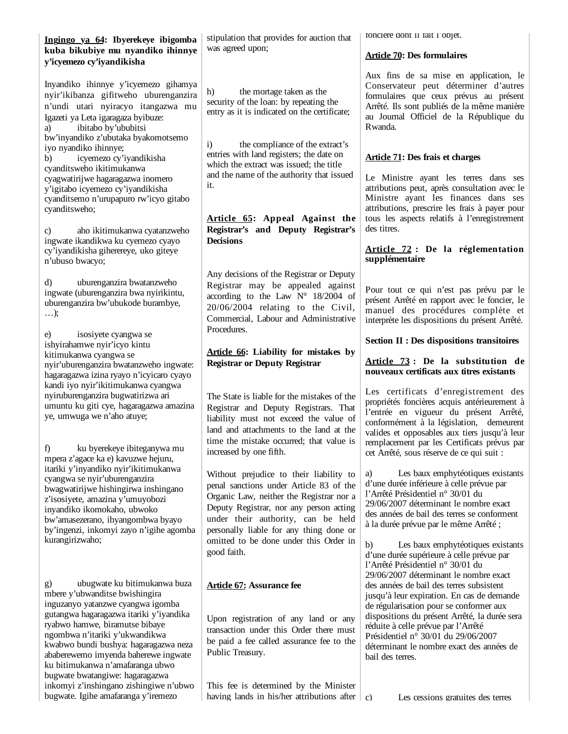| Ingingo ya 64: Ibyerekeye ibigomba                                                                                                                                                                                                                                | stipulation that provides for auction that                                                                                                                                                                                                                 | fonciere dont il fait l'objet.                                                                                                                                                                                                                                                                             |
|-------------------------------------------------------------------------------------------------------------------------------------------------------------------------------------------------------------------------------------------------------------------|------------------------------------------------------------------------------------------------------------------------------------------------------------------------------------------------------------------------------------------------------------|------------------------------------------------------------------------------------------------------------------------------------------------------------------------------------------------------------------------------------------------------------------------------------------------------------|
| kuba bikubiye mu nyandiko ihinnye<br>y'icyemezo cy'iyandikisha                                                                                                                                                                                                    | was agreed upon;                                                                                                                                                                                                                                           | <b>Article 70: Des formulaires</b>                                                                                                                                                                                                                                                                         |
| Inyandiko ihinnye y'icyemezo gihamya<br>nyir'ikibanza gifitweho uburenganzira<br>n'undi utari nyiracyo itangazwa mu<br>Igazeti ya Leta igaragaza byibuze:<br>ibitabo by'ububitsi<br>a)<br>bw'inyandiko z'ubutaka byakomotsemo                                     | the mortage taken as the<br>h)<br>security of the loan: by repeating the<br>entry as it is indicated on the certificate;                                                                                                                                   | Aux fins de sa mise en application, le<br>Conservateur peut déterminer d'autres<br>formulaires que ceux prévus au présent<br>Arrêté. Ils sont publiés de la même manière<br>au Journal Officiel de la République du<br>Rwanda.                                                                             |
| iyo nyandiko ihinnye;<br>icyemezo cy'iyandikisha<br>b)<br>cyanditsweho ikitimukanwa                                                                                                                                                                               | $\ddot{1}$<br>the compliance of the extract's<br>entries with land registers; the date on<br>which the extract was issued; the title<br>and the name of the authority that issued                                                                          | <b>Article 71: Des frais et charges</b>                                                                                                                                                                                                                                                                    |
| cyagwatirijwe hagaragazwa inomero<br>y'igitabo icyemezo cy'iyandikisha<br>cyanditsemo n'urupapuro rw'icyo gitabo<br>cyanditsweho;                                                                                                                                 | it.                                                                                                                                                                                                                                                        | Le Ministre ayant les terres dans ses<br>attributions peut, après consultation avec le<br>Ministre ayant les finances dans ses<br>attributions, prescrire les frais à payer pour                                                                                                                           |
| aho ikitimukanwa cyatanzweho<br>C)<br>ingwate ikandikwa ku cyemezo cyayo                                                                                                                                                                                          | Article 65: Appeal Against the<br>Registrar's and Deputy Registrar's<br><b>Decisions</b>                                                                                                                                                                   | tous les aspects relatifs à l'enregistrement<br>des titres.                                                                                                                                                                                                                                                |
| cy'iyandikisha giherereye, uko giteye<br>n'ubuso bwacyo;                                                                                                                                                                                                          |                                                                                                                                                                                                                                                            | Article 72 : De la réglementation<br>supplémentaire                                                                                                                                                                                                                                                        |
| uburenganzira bwatanzweho<br>d)<br>ingwate (uburenganzira bwa nyirikintu,<br>uburenganzira bw'ubukode burambye,<br>$\ldots$ );                                                                                                                                    | Any decisions of the Registrar or Deputy<br>Registrar may be appealed against<br>according to the Law $N^{\circ}$ 18/2004 of<br>20/06/2004 relating to the Civil,<br>Commercial, Labour and Administrative<br>Procedures.                                  | Pour tout ce qui n'est pas prévu par le<br>présent Arrêté en rapport avec le foncier, le<br>manuel des procédures complète et<br>interprète les dispositions du présent Arrêté.                                                                                                                            |
| isosiyete cyangwa se<br>e)<br>ishyirahamwe nyir'icyo kintu                                                                                                                                                                                                        |                                                                                                                                                                                                                                                            | <b>Section II : Des dispositions transitoires</b>                                                                                                                                                                                                                                                          |
| kitimukanwa cyangwa se<br>nyir'uburenganzira bwatanzweho ingwate:<br>hagaragazwa izina ryayo n'icyicaro cyayo                                                                                                                                                     | Article 66: Liability for mistakes by<br><b>Registrar or Deputy Registrar</b>                                                                                                                                                                              | Article 73: De la substitution de<br>nouveaux certificats aux titres existants                                                                                                                                                                                                                             |
| kandi iyo nyir'ikitimukanwa cyangwa<br>nyiruburenganzira bugwatirizwa ari<br>umuntu ku giti cye, hagaragazwa amazina<br>ye, umwuga we n'aho atuye;                                                                                                                | The State is liable for the mistakes of the<br>Registrar and Deputy Registrars. That<br>liability must not exceed the value of<br>land and attachments to the land at the                                                                                  | Les certificats d'enregistrement des<br>propriétés foncières acquis antérieurement à<br>l'entrée en vigueur du présent Arrêté,<br>conformément à la législation, demeurent<br>valides et opposables aux tiers jusqu'à leur                                                                                 |
| f)<br>ku byerekeye ibiteganywa mu<br>mpera z'agace ka e) kavuzwe hejuru,                                                                                                                                                                                          | time the mistake occurred; that value is<br>increased by one fifth.                                                                                                                                                                                        | remplacement par les Certificats prévus par<br>cet Arrêté, sous réserve de ce qui suit :                                                                                                                                                                                                                   |
| itariki y'inyandiko nyir'ikitimukanwa<br>cyangwa se nyir'uburenganzira<br>bwagwatirijwe hishingirwa inshingano<br>z'isosiyete, amazina y'umuyobozi<br>inyandiko ikomokaho, ubwoko<br>bw'amasezerano, ibyangombwa byayo<br>by'ingenzi, inkomyi zayo n'igihe agomba | Without prejudice to their liability to<br>penal sanctions under Article 83 of the<br>Organic Law, neither the Registrar nor a<br>Deputy Registrar, nor any person acting<br>under their authority, can be held<br>personally liable for any thing done or | Les baux emphytéotiques existants<br>a)<br>d'une durée inférieure à celle prévue par<br>l'Arrêté Présidentiel n° 30/01 du<br>29/06/2007 déterminant le nombre exact<br>des années de bail des terres se conforment<br>à la durée prévue par le même Arrêté;                                                |
| kurangirizwaho;                                                                                                                                                                                                                                                   | omitted to be done under this Order in<br>good faith.                                                                                                                                                                                                      | b)<br>Les baux emphytéotiques existants<br>d'une durée supérieure à celle prévue par<br>l'Arrêté Présidentiel n° 30/01 du                                                                                                                                                                                  |
| ubugwate ku bitimukanwa buza<br>g)<br>mbere y'ubwanditse bwishingira<br>inguzanyo yatanzwe cyangwa igomba<br>gutangwa hagaragazwa itariki y'iyandika<br>ryabwo hamwe, biramutse bibaye<br>ngombwa n'itariki y'ukwandikwa                                          | <b>Article 67: Assurance fee</b><br>Upon registration of any land or any<br>transaction under this Order there must<br>be paid a fee called assurance fee to the                                                                                           | 29/06/2007 déterminant le nombre exact<br>des années de bail des terres subsistent<br>jusqu'à leur expiration. En cas de demande<br>de régularisation pour se conformer aux<br>dispositions du présent Arrêté, la durée sera<br>réduite à celle prévue par l'Arrêté<br>Présidentiel n° 30/01 du 29/06/2007 |
| kwabwo bundi bushya: hagaragazwa neza<br>ababerewemo imyenda baherewe ingwate<br>ku bitimukanwa n'amafaranga ubwo<br>bugwate bwatangiwe: hagaragazwa<br>inkomyi z'inshingano zishingiwe n'ubwo                                                                    | Public Treasury.<br>This fee is determined by the Minister                                                                                                                                                                                                 | déterminant le nombre exact des années de<br>bail des terres.                                                                                                                                                                                                                                              |
| bugwate. Igihe amafaranga y'iremezo                                                                                                                                                                                                                               | having lands in his/her attributions after                                                                                                                                                                                                                 | Les cessions gratuites des terres<br>$\mathbf{c}$                                                                                                                                                                                                                                                          |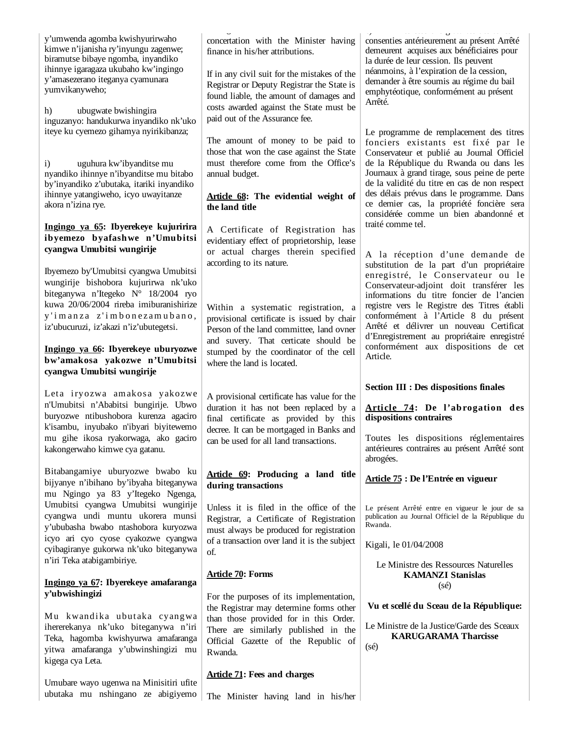| y'umwenda agomba kwishyurirwaho<br>kimwe n'ijanisha ry'inyungu zagenwe;<br>biramutse bibaye ngomba, inyandiko<br>ihinnye igaragaza ukubaho kw'ingingo<br>y'amasezerano iteganya cyamunara<br>yumvikanyweho;<br>ubugwate bwishingira<br>h)<br>inguzanyo: handukurwa inyandiko nk'uko | concertation with the Minister having<br>finance in his/her attributions.<br>If in any civil suit for the mistakes of the<br>Registrar or Deputy Registrar the State is<br>found liable, the amount of damages and<br>costs awarded against the State must be<br>paid out of the Assurance fee. | $\bullet$<br>consenties antérieurement au présent Arrêté<br>demeurent acquises aux bénéficiaires pour<br>la durée de leur cession. Ils peuvent<br>néanmoins, à l'expiration de la cession,<br>demander à être soumis au régime du bail<br>emphytéotique, conformément au présent<br>Arrêté. |
|-------------------------------------------------------------------------------------------------------------------------------------------------------------------------------------------------------------------------------------------------------------------------------------|-------------------------------------------------------------------------------------------------------------------------------------------------------------------------------------------------------------------------------------------------------------------------------------------------|---------------------------------------------------------------------------------------------------------------------------------------------------------------------------------------------------------------------------------------------------------------------------------------------|
| iteye ku cyemezo gihamya nyirikibanza;<br>uguhura kw'ibyanditse mu<br>$\mathbf{i}$<br>nyandiko ihinnye n'ibyanditse mu bitabo<br>by'inyandiko z'ubutaka, itariki inyandiko                                                                                                          | The amount of money to be paid to<br>those that won the case against the State<br>must therefore come from the Office's<br>annual budget.                                                                                                                                                       | Le programme de remplacement des titres<br>fonciers existants est fixé par le<br>Conservateur et publié au Journal Officiel<br>de la République du Rwanda ou dans les<br>Journaux à grand tirage, sous peine de perte<br>de la validité du titre en cas de non respect                      |
| ihinnye yatangiweho, icyo uwayitanze<br>akora n'izina rye.<br>Ingingo ya 65: Ibyerekeye kujuririra<br>ibyemezo byafashwe n'Umubitsi                                                                                                                                                 | Article 68: The evidential weight of<br>the land title<br>A Certificate of Registration has                                                                                                                                                                                                     | des délais prévus dans le programme. Dans<br>ce dernier cas, la propriété foncière sera<br>considérée comme un bien abandonné et<br>traité comme tel.                                                                                                                                       |
| cyangwa Umubitsi wungirije<br>Ibyemezo by'Umubitsi cyangwa Umubitsi                                                                                                                                                                                                                 | evidentiary effect of proprietorship, lease<br>or actual charges therein specified<br>according to its nature.                                                                                                                                                                                  | A la réception d'une demande de<br>substitution de la part d'un propriétaire<br>enregistré, le Conservateur ou le                                                                                                                                                                           |
| wungirije bishobora kujurirwa nk'uko<br>biteganywa n'Itegeko N° 18/2004 ryo<br>kuwa 20/06/2004 rireba imiburanishirize<br>y'imanza z'imbonezamubano,<br>iz'ubucuruzi, iz'akazi n'iz'ubutegetsi.                                                                                     | Within a systematic registration, a<br>provisional certificate is issued by chair<br>Person of the land committee, land ovner<br>and suvery. That certicate should be                                                                                                                           | Conservateur-adjoint doit transférer les<br>informations du titre foncier de l'ancien<br>registre vers le Registre des Titres établi<br>conformément à l'Article 8 du présent<br>Arrêté et délivrer un nouveau Certificat<br>d'Enregistrement au propriétaire enregistré                    |
| Ingingo ya 66: Ibyerekeye uburyozwe<br>bw'amakosa yakozwe n'Umubitsi<br>cyangwa Umubitsi wungirije                                                                                                                                                                                  | stumped by the coordinator of the cell<br>where the land is located.                                                                                                                                                                                                                            | conformément aux dispositions de cet<br>Article.                                                                                                                                                                                                                                            |
|                                                                                                                                                                                                                                                                                     |                                                                                                                                                                                                                                                                                                 |                                                                                                                                                                                                                                                                                             |
| Leta iryozwa amakosa yakozwe<br>n'Umubitsi n'Ababitsi bungirije. Ubwo<br>buryozwe ntibushobora kurenza agaciro<br>k'isambu, inyubako n'ibyari biyitewemo                                                                                                                            | A provisional certificate has value for the<br>duration it has not been replaced by a<br>final certificate as provided by this<br>decree. It can be mortgaged in Banks and                                                                                                                      | <b>Section III : Des dispositions finales</b><br>Article 74: De l'abrogation des<br>dispositions contraires                                                                                                                                                                                 |
| mu gihe ikosa ryakorwaga, ako gaciro<br>kakongerwaho kimwe cya gatanu.                                                                                                                                                                                                              | can be used for all land transactions.                                                                                                                                                                                                                                                          | Toutes les dispositions réglementaires<br>antérieures contraires au présent Arrêté sont<br>abrogées.                                                                                                                                                                                        |
| Bitabangamiye uburyozwe bwabo ku<br>bijyanye n'ibihano by'ibyaha biteganywa<br>mu Ngingo ya 83 y'Itegeko Ngenga,                                                                                                                                                                    | Article 69: Producing a land title<br>during transactions                                                                                                                                                                                                                                       | Article 75 : De l'Entrée en vigueur                                                                                                                                                                                                                                                         |
| Umubitsi cyangwa Umubitsi wungirije<br>cyangwa undi muntu ukorera munsi<br>y'ububasha bwabo ntashobora kuryozwa                                                                                                                                                                     | Unless it is filed in the office of the<br>Registrar, a Certificate of Registration<br>must always be produced for registration                                                                                                                                                                 | Le présent Arrêté entre en vigueur le jour de sa<br>publication au Journal Officiel de la République du<br>Rwanda.                                                                                                                                                                          |
| icyo ari cyo cyose cyakozwe cyangwa<br>cyibagiranye gukorwa nk'uko biteganywa<br>n'iri Teka atabigambiriye.                                                                                                                                                                         | of a transaction over land it is the subject<br>of.                                                                                                                                                                                                                                             | Kigali, le 01/04/2008<br>Le Ministre des Ressources Naturelles                                                                                                                                                                                                                              |
| Ingingo ya 67: Ibyerekeye amafaranga                                                                                                                                                                                                                                                | <b>Article 70: Forms</b>                                                                                                                                                                                                                                                                        | <b>KAMANZI Stanislas</b><br>$(s\acute{e})$                                                                                                                                                                                                                                                  |
| y'ubwishingizi                                                                                                                                                                                                                                                                      | For the purposes of its implementation,<br>the Registrar may determine forms other                                                                                                                                                                                                              | Vu et scellé du Sceau de la République:                                                                                                                                                                                                                                                     |
| Mu kwandika ubutaka cyangwa<br>ihererekanya nk'uko biteganywa n'iri<br>Teka, hagomba kwishyurwa amafaranga<br>yitwa amafaranga y'ubwinshingizi mu<br>kigega cya Leta.                                                                                                               | than those provided for in this Order.<br>There are similarly published in the<br>Official Gazette of the Republic of<br>Rwanda.                                                                                                                                                                | Le Ministre de la Justice/Garde des Sceaux<br><b>KARUGARAMA Tharcisse</b><br>$(s\acute{e})$                                                                                                                                                                                                 |
| Umubare wayo ugenwa na Minisitiri ufite<br>ubutaka mu nshingano ze abigiyemo                                                                                                                                                                                                        | <b>Article 71: Fees and charges</b><br>The Minister having land in his/her                                                                                                                                                                                                                      |                                                                                                                                                                                                                                                                                             |

c) Les cessions gratuites de ses cessions de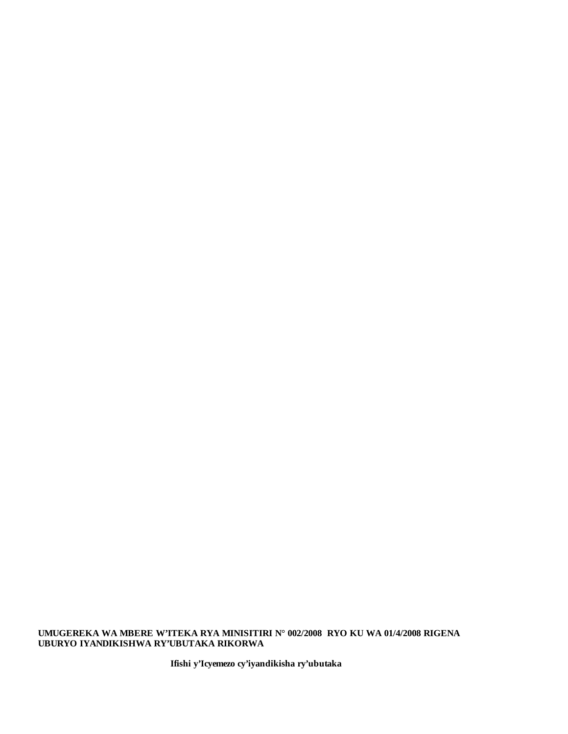**UMUGEREKA WA MBERE W'ITEKA RYA MINISITIRI N° 002/2008 RYO KU WA 01/4/2008 RIGENA UBURYO IYANDIKISHWA RY'UBUTAKA RIKORWA** 

**Ifishi y'Icyemezo cy'iyandikisha ry'ubutaka**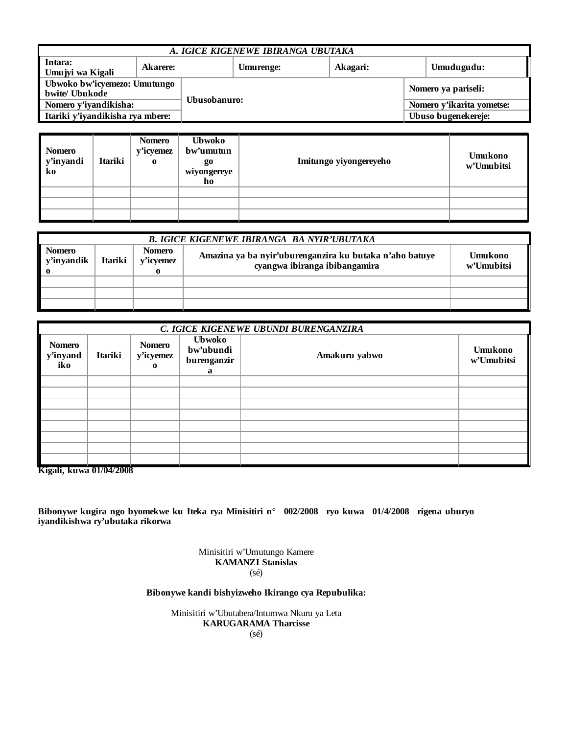| A. IGICE KIGENEWE IBIRANGA UBUTAKA             |          |              |           |                     |                           |  |                     |
|------------------------------------------------|----------|--------------|-----------|---------------------|---------------------------|--|---------------------|
| Intara:<br>Umujyi wa Kigali                    | Akarere: |              | Umurenge: |                     | Akagari:                  |  | Umudugudu:          |
| Ubwoko bw'icyemezo: Umutungo<br>bwite/ Ubukode |          |              |           |                     |                           |  | Nomero ya pariseli: |
| Nomero y'iyandikisha:                          |          | Ubusobanuro: |           |                     | Nomero y'ikarita yometse: |  |                     |
| Itariki y'iyandikisha rya mbere:               |          |              |           | Ubuso bugenekereje: |                           |  |                     |

| <b>Nomero</b><br>y'inyandi<br>ko | Itariki | <b>Nomero</b><br>y'icyemez<br>$\bf{0}$ | <b>Ubwoko</b><br>bw'umutun<br><b>go</b><br>wiyongereye<br>ho | Imitungo yiyongereyeho | <b>Umukono</b><br>w'Umubitsi |
|----------------------------------|---------|----------------------------------------|--------------------------------------------------------------|------------------------|------------------------------|
|                                  |         |                                        |                                                              |                        |                              |
|                                  |         |                                        |                                                              |                        |                              |
|                                  |         |                                        |                                                              |                        |                              |

| <b>B. IGICE KIGENEWE IBIRANGA BA NYIR'UBUTAKA</b> |                                                                                                                                                                               |  |  |  |  |  |
|---------------------------------------------------|-------------------------------------------------------------------------------------------------------------------------------------------------------------------------------|--|--|--|--|--|
| <b>Nomero</b><br><b>y'inyandik</b>                | <b>Nomero</b><br>Amazina ya ba nyir'uburenganzira ku butaka n'aho batuye<br><b>Umukono</b><br><b>Itariki</b><br>y'icyemez<br>cyangwa ibiranga ibibangamira<br>w'Umubitsi<br>0 |  |  |  |  |  |
|                                                   |                                                                                                                                                                               |  |  |  |  |  |
|                                                   |                                                                                                                                                                               |  |  |  |  |  |
|                                                   |                                                                                                                                                                               |  |  |  |  |  |

|                                  | C. IGICE KIGENEWE UBUNDI BURENGANZIRA |                                        |                                                |               |                       |  |  |  |  |
|----------------------------------|---------------------------------------|----------------------------------------|------------------------------------------------|---------------|-----------------------|--|--|--|--|
| <b>Nomero</b><br>y'inyand<br>iko | Itariki                               | <b>Nomero</b><br>y'icyemez<br>$\Omega$ | <b>Ubwoko</b><br>bw'ubundi<br>burenganzir<br>a | Amakuru yabwo | Umukono<br>w'Umubitsi |  |  |  |  |
|                                  |                                       |                                        |                                                |               |                       |  |  |  |  |
|                                  |                                       |                                        |                                                |               |                       |  |  |  |  |
|                                  |                                       |                                        |                                                |               |                       |  |  |  |  |
|                                  |                                       |                                        |                                                |               |                       |  |  |  |  |
|                                  |                                       |                                        |                                                |               |                       |  |  |  |  |
|                                  |                                       |                                        |                                                |               |                       |  |  |  |  |
|                                  |                                       |                                        |                                                |               |                       |  |  |  |  |
|                                  |                                       |                                        |                                                |               |                       |  |  |  |  |

**Kigali, kuwa 01/04/2008**

**Bibonywe kugira ngo byomekwe ku Iteka rya Minisitiri n° 002/2008 ryo kuwa 01/4/2008 rigena uburyo iyandikishwa ry'ubutaka rikorwa**

> Minisitiri w'Umutungo Kamere **KAMANZI Stanislas** (sé)

**Bibonywe kandi bishyizweho Ikirango cya Repubulika:**

Minisitiri w'Ubutabera/Intumwa Nkuru ya Leta **KARUGARAMA Tharcisse** (sé)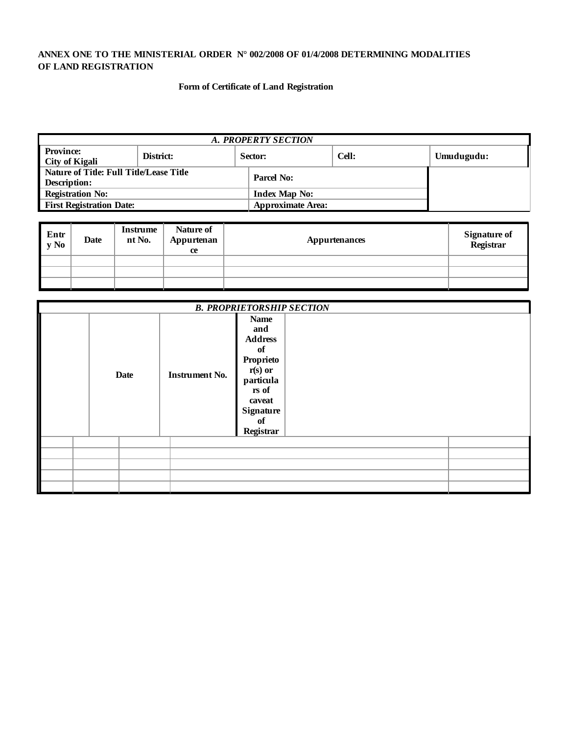# **ANNEX ONE TO THE MINISTERIAL ORDER N° 002/2008 OF 01/4/2008 DETERMINING MODALITIES OF LAND REGISTRATION**

# **Form of Certificate of Land Registration**

| A. PROPERTY SECTION                                            |           |                          |  |  |  |  |  |
|----------------------------------------------------------------|-----------|--------------------------|--|--|--|--|--|
| <b>Province:</b><br>City of Kigali                             | District: | Umudugudu:               |  |  |  |  |  |
| Nature of Title: Full Title/Lease Title<br><b>Description:</b> |           | Parcel No:               |  |  |  |  |  |
| <b>Registration No:</b>                                        |           | <b>Index Map No:</b>     |  |  |  |  |  |
| <b>First Registration Date:</b>                                |           | <b>Approximate Area:</b> |  |  |  |  |  |

| Entr<br>y No | Date | <b>Instrume</b><br>nt No. | Nature of<br>Appurtenan<br><b>ce</b> | <b>Appurtenances</b> | <b>Signature of</b><br>Registrar |
|--------------|------|---------------------------|--------------------------------------|----------------------|----------------------------------|
|              |      |                           |                                      |                      |                                  |
|              |      |                           |                                      |                      |                                  |
|              |      |                           |                                      |                      |                                  |

| <b>B. PROPRIETORSHIP SECTION</b> |             |                       |                                                                                                                                             |  |  |  |  |
|----------------------------------|-------------|-----------------------|---------------------------------------------------------------------------------------------------------------------------------------------|--|--|--|--|
|                                  | <b>Date</b> | <b>Instrument No.</b> | <b>Name</b><br>and<br><b>Address</b><br>of<br>Proprieto<br>$r(s)$ or<br>particula<br>rs of<br>caveat<br><b>Signature</b><br>of<br>Registrar |  |  |  |  |
|                                  |             |                       |                                                                                                                                             |  |  |  |  |
|                                  |             |                       |                                                                                                                                             |  |  |  |  |
|                                  |             |                       |                                                                                                                                             |  |  |  |  |
|                                  |             |                       |                                                                                                                                             |  |  |  |  |
|                                  |             |                       |                                                                                                                                             |  |  |  |  |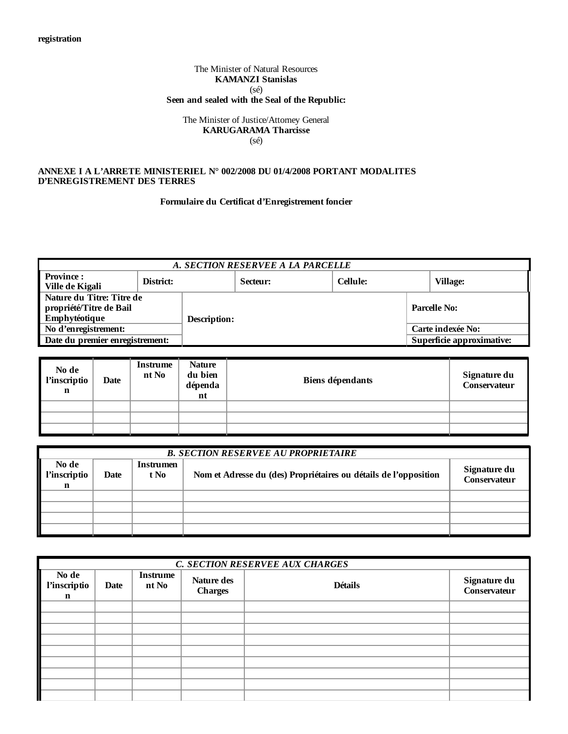# The Minister of Natural Resources **KAMANZI Stanislas** (sé) **Seen and sealed with the Seal of the Republic:**

# The Minister of Justice/Attorney General **KARUGARAMA Tharcisse** (sé)

# **ANNEXE I A L'ARRETE MINISTERIEL N° 002/2008 DU 01/4/2008 PORTANT MODALITES D'ENREGISTREMENT DES TERRES**

# **Formulaire du Certificat d'Enregistrement foncier**

| A. SECTION RESERVEE A LA PARCELLE   |           |                     |          |                 |                     |                           |  |
|-------------------------------------|-----------|---------------------|----------|-----------------|---------------------|---------------------------|--|
| <b>Province:</b><br>Ville de Kigali | District: |                     | Secteur: | <b>Cellule:</b> |                     | <b>Village:</b>           |  |
| Nature du Titre: Titre de           |           |                     |          |                 |                     |                           |  |
| propriété/Titre de Bail             |           |                     |          |                 | <b>Parcelle No:</b> |                           |  |
| Emphytéotique                       |           | <b>Description:</b> |          |                 |                     |                           |  |
| No d'enregistrement:                |           |                     |          |                 |                     | Carte indexée No:         |  |
| Date du premier enregistrement:     |           |                     |          |                 |                     | Superficie approximative: |  |

| No de<br>l'inscriptio<br>n | Date | <b>Instrume</b><br>nt No | <b>Nature</b><br>du bien<br>dépenda<br>nt | Biens dépendants | Signature du<br>Conservateur |
|----------------------------|------|--------------------------|-------------------------------------------|------------------|------------------------------|
|                            |      |                          |                                           |                  |                              |
|                            |      |                          |                                           |                  |                              |
|                            |      |                          |                                           |                  |                              |

| <b>B. SECTION RESERVEE AU PROPRIETAIRE</b> |                                                                                                      |  |  |  |  |  |  |
|--------------------------------------------|------------------------------------------------------------------------------------------------------|--|--|--|--|--|--|
| No de<br>l'inscriptio<br>n                 | <b>Instrumen</b><br>Nom et Adresse du (des) Propriétaires ou détails de l'opposition<br>Date<br>t No |  |  |  |  |  |  |
|                                            |                                                                                                      |  |  |  |  |  |  |
|                                            |                                                                                                      |  |  |  |  |  |  |
|                                            |                                                                                                      |  |  |  |  |  |  |
|                                            |                                                                                                      |  |  |  |  |  |  |

|                                      | C. SECTION RESERVEE AUX CHARGES |                          |                              |                |                              |  |  |  |
|--------------------------------------|---------------------------------|--------------------------|------------------------------|----------------|------------------------------|--|--|--|
| No de<br>l'inscriptio<br>$\mathbf n$ | Date                            | <b>Instrume</b><br>nt No | Nature des<br><b>Charges</b> | <b>Détails</b> | Signature du<br>Conservateur |  |  |  |
|                                      |                                 |                          |                              |                |                              |  |  |  |
|                                      |                                 |                          |                              |                |                              |  |  |  |
|                                      |                                 |                          |                              |                |                              |  |  |  |
|                                      |                                 |                          |                              |                |                              |  |  |  |
|                                      |                                 |                          |                              |                |                              |  |  |  |
|                                      |                                 |                          |                              |                |                              |  |  |  |
|                                      |                                 |                          |                              |                |                              |  |  |  |
|                                      |                                 |                          |                              |                |                              |  |  |  |
|                                      |                                 |                          |                              |                |                              |  |  |  |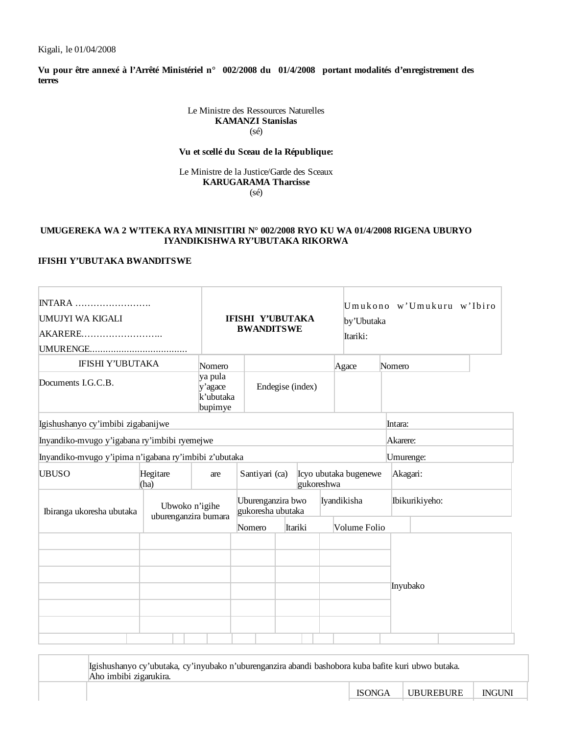**Vu pour être annexé à l'Arrêté Ministériel n° 002/2008 du 01/4/2008 portant modalités d'enregistrement des terres**

> Le Ministre des Ressources Naturelles **KAMANZI Stanislas** (sé)

### **Vu et scellé du Sceau de la République:**

Le Ministre de la Justice/Garde des Sceaux **KARUGARAMA Tharcisse** (sé)

# **UMUGEREKA WA 2 W'ITEKA RYA MINISITIRI N° 002/2008 RYO KU WA 01/4/2008 RIGENA UBURYO IYANDIKISHWA RY'UBUTAKA RIKORWA**

# **IFISHI Y'UBUTAKA BWANDITSWE**

| <b>INTARA</b><br>UMUJYI WA KIGALI<br>AKARERE          |                                        | <b>IFISHI Y'UBUTAKA</b><br><b>BWANDITSWE</b> |                                        |         | by'Ubutaka<br>Itariki: |                       | Umukono w'Umukuru w'Ibiro |                |  |
|-------------------------------------------------------|----------------------------------------|----------------------------------------------|----------------------------------------|---------|------------------------|-----------------------|---------------------------|----------------|--|
| <b>IFISHI Y'UBUTAKA</b>                               |                                        | Nomero                                       |                                        |         |                        | Agace                 | Nomero                    |                |  |
| Documents I.G.C.B.                                    |                                        | ya pula<br>y'agace<br>k'ubutaka<br>bupimye   | Endegise (index)                       |         |                        |                       |                           |                |  |
| Igishushanyo cy'imbibi zigabanijwe                    |                                        |                                              |                                        |         |                        |                       | Intara:                   |                |  |
| Inyandiko-mvugo y'igabana ry'imbibi ryemejwe          |                                        |                                              |                                        |         |                        |                       | Akarere:                  |                |  |
| Inyandiko-mvugo y'ipima n'igabana ry'imbibi z'ubutaka |                                        |                                              |                                        |         |                        |                       | Umurenge:                 |                |  |
| <b>UBUSO</b>                                          | Hegitare<br>(ha)                       | are                                          | Santiyari (ca)                         |         | gukoreshwa             | Icyo ubutaka bugenewe | Akagari:                  |                |  |
| Ibiranga ukoresha ubutaka                             | Ubwoko n'igihe<br>uburenganzira bumara |                                              | Uburenganzira bwo<br>gukoresha ubutaka |         |                        | Iyandikisha           |                           | Ibikurikiyeho: |  |
|                                                       |                                        |                                              | Nomero                                 | Itariki |                        | Volume Folio          |                           |                |  |
|                                                       |                                        |                                              |                                        |         |                        |                       | Inyubako                  |                |  |

| Igishushanyo cy'ubutaka, cy'inyubako n'uburenganzira abandi bashobora kuba bafite kuri ubwo butaka.<br>Aho imbibi zigarukira. |               |           |               |  |  |  |
|-------------------------------------------------------------------------------------------------------------------------------|---------------|-----------|---------------|--|--|--|
|                                                                                                                               | <b>ISONGA</b> | UBUREBURE | <b>INGUNI</b> |  |  |  |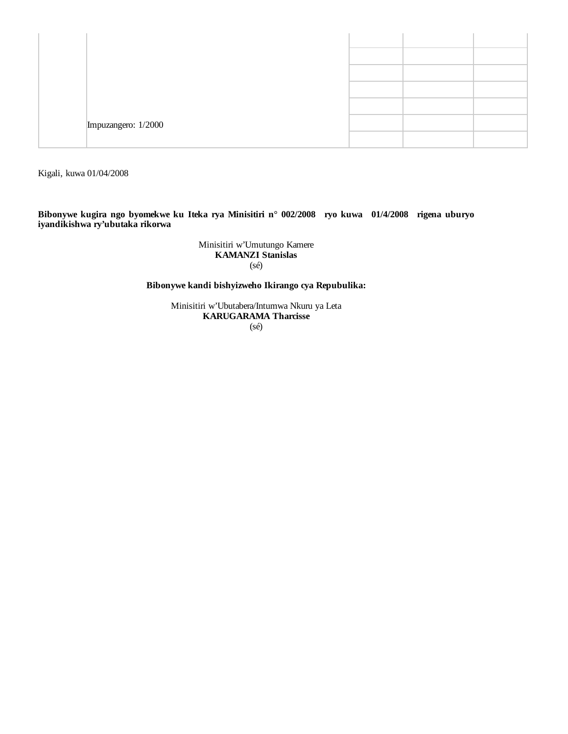| Impuzangero: 1/2000 |  |  |
|---------------------|--|--|
|                     |  |  |

Kigali, kuwa 01/04/2008

**Bibonywe kugira ngo byomekwe ku Iteka rya Minisitiri n° 002/2008 ryo kuwa 01/4/2008 rigena uburyo iyandikishwa ry'ubutaka rikorwa**

> Minisitiri w'Umutungo Kamere **KAMANZI Stanislas** (sé)

**Bibonywe kandi bishyizweho Ikirango cya Repubulika:**

Minisitiri w'Ubutabera/Intumwa Nkuru ya Leta **KARUGARAMA Tharcisse** (sé)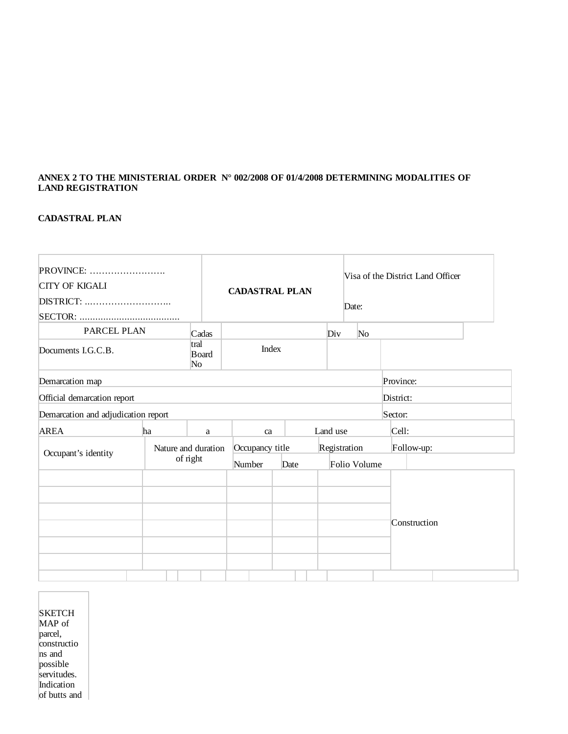# **ANNEX 2 TO THE MINISTERIAL ORDER N° 002/2008 OF 01/4/2008 DETERMINING MODALITIES OF LAND REGISTRATION**

# **CADASTRAL PLAN**

| <b>PROVINCE:</b><br><b>CITY OF KIGALI</b> |    |                                 | <b>CADASTRAL PLAN</b>     |      |                              | Date:          | Visa of the District Land Officer |  |
|-------------------------------------------|----|---------------------------------|---------------------------|------|------------------------------|----------------|-----------------------------------|--|
| PARCEL PLAN                               |    | Cadas                           |                           |      | Div                          | N <sub>o</sub> |                                   |  |
| Documents I.G.C.B.                        |    | tral<br>Board<br>No             | <b>Index</b>              |      |                              |                |                                   |  |
| Demarcation map                           |    |                                 |                           |      |                              |                | Province:                         |  |
| Official demarcation report               |    |                                 |                           |      |                              |                | District:                         |  |
| Demarcation and adjudication report       |    |                                 |                           |      |                              |                | Sector:                           |  |
| <b>AREA</b>                               | ha | a                               | ca                        |      | Land use                     |                | Cell:                             |  |
| Occupant's identity                       |    | Nature and duration<br>of right | Occupancy title<br>Number | Date | Registration<br>Folio Volume |                | Follow-up:                        |  |
|                                           |    |                                 |                           |      |                              |                | Construction                      |  |

| SKETCH            |
|-------------------|
| MAP <sub>of</sub> |
| parcel,           |
| constructio       |
| ns and            |
| possible          |
| servitudes.       |
| Indication        |
| of butts and      |

 $\lceil$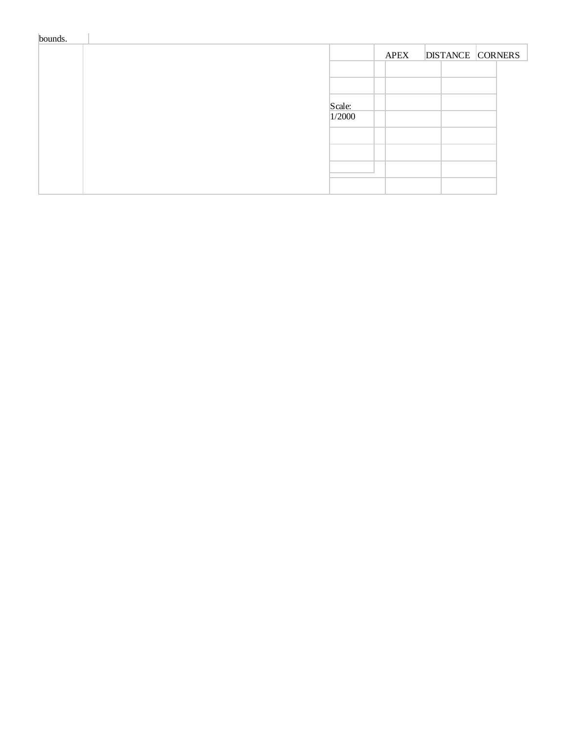| bounds. |        |             |                         |  |
|---------|--------|-------------|-------------------------|--|
|         |        | <b>APEX</b> | <b>DISTANCE CORNERS</b> |  |
|         |        |             |                         |  |
|         |        |             |                         |  |
|         | Scale: |             |                         |  |
|         | 1/2000 |             |                         |  |
|         |        |             |                         |  |
|         |        |             |                         |  |
|         |        |             |                         |  |
|         |        |             |                         |  |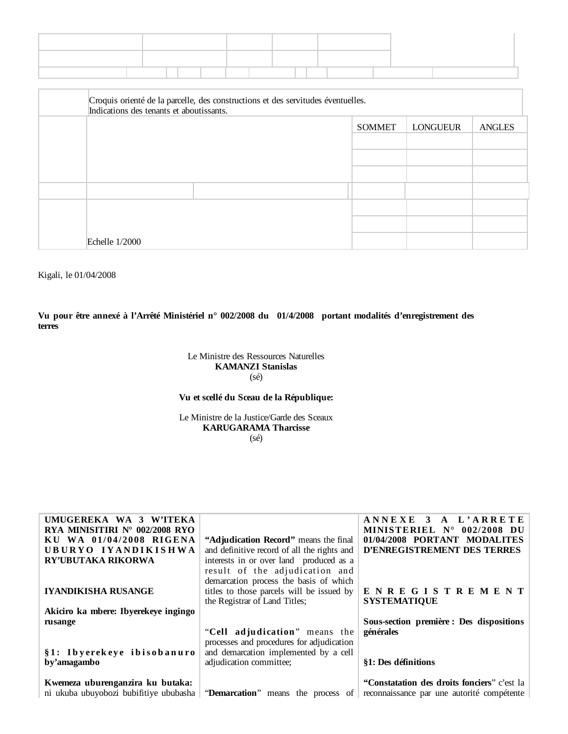| Croquis orienté de la parcelle, des constructions et des servitudes éventuelles.<br>Indications des tenants et aboutissants. |  |               |                 |               |  |  |
|------------------------------------------------------------------------------------------------------------------------------|--|---------------|-----------------|---------------|--|--|
|                                                                                                                              |  | <b>SOMMET</b> | <b>LONGUEUR</b> | <b>ANGLES</b> |  |  |
|                                                                                                                              |  |               |                 |               |  |  |
|                                                                                                                              |  |               |                 |               |  |  |
|                                                                                                                              |  |               |                 |               |  |  |
|                                                                                                                              |  |               |                 |               |  |  |
|                                                                                                                              |  |               |                 |               |  |  |
|                                                                                                                              |  |               |                 |               |  |  |
| Echelle 1/2000                                                                                                               |  |               |                 |               |  |  |

Kigali, le 01/04/2008

**Vu pour être annexé à l'Arrêté Ministériel n° 002/2008 du 01/4/2008 portant modalités d'enregistrement des terres**

> Le Ministre des Ressources Naturelles **KAMANZI Stanislas** (sé)

# **Vu et scellé du Sceau de la République:**

Le Ministre de la Justice/Garde des Sceaux **KARUGARAMA Tharcisse** (sé)

| UMUGEREKA WA 3 W'ITEKA               |                                                                             | ANNEXE 3 A L'ARRETE                         |
|--------------------------------------|-----------------------------------------------------------------------------|---------------------------------------------|
| RYA MINISITIRI N° 002/2008 RYO       |                                                                             | MINISTERIEL $N^{\circ}$ 002/2008 DU         |
| KU WA 01/04/2008 RIGENA              | "Adjudication Record" means the final                                       | 01/04/2008 PORTANT MODALITES                |
| UBURYO IYANDIKISHWA                  | and definitive record of all the rights and                                 | D'ENREGISTREMENT DES TERRES                 |
| RY'UBUTAKA RIKORWA                   | interests in or over land produced as a                                     |                                             |
|                                      | result of the adjudication and                                              |                                             |
|                                      | demarcation process the basis of which                                      |                                             |
| <b>IYANDIKISHA RUSANGE</b>           | titles to those parcels will be issued by                                   | <b>ENREGISTREMENT</b>                       |
|                                      | the Registrar of Land Titles;                                               | <b>SYSTEMATIQUE</b>                         |
| Akiciro ka mbere: Ibyerekeye ingingo |                                                                             |                                             |
| rusange                              |                                                                             | Sous-section première : Des dispositions    |
|                                      | "Cell adjudication" means the                                               | générales                                   |
|                                      | processes and procedures for adjudication                                   |                                             |
| §1: Ibyerekeye ibisobanuro           | and demarcation implemented by a cell                                       |                                             |
| by'amagambo                          | adjudication committee;                                                     | §1: Des définitions                         |
|                                      |                                                                             |                                             |
| Kwemeza uburenganzira ku butaka:     |                                                                             | "Constatation des droits fonciers" c'est la |
|                                      | ni ukuba ubuyobozi bubifitiye ububasha   "Demarcation" means the process of | reconnaissance par une autorité compétente  |
|                                      |                                                                             |                                             |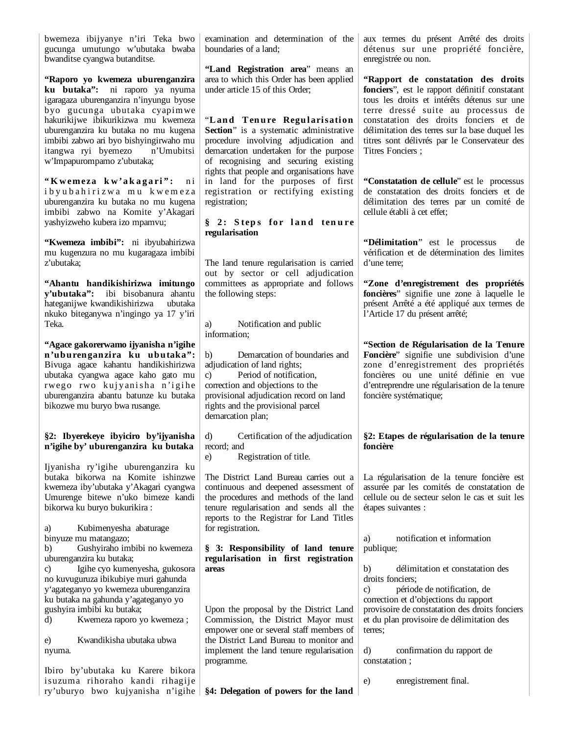bwemeza ibijyanye n'iri Teka bwo gucunga umutungo w'ubutaka bwaba bwanditse cyangwa butanditse.

**"Raporo yo kwemeza uburenganzira ku butaka":** ni raporo ya nyuma igaragaza uburenganzira n'inyungu byose byo gucunga ubutaka cyapimwe hakurikijwe ibikurikizwa mu kwemeza uburenganzira ku butaka no mu kugena imbibi zabwo ari byo bishyingirwaho mu itangwa ryi byemezo n'Umubitsi w'Impapurompamo z'ubutaka;

"Kwemeza kw'akagari": ni i b y u b a h i r i z w a m u k w e m e z a uburenganzira ku butaka no mu kugena imbibi zabwo na Komite y'Akagari yashyizweho kubera izo mpamvu;

**"Kwemeza imbibi":** ni ibyubahirizwa mu kugenzura no mu kugaragaza imbibi z'ubutaka;

**"Ahantu handikishirizwa imitungo y'ubutaka":** ibi bisobanura ahantu hateganijwe kwandikishirizwa ubutaka nkuko biteganywa n'ingingo ya 17 y'iri Teka.

**"Agace gakorerwamo ijyanisha n'igihe n'uburenganzira ku ubutaka":** Bivuga agace kahantu handikishirizwa ubutaka cyangwa agace kaho gato mu rwego rwo kujyanisha n'igihe uburenganzira abantu batunze ku butaka bikozwe mu buryo bwa rusange.

# **§2: Ibyerekeye ibyiciro by'ijyanisha n'igihe by' uburenganzira ku butaka**

Ijyanisha ry'igihe uburenganzira ku butaka bikorwa na Komite ishinzwe kwemeza iby'ubutaka y'Akagari cyangwa Umurenge bitewe n'uko bimeze kandi bikorwa ku buryo bukurikira :

a) Kubimenyesha abaturage binyuze mu matangazo;

b) Gushyiraho imbibi no kwemeza uburenganzira ku butaka;

c) Igihe cyo kumenyesha, gukosora no kuvuguruza ibikubiye muri gahunda y'agateganyo yo kwemeza uburenganzira ku butaka na gahunda y'agateganyo yo gushyira imbibi ku butaka;

d) Kwemeza raporo yo kwemeza ;

e) Kwandikisha ubutaka ubwa nyuma.

Ibiro by'ubutaka ku Karere bikora isuzuma rihoraho kandi rihagije ry'uburyo bwo kujyanisha n'igihe **§4: Delegation of powers for the land** 

examination and determination of the boundaries of a land;

**"Land Registration area**" means an area to which this Order has been applied under article 15 of this Order;

"**L an d T en u re Regu larisation Section**" is a systematic administrative procedure involving adjudication and demarcation undertaken for the purpose of recognising and securing existing rights that people and organisations have in land for the purposes of first registration or rectifying existing registration;

# § 2: Steps for land tenure **regularisation**

The land tenure regularisation is carried out by sector or cell adjudication committees as appropriate and follows the following steps:

a) Notification and public information;

b) Demarcation of boundaries and adjudication of land rights: c) Period of notification, correction and objections to the provisional adjudication record on land rights and the provisional parcel demarcation plan;

d) Certification of the adjudication record; and

e) Registration of title.

The District Land Bureau carries out a continuous and deepened assessment of the procedures and methods of the land tenure regularisation and sends all the reports to the Registrar for Land Titles for registration.

## **§ 3: Responsibility of land tenure regularisation in first registration areas**

Upon the proposal by the District Land Commission, the District Mayor must empower one or several staff members of the District Land Bureau to monitor and implement the land tenure regularisation programme.

aux termes du présent Arrêté des droits détenus sur une propriété foncière, enregistrée ou non.

**"Rapport de constatation des droits fonciers**", est le rapport définitif constatant tous les droits et intérêts détenus sur une terre dressé suite au processus de constatation des droits fonciers et de délimitation des terres sur la base duquel les titres sont délivrés par le Conservateur des Titres Fonciers ;

**"Constatation de cellule**" est le processus de constatation des droits fonciers et de délimitation des terres par un comité de cellule établi à cet effet;

**"Délimitation**" est le processus de vérification et de détermination des limites d'une terre;

**"Zone d'enregistrement des propriétés foncières**" signifie une zone à laquelle le présent Arrêté a été appliqué aux termes de l'Article 17 du présent arrêté;

**"Section de Régularisation de la Tenure Foncière**" signifie une subdivision d'une zone d'enregistrement des propriétés foncières ou une unité définie en vue d'entreprendre une régularisation de la tenure foncière systématique;

# **§2: Etapes de régularisation de la tenure foncière**

La régularisation de la tenure foncière est assurée par les comités de constatation de cellule ou de secteur selon le cas et suit les étapes suivantes :

a) notification et information publique;

b) délimitation et constatation des droits fonciers;

c) période de notification, de correction et d'objections du rapport provisoire de constatation des droits fonciers et du plan provisoire de délimitation des terres;

d) confirmation du rapport de constatation ;

e) enregistrement final.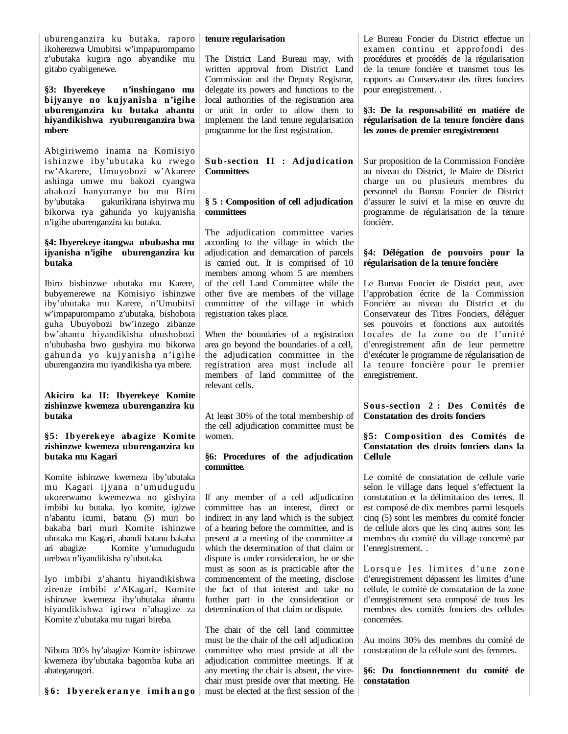uburenganzira ku butaka, raporo ikoherezwa Umubitsi w'impapurompamo z'ubutaka kugira ngo abyandike mu gitabo cyabigenewe.

**§3: Ibyerekeye n'inshingano mu bijyanye no kujyanisha n'igihe uburenganzira ku butaka ahantu hiyandikishwa ryuburenganzira bwa mbere**

Abigiriwemo inama na Komisiyo ishinzwe iby'ubutaka ku rwego rw'Akarere, Umuyobozi w'Akarere ashinga umwe mu bakozi cyangwa abakozi banyuranye bo mu Biro by'ubutaka gukurikirana ishyirwa mu bikorwa rya gahunda yo kujyanisha n'igihe uburenganzira ku butaka.

## **§4: Ibyerekeye itangwa ububasha mu ijyanisha n'igihe uburenganzira ku butaka**

Ibiro bishinzwe ubutaka mu Karere, bubyemerewe na Komisiyo ishinzwe iby'ubutaka mu Karere, n'Umubitsi w'impapurompamo z'ubutaka, bishobora guha Ubuyobozi bw'inzego zibanze bw'ahantu hiyandikisha ubushobozi n'ububasha bwo gushyira mu bikorwa gahunda yo kujyanisha n'igihe uburenganzira mu iyandikisha rya mbere.

# **Akiciro ka II: Ibyerekeye Komite zishinzwe kwemeza uburenganzira ku butaka**

## **§5: Ibyerekeye abagize Komite zishinzwe kwemeza uburenganzira ku butaka mu Kagari**

Komite ishinzwe kwemeza iby'ubutaka mu Kagari ijyana n'umudugudu ukorerwamo kwemezwa no gishyira imbibi ku butaka. Iyo komite, igizwe n'abantu icumi, batanu (5) muri bo bakaba bari muri Komite ishinzwe ubutaka mu Kagari, abandi batanu bakaba ari abagize Komite y'umudugudu urebwa n'iyandikisha ry'ubutaka.

Iyo imbibi z'ahantu hiyandikishwa zirenze imbibi z'AKagari, Komite ishinzwe kwemeza iby'ubutaka ahantu hiyandikishwa igirwa n'abagize za Komite z'ubutaka mu tugari bireba.

Nibura 30% by'abagize Komite ishinzwe kwemeza iby'ubutaka bagomba kuba ari abategarugori.

**§ 6 : I b y erekeran y e i mi h a n g o** 

#### **tenure regularisation**

The District Land Bureau may, with written approval from District Land Commission and the Deputy Registrar, delegate its powers and functions to the local authorities of the registration area or unit in order to allow them to implement the land tenure regularisation programme for the first registration.

# **Sub-section II : Adjudication Committees**

## **§ 5 : Composition of cell adjudication committees**

The adjudication committee varies according to the village in which the adjudication and demarcation of parcels is carried out. It is comprised of 10 members among whom 5 are members of the cell Land Committee while the other five are members of the village committee of the village in which registration takes place.

When the boundaries of a registration area go beyond the boundaries of a cell, the adjudication committee in the registration area must include all members of land committee of the relevant cells.

At least 30% of the total membership of the cell adjudication committee must be women.

#### **§6: Procedures of the adjudication committee.**

If any member of a cell adjudication committee has an interest, direct or indirect in any land which is the subject of a hearing before the committee, and is present at a meeting of the committee at which the determination of that claim or dispute is under consideration, he or she must as soon as is practicable after the commencement of the meeting, disclose the fact of that interest and take no further part in the consideration or determination of that claim or dispute.

The chair of the cell land committee must be the chair of the cell adjudication committee who must preside at all the adjudication committee meetings. If at any meeting the chair is absent, the vicechair must preside over that meeting. He must be elected at the first session of the Le Bureau Foncier du District effectue un examen continu et approfondi des procédures et procédés de la régularisation de la tenure foncière et transmet tous les rapports au Conservateur des titres fonciers pour enregistrement. .

**§3: De la responsabilité en matière de régularisation de la tenure foncière dans les zones de premier enregistrement** 

Sur proposition de la Commission Foncière au niveau du District, le Maire de District charge un ou plusieurs membres du personnel du Bureau Foncier de District d'assurer le suivi et la mise en œuvre du programme de régularisation de la tenure foncière.

# **§4: Délégation de pouvoirs pour la régularisation de la tenure foncière**

Le Bureau Foncier de District peut, avec l'approbation écrite de la Commission Foncière au niveau du District et du Conservateur des Titres Fonciers, déléguer ses pouvoirs et fonctions aux autorités locales de la zone ou de l'unité d'enregistrement afin de leur permettre d'exécuter le programme de régularisation de la tenure foncière pour le premier enregistrement.

**Sous-section 2 : Des Comités de Constatation des droits fonciers**

## **§5: Composition des Comités de Constatation des droits fonciers dans la Cellule**

Le comité de constatation de cellule varie selon le village dans lequel s'effectuent la constatation et la délimitation des terres. Il est composé de dix membres parmi lesquels cinq (5) sont les membres du comité foncier de cellule alors que les cinq autres sont les membres du comité du village concerné par l'enregistrement. .

Lorsque les limites d'une zone d'enregistrement dépassent les limites d'une cellule, le comité de constatation de la zone d'enregistrement sera composé de tous les membres des comités fonciers des cellules concernées.

Au moins 30% des membres du comité de constatation de la cellule sont des femmes.

**§6: Du fonctionnement du comité de constatation**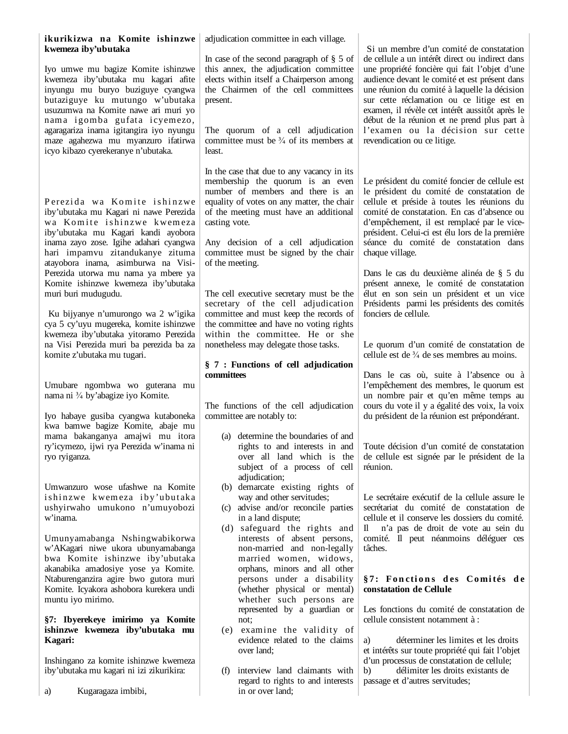| ikurikizwa na Komite ishinzwe<br>kwemeza iby'ubutaka<br>Iyo umwe mu bagize Komite ishinzwe                                                           | adjudication committee in each village.<br>In case of the second paragraph of $\S$ 5 of<br>this annex, the adjudication committee | Si un membre d'un comité de constatation<br>de cellule a un intérêt direct ou indirect dans<br>une propriété foncière qui fait l'objet d'une                                                  |
|------------------------------------------------------------------------------------------------------------------------------------------------------|-----------------------------------------------------------------------------------------------------------------------------------|-----------------------------------------------------------------------------------------------------------------------------------------------------------------------------------------------|
| kwemeza iby'ubutaka mu kagari afite<br>inyungu mu buryo buziguye cyangwa<br>butaziguye ku mutungo w'ubutaka<br>usuzumwa na Komite nawe ari muri yo   | elects within itself a Chairperson among<br>the Chairmen of the cell committees<br>present.                                       | audience devant le comité et est présent dans<br>une réunion du comité à laquelle la décision<br>sur cette réclamation ou ce litige est en<br>examen, il révèle cet intérêt aussitôt après le |
| nama igomba gufata icyemezo,<br>agaragariza inama igitangira iyo nyungu<br>maze agahezwa mu myanzuro ifatirwa<br>icyo kibazo cyerekeranye n'ubutaka. | The quorum of a cell adjudication<br>committee must be $\frac{3}{4}$ of its members at<br>least.                                  | début de la réunion et ne prend plus part à<br>l'examen ou la décision sur cette<br>revendication ou ce litige.                                                                               |
|                                                                                                                                                      | In the case that due to any vacancy in its<br>membership the quorum is an even<br>number of members and there is an               | Le président du comité foncier de cellule est<br>le président du comité de constatation de                                                                                                    |
| Perezida wa Komite ishinzwe<br>iby'ubutaka mu Kagari ni nawe Perezida<br>wa Komite ishinzwe kwemeza<br>iby'ubutaka mu Kagari kandi ayobora           | equality of votes on any matter, the chair<br>of the meeting must have an additional<br>casting vote.                             | cellule et préside à toutes les réunions du<br>comité de constatation. En cas d'absence ou<br>d'empêchement, il est remplacé par le vice-<br>président. Celui-ci est élu lors de la première  |
| inama zayo zose. Igihe adahari cyangwa<br>hari impamvu zitandukanye zituma<br>atayobora inama, asimburwa na Visi-                                    | Any decision of a cell adjudication<br>committee must be signed by the chair<br>of the meeting.                                   | séance du comité de constatation dans<br>chaque village.                                                                                                                                      |
| Perezida utorwa mu nama ya mbere ya<br>Komite ishinzwe kwemeza iby'ubutaka<br>muri buri mudugudu.                                                    | The cell executive secretary must be the<br>secretary of the cell adjudication                                                    | Dans le cas du deuxième alinéa de § 5 du<br>présent annexe, le comité de constatation<br>élut en son sein un président et un vice<br>Présidents parmi les présidents des comités              |
| Ku bijyanye n'umurongo wa 2 w'igika<br>cya 5 cy'uyu mugereka, komite ishinzwe<br>kwemeza iby'ubutaka yitoramo Perezida                               | committee and must keep the records of<br>the committee and have no voting rights<br>within the committee. He or she              | fonciers de cellule.                                                                                                                                                                          |
| na Visi Perezida muri ba perezida ba za<br>komite z'ubutaka mu tugari.                                                                               | nonetheless may delegate those tasks.<br>§ 7 : Functions of cell adjudication<br>committees                                       | Le quorum d'un comité de constatation de<br>cellule est de $\frac{3}{4}$ de ses membres au moins.<br>Dans le cas où, suite à l'absence ou à                                                   |
| Umubare ngombwa wo guterana mu<br>nama ni 3/4 by'abagize iyo Komite.                                                                                 | The functions of the cell adjudication                                                                                            | l'empêchement des membres, le quorum est<br>un nombre pair et qu'en même temps au<br>cours du vote il y a égalité des voix, la voix                                                           |
| Iyo habaye gusiba cyangwa kutaboneka<br>kwa bamwe bagize Komite, abaje mu<br>mama bakanganya amajwi mu itora                                         | committee are notably to:<br>(a) determine the boundaries of and                                                                  | du président de la réunion est prépondérant.                                                                                                                                                  |
| ry'icymezo, ijwi rya Perezida w'inama ni<br>ryo ryiganza.                                                                                            | rights to and interests in and<br>over all land which is the<br>subject of a process of cell<br>adjudication;                     | Toute décision d'un comité de constatation<br>de cellule est signée par le président de la<br>réunion.                                                                                        |
| Umwanzuro wose ufashwe na Komite<br>ishinzwe kwemeza iby'ubutaka<br>ushyirwaho umukono n'umuyobozi                                                   | (b) demarcate existing rights of<br>way and other servitudes;<br>(c) advise and/or reconcile parties                              | Le secrétaire exécutif de la cellule assure le<br>secrétariat du comité de constatation de                                                                                                    |
| w'inama.<br>Umunyamabanga Nshingwabikorwa<br>w'AKagari niwe ukora ubunyamabanga                                                                      | in a land dispute;<br>(d) safeguard the rights and<br>interests of absent persons,<br>non-married and non-legally                 | cellule et il conserve les dossiers du comité.<br>n'a pas de droit de vote au sein du<br>Ш<br>comité. Il peut néanmoins déléguer ces<br>tâches.                                               |
| bwa Komite ishinzwe iby'ubutaka<br>akanabika amadosiye yose ya Komite.<br>Ntaburenganzira agire bwo gutora muri                                      | married women, widows,<br>orphans, minors and all other<br>persons under a disability                                             | §7: Fonctions des Comités de                                                                                                                                                                  |
| Komite. Icyakora ashobora kurekera undi<br>muntu iyo mirimo.<br>§7: Ibyerekeye imirimo ya Komite                                                     | (whether physical or mental)<br>whether such persons are<br>represented by a guardian or<br>not;                                  | constatation de Cellule<br>Les fonctions du comité de constatation de<br>cellule consistent notamment à :                                                                                     |
| ishinzwe kwemeza iby'ubutaka mu<br>Kagari:                                                                                                           | examine the validity of<br>(e)<br>evidence related to the claims<br>over land;                                                    | déterminer les limites et les droits<br>a)<br>et intérêts sur toute propriété qui fait l'objet                                                                                                |
| Inshingano za komite ishinzwe kwemeza<br>iby'ubutaka mu kagari ni izi zikurikira:<br>Kugaragaza imbibi,<br>a)                                        | (f) interview land claimants with<br>regard to rights to and interests<br>in or over land;                                        | d'un processus de constatation de cellule;<br>délimiter les droits existants de<br>b)<br>passage et d'autres servitudes;                                                                      |
|                                                                                                                                                      |                                                                                                                                   |                                                                                                                                                                                               |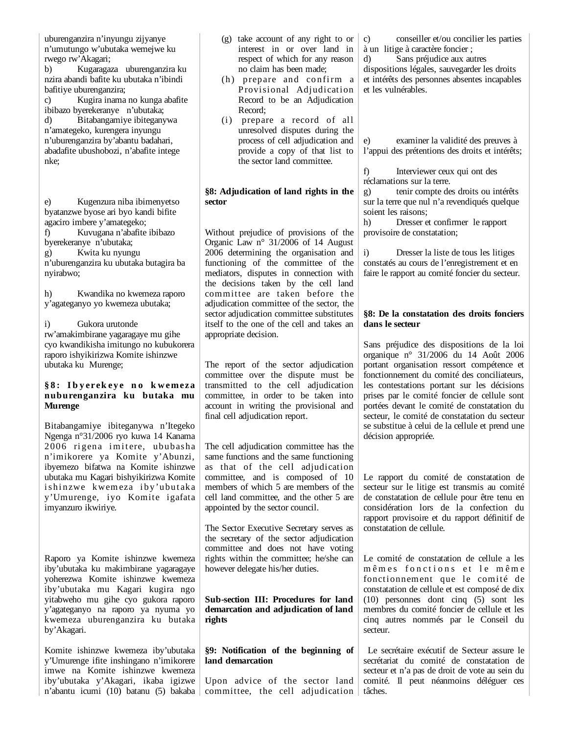uburenganzira n'inyungu zijyanye n'umutungo w'ubutaka wemejwe ku rwego rw'Akagari; b) Kugaragaza uburenganzira ku nzira abandi bafite ku ubutaka n'ibindi bafitiye uburenganzira; c) Kugira inama no kunga abafite ibibazo byerekeranye n'ubutaka; d) Bitabangamiye ibiteganywa n'amategeko, kurengera inyungu n'uburenganzira by'abantu badahari, abadafite ubushobozi, n'abafite intege nke;

e) Kugenzura niba ibimenyetso byatanzwe byose ari byo kandi bifite agaciro imbere y'amategeko; f) Kuvugana n'abafite ibibazo byerekeranye n'ubutaka; g) Kwita ku nyungu n'uburenganzira ku ubutaka butagira ba nyirabwo;

h) Kwandika no kwemeza raporo y'agateganyo yo kwemeza ubutaka;

i) Gukora urutonde rw'amakimbirane yagaragaye mu gihe cyo kwandikisha imitungo no kubukorera raporo ishyikirizwa Komite ishinzwe ubutaka ku Murenge;

#### **§ 8 : I b y erek ey e n o k w em eza nuburenganzira ku butaka mu Murenge**

Bitabangamiye ibiteganywa n'Itegeko Ngenga n°31/2006 ryo kuwa 14 Kanama 2006 rigena imitere, ububasha n'imikorere ya Komite y'Abunzi, ibyemezo bifatwa na Komite ishinzwe ubutaka mu Kagari bishyikirizwa Komite ishinzwe kwemeza iby'ubutaka y'Umurenge, iyo Komite igafata imyanzuro ikwiriye.

Raporo ya Komite ishinzwe kwemeza iby'ubutaka ku makimbirane yagaragaye yoherezwa Komite ishinzwe kwemeza iby'ubutaka mu Kagari kugira ngo yitabweho mu gihe cyo gukora raporo y'agateganyo na raporo ya nyuma yo kwemeza uburenganzira ku butaka by'Akagari.

Komite ishinzwe kwemeza iby'ubutaka y'Umurenge ifite inshingano n'imikorere imwe na Komite ishinzwe kwemeza iby'ubutaka y'Akagari, ikaba igizwe n'abantu icumi (10) batanu (5) bakaba (g) take account of any right to or interest in or over land in respect of which for any reason no claim has been made;

- (h) prepare and confirm a Provisional Adjudication Record to be an Adjudication Record;
- (i) prepare a record of all unresolved disputes during the process of cell adjudication and provide a copy of that list to the sector land committee.

#### **§8: Adjudication of land rights in the sector**

Without prejudice of provisions of the Organic Law n° 31/2006 of 14 August 2006 determining the organisation and functioning of the committee of the mediators, disputes in connection with the decisions taken by the cell land committee are taken before the adjudication committee of the sector, the sector adjudication committee substitutes itself to the one of the cell and takes an appropriate decision.

The report of the sector adjudication committee over the dispute must be transmitted to the cell adjudication committee, in order to be taken into account in writing the provisional and final cell adjudication report.

The cell adjudication committee has the same functions and the same functioning as that of the cell adjudication committee, and is composed of 10 members of which 5 are members of the cell land committee, and the other 5 are appointed by the sector council.

The Sector Executive Secretary serves as the secretary of the sector adjudication committee and does not have voting rights within the committee; he/she can however delegate his/her duties.

# **Sub-section III: Procedures for land demarcation and adjudication of land rights**

# **§9: Notification of the beginning of land demarcation**

Upon advice of the sector land committee, the cell adjudication

c) conseiller et/ou concilier les parties à un litige à caractère foncier ;

d) Sans préjudice aux autres dispositions légales, sauvegarder les droits et intérêts des personnes absentes incapables et les vulnérables.

e) examiner la validité des preuves à l'appui des prétentions des droits et intérêts;

f) Interviewer ceux qui ont des réclamations sur la terre.

g) tenir compte des droits ou intérêts sur la terre que nul n'a revendiqués quelque soient les raisons;

h) Dresser et confirmer le rapport provisoire de constatation;

i) Dresser la liste de tous les litiges constatés au cours de l'enregistrement et en faire le rapport au comité foncier du secteur.

# **§8: De la constatation des droits fonciers dans le secteur**

Sans préjudice des dispositions de la loi organique n° 31/2006 du 14 Août 2006 portant organisation ressort compétence et fonctionnement du comité des conciliateurs, les contestations portant sur les décisions prises par le comité foncier de cellule sont portées devant le comité de constatation du secteur, le comité de constatation du secteur se substitue à celui de la cellule et prend une décision appropriée.

Le rapport du comité de constatation de secteur sur le litige est transmis au comité de constatation de cellule pour être tenu en considération lors de la confection du rapport provisoire et du rapport définitif de constatation de cellule.

Le comité de constatation de cellule a les mêmes fonctions et le même fonctionnement que le comité de constatation de cellule et est composé de dix (10) personnes dont cinq (5) sont les membres du comité foncier de cellule et les cinq autres nommés par le Conseil du secteur.

 Le secrétaire exécutif de Secteur assure le secrétariat du comité de constatation de secteur et n'a pas de droit de vote au sein du comité. Il peut néanmoins déléguer ces tâches.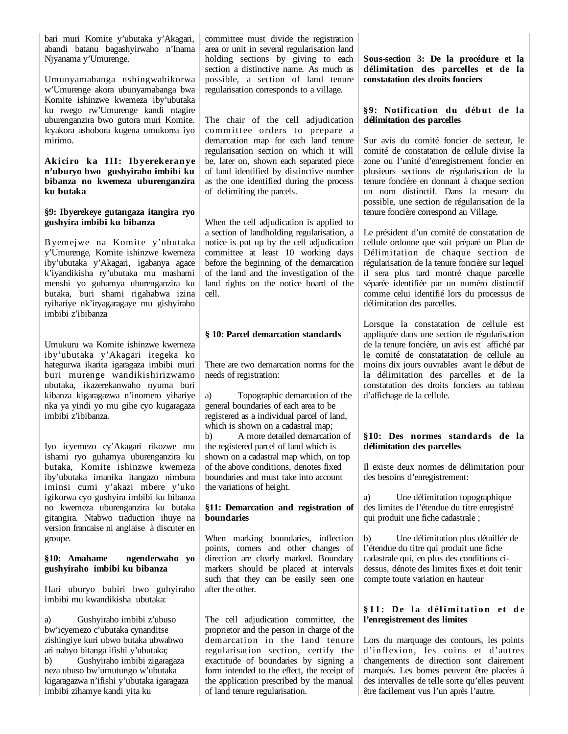bari muri Komite y'ubutaka y'Akagari, abandi batanu bagashyirwaho n'Inama Njyanama y'Umurenge.

Umunyamabanga nshingwabikorwa w'Umurenge akora ubunyamabanga bwa Komite ishinzwe kwemeza iby'ubutaka ku rwego rw'Umurenge kandi ntagire uburenganzira bwo gutora muri Komite. Icyakora ashobora kugena umukorea iyo mirimo.

#### Akiciro ka III: Ibyerekeranye **n'uburyo bwo gushyiraho imbibi ku bibanza no kwemeza uburenganzira ku butaka**

#### **§9: Ibyerekeye gutangaza itangira ryo gushyira imbibi ku bibanza**

Byemejwe na Komite y'ubutaka y'Umurenge, Komite ishinzwe kwemeza iby'ubutaka y'Akagari, igabanya agace k'iyandikisha ry'ubutaka mu mashami menshi yo guhamya uburenganzira ku butaka, buri shami rigahabwa izina ryihariye nk'iryagaragaye mu gishyiraho imbibi z'ibibanza

Umukuru wa Komite ishinzwe kwemeza iby'ubutaka y'Akagari itegeka ko hategurwa ikarita igaragaza imbibi muri buri murenge wandikishirizwamo ubutaka, ikazerekanwaho nyuma buri kibanza kigaragazwa n'inomero yihariye nka ya yindi yo mu gihe cyo kugaragaza imbibi z'ibibanza.

Iyo icyemezo cy'Akagari rikozwe mu ishami ryo guhamya uburenganzira ku butaka, Komite ishinzwe kwemeza iby'ubutaka imanika itangazo nimbura iminsi cumi y'akazi mbere y'uko igikorwa cyo gushyira imbibi ku bibanza no kwemeza uburenganzira ku butaka gitangira. Ntabwo traduction ihuye na version francaise ni anglaise à discuter en groupe.

#### **§10: Amahame ngenderwaho yo gushyiraho imbibi ku bibanza**

Hari uburyo bubiri bwo guhyiraho imbibi mu kwandikisha ubutaka:

a) Gushyiraho imbibi z'ubuso bw'icyemezo c'ubutaka cynanditse zishingiye kuri ubwo butaka ubwabwo ari nabyo bitanga ifishi y'ubutaka; b) Gushyiraho imbibi zigaragaza neza ubuso bw'umutungo w'ubutaka kigaragazwa n'ifishi y'ubutaka igaragaza imbibi zihamye kandi yita ku

committee must divide the registration area or unit in several regularisation land holding sections by giving to each section a distinctive name. As much as possible, a section of land tenure regularisation corresponds to a village.

The chair of the cell adjudication committee orders to prepare a demarcation map for each land tenure regularisation section on which it will be, later on, shown each separated piece of land identified by distinctive number as the one identified during the process of delimiting the parcels.

When the cell adjudication is applied to a section of landholding regularisation, a notice is put up by the cell adjudication committee at least 10 working days before the beginning of the demarcation of the land and the investigation of the land rights on the notice board of the cell.

# **§ 10: Parcel demarcation standards**

There are two demarcation norms for the needs of registration:

a) Topographic demarcation of the general boundaries of each area to be registered as a individual parcel of land, which is shown on a cadastral map:

b) A more detailed demarcation of the registered parcel of land which is shown on a cadastral map which, on top of the above conditions, denotes fixed boundaries and must take into account the variations of height.

# **§11: Demarcation and registration of boundaries**

When marking boundaries, inflection points, corners and other changes of direction are clearly marked. Boundary markers should be placed at intervals such that they can be easily seen one after the other.

The cell adjudication committee, the proprietor and the person in charge of the demarcation in the land tenure regularisation section, certify the exactitude of boundaries by signing a form intended to the effect, the receipt of the application prescribed by the manual of land tenure regularisation.

**Sous-section 3: De la procédure et la délimitation des parcelles et de la constatation des droits fonciers**

# **§9: Notification du début de la délimitation des parcelles**

Sur avis du comité foncier de secteur, le comité de constatation de cellule divise la zone ou l'unité d'enregistrement foncier en plusieurs sections de régularisation de la tenure foncière en donnant à chaque section un nom distinctif. Dans la mesure du possible, une section de régularisation de la tenure foncière correspond au Village.

Le président d'un comité de constatation de cellule ordonne que soit préparé un Plan de Délimitation de chaque section de régularisation de la tenure foncière sur lequel il sera plus tard montré chaque parcelle séparée identifiée par un numéro distinctif comme celui identifié lors du processus de délimitation des parcelles.

Lorsque la constatation de cellule est appliquée dans une section de régularisation de la tenure foncière, un avis est affiché par le comité de constatatation de cellule au moins dix jours ouvrables avant le début de la délimitation des parcelles et de la constatation des droits fonciers au tableau d'affichage de la cellule.

# **§10: Des normes standards de la délimitation des parcelles**

Il existe deux normes de délimitation pour des besoins d'enregistrement:

a) Une délimitation topographique des limites de l'étendue du titre enregistré qui produit une fiche cadastrale ;

b) Une délimitation plus détaillée de l'étendue du titre qui produit une fiche cadastrale qui, en plus des conditions cidessus, dénote des limites fixes et doit tenir compte toute variation en hauteur

# **§ 1 1 : De l a d él i mi ta ti o n et d e l'enregistrement des limites**

Lors du marquage des contours, les points d'inflexion, les coins et d'autres changements de direction sont clairement marqués. Les bornes peuvent être placées à des intervalles de telle sorte qu'elles peuvent être facilement vus l'un après l'autre.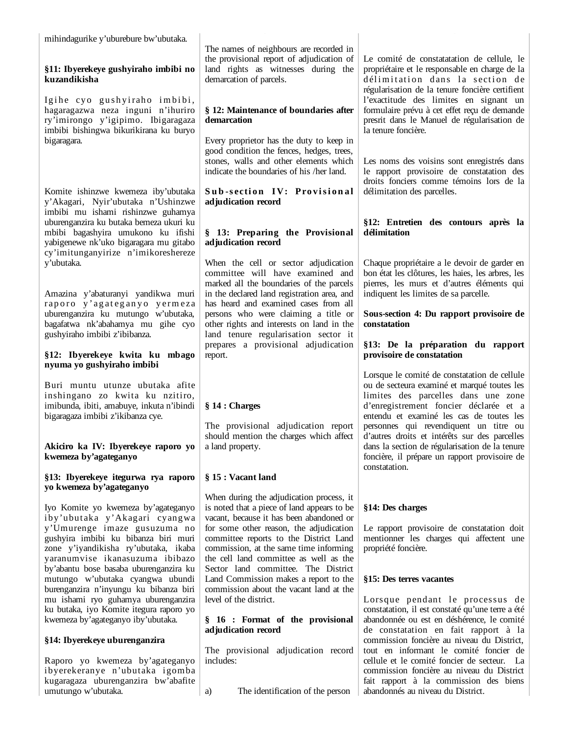mihindagurike y'uburebure bw'ubutaka.

# **§11: Ibyerekeye gushyiraho imbibi no kuzandikisha**

Igihe cyo gushyiraho imbibi, hagaragazwa neza inguni n'ihuriro ry'imirongo y'igipimo. Ibigaragaza imbibi bishingwa bikurikirana ku buryo bigaragara.

Komite ishinzwe kwemeza iby'ubutaka y'Akagari, Nyir'ubutaka n'Ushinzwe imbibi mu ishami rishinzwe guhamya uburenganzira ku butaka bemeza ukuri ku mbibi bagashyira umukono ku ifishi yabigenewe nk'uko bigaragara mu gitabo cy'imitunganyirize n'imikoreshereze y'ubutaka.

Amazina y'abaturanyi yandikwa muri raporo y'agateganyo yermeza uburenganzira ku mutungo w'ubutaka, bagafatwa nk'abahamya mu gihe cyo gushyiraho imbibi z'ibibanza.

## **§12: Ibyerekeye kwita ku mbago nyuma yo gushyiraho imbibi**

Buri muntu utunze ubutaka afite inshingano zo kwita ku nzitiro, imibunda, ibiti, amabuye, inkuta n'ibindi bigaragaza imbibi z'ikibanza cye.

#### **Akiciro ka IV: Ibyerekeye raporo yo kwemeza by'agateganyo**

#### **§13: Ibyerekeye itegurwa rya raporo yo kwemeza by'agateganyo**

Iyo Komite yo kwemeza by'agateganyo i by'ubut aka y'Akagari cyangwa y'Umurenge imaze gusuzuma no gushyira imbibi ku bibanza biri muri zone y'iyandikisha ry'ubutaka, ikaba yaranumvise ikanasuzuma ibibazo by'abantu bose basaba uburenganzira ku mutungo w'ubutaka cyangwa ubundi burenganzira n'inyungu ku bibanza biri mu ishami ryo guhamya uburenganzira ku butaka, iyo Komite itegura raporo yo kwemeza by'agateganyo iby'ubutaka.

# **§14: Ibyerekeye uburenganzira**

Raporo yo kwemeza by'agateganyo ibyerekeranye n'ubutaka igomba kugaragaza uburenganzira bw'abafite umutungo w'ubutaka.

The names of neighbours are recorded in the provisional report of adjudication of land rights as witnesses during the demarcation of parcels.

# **§ 12: Maintenance of boundaries after demarcation**

Every proprietor has the duty to keep in good condition the fences, hedges, trees, stones, walls and other elements which indicate the boundaries of his /her land.

# **Sub-section IV: Provisional adjudication record**

# **§ 13: Preparing the Provisional adjudication record**

When the cell or sector adjudication committee will have examined and marked all the boundaries of the parcels in the declared land registration area, and has heard and examined cases from all persons who were claiming a title or other rights and interests on land in the land tenure regularisation sector it prepares a provisional adjudication report.

# **§ 14 : Charges**

The provisional adjudication report should mention the charges which affect a land property.

# **§ 15 : Vacant land**

When during the adjudication process, it is noted that a piece of land appears to be vacant, because it has been abandoned or for some other reason, the adjudication committee reports to the District Land commission, at the same time informing the cell land committee as well as the Sector land committee. The District Land Commission makes a report to the commission about the vacant land at the level of the district.

# **§ 16 : Format of the provisional adjudication record**

The provisional adjudication record includes:

a) The identification of the person

Le comité de constatatation de cellule, le propriétaire et le responsable en charge de la délimitation dans la section de régularisation de la tenure foncière certifient l'exactitude des limites en signant un formulaire prévu à cet effet reçu de demande presrit dans le Manuel de régularisation de la tenure foncière.

Les noms des voisins sont enregistrés dans le rapport provisoire de constatation des droits fonciers comme témoins lors de la délimitation des parcelles.

# **§12: Entretien des contours après la délimitation**

Chaque propriétaire a le devoir de garder en bon état les clôtures, les haies, les arbres, les pierres, les murs et d'autres éléments qui indiquent les limites de sa parcelle.

# **Sous-section 4: Du rapport provisoire de constatation**

# **§13: De la préparation du rapport provisoire de constatation**

Lorsque le comité de constatation de cellule ou de secteura examiné et marqué toutes les limites des parcelles dans une zone d'enregistrement foncier déclarée et a entendu et examiné les cas de toutes les personnes qui revendiquent un titre ou d'autres droits et intérêts sur des parcelles dans la section de régularisation de la tenure foncière, il prépare un rapport provisoire de constatation.

# **§14: Des charges**

Le rapport provisoire de constatation doit mentionner les charges qui affectent une propriété foncière.

# **§15: Des terres vacantes**

Lorsque pendant le processus de constatation, il est constaté qu'une terre a été abandonnée ou est en déshérence, le comité de constatation en fait rapport à la commission foncière au niveau du District, tout en informant le comité foncier de cellule et le comité foncier de secteur. La commission foncière au niveau du District fait rapport à la commission des biens abandonnés au niveau du District.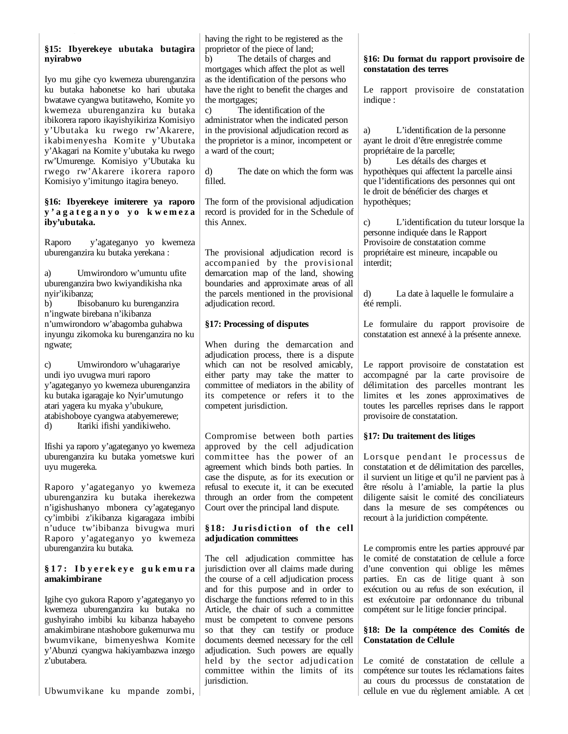# **§15: Ibyerekeye ubutaka butagira nyirabwo**

Iyo mu gihe cyo kwemeza uburenganzira ku butaka habonetse ko hari ubutaka bwatawe cyangwa butitaweho, Komite yo kwemeza uburenganzira ku butaka ibikorera raporo ikayishyikiriza Komisiyo y'Ubutaka ku rwego rw'Akarere, ikabimenyesha Komite y'Ubutaka y'Akagari na Komite y'ubutaka ku rwego rw'Umurenge. Komisiyo y'Ubutaka ku rwego rw'Akarere ikorera raporo Komisiyo y'imitungo itagira beneyo.

#### **§16: Ibyerekeye imiterere ya raporo y ' a g a t e g a n y o y o k w e m e z a iby'ubutaka.**

Raporo y'agateganyo yo kwemeza uburenganzira ku butaka yerekana :

a) Umwirondoro w'umuntu ufite uburenganzira bwo kwiyandikisha nka nyir'ikibanza;

b) Ibisobanuro ku burenganzira n'ingwate birebana n'ikibanza n'umwirondoro w'abagomba guhabwa inyungu zikomoka ku burenganzira no ku ngwate;

c) Umwirondoro w'uhagarariye undi iyo uvugwa muri raporo y'agateganyo yo kwemeza uburenganzira ku butaka igaragaje ko Nyir'umutungo atari yagera ku myaka y'ubukure, atabishoboye cyangwa atabyemerewe; d) Itariki ifishi yandikiweho.

Ifishi ya raporo y'agateganyo yo kwemeza uburenganzira ku butaka yometswe kuri uyu mugereka.

Raporo y'agateganyo yo kwemeza uburenganzira ku butaka iherekezwa n'igishushanyo mbonera cy'agateganyo cy'imbibi z'ikibanza kigaragaza imbibi n'uduce tw'ibibanza bivugwa muri Raporo y'agateganyo yo kwemeza uburenganzira ku butaka.

### **§ 1 7 : I b y e r e k e y e g u k e m u r a amakimbirane**

Igihe cyo gukora Raporo y'agateganyo yo kwemeza uburenganzira ku butaka no gushyiraho imbibi ku kibanza habayeho amakimbirane ntashobore gukemurwa mu bwumvikane, bimenyeshwa Komite y'Abunzi cyangwa hakiyambazwa inzego z'ubutabera.

Ubwumvikane ku mpande zombi,

having the right to be registered as the proprietor of the piece of land;

b) The details of charges and mortgages which affect the plot as well as the identification of the persons who have the right to benefit the charges and the mortgages;

c) The identification of the administrator when the indicated person in the provisional adjudication record as the proprietor is a minor, incompetent or a ward of the court;

d) The date on which the form was filled.

The form of the provisional adjudication record is provided for in the Schedule of this Annex.

The provisional adjudication record is accompanied by the provisional demarcation map of the land, showing boundaries and approximate areas of all the parcels mentioned in the provisional adjudication record.

# **§17: Processing of disputes**

When during the demarcation and adjudication process, there is a dispute which can not be resolved amicably, either party may take the matter to committee of mediators in the ability of its competence or refers it to the competent jurisdiction.

Compromise between both parties approved by the cell adjudication committee has the power of an agreement which binds both parties. In case the dispute, as for its execution or refusal to execute it, it can be executed through an order from the competent Court over the principal land dispute.

# $§18:$  Jurisdiction of the cell **adjudication committees**

The cell adjudication committee has jurisdiction over all claims made during the course of a cell adjudication process and for this purpose and in order to discharge the functions referred to in this Article, the chair of such a committee must be competent to convene persons so that they can testify or produce documents deemed necessary for the cell adjudication. Such powers are equally held by the sector adjudication committee within the limits of its jurisdiction.

## **§16: Du format du rapport provisoire de constatation des terres**

Le rapport provisoire de constatation indique :

a) L'identification de la personne ayant le droit d'être enregistrée comme propriétaire de la parcelle;

b) Les détails des charges et hypothèques qui affectent la parcelle ainsi que l'identifications des personnes qui ont le droit de bénéficier des charges et hypothèques;

c) L'identification du tuteur lorsque la personne indiquée dans le Rapport Provisoire de constatation comme propriétaire est mineure, incapable ou interdit;

d) La date à laquelle le formulaire a été rempli.

Le formulaire du rapport provisoire de constatation est annexé à la présente annexe.

Le rapport provisoire de constatation est accompagné par la carte provisoire de délimitation des parcelles montrant les limites et les zones approximatives de toutes les parcelles reprises dans le rapport provisoire de constatation.

# **§17: Du traitement des litiges**

Lorsque pendant le processus de constatation et de délimitation des parcelles, il survient un litige et qu'il ne parvient pas à être résolu à l'amiable, la partie la plus diligente saisit le comité des conciliateurs dans la mesure de ses compétences ou recourt à la juridiction compétente.

Le compromis entre les parties approuvé par le comité de constatation de cellule a force d'une convention qui oblige les mêmes parties. En cas de litige quant à son exécution ou au refus de son exécution, il est exécutoire par ordonnance du tribunal compétent sur le litige foncier principal.

# **§18: De la compétence des Comités de Constatation de Cellule**

Le comité de constatation de cellule a compétence sur toutes les réclamations faites au cours du processus de constatation de cellule en vue du règlement amiable. A cet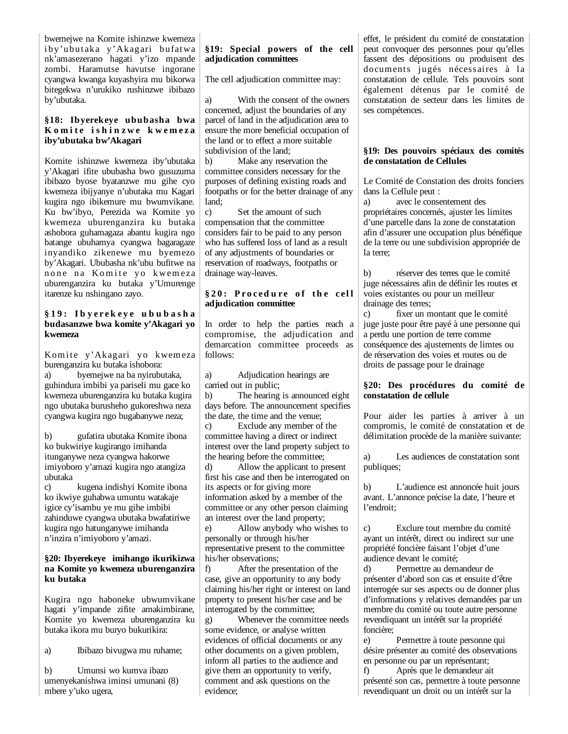bwemejwe na Komite ishinzwe kwemeza iby'ubutaka y'Akagari bufatwa nk'amasezerano hagati y'izo mpande zombi. Haramutse havutse ingorane cyangwa kwanga kuyashyira mu bikorwa bitegekwa n'urukiko rushinzwe ibibazo by'ubutaka.

# **§18: Ibyerekeye ububasha bwa**  Komite ishinzwe kwemeza **iby'ubutaka bw'Akagari**

Komite ishinzwe kwemeza iby'ubutaka y'Akagari ifite ububasha bwo gusuzuma ibibazo byose byatanzwe mu gihe cyo kwemeza ibijyanye n'ubutaka mu Kagari kugira ngo ibikemure mu bwumvikane. Ku bw'ibyo, Perezida wa Komite yo kwemeza uburenganzira ku butaka ashobora guhamagaza abantu kugira ngo batange ubuhamya cyangwa bagaragaze inyandiko zikenewe mu byemezo by'Akagari. Ububasha nk'ubu bufitwe na none na Komite yo kwemeza uburenganzira ku butaka y'Umurenge itarenze ku nshingano zayo.

## **§ 1 9 : I b y e r e k e y e u b u b a s h a budasanzwe bwa komite y'Akagari yo kwemeza**

Komite y'Akagari yo kwemeza burenganzira ku butaka ishobora: a) byemejwe na ba nyirubutaka, guhindura imbibi ya pariseli mu gace ko kwemeza uburenganzira ku butaka kugira ngo ubutaka burusheho gukoreshwa neza cyangwa kugira ngo bugabanywe neza;

b) gufatira ubutaka Komite ibona ko bukwiriye kugirango imihanda itunganywe neza cyangwa hakorwe imiyoboro y'amazi kugira ngo atangiza ubutaka

c) kugena indishyi Komite ibona ko ikwiye guhabwa umuntu watakaje igice cy'isambu ye mu gihe imbibi zahinduwe cyangwa ubutaka bwafatiriwe kugira ngo hatunganywe imihanda n'inzira n'imiyoboro y'amazi.

#### **§20: Ibyerekeye imihango ikurikizwa na Komite yo kwemeza uburenganzira ku butaka**

Kugira ngo haboneke ubwumvikane hagati y'impande zifite amakimbirane, Komite yo kwemeza uburenganzira ku butaka ikora mu buryo bukurikira:

a) Ibibazo bivugwa mu ruhame;

b) Umunsi wo kumva ibazo umenyekanishwa iminsi umunani (8) mbere y'uko ugera,

# **§19: Special powers of the cell adjudication committees**

The cell adjudication committee may:

a) With the consent of the owners concerned, adjust the boundaries of any parcel of land in the adjudication area to ensure the more beneficial occupation of the land or to effect a more suitable subdivision of the land;

b) Make any reservation the committee considers necessary for the purposes of defining existing roads and footpaths or for the better drainage of any land;

c) Set the amount of such compensation that the committee considers fair to be paid to any person who has suffered loss of land as a result of any adjustments of boundaries or reservation of roadways, footpaths or drainage way-leaves.

# § 20: Procedure of the cell **adjudication committee**

In order to help the parties reach a compromise, the adjudication and demarcation committee proceeds as follows:

a) Adjudication hearings are carried out in public;

b) The hearing is announced eight days before. The announcement specifies the date, the time and the venue; c) Exclude any member of the committee having a direct or indirect

interest over the land property subject to the hearing before the committee;

d) Allow the applicant to present first his case and then be interrogated on its aspects or for giving more information asked by a member of the committee or any other person claiming an interest over the land property;

e) Allow anybody who wishes to personally or through his/her representative present to the committee his/her observations;

f) After the presentation of the case, give an opportunity to any body claiming his/her right or interest on land property to present his/her case and be interrogated by the committee;

g) Whenever the committee needs some evidence, or analyse written evidences of official documents or any other documents on a given problem, inform all parties to the audience and give them an opportunity to verify, comment and ask questions on the evidence;

effet, le président du comité de constatation peut convoquer des personnes pour qu'elles fassent des dépositions ou produisent des documents jugés nécessaires à la constatation de cellule. Tels pouvoirs sont également détenus par le comité de constatation de secteur dans les limites de ses compétences.

# **§19: Des pouvoirs spéciaux des comités de constatation de Cellules**

Le Comité de Constation des droits fonciers dans la Cellule peut :

a) avec le consentement des propriétaires concernés, ajuster les limites d'une parcelle dans la zone de constatation afin d'assurer une occupation plus bénéfique de la terre ou une subdivision appropriée de la terre;

b) réserver des terres que le comité juge nécessaires afin de définir les routes et voies existantes ou pour un meilleur drainage des terres;

c) fixer un montant que le comité juge juste pour être payé à une personne qui a perdu une portion de terre comme conséquence des ajustements de limtes ou de rérservation des voies et routes ou de droits de passage pour le drainage

# **§20: Des procédures du comité de constatation de cellule**

Pour aider les parties à arriver à un compromis, le comité de constatation et de délimitation procède de la manière suivante:

a) Les audiences de constatation sont publiques;

b) L'audience est annoncée huit jours avant. L'annonce précise la date, l'heure et l'endroit;

c) Exclure tout membre du comité ayant un intérêt, direct ou indirect sur une propriété foncière faisant l'objet d'une audience devant le comité;

d) Permettre au demandeur de présenter d'abord son cas et ensuite d'être interrogée sur ses aspects ou de donner plus d'informations y relatives demandées par un membre du comité ou toute autre personne revendiquant un intérêt sur la propriété foncière;

e) Permettre à toute personne qui désire présenter au comité des observations en personne ou par un représentant;

f) Après que le demandeur ait présenté son cas, permettre à toute personne revendiquant un droit ou un intérêt sur la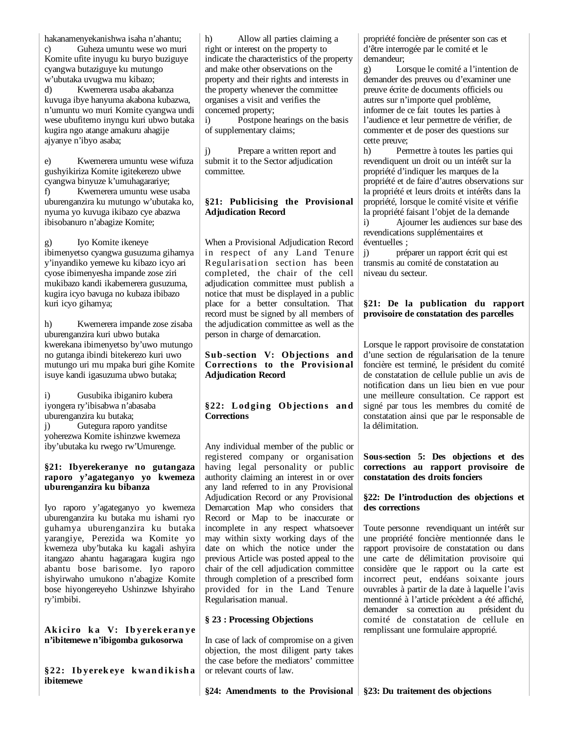hakanamenyekanishwa isaha n'ahantu;

c) Guheza umuntu wese wo muri Komite ufite inyugu ku buryo buziguye cyangwa butaziguye ku mutungo w'ubutaka uvugwa mu kibazo;

d) Kwemerera usaba akabanza kuvuga ibye hanyuma akabona kubazwa, n'umuntu wo muri Komite cyangwa undi wese ubufitemo inyngu kuri ubwo butaka kugira ngo atange amakuru ahagije ajyanye n'ibyo asaba;

e) Kwemerera umuntu wese wifuza gushyikiriza Komite igitekerezo ubwe cyangwa binyuze k'umuhagarariye; f) Kwemerera umuntu wese usaba uburenganzira ku mutungo w'ubutaka ko, nyuma yo kuvuga ikibazo cye abazwa ibisobanuro n'abagize Komite;

g) Iyo Komite ikeneye ibimenyetso cyangwa gusuzuma gihamya y'inyandiko yemewe ku kibazo icyo ari cyose ibimenyesha impande zose ziri mukibazo kandi ikabemerera gusuzuma, kugira icyo bavuga no kubaza ibibazo kuri icyo gihamya;

h) Kwemerera impande zose zisaba uburenganzira kuri ubwo butaka kwerekana ibimenyetso by'uwo mutungo no gutanga ibindi bitekerezo kuri uwo mutungo uri mu mpaka buri gihe Komite isuye kandi igasuzuma ubwo butaka;

i) Gusubika ibiganiro kubera iyongera ry'ibisabwa n'abasaba uburenganzira ku butaka; j) Gutegura raporo yanditse yoherezwa Komite ishinzwe kwemeza iby'ubutaka ku rwego rw'Umurenge.

#### **§21: Ibyerekeranye no gutangaza raporo y'agateganyo yo kwemeza uburenganzira ku bibanza**

Iyo raporo y'agateganyo yo kwemeza uburenganzira ku butaka mu ishami ryo guhamya uburenganzira ku butaka yarangiye, Perezida wa Komite yo kwemeza uby'butaka ku kagali ashyira itangazo ahantu hagaragara kugira ngo abantu bose barisome. Iyo raporo ishyirwaho umukono n'abagize Komite bose hiyongereyeho Ushinzwe Ishyiraho ry'imbibi.

#### Akiciro ka V: Ibyerekeranye **n'ibitemewe n'ibigomba gukosorwa**

**§22: Ib yerek eye k wan d i k i sh a ibitemewe** 

h) Allow all parties claiming a right or interest on the property to indicate the characteristics of the property and make other observations on the property and their rights and interests in the property whenever the committee organises a visit and verifies the concerned property;

i) Postpone hearings on the basis of supplementary claims;

j) Prepare a written report and submit it to the Sector adjudication committee.

# **§21: Publicising the Provisional Adjudication Record**

When a Provisional Adjudication Record in respect of any Land Tenure Regularisation section has been completed, the chair of the cell adjudication committee must publish a notice that must be displayed in a public place for a better consultation. That record must be signed by all members of the adjudication committee as well as the person in charge of demarcation.

# **Sub-section V: Objections and Corrections to the Provisional Adjudication Record**

# §22: Lodging Objections and **Corrections**

Any individual member of the public or registered company or organisation having legal personality or public authority claiming an interest in or over any land referred to in any Provisional Adjudication Record or any Provisional Demarcation Map who considers that Record or Map to be inaccurate or incomplete in any respect whatsoever may within sixty working days of the date on which the notice under the previous Article was posted appeal to the chair of the cell adjudication committee through completion of a prescribed form provided for in the Land Tenure Regularisation manual.

# **§ 23 : Processing Objections**

In case of lack of compromise on a given objection, the most diligent party takes the case before the mediators' committee or relevant courts of law.

propriété foncière de présenter son cas et d'être interrogée par le comité et le demandeur;

g) Lorsque le comité a l'intention de demander des preuves ou d'examiner une preuve écrite de documents officiels ou autres sur n'importe quel problème, informer de ce fait toutes les parties à l'audience et leur permettre de vérifier, de commenter et de poser des questions sur cette preuve;

h) Permettre à toutes les parties qui revendiquent un droit ou un intérêt sur la propriété d'indiquer les marques de la propriété et de faire d'autres observations sur la propriété et leurs droits et intérêts dans la propriété, lorsque le comité visite et vérifie la propriété faisant l'objet de la demande

i) Ajourner les audiences sur base des revendications supplémentaires et éventuelles ;

j) préparer un rapport écrit qui est transmis au comité de constatation au niveau du secteur.

# **§21: De la publication du rapport provisoire de constatation des parcelles**

Lorsque le rapport provisoire de constatation d'une section de régularisation de la tenure foncière est terminé, le président du comité de constatation de cellule publie un avis de notification dans un lieu bien en vue pour une meilleure consultation. Ce rapport est signé par tous les membres du comité de constatation ainsi que par le responsable de la délimitation.

**Sous-section 5: Des objections et des corrections au rapport provisoire de constatation des droits fonciers**

# **§22: De l'introduction des objections et des corrections**

Toute personne revendiquant un intérêt sur une propriété foncière mentionnée dans le rapport provisoire de constatation ou dans une carte de délimitation provisoire qui considère que le rapport ou la carte est incorrect peut, endéans soixante jours ouvrables à partir de la date à laquelle l'avis mentionné à l'article précèdent a été affiché, demander sa correction au comité de constatation de cellule en remplissant une formulaire approprié.

**§24: Amendments to the Provisional §23: Du traitement des objections**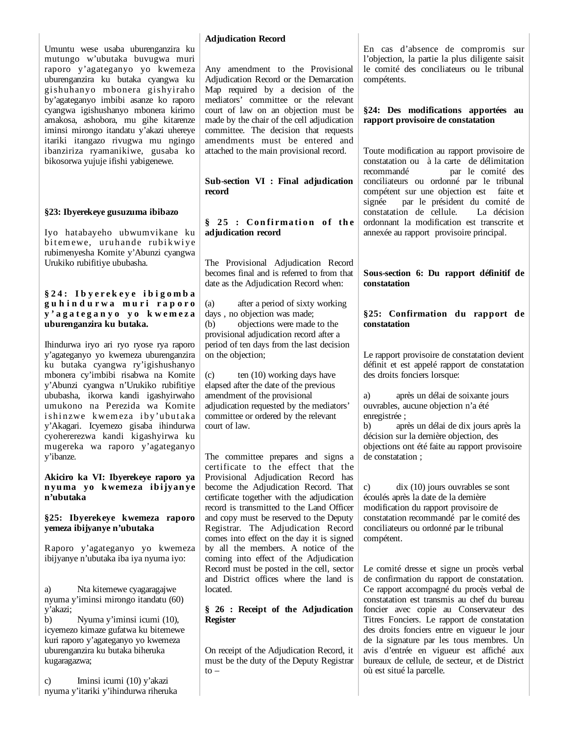Umuntu wese usaba uburenganzira ku mutungo w'ubutaka buvugwa muri raporo y'agateganyo yo kwemeza uburenganzira ku butaka cyangwa ku gishuhanyo mbonera gishyiraho by'agateganyo imbibi asanze ko raporo cyangwa igishushanyo mbonera kirimo amakosa, ashobora, mu gihe kitarenze iminsi mirongo itandatu y'akazi uhereye itariki itangazo rivugwa mu ngingo ibanziriza ryamanikiwe, gusaba ko bikosorwa yujuje ifishi yabigenewe.

# **§23: Ibyerekeye gusuzuma ibibazo**

Iyo hatabayeho ubwumvikane ku bit emewe, uruhande rubikwiye rubimenyesha Komite y'Abunzi cyangwa Urukiko rubifitiye ububasha.

#### **§ 2 4 : I b y e r e k e y e i b i g o m b a g u h i n d u r w a m u r i r a p o r o y ' a g a t e g a n y o y o k w e m e z a uburenganzira ku butaka.**

Ihindurwa iryo ari ryo ryose rya raporo y'agateganyo yo kwemeza uburenganzira ku butaka cyangwa ry'igishushanyo mbonera cy'imbibi risabwa na Komite y'Abunzi cyangwa n'Urukiko rubifitiye ububasha, ikorwa kandi igashyirwaho umukono na Perezida wa Komite ishinzwe kwemeza iby'ubutaka y'Akagari. Icyemezo gisaba ihindurwa cyohererezwa kandi kigashyirwa ku mugereka wa raporo y'agateganyo y'ibanze.

#### **Akiciro ka VI: Ibyerekeye raporo ya n yu ma yo k wemeza ib ijyan ye n'ubutaka**

#### **§25: Ibyerekeye kwemeza raporo yemeza ibijyanye n'ubutaka**

Raporo y'agateganyo yo kwemeza ibijyanye n'ubutaka iba iya nyuma iyo:

Nta kitemewe cyagaragajwe nyuma y'iminsi mirongo itandatu (60) y'akazi;

b) Nyuma y'iminsi icumi (10), icyemezo kimaze gufatwa ku bitemewe kuri raporo y'agateganyo yo kwemeza uburenganzira ku butaka biheruka kugaragazwa;

c) Iminsi icumi (10) y'akazi nyuma y'itariki y'ihindurwa riheruka

## **Adjudication Record**

Any amendment to the Provisional Adjudication Record or the Demarcation Map required by a decision of the mediators' committee or the relevant court of law on an objection must be made by the chair of the cell adjudication committee. The decision that requests amendments must be entered and attached to the main provisional record.

**Sub-section VI : Final adjudication record** 

# $§ 25 : Confirmation of the$ **adjudication record**

The Provisional Adjudication Record becomes final and is referred to from that date as the Adjudication Record when:

(a) after a period of sixty working days , no objection was made; (b) objections were made to the provisional adjudication record after a period of ten days from the last decision on the objection;

(c) ten (10) working days have elapsed after the date of the previous amendment of the provisional adjudication requested by the mediators' committee or ordered by the relevant court of law.

The committee prepares and signs a certificate to the effect that the Provisional Adjudication Record has become the Adjudication Record. That certificate together with the adjudication record is transmitted to the Land Officer and copy must be reserved to the Deputy Registrar. The Adjudication Record comes into effect on the day it is signed by all the members. A notice of the coming into effect of the Adjudication Record must be posted in the cell, sector and District offices where the land is located.

#### **§ 26 : Receipt of the Adjudication Register**

On receipt of the Adjudication Record, it must be the duty of the Deputy Registrar  $to -$ 

En cas d'absence de compromis sur l'objection, la partie la plus diligente saisit le comité des conciliateurs ou le tribunal compétents.

#### **§24: Des modifications apportées au rapport provisoire de constatation**

Toute modification au rapport provisoire de constatation ou à la carte de délimitation recommandé par le comité des conciliateurs ou ordonné par le tribunal compétent sur une objection est faite et signée par le président du comité de constatation de cellule. La décision ordonnant la modification est transcrite et annexée au rapport provisoire principal.

## **Sous-section 6: Du rapport définitif de constatation**

# **§25: Confirmation du rapport de constatation**

Le rapport provisoire de constatation devient définit et est appelé rapport de constatation des droits fonciers lorsque:

a) après un délai de soixante jours ouvrables, aucune objection n'a été enregistrée ;

b) après un délai de dix jours après la décision sur la dernière objection, des objections ont été faite au rapport provisoire de constatation ;

c) dix (10) jours ouvrables se sont écoulés après la date de la dernière modification du rapport provisoire de constatation recommandé par le comité des conciliateurs ou ordonné par le tribunal compétent.

Le comité dresse et signe un procès verbal de confirmation du rapport de constatation. Ce rapport accompagné du procès verbal de constatation est transmis au chef du bureau foncier avec copie au Conservateur des Titres Fonciers. Le rapport de constatation des droits fonciers entre en vigueur le jour de la signature par les tous membres. Un avis d'entrée en vigueur est affiché aux bureaux de cellule, de secteur, et de District où est situé la parcelle.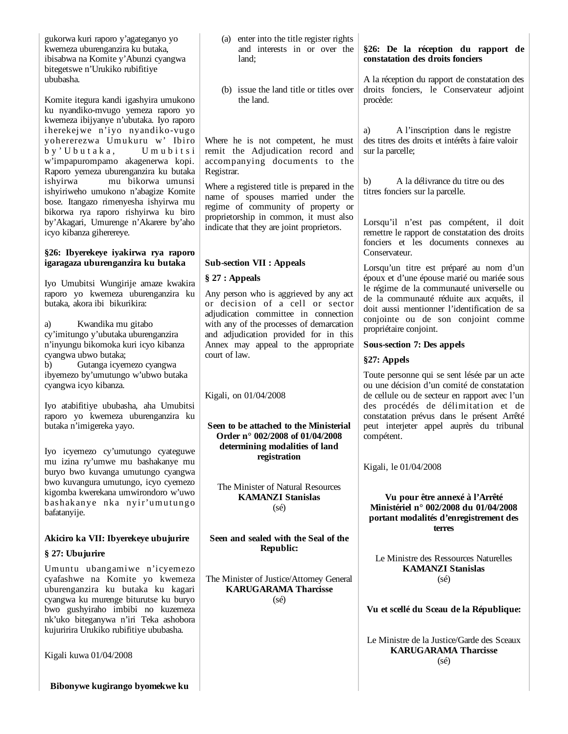gukorwa kuri raporo y'agateganyo yo kwemeza uburenganzira ku butaka, ibisabwa na Komite y'Abunzi cyangwa bitegetswe n'Urukiko rubifitiye ububasha.

Komite itegura kandi igashyira umuko ku nyandiko-mvugo yemeza raporo kwemeza ibijyanye n'ubutaka. Iyo rapo iherekejwe n'iyo nyandiko-vug yohererezwa Umukuru w' Ibi by ' U bu t a k a, U m u b i t w'impapurompamo akagenerwa ko Raporo yemeza uburenganzira ku buta ishyirwa mu bikorwa umun ishyiriweho umukono n'abagize Kom bose. Itangazo rimenyesha ishyirwa m bikorwa rya raporo rishyirwa ku bi by'Akagari, Umurenge n'Akarere by'a icyo kibanza giherereye.

#### §26: Ibyerekeye iyakirwa rya rapo **igaragaza uburenganzira ku butaka**

Iyo Umubitsi Wungirije amaze kwak raporo yo kwemeza uburenganzira ku butaka, akora ibi bikurikira:

a) Kwandika mu gitabo cy'imitungo y'ubutaka uburenganzira n'inyungu bikomoka kuri icyo kibanza cyangwa ubwo butaka; b) Gutanga icyemezo cyangwa ibyemezo by'umutungo w'ubwo butaka cyangwa icyo kibanza.

Iyo atabifitiye ububasha, aha Umubi raporo yo kwemeza uburenganzira ku butaka n'imigereka yayo.

Iyo icyemezo cy'umutungo cyategu mu izina ry'umwe mu bashakanye mu buryo bwo kuvanga umutungo cyang bwo kuvangura umutungo, icyo cyeme kigomba kwerekana umwirondoro w'uw bashakanye nka nyir'umutun bafatanyije.

# **Akiciro ka VII: Ibyerekeye ubujurire**

# **§ 27: Ubujurire**

Umuntu ubangamiwe n'icyeme cyafashwe na Komite yo kweme uburenganzira ku butaka ku kaga cyangwa ku murenge biturutse ku bur bwo gushyiraho imbibi no kuzeme nk'uko biteganywa n'iri Teka ashobo kujuririra Urukiko rubifitiye ububasha.

Kigali kuwa 01/04/2008

**Bibonywe kugirango byomekwe ku** 

|                                             | (a) enter into the title register rights<br>and interests in or over the<br>land;                                                                                                                      | §26: De la réception du rapport de<br>constatation des droits fonciers                                                                                                                                                                                                                     |
|---------------------------------------------|--------------------------------------------------------------------------------------------------------------------------------------------------------------------------------------------------------|--------------------------------------------------------------------------------------------------------------------------------------------------------------------------------------------------------------------------------------------------------------------------------------------|
| nо<br>yo                                    | (b) issue the land title or titles over<br>the land.                                                                                                                                                   | A la réception du rapport de constatation des<br>droits fonciers, le Conservateur adjoint<br>procède:                                                                                                                                                                                      |
| oro<br>$g_0$<br>iro<br>$\sin$<br>pi.<br>aka | Where he is not competent, he must<br>remit the Adjudication record and<br>accompanying documents to the<br>Registrar.                                                                                 | A l'inscription dans le registre<br>a)<br>des titres des droits et intérêts à faire valoir<br>sur la parcelle;                                                                                                                                                                             |
| nsi<br>ite<br>mu<br>iro                     | Where a registered title is prepared in the<br>name of spouses married under the<br>regime of community of property or                                                                                 | b)<br>A la délivrance du titre ou des<br>titres fonciers sur la parcelle.                                                                                                                                                                                                                  |
| aho<br>oro                                  | proprietorship in common, it must also<br>indicate that they are joint proprietors.                                                                                                                    | Lorsqu'il n'est pas compétent, il doit<br>remettre le rapport de constatation des droits<br>fonciers et les documents connexes au<br>Conservateur.                                                                                                                                         |
|                                             | <b>Sub-section VII : Appeals</b>                                                                                                                                                                       |                                                                                                                                                                                                                                                                                            |
|                                             | § 27: Appeals                                                                                                                                                                                          | Lorsqu'un titre est préparé au nom d'un<br>époux et d'une épouse marié ou mariée sous                                                                                                                                                                                                      |
| tira<br>ku                                  | Any person who is aggrieved by any act<br>or decision of a cell or sector<br>adjudication committee in connection<br>with any of the processes of demarcation<br>and adjudication provided for in this | le régime de la communauté universelle ou<br>de la communauté réduite aux acquêts, il<br>doit aussi mentionner l'identification de sa<br>conjointe ou de son conjoint comme<br>propriétaire conjoint.                                                                                      |
|                                             | Annex may appeal to the appropriate                                                                                                                                                                    | Sous-section 7: Des appels                                                                                                                                                                                                                                                                 |
|                                             | court of law.                                                                                                                                                                                          | §27: Appels                                                                                                                                                                                                                                                                                |
|                                             |                                                                                                                                                                                                        |                                                                                                                                                                                                                                                                                            |
| a<br>itsi<br>ku                             | Kigali, on 01/04/2008<br>Seen to be attached to the Ministerial<br>Order n° 002/2008 of 01/04/2008                                                                                                     | Toute personne qui se sent lésée par un acte<br>ou une décision d'un comité de constatation<br>de cellule ou de secteur en rapport avec l'un<br>des procédés de délimitation et de<br>constatation prévus dans le présent Arrêté<br>peut interjeter appel auprès du tribunal<br>compétent. |
| we                                          | determining modalities of land<br>registration                                                                                                                                                         |                                                                                                                                                                                                                                                                                            |
| mu                                          |                                                                                                                                                                                                        | Kigali, le 01/04/2008                                                                                                                                                                                                                                                                      |
| wa<br>ezo                                   |                                                                                                                                                                                                        |                                                                                                                                                                                                                                                                                            |
| WO<br>gо                                    | The Minister of Natural Resources<br><b>KAMANZI Stanislas</b><br>$(s\acute{e})$                                                                                                                        | Vu pour être annexé à l'Arrêté<br>Ministériel n° 002/2008 du 01/04/2008<br>portant modalités d'enregistrement des<br>terres                                                                                                                                                                |
| e                                           | Seen and sealed with the Seal of the                                                                                                                                                                   |                                                                                                                                                                                                                                                                                            |
|                                             | <b>Republic:</b>                                                                                                                                                                                       |                                                                                                                                                                                                                                                                                            |
| 20:                                         |                                                                                                                                                                                                        | Le Ministre des Ressources Naturelles<br><b>KAMANZI Stanislas</b>                                                                                                                                                                                                                          |
| eza<br>ari                                  | The Minister of Justice/Attorney General<br><b>KARUGARAMA Tharcisse</b>                                                                                                                                | $(s\acute{e})$                                                                                                                                                                                                                                                                             |
| ryo                                         | $(s\acute{e})$                                                                                                                                                                                         |                                                                                                                                                                                                                                                                                            |
| eza<br>ora                                  |                                                                                                                                                                                                        | Vu et scellé du Sceau de la République:                                                                                                                                                                                                                                                    |
|                                             |                                                                                                                                                                                                        | Le Ministre de la Justice/Garde des Sceaux<br><b>KARUGARAMA Tharcisse</b><br>$(s\acute{e})$                                                                                                                                                                                                |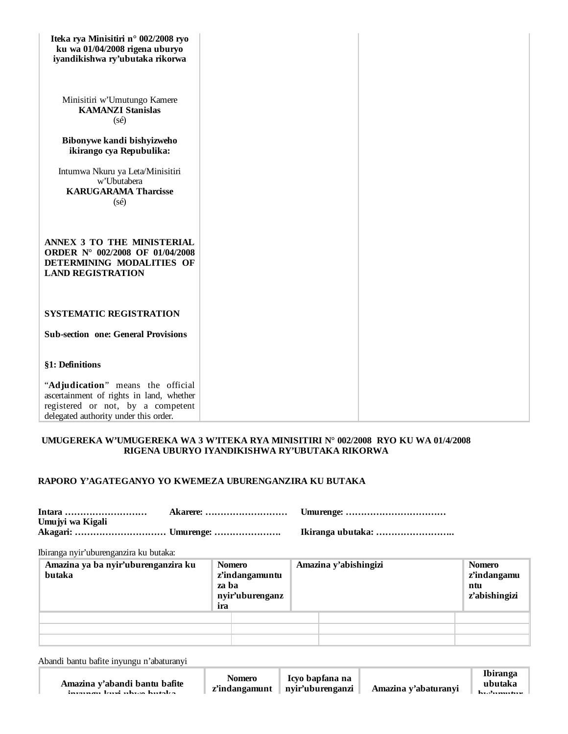| Iteka rya Minisitiri n° 002/2008 ryo<br>ku wa 01/04/2008 rigena uburyo<br>iyandikishwa ry'ubutaka rikorwa                                                   |  |
|-------------------------------------------------------------------------------------------------------------------------------------------------------------|--|
| Minisitiri w'Umutungo Kamere<br><b>KAMANZI Stanislas</b><br>$(s\acute{e})$                                                                                  |  |
| Bibonywe kandi bishyizweho<br>ikirango cya Repubulika:                                                                                                      |  |
| Intumwa Nkuru ya Leta/Minisitiri<br>w'Ubutabera<br><b>KARUGARAMA Tharcisse</b><br>$(s\acute{e})$                                                            |  |
| ANNEX 3 TO THE MINISTERIAL<br>ORDER N° 002/2008 OF 01/04/2008<br>DETERMINING MODALITIES OF<br><b>LAND REGISTRATION</b>                                      |  |
| <b>SYSTEMATIC REGISTRATION</b>                                                                                                                              |  |
| <b>Sub-section one: General Provisions</b>                                                                                                                  |  |
| §1: Definitions                                                                                                                                             |  |
| "Adjudication" means the official<br>ascertainment of rights in land, whether<br>registered or not, by a competent<br>delegated authority under this order. |  |

# **UMUGEREKA W'UMUGEREKA WA 3 W'ITEKA RYA MINISITIRI N° 002/2008 RYO KU WA 01/4/2008 RIGENA UBURYO IYANDIKISHWA RY'UBUTAKA RIKORWA**

# **RAPORO Y'AGATEGANYO YO KWEMEZA UBURENGANZIRA KU BUTAKA**

| Akagari:  Umurenge: |  |
|---------------------|--|
|                     |  |

Ibiranga nyir'uburenganzira ku butaka:

| Amazina ya ba nyir'uburenganzira ku<br>butaka | <b>Nomero</b><br>z'indangamuntu<br>za ha<br>nyir'uburenganz<br>ira | Amazina y'abishingizi | <b>Nomero</b><br>z'indangamu<br>ntu<br>z'abishingizi |
|-----------------------------------------------|--------------------------------------------------------------------|-----------------------|------------------------------------------------------|
|                                               |                                                                    |                       |                                                      |
|                                               |                                                                    |                       |                                                      |
|                                               |                                                                    |                       |                                                      |

Abandi bantu bafite inyungu n'abaturanyi

**Amazina y'abandi bantu bafite inyungu kuri ubwo butaka**

**Nomero z'indangamunt**

**Ibiranga ubutaka bw'umutur**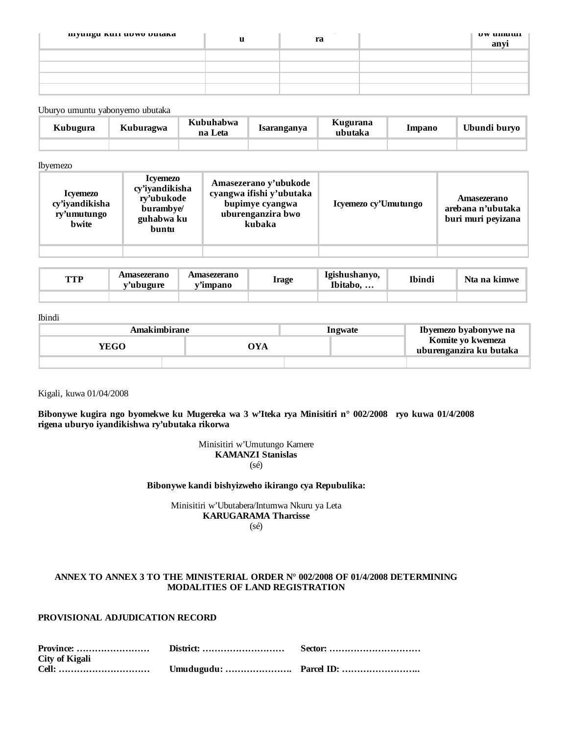| inyungu Kuri upwo butaka | $\overline{\phantom{a}}$<br>u | $\sim$<br>$\overline{\phantom{a}}$<br>ra | $\sim$<br>$\sim$ | $UV$ unique<br>anvi |
|--------------------------|-------------------------------|------------------------------------------|------------------|---------------------|
|                          |                               |                                          |                  |                     |
|                          |                               |                                          |                  |                     |
|                          |                               |                                          |                  |                     |
|                          |                               |                                          |                  |                     |

#### Uburyo umuntu yabonyemo ubutaka

| Kubugura | Kuburagwa | Kubuhabwa<br>na Leta | Isaranganya | Kugurana<br>ubutaka | Impano | Ubundi buryo |
|----------|-----------|----------------------|-------------|---------------------|--------|--------------|
|          |           |                      |             |                     |        |              |

#### Ibyemezo

| <i><u><b>Icvemezo</b></u></i><br>cy'iyandikisha<br>ry'umutungo<br>bwite | <b>Icyemezo</b><br>cy'iyandikisha<br>rv'ubukode<br>burambye/<br>guhabwa ku<br>buntu | Amasezerano y'ubukode<br>cyangwa ifishi y'ubutaka<br>bupimye cyangwa<br>uburenganzira bwo<br>kubaka | Icyemezo cy'Umutungo | Amasezerano<br>arebana n'ubutaka<br>buri muri peyizana |
|-------------------------------------------------------------------------|-------------------------------------------------------------------------------------|-----------------------------------------------------------------------------------------------------|----------------------|--------------------------------------------------------|
|                                                                         |                                                                                     |                                                                                                     |                      |                                                        |

| TTD<br>. | Amasezerano<br>v'ubugure | Amasezerano<br>v'impano | <b>Irage</b> | Tgishushanyo.<br>Ibitabo, | Ibindi | Nta na kimwe |
|----------|--------------------------|-------------------------|--------------|---------------------------|--------|--------------|
|          |                          |                         |              |                           |        |              |

#### Ibindi

| Amakimbirane |     | <b>Ingwate</b> | Ibyemezo byabonywe na                        |
|--------------|-----|----------------|----------------------------------------------|
| YEGO.        | OYA |                | Komite yo kwemeza<br>uburenganzira ku butaka |
|              |     |                |                                              |

#### Kigali, kuwa 01/04/2008

**Bibonywe kugira ngo byomekwe ku Mugereka wa 3 w'Iteka rya Minisitiri n° 002/2008 ryo kuwa 01/4/2008 rigena uburyo iyandikishwa ry'ubutaka rikorwa**

#### Minisitiri w'Umutungo Kamere **KAMANZI Stanislas** (sé)

### **Bibonywe kandi bishyizweho ikirango cya Repubulika:**

Minisitiri w'Ubutabera/Intumwa Nkuru ya Leta **KARUGARAMA Tharcisse** (sé)

#### **ANNEX TO ANNEX 3 TO THE MINISTERIAL ORDER N° 002/2008 OF 01/4/2008 DETERMINING MODALITIES OF LAND REGISTRATION**

# **PROVISIONAL ADJUDICATION RECORD**

| City of Kigali |  |
|----------------|--|
|                |  |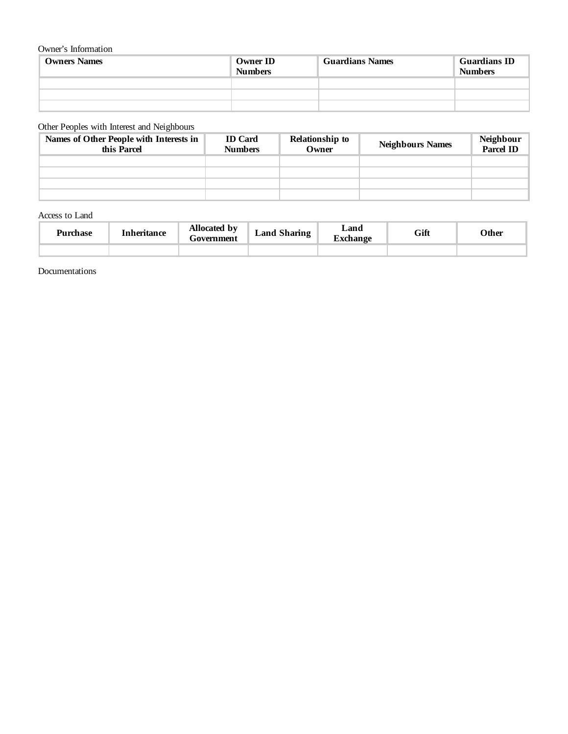## Owner's Information

| <b>Owners Names</b> | <b>Owner ID</b><br><b>Numbers</b> | <b>Guardians Names</b> | <b>Guardians ID</b><br><b>Numbers</b> |
|---------------------|-----------------------------------|------------------------|---------------------------------------|
|                     |                                   |                        |                                       |
|                     |                                   |                        |                                       |
|                     |                                   |                        |                                       |

## Other Peoples with Interest and Neighbours

| Names of Other People with Interests in<br>this Parcel | <b>ID</b> Card<br><b>Numbers</b> | <b>Relationship to</b><br>Owner | <b>Neighbours Names</b> | Neighbour<br>Parcel ID |
|--------------------------------------------------------|----------------------------------|---------------------------------|-------------------------|------------------------|
|                                                        |                                  |                                 |                         |                        |
|                                                        |                                  |                                 |                         |                        |
|                                                        |                                  |                                 |                         |                        |
|                                                        |                                  |                                 |                         |                        |

Access to Land

| <b>Purchase</b> | Inheritance | Allocated by<br><del>F</del> overnment | <b>Land Sharing</b> | Land<br>€vehanσe | Gift | Other |
|-----------------|-------------|----------------------------------------|---------------------|------------------|------|-------|
|                 |             |                                        |                     |                  |      |       |

Documentations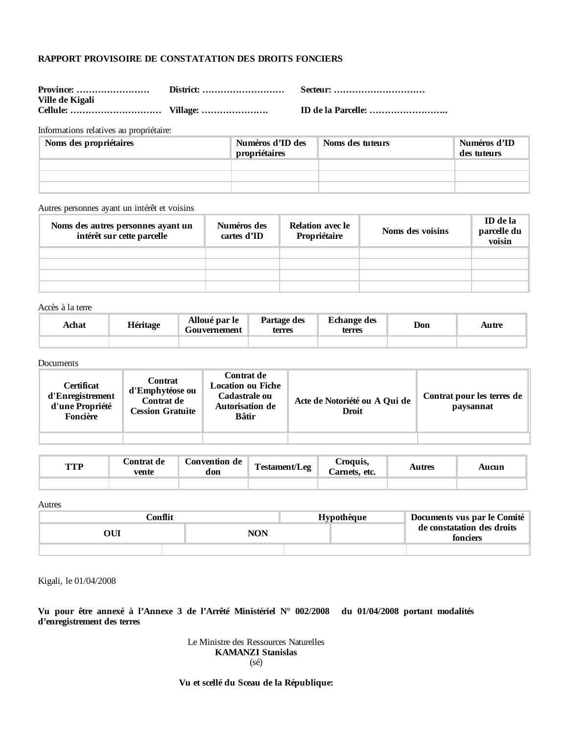# **RAPPORT PROVISOIRE DE CONSTATATION DES DROITS FONCIERS**

| Province:   District: |  |
|-----------------------|--|
| Ville de Kigali       |  |
|                       |  |

**Province: …………………… District: ……………………… Secteur: …………………………**

**Cellule: ………………………… Village: …………………. ID de la Parcelle: ……………………..**

Informations relatives au propriétaire:

| Noms des propriétaires | Numéros d'ID des<br>propriétaires | Noms des tuteurs | Numéros d'ID<br>des tuteurs |
|------------------------|-----------------------------------|------------------|-----------------------------|
|                        |                                   |                  |                             |
|                        |                                   |                  |                             |
|                        |                                   |                  |                             |

Autres personnes ayant un intérêt et voisins

| Noms des autres personnes ayant un<br>intérêt sur cette parcelle | Numéros des<br>cartes d'ID | <b>Relation avec le</b><br>Propriétaire | Noms des voisins | <b>ID</b> de la<br>parcelle du<br>voisin |
|------------------------------------------------------------------|----------------------------|-----------------------------------------|------------------|------------------------------------------|
|                                                                  |                            |                                         |                  |                                          |
|                                                                  |                            |                                         |                  |                                          |
|                                                                  |                            |                                         |                  |                                          |
|                                                                  |                            |                                         |                  |                                          |

Accès à la terre

| Achat | Héritage | Alloué par le<br>Gouvernement | Partage des<br>terres | <b>Echange des</b><br>terres | Don | Autre |
|-------|----------|-------------------------------|-----------------------|------------------------------|-----|-------|
|       |          |                               |                       |                              |     |       |

#### Documents

| <b>Certificat</b><br>d'Enregistrement<br>d'une Propriété<br>Foncière | <b>Contrat</b><br>d'Emphytéose ou<br>Contrat de<br><b>Cession Gratuite</b> | Contrat de<br>Location ou Fiche<br>Cadastrale ou<br>Autorisation de<br><b>Bâtir</b> | Acte de Notoriété ou A Qui de<br><b>Droit</b> | Contrat pour les terres de<br>paysannat |
|----------------------------------------------------------------------|----------------------------------------------------------------------------|-------------------------------------------------------------------------------------|-----------------------------------------------|-----------------------------------------|
|                                                                      |                                                                            |                                                                                     |                                               |                                         |

| TTD<br>$\cdots$ | Contrat de<br>vente | Convention de<br>don | <b>CONTINUES</b><br>l'estament/Leg | roquis.<br>Carnets. etc. | Autres | Aucun |
|-----------------|---------------------|----------------------|------------------------------------|--------------------------|--------|-------|
|                 |                     |                      |                                    |                          |        |       |

Autres

| ∑onflit |     | Hypothèque | Documents vus par le Comité            |  |  |
|---------|-----|------------|----------------------------------------|--|--|
|         | NON |            | de constatation des droits<br>fonciers |  |  |
|         |     |            |                                        |  |  |

Kigali, le 01/04/2008

**Vu pour être annexé à l'Annexe 3 de l'Arrêté Ministériel N° 002/2008 du 01/04/2008 portant modalités d'enregistrement des terres**

> Le Ministre des Ressources Naturelles **KAMANZI Stanislas** (sé)

**Vu et scellé du Sceau de la République:**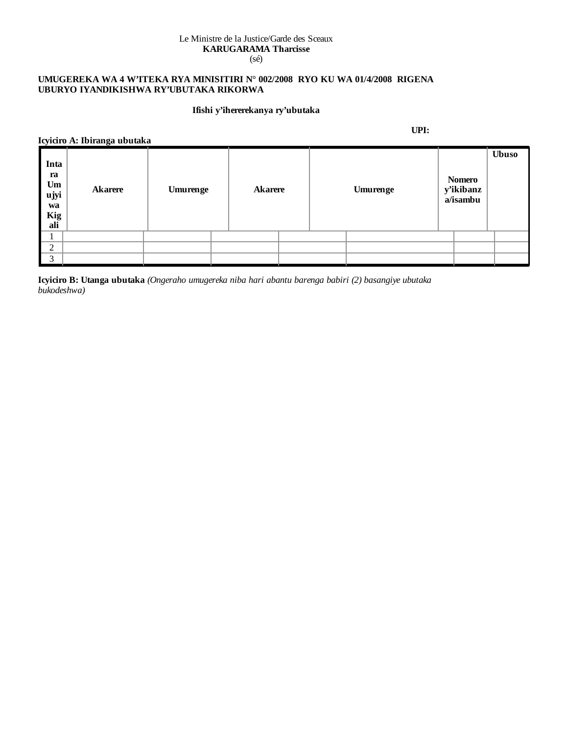#### Le Ministre de la Justice/Garde des Sceaux **KARUGARAMA Tharcisse** (sé)

# **UMUGEREKA WA 4 W'ITEKA RYA MINISITIRI N° 002/2008 RYO KU WA 01/4/2008 RIGENA UBURYO IYANDIKISHWA RY'UBUTAKA RIKORWA**

# **Ifishi y'ihererekanya ry'ubutaka**

**Icyiciro A: Ibiranga ubutaka**

**UPI:**

|                                              | TCYRTIO A. IDHANGA UDULANA |          |                |  |          |                                        |              |
|----------------------------------------------|----------------------------|----------|----------------|--|----------|----------------------------------------|--------------|
| Inta<br>ra<br>Um<br>ujyi<br>wa<br>Kig<br>ali | <b>Akarere</b>             | Umurenge | <b>Akarere</b> |  | Umurenge | <b>Nomero</b><br>y'ikibanz<br>a/isambu | <b>Ubuso</b> |
|                                              |                            |          |                |  |          |                                        |              |
| $\bigcap$<br>∠                               |                            |          |                |  |          |                                        |              |
| $\mathbf{z}$                                 |                            |          |                |  |          |                                        |              |

**Icyiciro B: Utanga ubutaka** *(Ongeraho umugereka niba hari abantu barenga babiri (2) basangiye ubutaka bukodeshwa)*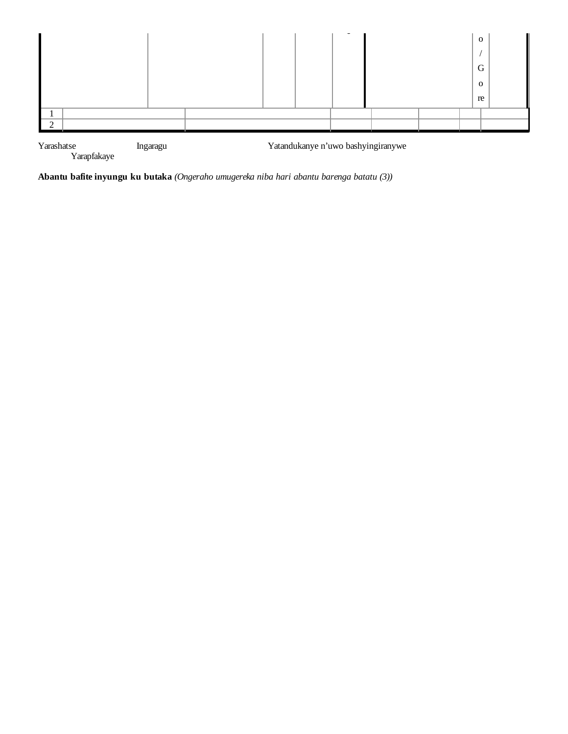

Yarashatse<br>Yarapfakaye

**Abantu bafite inyungu ku butaka** *(Ongeraho umugereka niba hari abantu barenga batatu (3))*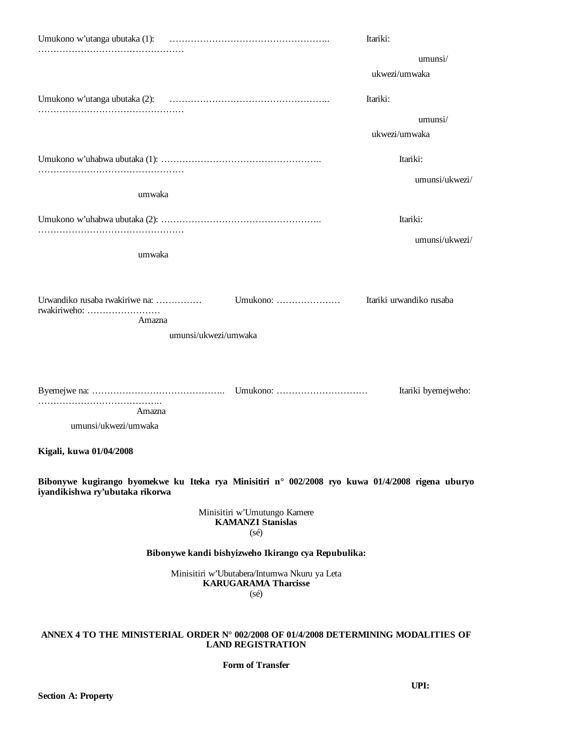|                                                                                                                                     | Itariki:                 |
|-------------------------------------------------------------------------------------------------------------------------------------|--------------------------|
|                                                                                                                                     | umunsi/                  |
|                                                                                                                                     | ukwezi/umwaka            |
|                                                                                                                                     | Itariki:                 |
|                                                                                                                                     | umunsi/                  |
|                                                                                                                                     | ukwezi/umwaka            |
|                                                                                                                                     | Itariki:                 |
|                                                                                                                                     | umunsi/ukwezi/           |
| umwaka                                                                                                                              |                          |
|                                                                                                                                     | Itariki:                 |
|                                                                                                                                     | umunsi/ukwezi/           |
| umwaka                                                                                                                              |                          |
|                                                                                                                                     |                          |
| Urwandiko rusaba rwakiriwe na:<br>Umukono:<br>rwakiriweho:                                                                          | Itariki urwandiko rusaba |
| Amazna                                                                                                                              |                          |
| umunsi/ukwezi/umwaka                                                                                                                |                          |
|                                                                                                                                     |                          |
|                                                                                                                                     |                          |
|                                                                                                                                     | Itariki byemejweho:      |
| Amazna                                                                                                                              |                          |
| umunsi/ukwezi/umwaka                                                                                                                |                          |
| Kigali, kuwa 01/04/2008                                                                                                             |                          |
| Bibonywe kugirango byomekwe ku Iteka rya Minisitiri n° 002/2008 ryo kuwa 01/4/2008 rigena uburyo<br>iyandikishwa ry'ubutaka rikorwa |                          |
| Minisitiri w'Umutungo Kamere<br><b>KAMANZI Stanislas</b>                                                                            |                          |
| $(s\acute{e})$                                                                                                                      |                          |
| Bibonywe kandi bishyizweho Ikirango cya Repubulika:                                                                                 |                          |
| Minisitiri w'Ubutabera/Intumwa Nkuru ya Leta<br><b>KARUGARAMA Tharcisse</b><br>$(s\acute{e})$                                       |                          |
| ANNEX 4 TO THE MINISTERIAL ORDER N° 002/2008 OF 01/4/2008 DETERMINING MODALITIES OF                                                 |                          |
| <b>LAND REGISTRATION</b>                                                                                                            |                          |

### **Form of Transfer**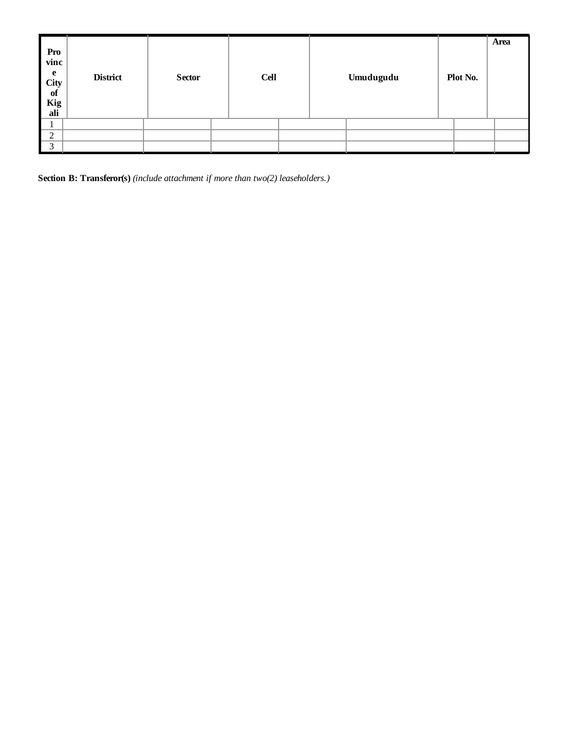| Pro<br>vinc<br>e<br>$\overline{\phantom{a}}$ City<br>of<br>Kig<br>ali | <b>District</b> | <b>Sector</b> | <b>Cell</b> |  | Umudugudu | Plot No. | Area |
|-----------------------------------------------------------------------|-----------------|---------------|-------------|--|-----------|----------|------|
|                                                                       |                 |               |             |  |           |          |      |
| $\overline{2}$                                                        |                 |               |             |  |           |          |      |
| $\mathcal{R}$                                                         |                 |               |             |  |           |          |      |

**Section B: Transferor(s)** *(include attachment if more than two(2) leaseholders.)*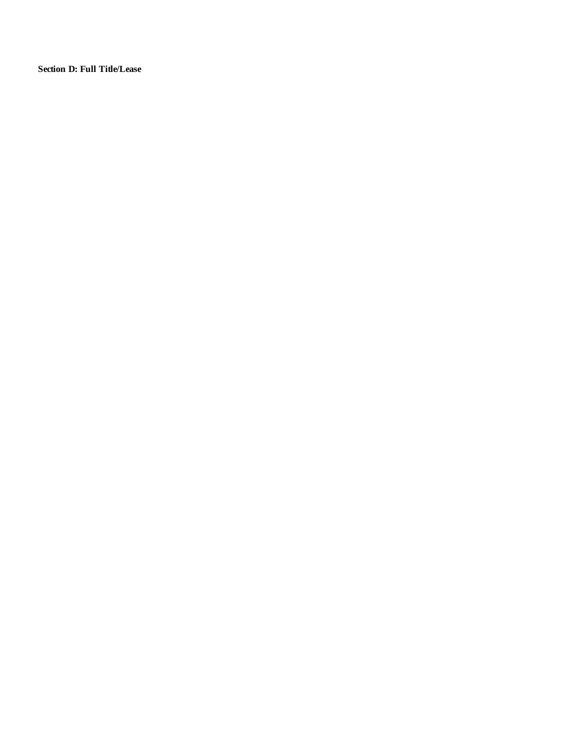**Section D: Full Title/Lease**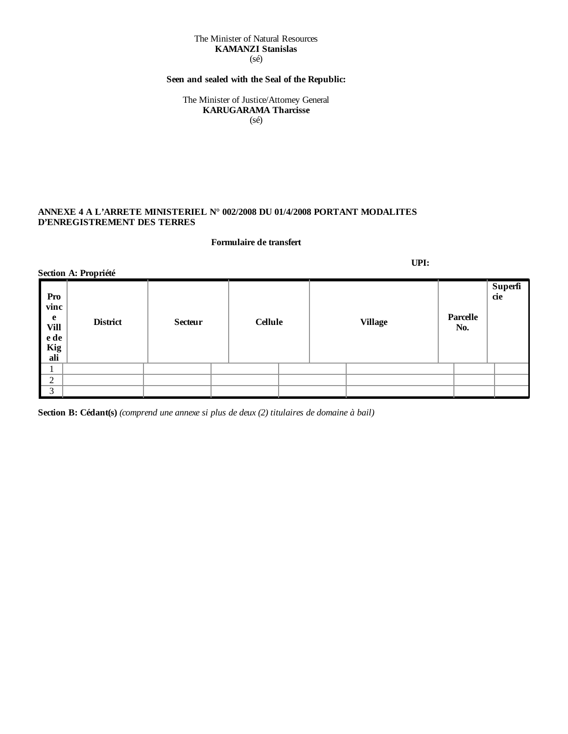#### The Minister of Natural Resources **KAMANZI Stanislas** (sé)

# **Seen and sealed with the Seal of the Republic:**

The Minister of Justice/Attorney General **KARUGARAMA Tharcisse** (sé)

# **ANNEXE 4 A L'ARRETE MINISTERIEL N° 002/2008 DU 01/4/2008 PORTANT MODALITES D'ENREGISTREMENT DES TERRES**

#### **Formulaire de transfert**

|                                                       | Section A: Propriété |                |                |                |                 |                |
|-------------------------------------------------------|----------------------|----------------|----------------|----------------|-----------------|----------------|
| Pro<br>vinc<br>e<br><b>Vill</b><br>e de<br>Kig<br>ali | <b>District</b>      | <b>Secteur</b> | <b>Cellule</b> | <b>Village</b> | Parcelle<br>No. | Superfi<br>cie |
|                                                       |                      |                |                |                |                 |                |
| $\overline{2}$                                        |                      |                |                |                |                 |                |
| $\vert 3 \vert$                                       |                      |                |                |                |                 |                |

**Section B: Cédant(s)** *(comprend une annexe si plus de deux (2) titulaires de domaine à bail)*

**UPI:**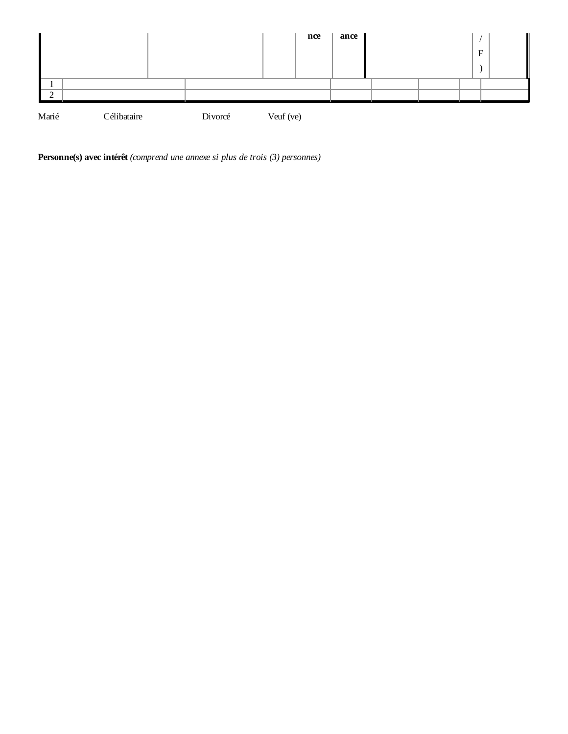

**Personne(s) avec intérêt** *(comprend une annexe si plus de trois (3) personnes)*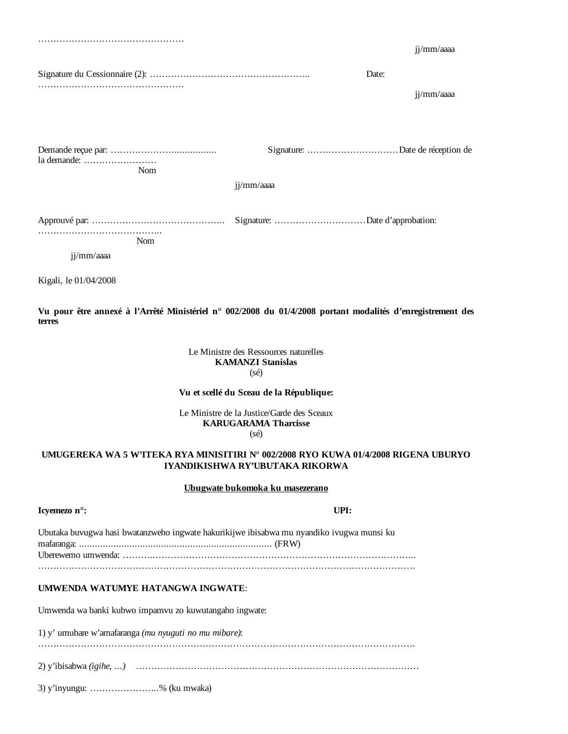|             |            |            |       | jj/mm/aaaa |
|-------------|------------|------------|-------|------------|
|             |            |            | Date: | jj/mm/aaaa |
| la demande: | Nom        | jj/mm/aaaa |       |            |
| jj/mm/aaaa  | <b>Nom</b> |            |       |            |

**Vu pour être annexé à l'Arrêté Ministériel n° 002/2008 du 01/4/2008 portant modalités d'enregistrement des terres**

# Le Ministre des Ressources naturelles **KAMANZI Stanislas** (sé)

### **Vu et scellé du Sceau de la République:**

Le Ministre de la Justice/Garde des Sceaux **KARUGARAMA Tharcisse** (sé)

## **UMUGEREKA WA 5 W'ITEKA RYA MINISITIRI N° 002/2008 RYO KUWA 01/4/2008 RIGENA UBURYO IYANDIKISHWA RY'UBUTAKA RIKORWA**

#### **Ubugwate bukomoka ku masezerano**

# **Icyemezo n°: UPI:**

Kigali, le 01/04/2008

| Ubutaka buvugwa hasi bwatanzweho ingwate hakurikijwe ibisabwa mu nyandiko ivugwa munsi ku |  |  |
|-------------------------------------------------------------------------------------------|--|--|
|                                                                                           |  |  |
|                                                                                           |  |  |
|                                                                                           |  |  |
|                                                                                           |  |  |

#### **UMWENDA WATUMYE HATANGWA INGWATE**:

Umwenda wa banki kubwo impamvu zo kuwutangaho ingwate:

1) y' umubare w'amafaranga *(mu nyuguti no mu mibare)*:

…………………………………………………………………………………………………………….

2) y'ibisabwa *(igihe, ...)* …………………………………………………………………………………

3) y'inyungu: …………………..% (ku mwaka)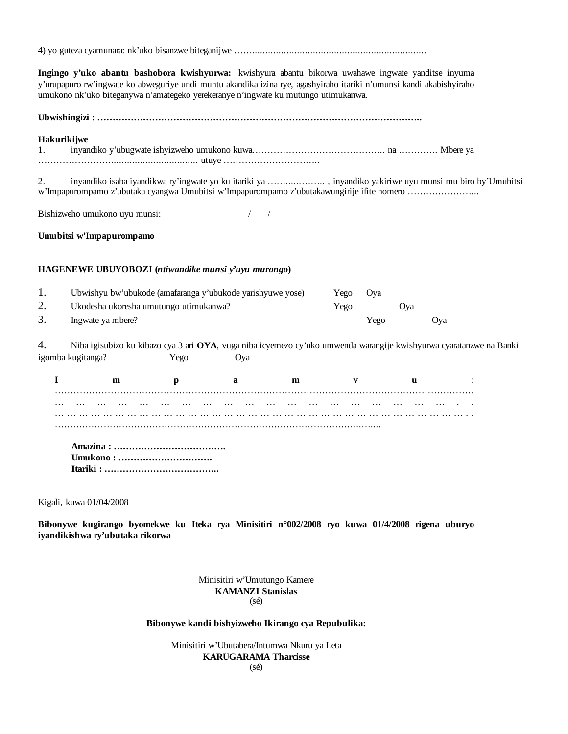4) yo guteza cyamunara: nk'uko bisanzwe biteganijwe ……..................................................................

**Ingingo y'uko abantu bashobora kwishyurwa:** kwishyura abantu bikorwa uwahawe ingwate yanditse inyuma y'urupapuro rw'ingwate ko abweguriye undi muntu akandika izina rye, agashyiraho itariki n'umunsi kandi akabishyiraho umukono nk'uko biteganywa n'amategeko yerekeranye n'ingwate ku mutungo utimukanwa.

**Ubwishingizi : ……………………………………………………………………………………………..**

### **Hakurikijwe**

| . . |  |  |
|-----|--|--|
|     |  |  |

2. inyandiko isaba iyandikwa ry'ingwate yo ku itariki ya ……......…….. , inyandiko yakiriwe uyu munsi mu biro by'Umubitsi w'Impapurompamo z'ubutaka cyangwa Umubitsi w'Impapurompamo z'ubutakawungirije ifite nomero …………………...

Bishizweho umukono uyu munsi: / /

### **Umubitsi w'Impapurompamo**

### **HAGENEWE UBUYOBOZI (***ntiwandike munsi y'uyu murongo***)**

|    | Ubwishyu bw'ubukode (amafaranga y'ubukode yarishyuwe yose) | Yego | Ova  |     |            |
|----|------------------------------------------------------------|------|------|-----|------------|
| 2. | Ukodesha ukoresha umutungo utimukanwa?                     | Yego |      | Ova |            |
|    | Ingwate ya mbere?                                          |      | Yego |     | <b>Ova</b> |

4. Niba igisubizo ku kibazo cya 3 ari **OYA**, vuga niba icyemezo cy'uko umwenda warangije kwishyurwa cyaratanzwe na Banki igomba kugitanga? Yego Oya

**Impamvu** : ……………………………………………………………………………………………………………………… ………………………………………………….. ………………………………………………………………………………………….. ………………………………………………………………………………………..…....

 **Amazina : ………………………………. Umukono : …………………………. Itariki : ………………………………..**

### Kigali, kuwa 01/04/2008

**Bibonywe kugirango byomekwe ku Iteka rya Minisitiri n°002/2008 ryo kuwa 01/4/2008 rigena uburyo iyandikishwa ry'ubutaka rikorwa**

### Minisitiri w'Umutungo Kamere **KAMANZI Stanislas**  $(s<sub>ef</sub>)$

### **Bibonywe kandi bishyizweho Ikirango cya Repubulika:**

### Minisitiri w'Ubutabera/Intumwa Nkuru ya Leta **KARUGARAMA Tharcisse** (sé)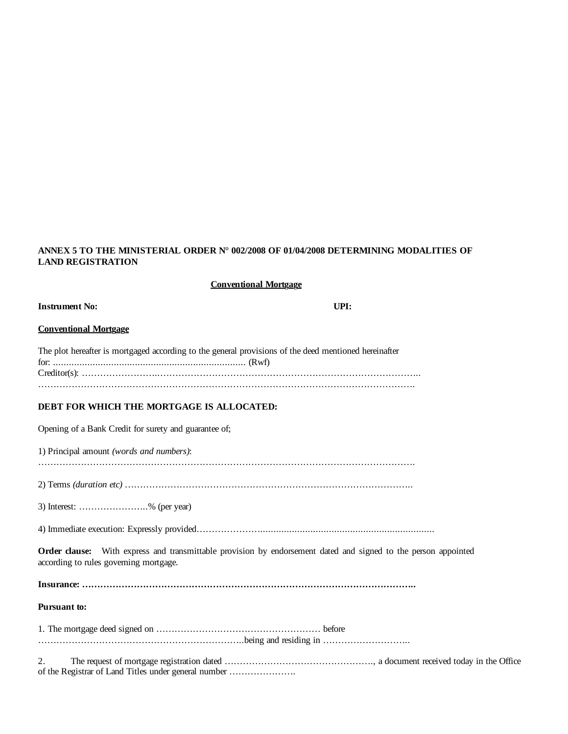# **ANNEX 5 TO THE MINISTERIAL ORDER N° 002/2008 OF 01/04/2008 DETERMINING MODALITIES OF LAND REGISTRATION**

| <b>Conventional Mortgage</b>                                                                                                                                    |
|-----------------------------------------------------------------------------------------------------------------------------------------------------------------|
| UPI:<br><b>Instrument No:</b>                                                                                                                                   |
| <b>Conventional Mortgage</b>                                                                                                                                    |
| The plot hereafter is mortgaged according to the general provisions of the deed mentioned hereinafter                                                           |
| DEBT FOR WHICH THE MORTGAGE IS ALLOCATED:                                                                                                                       |
| Opening of a Bank Credit for surety and guarantee of;                                                                                                           |
| 1) Principal amount (words and numbers):                                                                                                                        |
|                                                                                                                                                                 |
| 3) Interest: % (per year)                                                                                                                                       |
|                                                                                                                                                                 |
| <b>Order clause:</b> With express and transmittable provision by endorsement dated and signed to the person appointed<br>according to rules governing mortgage. |
|                                                                                                                                                                 |
| Pursuant to:                                                                                                                                                    |
|                                                                                                                                                                 |
| 2.<br>of the Registrar of Land Titles under general number                                                                                                      |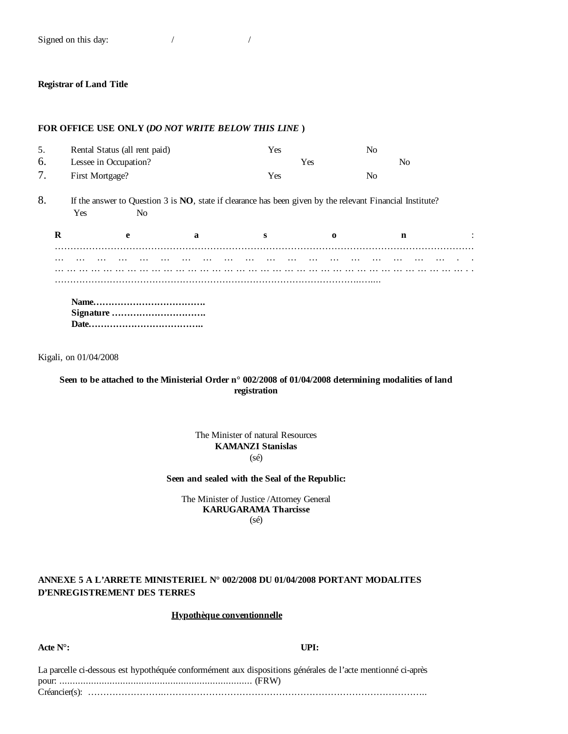Signed on this day:  $\frac{1}{2}$  /

### **Registrar of Land Title**

## **FOR OFFICE USE ONLY (***DO NOT WRITE BELOW THIS LINE* **)**

| N <sub>0</sub> |                                                                                                           |
|----------------|-----------------------------------------------------------------------------------------------------------|
|                |                                                                                                           |
|                |                                                                                                           |
|                |                                                                                                           |
| $\mathbf n$    |                                                                                                           |
|                |                                                                                                           |
|                |                                                                                                           |
|                |                                                                                                           |
|                |                                                                                                           |
|                |                                                                                                           |
|                | If the answer to Question 3 is NO, state if clearance has been given by the relevant Financial Institute? |

Kigali, on 01/04/2008

## **Seen to be attached to the Ministerial Order n° 002/2008 of 01/04/2008 determining modalities of land registration**

The Minister of natural Resources **KAMANZI Stanislas** (sé)

**Seen and sealed with the Seal of the Republic:**

The Minister of Justice /Attorney General **KARUGARAMA Tharcisse** (sé)

## **ANNEXE 5 A L'ARRETE MINISTERIEL N° 002/2008 DU 01/04/2008 PORTANT MODALITES D'ENREGISTREMENT DES TERRES**

# **Hypothèque conventionnelle**

**Acte N°: UPI:**

| La parcelle ci-dessous est hypothéquée conformément aux dispositions générales de l'acte mentionné ci-après |  |
|-------------------------------------------------------------------------------------------------------------|--|
|                                                                                                             |  |
|                                                                                                             |  |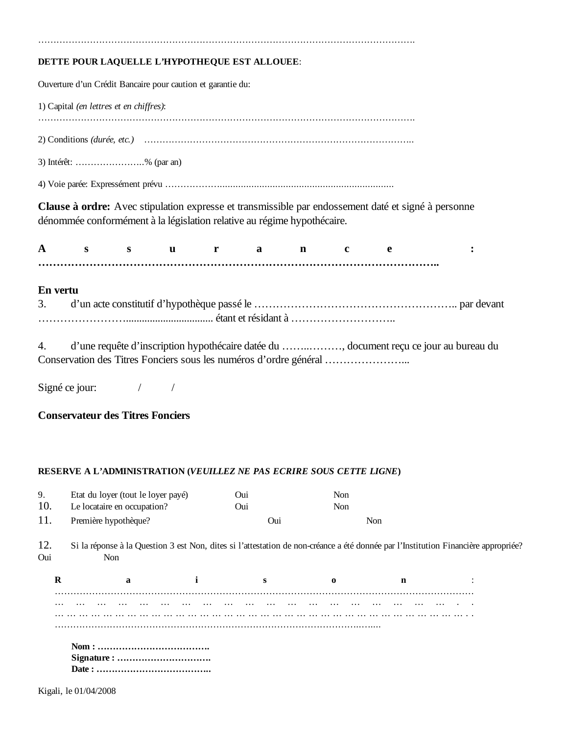# **DETTE POUR LAQUELLE L'HYPOTHEQUE EST ALLOUEE**:

Ouverture d'un Crédit Bancaire pour caution et garantie du:

1) Capital *(en lettres et en chiffres)*: …………………………………………………………………………………………………………….

…………………………………………………………………………………………………………….

2) Conditions *(durée, etc.)* ……………………………………………………………………………..

3) Intérêt: …………………..% (par an)

4) Voie parée: Expressément prévu ………………..................................................................

**Clause à ordre:** Avec stipulation expresse et transmissible par endossement daté et signé à personne dénommée conformément à la législation relative au régime hypothécaire.

Assurance: **………………………………………………………………………………………………..**

# **En vertu**

4. d'une requête d'inscription hypothécaire datée du ……..………, document reçu ce jour au bureau du Conservation des Titres Fonciers sous les numéros d'ordre général …………………...

Signé ce jour:  $\frac{1}{2}$  /

# **Conservateur des Titres Fonciers**

# **RESERVE A L'ADMINISTRATION (***VEUILLEZ NE PAS ECRIRE SOUS CETTE LIGNE***)**

|     | Etat du loyer (tout le loyer payé) | Oui | Non |  |
|-----|------------------------------------|-----|-----|--|
| 10. | Le locataire en occupation?        | Oui | Non |  |
| 11. | Première hypothèque?               | Oui | Non |  |

12. Si la réponse à la Question 3 est Non, dites si l'attestation de non-créance a été donnée par l'Institution Financière appropriée? Oui Non

R<sub>a</sub> a is so n: ……………………………………………………………………………………………………………………… ………………………………………………….. …………………………………………………………………………………………..  **Nom : ………………………………. Signature : …………………………. Date : ………………………………..**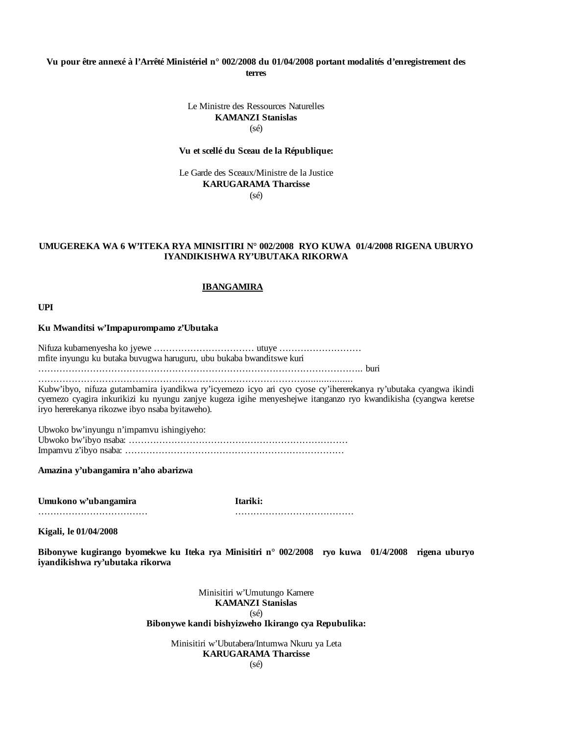## **Vu pour être annexé à l'Arrêté Ministériel n° 002/2008 du 01/04/2008 portant modalités d'enregistrement des terres**

## Le Ministre des Ressources Naturelles **KAMANZI Stanislas** (sé)

### **Vu et scellé du Sceau de la République:**

Le Garde des Sceaux/Ministre de la Justice **KARUGARAMA Tharcisse** (sé)

### **UMUGEREKA WA 6 W'ITEKA RYA MINISITIRI N° 002/2008 RYO KUWA 01/4/2008 RIGENA UBURYO IYANDIKISHWA RY'UBUTAKA RIKORWA**

### **IBANGAMIRA**

**UPI**

### **Ku Mwanditsi w'Impapurompamo z'Ubutaka**

Nifuza kubamenyesha ko jyewe …………………………… utuye ……………………… mfite inyungu ku butaka buvugwa haruguru, ubu bukaba bwanditswe kuri

…………………………………………………………………………………………….. buri ……………………………………………………………………………...................

Kubw'ibyo, nifuza gutambamira iyandikwa ry'icyemezo icyo ari cyo cyose cy'ihererekanya ry'ubutaka cyangwa ikindi cyemezo cyagira inkurikizi ku nyungu zanjye kugeza igihe menyeshejwe itanganzo ryo kwandikisha (cyangwa keretse iryo hererekanya rikozwe ibyo nsaba byitaweho).

Ubwoko bw'inyungu n'impamvu ishingiyeho: Ubwoko bw'ibyo nsaba: ……………………………………………………………… Impamvu z'ibyo nsaba: ………………………………………………………………

**Amazina y'ubangamira n'aho abarizwa**

**Umukono w'ubangamira Itariki:**

……………………………… …………………………………

**Kigali, le 01/04/2008**

**Bibonywe kugirango byomekwe ku Iteka rya Minisitiri n° 002/2008 ryo kuwa 01/4/2008 rigena uburyo iyandikishwa ry'ubutaka rikorwa**

> Minisitiri w'Umutungo Kamere **KAMANZI Stanislas** (sé) **Bibonywe kandi bishyizweho Ikirango cya Repubulika:**

> > Minisitiri w'Ubutabera/Intumwa Nkuru ya Leta **KARUGARAMA Tharcisse**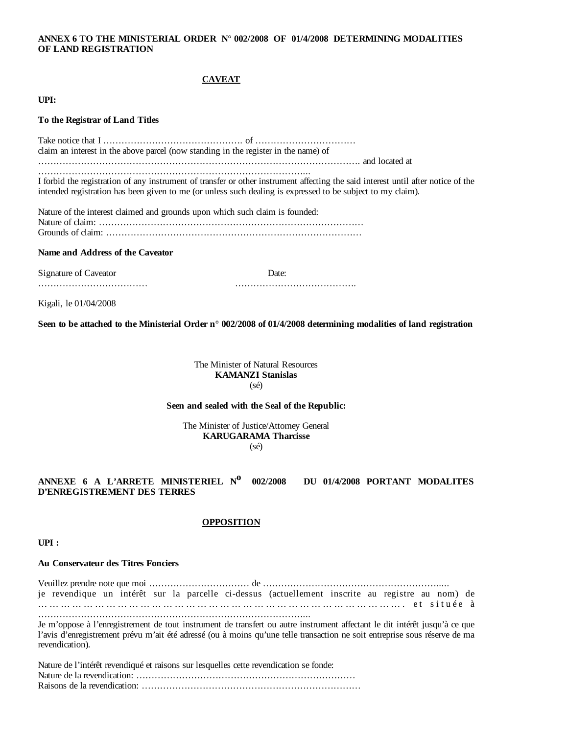### **ANNEX 6 TO THE MINISTERIAL ORDER N° 002/2008 OF 01/4/2008 DETERMINING MODALITIES OF LAND REGISTRATION**

### **CAVEAT**

**UPI:**

### **To the Registrar of Land Titles**

Take notice that I ………………………………………. of …………………………… claim an interest in the above parcel (now standing in the register in the name) of ……………………………………………………………………………………………. and located at ……………………………………………………………………………... I forbid the registration of any instrument of transfer or other instrument affecting the said interest until after notice of the

intended registration has been given to me (or unless such dealing is expressed to be subject to my claim). Nature of the interest claimed and grounds upon which such claim is founded:

Nature of claim: …………………………………………………………………………… Grounds of claim: …………………………………………………………………………

### **Name and Address of the Caveator**

Signature of Caveator Date:

……………………………… ………………………………….

Kigali, le 01/04/2008

**Seen to be attached to the Ministerial Order n° 002/2008 of 01/4/2008 determining modalities of land registration**

The Minister of Natural Resources **KAMANZI Stanislas** (sé)

### **Seen and sealed with the Seal of the Republic:**

The Minister of Justice/Attorney General **KARUGARAMA Tharcisse** (sé)

## **ANNEXE 6 A L'ARRETE MINISTERIEL No 002/2008 DU 01/4/2008 PORTANT MODALITES D'ENREGISTREMENT DES TERRES**

### **OPPOSITION**

**UPI :** 

### **Au Conservateur des Titres Fonciers**

Veuillez prendre note que moi …………………………… de …………………………………………………..... je revendique un intérêt sur la parcelle ci-dessus (actuellement inscrite au registre au nom) de … … … … … … … … … … … … … … … … … … … … … … … … … … … … … … … … . e t s i t u é e à ……………………………………………………………………………...

Je m'oppose à l'enregistrement de tout instrument de transfert ou autre instrument affectant le dit intérêt jusqu'à ce que l'avis d'enregistrement prévu m'ait été adressé (ou à moins qu'une telle transaction ne soit entreprise sous réserve de ma revendication).

| Nature de l'intérêt revendiqué et raisons sur lesquelles cette revendication se fonde: |  |
|----------------------------------------------------------------------------------------|--|
|                                                                                        |  |
|                                                                                        |  |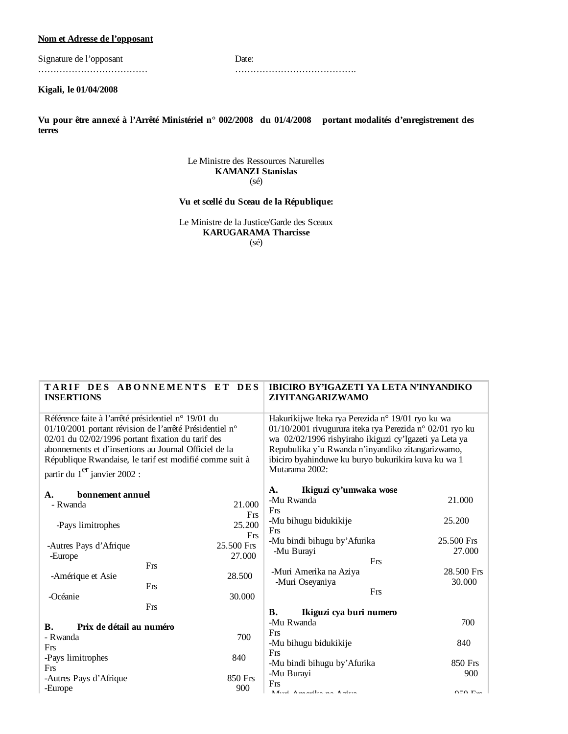## **Nom et Adresse de l'opposant**

Signature de l'opposant Date: ……………………………… ………………………………….

**Kigali, le 01/04/2008**

**Vu pour être annexé à l'Arrêté Ministériel n° 002/2008 du 01/4/2008 portant modalités d'enregistrement des terres**

> Le Ministre des Ressources Naturelles **KAMANZI Stanislas** (sé)

# **Vu et scellé du Sceau de la République:**

Le Ministre de la Justice/Garde des Sceaux **KARUGARAMA Tharcisse** (sé)

| <b>INSERTIONS</b>                                                                                                                                                                                                                                                                                                                   | TARIF DES ABONNEMENTS ET DES | <b>IBICIRO BY'IGAZETI YA LETA N'INYANDIKO</b><br>ZIYITANGARIZWAMO                                                                                                                                                                                                                                     |            |  |
|-------------------------------------------------------------------------------------------------------------------------------------------------------------------------------------------------------------------------------------------------------------------------------------------------------------------------------------|------------------------------|-------------------------------------------------------------------------------------------------------------------------------------------------------------------------------------------------------------------------------------------------------------------------------------------------------|------------|--|
| Référence faite à l'arrêté présidentiel n° 19/01 du<br>01/10/2001 portant révision de l'arrêté Présidentiel n°<br>02/01 du 02/02/1996 portant fixation du tarif des<br>abonnements et d'insertions au Journal Officiel de la<br>République Rwandaise, le tarif est modifié comme suit à<br>partir du 1 <sup>er</sup> janvier 2002 : |                              | Hakurikijwe Iteka rya Perezida n° 19/01 ryo ku wa<br>01/10/2001 rivugurura iteka rya Perezida n° 02/01 ryo ku<br>wa 02/02/1996 rishyiraho ikiguzi cy'Igazeti ya Leta ya<br>Repubulika y'u Rwanda n'inyandiko zitangarizwamo,<br>ibiciro byahinduwe ku buryo bukurikira kuva ku wa 1<br>Mutarama 2002: |            |  |
| bonnement annuel<br>$\mathbf{A}$ .                                                                                                                                                                                                                                                                                                  |                              | Ikiguzi cy'umwaka wose<br>A.                                                                                                                                                                                                                                                                          |            |  |
| - Rwanda                                                                                                                                                                                                                                                                                                                            | 21.000                       | -Mu Rwanda                                                                                                                                                                                                                                                                                            | 21.000     |  |
|                                                                                                                                                                                                                                                                                                                                     | Frs                          | Frs                                                                                                                                                                                                                                                                                                   |            |  |
| -Pays limitrophes                                                                                                                                                                                                                                                                                                                   | 25.200                       | -Mu bihugu bidukikije                                                                                                                                                                                                                                                                                 | 25.200     |  |
|                                                                                                                                                                                                                                                                                                                                     | Frs                          | Frs                                                                                                                                                                                                                                                                                                   | 25.500 Frs |  |
| -Autres Pays d'Afrique                                                                                                                                                                                                                                                                                                              | 25.500 Frs                   | -Mu bindi bihugu by' Afurika<br>-Mu Burayi                                                                                                                                                                                                                                                            | 27.000     |  |
| -Europe                                                                                                                                                                                                                                                                                                                             | 27.000                       | Frs                                                                                                                                                                                                                                                                                                   |            |  |
| Frs                                                                                                                                                                                                                                                                                                                                 |                              | -Muri Amerika na Aziya                                                                                                                                                                                                                                                                                | 28.500 Frs |  |
| -Amérique et Asie<br>Frs                                                                                                                                                                                                                                                                                                            | 28.500                       | -Muri Oseyaniya                                                                                                                                                                                                                                                                                       | 30.000     |  |
| -Océanie                                                                                                                                                                                                                                                                                                                            | 30.000                       | Frs                                                                                                                                                                                                                                                                                                   |            |  |
| Frs                                                                                                                                                                                                                                                                                                                                 |                              |                                                                                                                                                                                                                                                                                                       |            |  |
|                                                                                                                                                                                                                                                                                                                                     |                              | Ikiguzi cya buri numero<br>В.                                                                                                                                                                                                                                                                         |            |  |
| Prix de détail au numéro<br><b>B.</b>                                                                                                                                                                                                                                                                                               |                              | -Mu Rwanda                                                                                                                                                                                                                                                                                            | 700        |  |
| - Rwanda                                                                                                                                                                                                                                                                                                                            | 700                          | Frs<br>-Mu bihugu bidukikije                                                                                                                                                                                                                                                                          | 840        |  |
| Frs                                                                                                                                                                                                                                                                                                                                 |                              | Frs                                                                                                                                                                                                                                                                                                   |            |  |
| -Pays limitrophes                                                                                                                                                                                                                                                                                                                   | 840                          | -Mu bindi bihugu by' Afurika                                                                                                                                                                                                                                                                          | 850 Frs    |  |
| Frs                                                                                                                                                                                                                                                                                                                                 |                              | -Mu Burayi                                                                                                                                                                                                                                                                                            | 900        |  |
| -Autres Pays d'Afrique                                                                                                                                                                                                                                                                                                              | 850 Frs<br>900               | Frs                                                                                                                                                                                                                                                                                                   |            |  |
| -Europe                                                                                                                                                                                                                                                                                                                             |                              | Mond Amondles no Arison                                                                                                                                                                                                                                                                               | 050E       |  |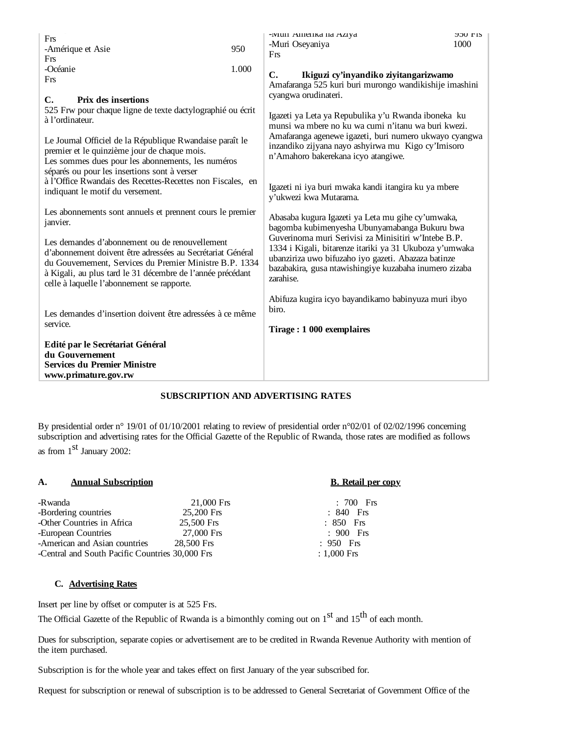| Frs<br>-Amérique et Asie<br>Frs                                                                                                                                                                                                                                                     | 950   | -иип Ашенка па Адуа<br>-Muri Oseyaniya<br>Frs                                                                                                                                                                                                 | <b>ADU LIP</b><br>1000 |
|-------------------------------------------------------------------------------------------------------------------------------------------------------------------------------------------------------------------------------------------------------------------------------------|-------|-----------------------------------------------------------------------------------------------------------------------------------------------------------------------------------------------------------------------------------------------|------------------------|
| -Océanie<br>Frs                                                                                                                                                                                                                                                                     | 1.000 | $\mathbf{C}$ .<br>Ikiguzi cy'inyandiko ziyitangarizwamo<br>Amafaranga 525 kuri buri murongo wandikishije imashini                                                                                                                             |                        |
| C.<br><b>Prix des insertions</b><br>525 Frw pour chaque ligne de texte dactylographié ou écrit<br>à l'ordinateur.                                                                                                                                                                   |       | cyangwa orudinateri.<br>Igazeti ya Leta ya Repubulika y'u Rwanda iboneka ku<br>munsi wa mbere no ku wa cumi n'itanu wa buri kwezi.                                                                                                            |                        |
| Le Journal Officiel de la République Rwandaise paraît le<br>premier et le quinzième jour de chaque mois.<br>Les sommes dues pour les abonnements, les numéros<br>séparés ou pour les insertions sont à verser                                                                       |       | Amafaranga agenewe igazeti, buri numero ukwayo cyangwa<br>inzandiko zijyana nayo ashyirwa mu Kigo cy'lmisoro<br>n'Amahoro bakerekana icyo atangiwe.                                                                                           |                        |
| à l'Office Rwandais des Recettes-Recettes non Fiscales, en<br>indiquant le motif du versement.                                                                                                                                                                                      |       | Igazeti ni iya buri mwaka kandi itangira ku ya mbere<br>y'ukwezi kwa Mutarama.                                                                                                                                                                |                        |
| Les abonnements sont annuels et prennent cours le premier<br>janvier.                                                                                                                                                                                                               |       | Abasaba kugura Igazeti ya Leta mu gihe cy'umwaka,<br>bagomba kubimenyesha Ubunyamabanga Bukuru bwa                                                                                                                                            |                        |
| Les demandes d'abonnement ou de renouvellement<br>d'abonnement doivent être adressées au Secrétariat Général<br>du Gouvernement, Services du Premier Ministre B.P. 1334<br>à Kigali, au plus tard le 31 décembre de l'année précédant<br>celle à laquelle l'abonnement se rapporte. |       | Guverinoma muri Serivisi za Minisitiri w'Intebe B.P.<br>1334 i Kigali, bitarenze itariki ya 31 Ukuboza y'umwaka<br>ubanziriza uwo bifuzaho iyo gazeti. Abazaza batinze<br>bazabakira, gusa ntawishingiye kuzabaha inumero zizaba<br>zarahise. |                        |
| Les demandes d'insertion doivent être adressées à ce même                                                                                                                                                                                                                           |       | Abifuza kugira icyo bayandikamo babinyuza muri ibyo<br>biro.                                                                                                                                                                                  |                        |
| service.                                                                                                                                                                                                                                                                            |       | Tirage: 1 000 exemplaires                                                                                                                                                                                                                     |                        |
| Edité par le Secrétariat Général<br>du Gouvernement<br><b>Services du Premier Ministre</b><br>www.primature.gov.rw                                                                                                                                                                  |       |                                                                                                                                                                                                                                               |                        |

## **SUBSCRIPTION AND ADVERTISING RATES**

By presidential order n° 19/01 of 01/10/2001 relating to review of presidential order n°02/01 of 02/02/1996 concerning subscription and advertising rates for the Official Gazette of the Republic of Rwanda, those rates are modified as follows as from 1<sup>st</sup> January 2002:

## **A. Annual Subscription B. Retail per copy**

| -Rwanda                                         | $21,000$ Frs | $: 700$ Frs   |
|-------------------------------------------------|--------------|---------------|
| -Bordering countries                            | 25,200 Frs   | $: 840$ Frs   |
| -Other Countries in Africa                      | 25.500 Frs   | $: 850$ Frs   |
| -European Countries                             | 27,000 Frs   | $: 900$ Frs   |
| -American and Asian countries                   | 28,500 Frs   | $: 950$ Frs   |
| -Central and South Pacific Countries 30,000 Frs |              | $: 1,000$ Frs |
|                                                 |              |               |

## **C. Advertising Rates**

Insert per line by offset or computer is at 525 Frs.

The Official Gazette of the Republic of Rwanda is a bimonthly coming out on  $1<sup>st</sup>$  and  $15<sup>th</sup>$  of each month.

Dues for subscription, separate copies or advertisement are to be credited in Rwanda Revenue Authority with mention of the item purchased.

Subscription is for the whole year and takes effect on first January of the year subscribed for.

Request for subscription or renewal of subscription is to be addressed to General Secretariat of Government Office of the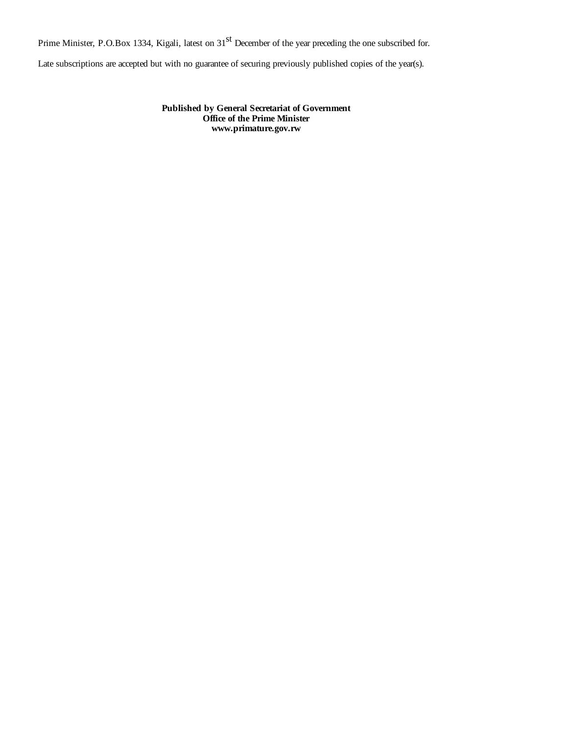Prime Minister, P.O.Box 1334, Kigali, latest on 31<sup>st</sup> December of the year preceding the one subscribed for.

Late subscriptions are accepted but with no guarantee of securing previously published copies of the year(s).

**Published by General Secretariat of Government Office of the Prime Minister www.primature.gov.rw**